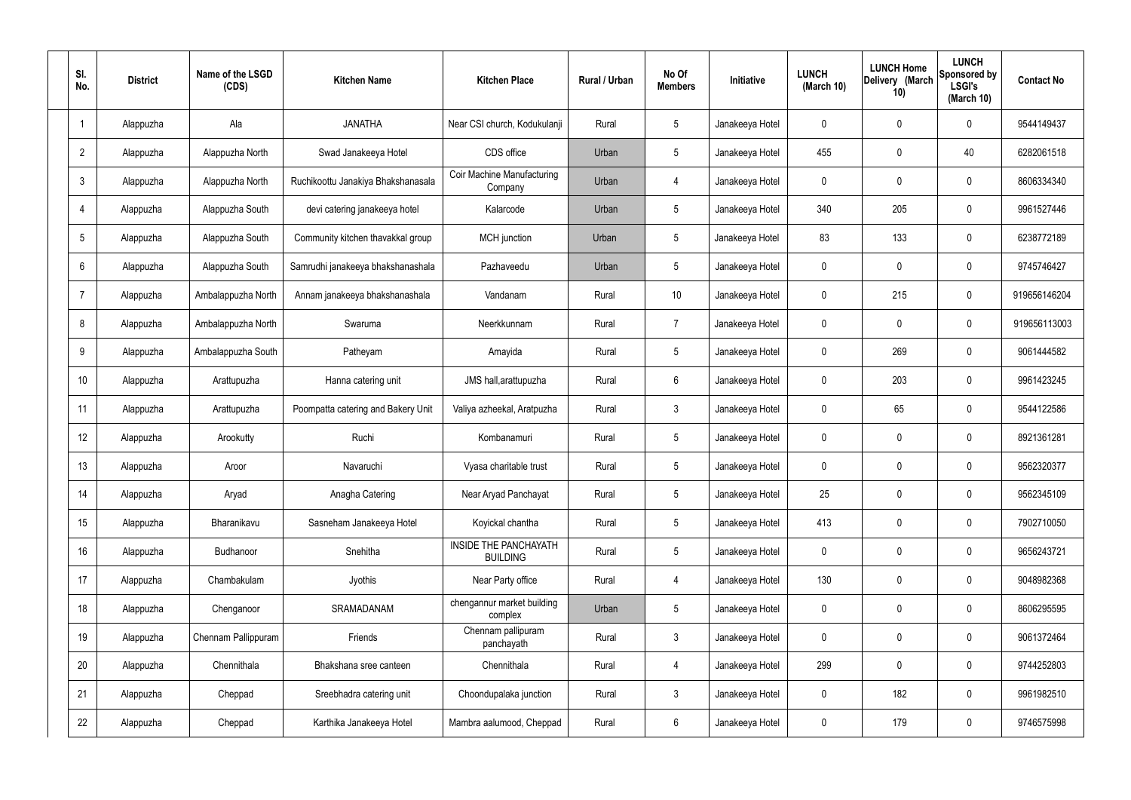| SI.<br>No.      | <b>District</b> | Name of the LSGD<br>(CDS) | <b>Kitchen Name</b>                | <b>Kitchen Place</b>                            | Rural / Urban | No Of<br><b>Members</b> | <b>Initiative</b> | <b>LUNCH</b><br>(March 10) | <b>LUNCH Home</b><br>Delivery (March<br>10) | <b>LUNCH</b><br>Sponsored by<br><b>LSGI's</b><br>(March 10) | <b>Contact No</b> |
|-----------------|-----------------|---------------------------|------------------------------------|-------------------------------------------------|---------------|-------------------------|-------------------|----------------------------|---------------------------------------------|-------------------------------------------------------------|-------------------|
|                 | Alappuzha       | Ala                       | <b>JANATHA</b>                     | Near CSI church, Kodukulanji                    | Rural         | $5\phantom{.0}$         | Janakeeya Hotel   | 0                          | 0                                           | $\mathbf 0$                                                 | 9544149437        |
| $\overline{2}$  | Alappuzha       | Alappuzha North           | Swad Janakeeya Hotel               | CDS office                                      | Urban         | $5\phantom{.0}$         | Janakeeya Hotel   | 455                        | 0                                           | 40                                                          | 6282061518        |
| $\mathbf{3}$    | Alappuzha       | Alappuzha North           | Ruchikoottu Janakiya Bhakshanasala | <b>Coir Machine Manufacturing</b><br>Company    | Urban         | $\overline{4}$          | Janakeeya Hotel   | $\mathbf 0$                | 0                                           | $\mathbf 0$                                                 | 8606334340        |
| $\overline{4}$  | Alappuzha       | Alappuzha South           | devi catering janakeeya hotel      | Kalarcode                                       | Urban         | $5\phantom{.0}$         | Janakeeya Hotel   | 340                        | 205                                         | $\mathbf 0$                                                 | 9961527446        |
| $5\phantom{.0}$ | Alappuzha       | Alappuzha South           | Community kitchen thavakkal group  | MCH junction                                    | Urban         | $5\phantom{.0}$         | Janakeeya Hotel   | 83                         | 133                                         | $\mathbf 0$                                                 | 6238772189        |
| 6               | Alappuzha       | Alappuzha South           | Samrudhi janakeeya bhakshanashala  | Pazhaveedu                                      | Urban         | $5\phantom{.0}$         | Janakeeya Hotel   | $\mathbf 0$                | $\mathbf 0$                                 | $\mathbf 0$                                                 | 9745746427        |
| $\overline{7}$  | Alappuzha       | Ambalappuzha North        | Annam janakeeya bhakshanashala     | Vandanam                                        | Rural         | 10 <sup>°</sup>         | Janakeeya Hotel   | $\mathbf 0$                | 215                                         | $\mathbf 0$                                                 | 919656146204      |
| 8               | Alappuzha       | Ambalappuzha North        | Swaruma                            | Neerkkunnam                                     | Rural         | $\overline{7}$          | Janakeeya Hotel   | $\mathbf 0$                | $\mathbf 0$                                 | $\mathbf 0$                                                 | 919656113003      |
| 9               | Alappuzha       | Ambalappuzha South        | Patheyam                           | Amayida                                         | Rural         | $5\phantom{.0}$         | Janakeeya Hotel   | $\mathbf 0$                | 269                                         | $\mathbf 0$                                                 | 9061444582        |
| 10              | Alappuzha       | Arattupuzha               | Hanna catering unit                | JMS hall, arattupuzha                           | Rural         | $6\phantom{.}6$         | Janakeeya Hotel   | $\mathbf 0$                | 203                                         | $\mathbf 0$                                                 | 9961423245        |
| 11              | Alappuzha       | Arattupuzha               | Poompatta catering and Bakery Unit | Valiya azheekal, Aratpuzha                      | Rural         | $\mathbf{3}$            | Janakeeya Hotel   | $\mathbf 0$                | 65                                          | $\mathbf 0$                                                 | 9544122586        |
| 12              | Alappuzha       | Arookutty                 | Ruchi                              | Kombanamuri                                     | Rural         | $5\phantom{.0}$         | Janakeeya Hotel   | $\mathbf 0$                | 0                                           | $\mathbf 0$                                                 | 8921361281        |
| 13              | Alappuzha       | Aroor                     | Navaruchi                          | Vyasa charitable trust                          | Rural         | $5\phantom{.0}$         | Janakeeya Hotel   | $\mathbf 0$                | 0                                           | 0                                                           | 9562320377        |
| 14              | Alappuzha       | Aryad                     | Anagha Catering                    | Near Aryad Panchayat                            | Rural         | $5\phantom{.0}$         | Janakeeya Hotel   | 25                         | $\mathbf 0$                                 | $\mathbf 0$                                                 | 9562345109        |
| 15              | Alappuzha       | Bharanikavu               | Sasneham Janakeeya Hotel           | Koyickal chantha                                | Rural         | $5\phantom{.0}$         | Janakeeya Hotel   | 413                        | $\mathbf 0$                                 | $\mathbf 0$                                                 | 7902710050        |
| 16              | Alappuzha       | Budhanoor                 | Snehitha                           | <b>INSIDE THE PANCHAYATH</b><br><b>BUILDING</b> | Rural         | $5\phantom{.0}$         | Janakeeya Hotel   | $\mathbf 0$                | $\mathbf 0$                                 | $\mathbf 0$                                                 | 9656243721        |
| 17              | Alappuzha       | Chambakulam               | Jyothis                            | Near Party office                               | Rural         | 4                       | Janakeeya Hotel   | 130                        | $\mathbf 0$                                 | $\mathbf 0$                                                 | 9048982368        |
| 18              | Alappuzha       | Chenganoor                | SRAMADANAM                         | chengannur market building<br>complex           | Urban         | $5\phantom{.0}$         | Janakeeya Hotel   | $\mathbf 0$                | 0                                           | $\mathbf 0$                                                 | 8606295595        |
| 19              | Alappuzha       | Chennam Pallippuram       | Friends                            | Chennam pallipuram<br>panchayath                | Rural         | $\mathbf{3}$            | Janakeeya Hotel   | $\mathbf 0$                | 0                                           | $\mathbf 0$                                                 | 9061372464        |
| 20              | Alappuzha       | Chennithala               | Bhakshana sree canteen             | Chennithala                                     | Rural         | $\overline{4}$          | Janakeeya Hotel   | 299                        | 0                                           | $\mathbf 0$                                                 | 9744252803        |
| 21              | Alappuzha       | Cheppad                   | Sreebhadra catering unit           | Choondupalaka junction                          | Rural         | $\mathbf{3}$            | Janakeeya Hotel   | $\mathbf 0$                | 182                                         | $\mathbf 0$                                                 | 9961982510        |
| 22              | Alappuzha       | Cheppad                   | Karthika Janakeeya Hotel           | Mambra aalumood, Cheppad                        | Rural         | $6\overline{6}$         | Janakeeya Hotel   | 0                          | 179                                         | $\mathbf 0$                                                 | 9746575998        |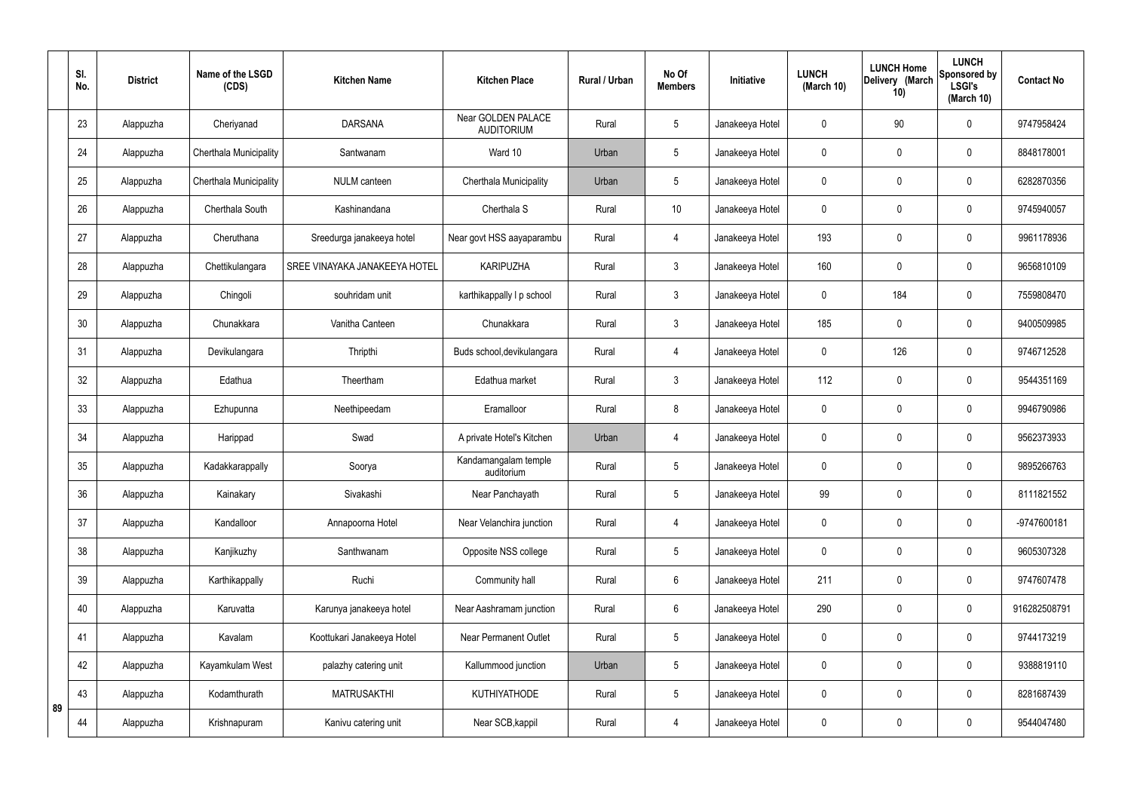|    | SI.<br>No. | <b>District</b> | Name of the LSGD<br>(CDS) | <b>Kitchen Name</b>           | <b>Kitchen Place</b>                    | <b>Rural / Urban</b> | No Of<br><b>Members</b> | Initiative      | <b>LUNCH</b><br>(March 10) | <b>LUNCH Home</b><br>Delivery (March<br>10) | <b>LUNCH</b><br>Sponsored by<br><b>LSGI's</b><br>(March 10) | <b>Contact No</b> |
|----|------------|-----------------|---------------------------|-------------------------------|-----------------------------------------|----------------------|-------------------------|-----------------|----------------------------|---------------------------------------------|-------------------------------------------------------------|-------------------|
|    | 23         | Alappuzha       | Cheriyanad                | <b>DARSANA</b>                | Near GOLDEN PALACE<br><b>AUDITORIUM</b> | Rural                | 5                       | Janakeeya Hotel | 0                          | 90                                          | $\mathbf 0$                                                 | 9747958424        |
|    | 24         | Alappuzha       | Cherthala Municipality    | Santwanam                     | Ward 10                                 | Urban                | 5                       | Janakeeya Hotel | $\mathbf 0$                | $\mathbf 0$                                 | $\mathbf 0$                                                 | 8848178001        |
|    | 25         | Alappuzha       | Cherthala Municipality    | <b>NULM</b> canteen           | Cherthala Municipality                  | Urban                | 5                       | Janakeeya Hotel | 0                          | $\mathbf 0$                                 | $\mathbf 0$                                                 | 6282870356        |
|    | 26         | Alappuzha       | Cherthala South           | Kashinandana                  | Cherthala S                             | Rural                | 10                      | Janakeeya Hotel | 0                          | $\mathbf 0$                                 | $\pmb{0}$                                                   | 9745940057        |
|    | 27         | Alappuzha       | Cheruthana                | Sreedurga janakeeya hotel     | Near govt HSS aayaparambu               | Rural                | $\overline{4}$          | Janakeeya Hotel | 193                        | $\boldsymbol{0}$                            | $\mathbf 0$                                                 | 9961178936        |
|    | 28         | Alappuzha       | Chettikulangara           | SREE VINAYAKA JANAKEEYA HOTEL | <b>KARIPUZHA</b>                        | Rural                | $\mathfrak{Z}$          | Janakeeya Hotel | 160                        | $\mathbf 0$                                 | $\pmb{0}$                                                   | 9656810109        |
|    | 29         | Alappuzha       | Chingoli                  | souhridam unit                | karthikappally I p school               | Rural                | $\mathbf{3}$            | Janakeeya Hotel | 0                          | 184                                         | $\mathbf 0$                                                 | 7559808470        |
|    | 30         | Alappuzha       | Chunakkara                | Vanitha Canteen               | Chunakkara                              | Rural                | $\mathfrak{Z}$          | Janakeeya Hotel | 185                        | $\mathbf 0$                                 | $\mathbf 0$                                                 | 9400509985        |
|    | 31         | Alappuzha       | Devikulangara             | Thripthi                      | Buds school, devikulangara              | Rural                | $\overline{4}$          | Janakeeya Hotel | 0                          | 126                                         | $\mathbf 0$                                                 | 9746712528        |
|    | 32         | Alappuzha       | Edathua                   | Theertham                     | Edathua market                          | Rural                | 3                       | Janakeeya Hotel | 112                        | 0                                           | $\mathbf 0$                                                 | 9544351169        |
|    | 33         | Alappuzha       | Ezhupunna                 | Neethipeedam                  | Eramalloor                              | Rural                | 8                       | Janakeeya Hotel | 0                          | $\boldsymbol{0}$                            | $\mathbf 0$                                                 | 9946790986        |
|    | 34         | Alappuzha       | Harippad                  | Swad                          | A private Hotel's Kitchen               | Urban                | $\overline{4}$          | Janakeeya Hotel | 0                          | 0                                           | $\mathbf 0$                                                 | 9562373933        |
|    | 35         | Alappuzha       | Kadakkarappally           | Soorya                        | Kandamangalam temple<br>auditorium      | Rural                | 5                       | Janakeeya Hotel | 0                          | $\mathbf 0$                                 | $\mathbf 0$                                                 | 9895266763        |
|    | 36         | Alappuzha       | Kainakary                 | Sivakashi                     | Near Panchayath                         | Rural                | 5                       | Janakeeya Hotel | 99                         | $\mathbf 0$                                 | $\mathbf 0$                                                 | 8111821552        |
|    | 37         | Alappuzha       | Kandalloor                | Annapoorna Hotel              | Near Velanchira junction                | Rural                | $\overline{4}$          | Janakeeya Hotel | 0                          | $\mathbf 0$                                 | $\pmb{0}$                                                   | -9747600181       |
|    | 38         | Alappuzha       | Kanjikuzhy                | Santhwanam                    | Opposite NSS college                    | Rural                | 5                       | Janakeeya Hotel | 0                          | $\mathbf 0$                                 | $\pmb{0}$                                                   | 9605307328        |
|    | 39         | Alappuzha       | Karthikappally            | Ruchi                         | Community hall                          | Rural                | $6\phantom{.}6$         | Janakeeya Hotel | 211                        | $\mathbf 0$                                 | $\pmb{0}$                                                   | 9747607478        |
|    | 40         | Alappuzha       | Karuvatta                 | Karunya janakeeya hotel       | Near Aashramam junction                 | Rural                | 6                       | Janakeeya Hotel | 290                        | $\pmb{0}$                                   | $\pmb{0}$                                                   | 916282508791      |
|    | 41         | Alappuzha       | Kavalam                   | Koottukari Janakeeya Hotel    | <b>Near Permanent Outlet</b>            | Rural                | 5                       | Janakeeya Hotel | 0                          | $\mathbf 0$                                 | $\pmb{0}$                                                   | 9744173219        |
|    | 42         | Alappuzha       | Kayamkulam West           | palazhy catering unit         | Kallummood junction                     | Urban                | 5                       | Janakeeya Hotel | $\mathbf 0$                | $\mathbf 0$                                 | $\mathbf 0$                                                 | 9388819110        |
| 89 | 43         | Alappuzha       | Kodamthurath              | <b>MATRUSAKTHI</b>            | <b>KUTHIYATHODE</b>                     | Rural                | 5                       | Janakeeya Hotel | $\mathbf 0$                | $\mathbf 0$                                 | $\pmb{0}$                                                   | 8281687439        |
|    | 44         | Alappuzha       | Krishnapuram              | Kanivu catering unit          | Near SCB, kappil                        | Rural                | $\overline{4}$          | Janakeeya Hotel | 0                          | $\boldsymbol{0}$                            | $\pmb{0}$                                                   | 9544047480        |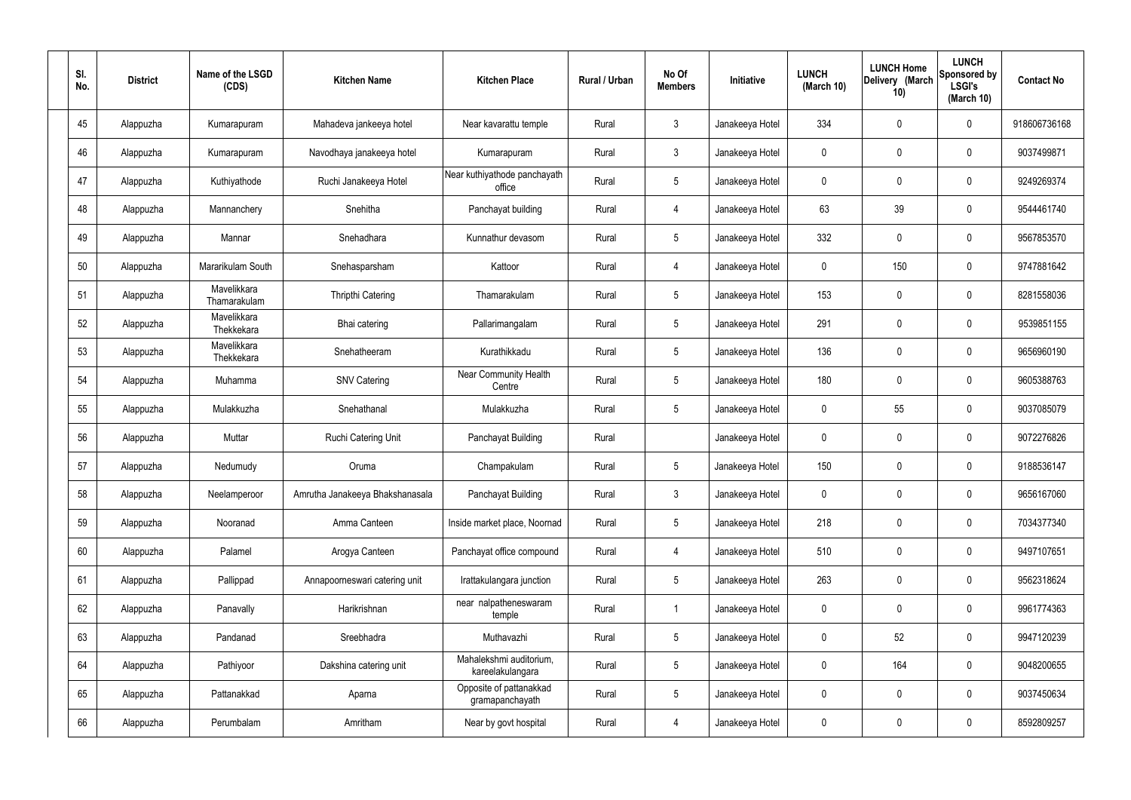| SI.<br>No. | <b>District</b> | Name of the LSGD<br>(CDS)   | <b>Kitchen Name</b>             | <b>Kitchen Place</b>                        | Rural / Urban | No Of<br><b>Members</b> | Initiative      | <b>LUNCH</b><br>(March 10) | <b>LUNCH Home</b><br>Delivery (March<br>10) | <b>LUNCH</b><br>Sponsored by<br><b>LSGI's</b><br>(March 10) | <b>Contact No</b> |
|------------|-----------------|-----------------------------|---------------------------------|---------------------------------------------|---------------|-------------------------|-----------------|----------------------------|---------------------------------------------|-------------------------------------------------------------|-------------------|
| 45         | Alappuzha       | Kumarapuram                 | Mahadeva jankeeya hotel         | Near kavarattu temple                       | Rural         | $\mathfrak{Z}$          | Janakeeya Hotel | 334                        | 0                                           | $\mathbf 0$                                                 | 918606736168      |
| 46         | Alappuzha       | Kumarapuram                 | Navodhaya janakeeya hotel       | Kumarapuram                                 | Rural         | $\mathbf{3}$            | Janakeeya Hotel | $\mathbf 0$                | 0                                           | $\boldsymbol{0}$                                            | 9037499871        |
| 47         | Alappuzha       | Kuthiyathode                | Ruchi Janakeeya Hotel           | Near kuthiyathode panchayath<br>office      | Rural         | $5\phantom{.0}$         | Janakeeya Hotel | 0                          | 0                                           | $\boldsymbol{0}$                                            | 9249269374        |
| 48         | Alappuzha       | Mannanchery                 | Snehitha                        | Panchayat building                          | Rural         | 4                       | Janakeeya Hotel | 63                         | 39                                          | $\boldsymbol{0}$                                            | 9544461740        |
| 49         | Alappuzha       | Mannar                      | Snehadhara                      | Kunnathur devasom                           | Rural         | $\sqrt{5}$              | Janakeeya Hotel | 332                        | 0                                           | $\boldsymbol{0}$                                            | 9567853570        |
| 50         | Alappuzha       | Mararikulam South           | Snehasparsham                   | Kattoor                                     | Rural         | 4                       | Janakeeya Hotel | $\mathbf 0$                | 150                                         | $\boldsymbol{0}$                                            | 9747881642        |
| 51         | Alappuzha       | Mavelikkara<br>Thamarakulam | <b>Thripthi Catering</b>        | Thamarakulam                                | Rural         | $\sqrt{5}$              | Janakeeya Hotel | 153                        | 0                                           | $\boldsymbol{0}$                                            | 8281558036        |
| 52         | Alappuzha       | Mavelikkara<br>Thekkekara   | Bhai catering                   | Pallarimangalam                             | Rural         | $5\phantom{.0}$         | Janakeeya Hotel | 291                        | 0                                           | $\boldsymbol{0}$                                            | 9539851155        |
| 53         | Alappuzha       | Mavelikkara<br>Thekkekara   | Snehatheeram                    | Kurathikkadu                                | Rural         | $\sqrt{5}$              | Janakeeya Hotel | 136                        | 0                                           | $\boldsymbol{0}$                                            | 9656960190        |
| 54         | Alappuzha       | Muhamma                     | <b>SNV Catering</b>             | <b>Near Community Health</b><br>Centre      | Rural         | $5\phantom{.0}$         | Janakeeya Hotel | 180                        | 0                                           | $\boldsymbol{0}$                                            | 9605388763        |
| 55         | Alappuzha       | Mulakkuzha                  | Snehathanal                     | Mulakkuzha                                  | Rural         | $\sqrt{5}$              | Janakeeya Hotel | 0                          | 55                                          | $\boldsymbol{0}$                                            | 9037085079        |
| 56         | Alappuzha       | Muttar                      | Ruchi Catering Unit             | Panchayat Building                          | Rural         |                         | Janakeeya Hotel | 0                          | 0                                           | $\boldsymbol{0}$                                            | 9072276826        |
| 57         | Alappuzha       | Nedumudy                    | Oruma                           | Champakulam                                 | Rural         | $5\phantom{.0}$         | Janakeeya Hotel | 150                        | 0                                           | 0                                                           | 9188536147        |
| 58         | Alappuzha       | Neelamperoor                | Amrutha Janakeeya Bhakshanasala | Panchayat Building                          | Rural         | $\mathbf{3}$            | Janakeeya Hotel | $\mathbf 0$                | $\mathbf 0$                                 | $\mathbf 0$                                                 | 9656167060        |
| 59         | Alappuzha       | Nooranad                    | Amma Canteen                    | Inside market place, Noornad                | Rural         | $5\phantom{.0}$         | Janakeeya Hotel | 218                        | 0                                           | $\mathbf 0$                                                 | 7034377340        |
| 60         | Alappuzha       | Palamel                     | Arogya Canteen                  | Panchayat office compound                   | Rural         | 4                       | Janakeeya Hotel | 510                        | 0                                           | $\mathbf 0$                                                 | 9497107651        |
| 61         | Alappuzha       | Pallippad                   | Annapoorneswari catering unit   | Irattakulangara junction                    | Rural         | $5\,$                   | Janakeeya Hotel | 263                        | 0                                           | $\mathbf 0$                                                 | 9562318624        |
| 62         | Alappuzha       | Panavally                   | Harikrishnan                    | near nalpatheneswaram<br>temple             | Rural         | $\overline{1}$          | Janakeeya Hotel | 0                          | 0                                           | $\mathbf 0$                                                 | 9961774363        |
| 63         | Alappuzha       | Pandanad                    | Sreebhadra                      | Muthavazhi                                  | Rural         | $5\,$                   | Janakeeya Hotel | $\pmb{0}$                  | 52                                          | $\mathbf 0$                                                 | 9947120239        |
| 64         | Alappuzha       | Pathiyoor                   | Dakshina catering unit          | Mahalekshmi auditorium,<br>kareelakulangara | Rural         | $5\,$                   | Janakeeya Hotel | 0                          | 164                                         | $\mathbf 0$                                                 | 9048200655        |
| 65         | Alappuzha       | Pattanakkad                 | Aparna                          | Opposite of pattanakkad<br>gramapanchayath  | Rural         | $5\phantom{.0}$         | Janakeeya Hotel | 0                          | 0                                           | $\mathbf 0$                                                 | 9037450634        |
| 66         | Alappuzha       | Perumbalam                  | Amritham                        | Near by govt hospital                       | Rural         | 4                       | Janakeeya Hotel | 0                          | 0                                           | $\pmb{0}$                                                   | 8592809257        |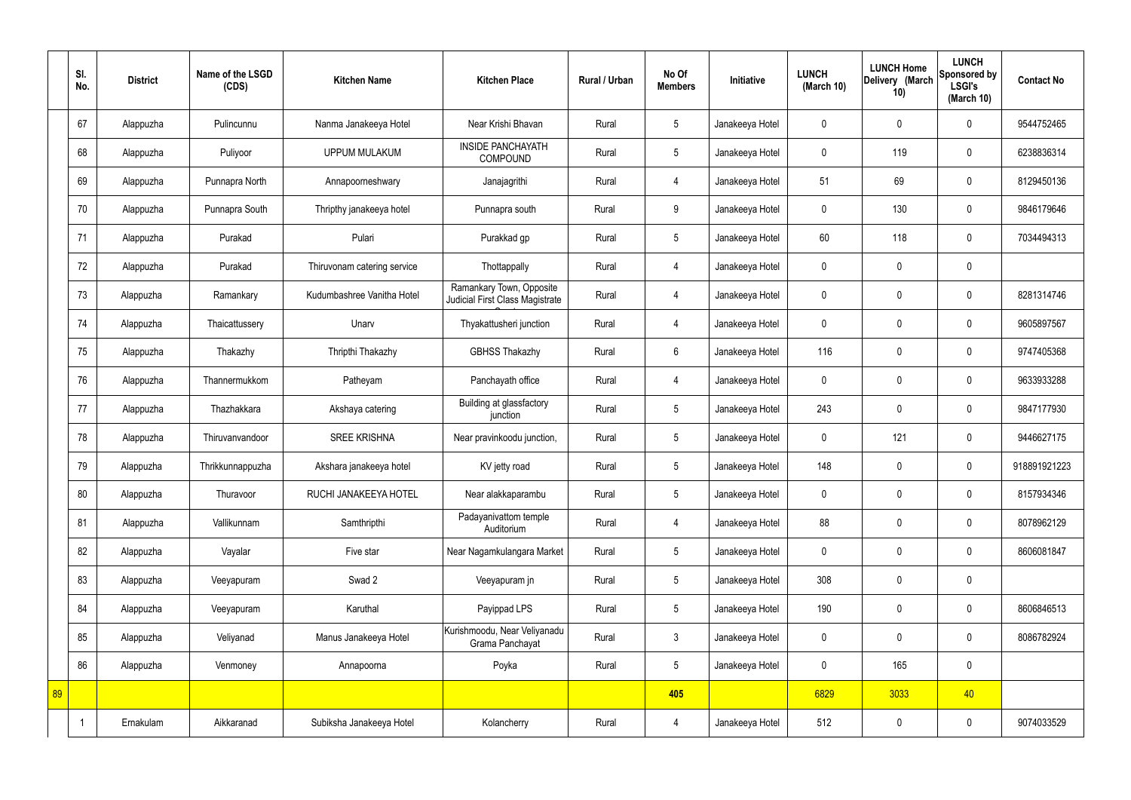|    | SI.<br>No. | <b>District</b> | Name of the LSGD<br>(CDS) | <b>Kitchen Name</b>         | <b>Kitchen Place</b>                                        | Rural / Urban | No Of<br><b>Members</b> | Initiative      | <b>LUNCH</b><br>(March 10) | <b>LUNCH Home</b><br>Delivery (March<br>10) | <b>LUNCH</b><br>Sponsored by<br><b>LSGI's</b><br>(March 10) | <b>Contact No</b> |
|----|------------|-----------------|---------------------------|-----------------------------|-------------------------------------------------------------|---------------|-------------------------|-----------------|----------------------------|---------------------------------------------|-------------------------------------------------------------|-------------------|
|    | 67         | Alappuzha       | Pulincunnu                | Nanma Janakeeya Hotel       | Near Krishi Bhavan                                          | Rural         | 5                       | Janakeeya Hotel | $\mathbf 0$                | $\mathbf 0$                                 | $\mathbf 0$                                                 | 9544752465        |
|    | 68         | Alappuzha       | Puliyoor                  | <b>UPPUM MULAKUM</b>        | <b>INSIDE PANCHAYATH</b><br><b>COMPOUND</b>                 | Rural         | $5\overline{)}$         | Janakeeya Hotel | $\mathbf 0$                | 119                                         | $\mathbf 0$                                                 | 6238836314        |
|    | 69         | Alappuzha       | Punnapra North            | Annapoorneshwary            | Janajagrithi                                                | Rural         | $\overline{4}$          | Janakeeya Hotel | 51                         | 69                                          | $\mathbf 0$                                                 | 8129450136        |
|    | 70         | Alappuzha       | Punnapra South            | Thripthy janakeeya hotel    | Punnapra south                                              | Rural         | 9                       | Janakeeya Hotel | $\mathbf 0$                | 130                                         | $\mathbf 0$                                                 | 9846179646        |
|    | 71         | Alappuzha       | Purakad                   | Pulari                      | Purakkad gp                                                 | Rural         | $5\phantom{.0}$         | Janakeeya Hotel | 60                         | 118                                         | $\mathbf 0$                                                 | 7034494313        |
|    | 72         | Alappuzha       | Purakad                   | Thiruvonam catering service | Thottappally                                                | Rural         | $\overline{4}$          | Janakeeya Hotel | $\mathbf 0$                | $\mathbf 0$                                 | $\mathbf 0$                                                 |                   |
|    | 73         | Alappuzha       | Ramankary                 | Kudumbashree Vanitha Hotel  | Ramankary Town, Opposite<br>Judicial First Class Magistrate | Rural         | $\overline{4}$          | Janakeeya Hotel | $\mathbf 0$                | $\mathbf 0$                                 | $\mathbf 0$                                                 | 8281314746        |
|    | 74         | Alappuzha       | Thaicattussery            | Unarv                       | Thyakattusheri junction                                     | Rural         | 4                       | Janakeeya Hotel | $\mathbf 0$                | $\mathbf 0$                                 | $\mathbf 0$                                                 | 9605897567        |
|    | 75         | Alappuzha       | Thakazhy                  | Thripthi Thakazhy           | <b>GBHSS Thakazhy</b>                                       | Rural         | $6\overline{6}$         | Janakeeya Hotel | 116                        | $\mathbf 0$                                 | $\mathbf 0$                                                 | 9747405368        |
|    | 76         | Alappuzha       | Thannermukkom             | Patheyam                    | Panchayath office                                           | Rural         | $\overline{4}$          | Janakeeya Hotel | $\mathbf 0$                | $\mathbf 0$                                 | $\mathbf 0$                                                 | 9633933288        |
|    | 77         | Alappuzha       | Thazhakkara               | Akshaya catering            | Building at glassfactory<br>junction                        | Rural         | $5\phantom{.0}$         | Janakeeya Hotel | 243                        | $\mathbf 0$                                 | $\mathbf 0$                                                 | 9847177930        |
|    | 78         | Alappuzha       | Thiruvanvandoor           | <b>SREE KRISHNA</b>         | Near pravinkoodu junction,                                  | Rural         | $5\overline{)}$         | Janakeeya Hotel | $\mathbf 0$                | 121                                         | $\mathbf 0$                                                 | 9446627175        |
|    | 79         | Alappuzha       | Thrikkunnappuzha          | Akshara janakeeya hotel     | KV jetty road                                               | Rural         | $5\overline{)}$         | Janakeeya Hotel | 148                        | $\mathbf 0$                                 | $\mathbf 0$                                                 | 918891921223      |
|    | 80         | Alappuzha       | Thuravoor                 | RUCHI JANAKEEYA HOTEL       | Near alakkaparambu                                          | Rural         | $5\phantom{.0}$         | Janakeeya Hotel | $\mathbf 0$                | $\mathbf 0$                                 | $\mathbf 0$                                                 | 8157934346        |
|    | 81         | Alappuzha       | Vallikunnam               | Samthripthi                 | Padayanivattom temple<br>Auditorium                         | Rural         | $\overline{4}$          | Janakeeya Hotel | 88                         | $\mathbf 0$                                 | $\mathbf 0$                                                 | 8078962129        |
|    | 82         | Alappuzha       | Vayalar                   | Five star                   | Near Nagamkulangara Market                                  | Rural         | $5\overline{)}$         | Janakeeya Hotel | $\pmb{0}$                  | $\mathbf 0$                                 | $\mathbf 0$                                                 | 8606081847        |
|    | 83         | Alappuzha       | Veeyapuram                | Swad 2                      | Veeyapuram jn                                               | Rural         | $5\phantom{.0}$         | Janakeeya Hotel | 308                        | $\pmb{0}$                                   | $\mathbf 0$                                                 |                   |
|    | 84         | Alappuzha       | Veeyapuram                | Karuthal                    | Payippad LPS                                                | Rural         | $5\phantom{.0}$         | Janakeeya Hotel | 190                        | $\pmb{0}$                                   | $\mathbf 0$                                                 | 8606846513        |
|    | 85         | Alappuzha       | Veliyanad                 | Manus Janakeeya Hotel       | Kurishmoodu, Near Veliyanadu<br>Grama Panchayat             | Rural         | $\mathbf{3}$            | Janakeeya Hotel | $\pmb{0}$                  | $\mathbf 0$                                 | $\mathbf 0$                                                 | 8086782924        |
|    | 86         | Alappuzha       | Venmoney                  | Annapoorna                  | Poyka                                                       | Rural         | $5\overline{)}$         | Janakeeya Hotel | $\pmb{0}$                  | 165                                         | $\mathbf 0$                                                 |                   |
| 89 |            |                 |                           |                             |                                                             |               | 405                     |                 | 6829                       | 3033                                        | 40                                                          |                   |
|    |            | Ernakulam       | Aikkaranad                | Subiksha Janakeeya Hotel    | Kolancherry                                                 | Rural         | 4                       | Janakeeya Hotel | 512                        | $\pmb{0}$                                   | $\mathbf 0$                                                 | 9074033529        |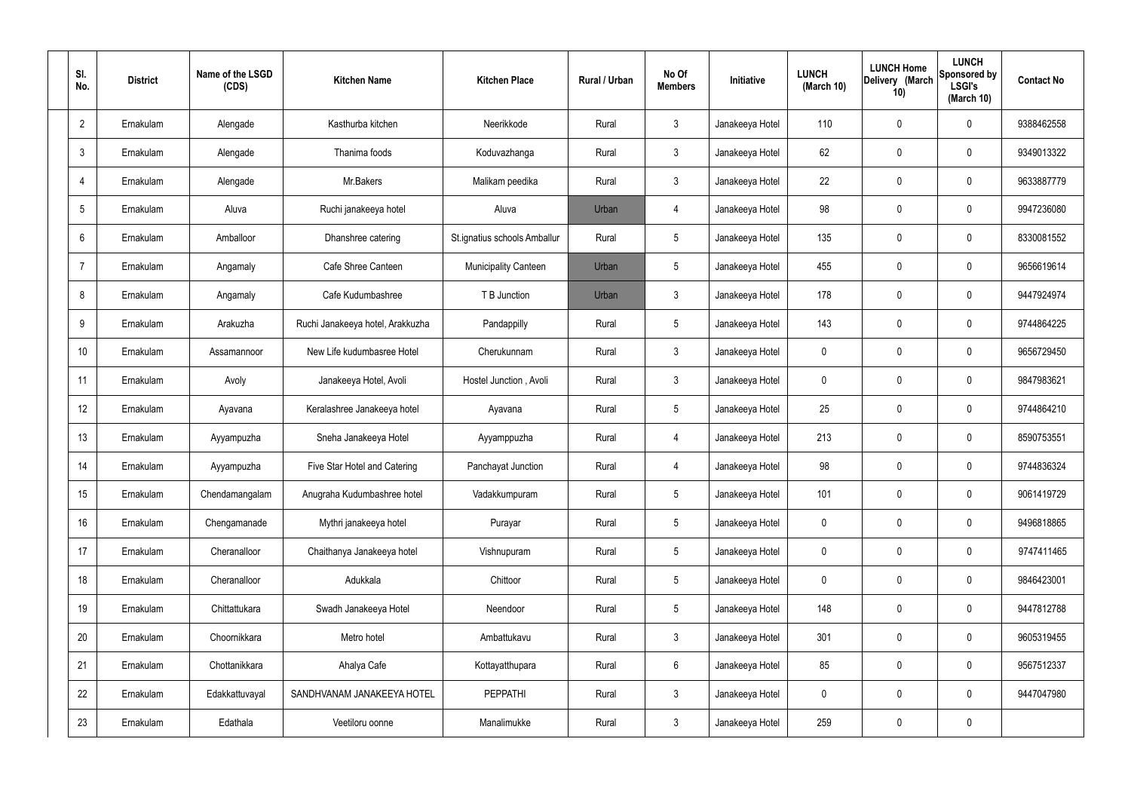| SI.<br>No.      | <b>District</b> | Name of the LSGD<br>(CDS) | <b>Kitchen Name</b>              | <b>Kitchen Place</b>         | Rural / Urban | No Of<br><b>Members</b> | Initiative      | <b>LUNCH</b><br>(March 10) | <b>LUNCH Home</b><br>Delivery (March<br>10) | <b>LUNCH</b><br>Sponsored by<br><b>LSGI's</b><br>(March 10) | <b>Contact No</b> |
|-----------------|-----------------|---------------------------|----------------------------------|------------------------------|---------------|-------------------------|-----------------|----------------------------|---------------------------------------------|-------------------------------------------------------------|-------------------|
| $\overline{2}$  | Ernakulam       | Alengade                  | Kasthurba kitchen                | Neerikkode                   | Rural         | $\mathbf{3}$            | Janakeeya Hotel | 110                        | $\mathbf 0$                                 | 0                                                           | 9388462558        |
| $\mathbf{3}$    | Ernakulam       | Alengade                  | Thanima foods                    | Koduvazhanga                 | Rural         | $\mathbf{3}$            | Janakeeya Hotel | 62                         | $\mathbf 0$                                 | 0                                                           | 9349013322        |
| $\overline{4}$  | Ernakulam       | Alengade                  | Mr.Bakers                        | Malikam peedika              | Rural         | $\mathbf{3}$            | Janakeeya Hotel | 22                         | $\mathbf 0$                                 | 0                                                           | 9633887779        |
| $5\overline{)}$ | Ernakulam       | Aluva                     | Ruchi janakeeya hotel            | Aluva                        | Urban         | $\overline{4}$          | Janakeeya Hotel | 98                         | $\mathbf 0$                                 | 0                                                           | 9947236080        |
| 6               | Ernakulam       | Amballoor                 | Dhanshree catering               | St.ignatius schools Amballur | Rural         | $5\phantom{.0}$         | Janakeeya Hotel | 135                        | $\mathbf 0$                                 | 0                                                           | 8330081552        |
| $\overline{7}$  | Ernakulam       | Angamaly                  | Cafe Shree Canteen               | <b>Municipality Canteen</b>  | Urban         | $5\phantom{.0}$         | Janakeeya Hotel | 455                        | $\mathbf 0$                                 | 0                                                           | 9656619614        |
| 8               | Ernakulam       | Angamaly                  | Cafe Kudumbashree                | T B Junction                 | Urban         | $\mathbf{3}$            | Janakeeya Hotel | 178                        | $\mathbf 0$                                 | 0                                                           | 9447924974        |
| 9               | Ernakulam       | Arakuzha                  | Ruchi Janakeeya hotel, Arakkuzha | Pandappilly                  | Rural         | $5\phantom{.0}$         | Janakeeya Hotel | 143                        | $\mathbf 0$                                 | 0                                                           | 9744864225        |
| 10              | Ernakulam       | Assamannoor               | New Life kudumbasree Hotel       | Cherukunnam                  | Rural         | $\mathbf{3}$            | Janakeeya Hotel | $\mathbf 0$                | $\mathbf 0$                                 | 0                                                           | 9656729450        |
| 11              | Ernakulam       | Avoly                     | Janakeeya Hotel, Avoli           | Hostel Junction, Avoli       | Rural         | $\mathbf{3}$            | Janakeeya Hotel | $\mathbf 0$                | $\mathbf 0$                                 | 0                                                           | 9847983621        |
| 12              | Ernakulam       | Ayavana                   | Keralashree Janakeeya hotel      | Ayavana                      | Rural         | $5\phantom{.0}$         | Janakeeya Hotel | 25                         | 0                                           | 0                                                           | 9744864210        |
| 13              | Ernakulam       | Ayyampuzha                | Sneha Janakeeya Hotel            | Ayyamppuzha                  | Rural         | $\overline{4}$          | Janakeeya Hotel | 213                        | 0                                           | 0                                                           | 8590753551        |
| 14              | Ernakulam       | Ayyampuzha                | Five Star Hotel and Catering     | Panchayat Junction           | Rural         | $\overline{4}$          | Janakeeya Hotel | 98                         | $\mathbf 0$                                 | 0                                                           | 9744836324        |
| 15              | Ernakulam       | Chendamangalam            | Anugraha Kudumbashree hotel      | Vadakkumpuram                | Rural         | $5\phantom{.0}$         | Janakeeya Hotel | 101                        | $\mathbf 0$                                 | 0                                                           | 9061419729        |
| 16              | Ernakulam       | Chengamanade              | Mythri janakeeya hotel           | Purayar                      | Rural         | $5\phantom{.0}$         | Janakeeya Hotel | $\mathbf 0$                | $\mathbf 0$                                 | 0                                                           | 9496818865        |
| 17              | Ernakulam       | Cheranalloor              | Chaithanya Janakeeya hotel       | Vishnupuram                  | Rural         | $5\phantom{.0}$         | Janakeeya Hotel | $\mathbf 0$                | $\mathbf 0$                                 | 0                                                           | 9747411465        |
| 18              | Ernakulam       | Cheranalloor              | Adukkala                         | Chittoor                     | Rural         | $5\phantom{.0}$         | Janakeeya Hotel | $\mathbf 0$                | $\mathbf 0$                                 | 0                                                           | 9846423001        |
| 19              | Ernakulam       | Chittattukara             | Swadh Janakeeya Hotel            | Neendoor                     | Rural         | $5\phantom{.0}$         | Janakeeya Hotel | 148                        | $\mathbf 0$                                 | 0                                                           | 9447812788        |
| 20              | Ernakulam       | Choornikkara              | Metro hotel                      | Ambattukavu                  | Rural         | $\mathbf{3}$            | Janakeeya Hotel | 301                        | $\mathbf 0$                                 | 0                                                           | 9605319455        |
| 21              | Ernakulam       | Chottanikkara             | Ahalya Cafe                      | Kottayatthupara              | Rural         | $6\phantom{.}6$         | Janakeeya Hotel | 85                         | $\mathbf 0$                                 | 0                                                           | 9567512337        |
| 22              | Ernakulam       | Edakkattuvayal            | SANDHVANAM JANAKEEYA HOTEL       | <b>PEPPATHI</b>              | Rural         | $\mathbf{3}$            | Janakeeya Hotel | $\mathbf 0$                | $\mathbf 0$                                 | $\mathbf 0$                                                 | 9447047980        |
| 23              | Ernakulam       | Edathala                  | Veetiloru oonne                  | Manalimukke                  | Rural         | $\mathbf{3}$            | Janakeeya Hotel | 259                        | $\pmb{0}$                                   | 0                                                           |                   |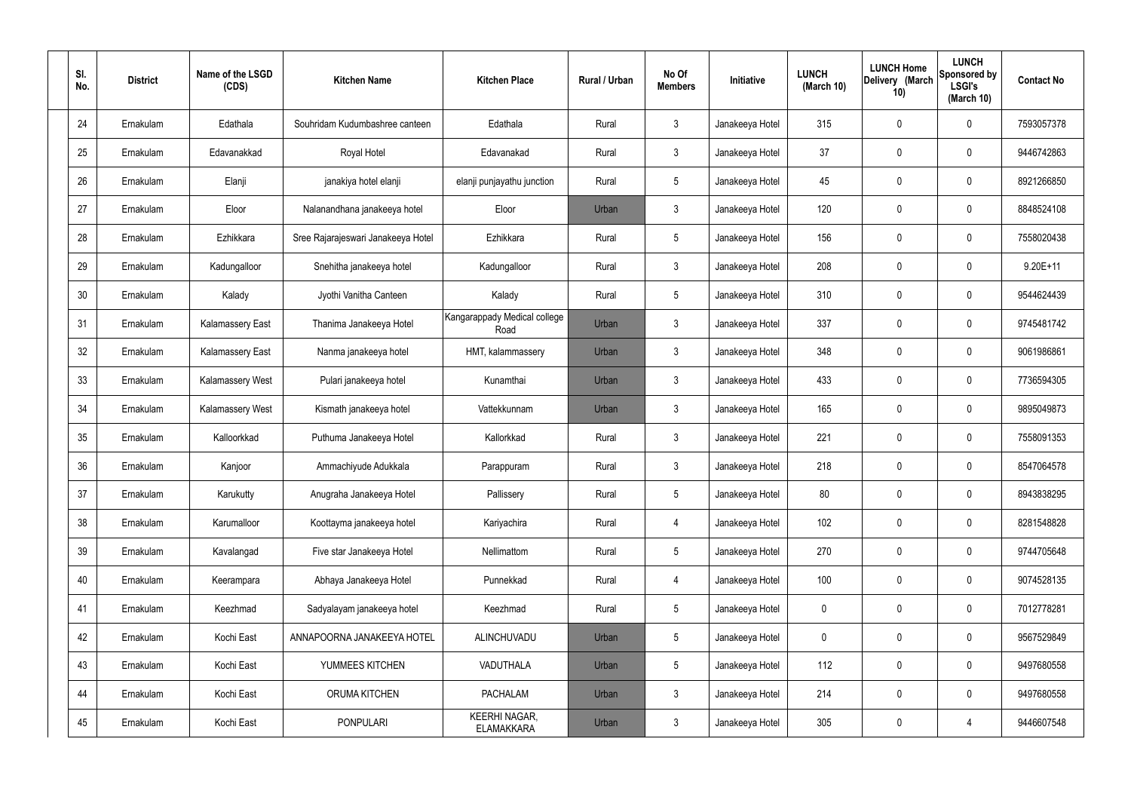| SI.<br>No. | <b>District</b> | Name of the LSGD<br>(CDS) | <b>Kitchen Name</b>                | <b>Kitchen Place</b>                      | Rural / Urban | No Of<br><b>Members</b> | Initiative      | <b>LUNCH</b><br>(March 10) | <b>LUNCH Home</b><br>Delivery (March<br>10) | <b>LUNCH</b><br>Sponsored by<br><b>LSGI's</b><br>(March 10) | <b>Contact No</b> |
|------------|-----------------|---------------------------|------------------------------------|-------------------------------------------|---------------|-------------------------|-----------------|----------------------------|---------------------------------------------|-------------------------------------------------------------|-------------------|
| 24         | Ernakulam       | Edathala                  | Souhridam Kudumbashree canteen     | Edathala                                  | Rural         | $\mathfrak{Z}$          | Janakeeya Hotel | 315                        | 0                                           | $\mathbf 0$                                                 | 7593057378        |
| 25         | Ernakulam       | Edavanakkad               | Royal Hotel                        | Edavanakad                                | Rural         | $\mathbf{3}$            | Janakeeya Hotel | 37                         | 0                                           | $\mathbf 0$                                                 | 9446742863        |
| 26         | Ernakulam       | Elanji                    | janakiya hotel elanji              | elanji punjayathu junction                | Rural         | $5\phantom{.0}$         | Janakeeya Hotel | 45                         | 0                                           | $\mathbf 0$                                                 | 8921266850        |
| 27         | Ernakulam       | Eloor                     | Nalanandhana janakeeya hotel       | Eloor                                     | Urban         | $\mathfrak{Z}$          | Janakeeya Hotel | 120                        | 0                                           | $\mathbf 0$                                                 | 8848524108        |
| 28         | Ernakulam       | Ezhikkara                 | Sree Rajarajeswari Janakeeya Hotel | Ezhikkara                                 | Rural         | $5\phantom{.0}$         | Janakeeya Hotel | 156                        | 0                                           | $\mathbf 0$                                                 | 7558020438        |
| 29         | Ernakulam       | Kadungalloor              | Snehitha janakeeya hotel           | Kadungalloor                              | Rural         | $\mathbf{3}$            | Janakeeya Hotel | 208                        | 0                                           | $\mathbf 0$                                                 | $9.20E+11$        |
| 30         | Ernakulam       | Kalady                    | Jyothi Vanitha Canteen             | Kalady                                    | Rural         | $5\phantom{.0}$         | Janakeeya Hotel | 310                        | $\mathbf 0$                                 | $\mathbf 0$                                                 | 9544624439        |
| 31         | Ernakulam       | <b>Kalamassery East</b>   | Thanima Janakeeya Hotel            | Kangarappady Medical college<br>Road      | Urban         | $\mathfrak{Z}$          | Janakeeya Hotel | 337                        | 0                                           | $\mathbf 0$                                                 | 9745481742        |
| 32         | Ernakulam       | <b>Kalamassery East</b>   | Nanma janakeeya hotel              | HMT, kalammassery                         | Urban         | $\mathbf{3}$            | Janakeeya Hotel | 348                        | 0                                           | $\mathbf 0$                                                 | 9061986861        |
| 33         | Ernakulam       | Kalamassery West          | Pulari janakeeya hotel             | Kunamthai                                 | Urban         | $\mathbf{3}$            | Janakeeya Hotel | 433                        | 0                                           | $\mathbf 0$                                                 | 7736594305        |
| 34         | Ernakulam       | Kalamassery West          | Kismath janakeeya hotel            | Vattekkunnam                              | Urban         | $\mathfrak{Z}$          | Janakeeya Hotel | 165                        | 0                                           | $\boldsymbol{0}$                                            | 9895049873        |
| 35         | Ernakulam       | Kalloorkkad               | Puthuma Janakeeya Hotel            | Kallorkkad                                | Rural         | $\mathbf{3}$            | Janakeeya Hotel | 221                        | 0                                           | $\boldsymbol{0}$                                            | 7558091353        |
| 36         | Ernakulam       | Kanjoor                   | Ammachiyude Adukkala               | Parappuram                                | Rural         | $\mathbf{3}$            | Janakeeya Hotel | 218                        | 0                                           | 0                                                           | 8547064578        |
| 37         | Ernakulam       | Karukutty                 | Anugraha Janakeeya Hotel           | Pallissery                                | Rural         | $5\,$                   | Janakeeya Hotel | 80                         | 0                                           | $\mathbf 0$                                                 | 8943838295        |
| 38         | Ernakulam       | Karumalloor               | Koottayma janakeeya hotel          | Kariyachira                               | Rural         | $\overline{4}$          | Janakeeya Hotel | 102                        | $\mathbf 0$                                 | $\mathbf 0$                                                 | 8281548828        |
| 39         | Ernakulam       | Kavalangad                | Five star Janakeeya Hotel          | Nellimattom                               | Rural         | $5\phantom{.0}$         | Janakeeya Hotel | 270                        | $\mathbf 0$                                 | $\mathbf 0$                                                 | 9744705648        |
| 40         | Ernakulam       | Keerampara                | Abhaya Janakeeya Hotel             | Punnekkad                                 | Rural         | $\overline{4}$          | Janakeeya Hotel | 100                        | $\mathbf 0$                                 | $\mathbf 0$                                                 | 9074528135        |
| 41         | Ernakulam       | Keezhmad                  | Sadyalayam janakeeya hotel         | Keezhmad                                  | Rural         | $5\phantom{.0}$         | Janakeeya Hotel | $\mathbf 0$                | $\mathbf 0$                                 | $\mathbf 0$                                                 | 7012778281        |
| 42         | Ernakulam       | Kochi East                | ANNAPOORNA JANAKEEYA HOTEL         | ALINCHUVADU                               | Urban         | $5\phantom{.0}$         | Janakeeya Hotel | $\mathbf 0$                | 0                                           | $\mathbf 0$                                                 | 9567529849        |
| 43         | Ernakulam       | Kochi East                | YUMMEES KITCHEN                    | VADUTHALA                                 | Urban         | $5\phantom{.0}$         | Janakeeya Hotel | 112                        | 0                                           | $\mathbf 0$                                                 | 9497680558        |
| 44         | Ernakulam       | Kochi East                | ORUMA KITCHEN                      | <b>PACHALAM</b>                           | Urban         | $\mathbf{3}$            | Janakeeya Hotel | 214                        | $\mathbf 0$                                 | $\mathbf 0$                                                 | 9497680558        |
| 45         | Ernakulam       | Kochi East                | PONPULARI                          | <b>KEERHI NAGAR,</b><br><b>ELAMAKKARA</b> | Urban         | $\mathfrak{Z}$          | Janakeeya Hotel | 305                        | 0                                           | 4                                                           | 9446607548        |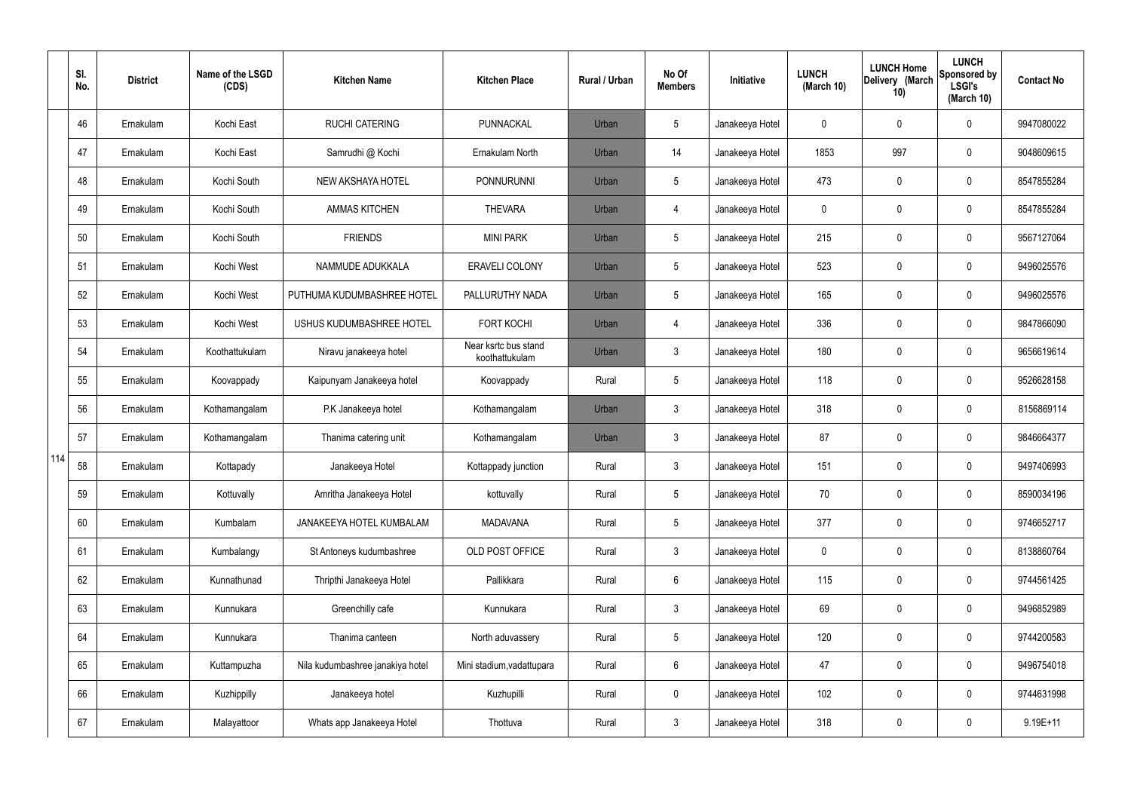|     | SI.<br>No. | <b>District</b> | Name of the LSGD<br>(CDS) | <b>Kitchen Name</b>              | <b>Kitchen Place</b>                   | <b>Rural / Urban</b> | No Of<br><b>Members</b> | Initiative      | <b>LUNCH</b><br>(March 10) | <b>LUNCH Home</b><br>Delivery (March<br>10) | <b>LUNCH</b><br>Sponsored by<br><b>LSGI's</b><br>(March 10) | <b>Contact No</b> |
|-----|------------|-----------------|---------------------------|----------------------------------|----------------------------------------|----------------------|-------------------------|-----------------|----------------------------|---------------------------------------------|-------------------------------------------------------------|-------------------|
|     | 46         | Ernakulam       | Kochi East                | <b>RUCHI CATERING</b>            | PUNNACKAL                              | Urban                | 5                       | Janakeeya Hotel | 0                          | 0                                           | $\mathbf 0$                                                 | 9947080022        |
|     | 47         | Ernakulam       | Kochi East                | Samrudhi @ Kochi                 | Ernakulam North                        | Urban                | 14                      | Janakeeya Hotel | 1853                       | 997                                         | $\boldsymbol{0}$                                            | 9048609615        |
|     | 48         | Ernakulam       | Kochi South               | NEW AKSHAYA HOTEL                | <b>PONNURUNNI</b>                      | Urban                | 5                       | Janakeeya Hotel | 473                        | 0                                           | $\mathbf 0$                                                 | 8547855284        |
|     | 49         | Ernakulam       | Kochi South               | <b>AMMAS KITCHEN</b>             | <b>THEVARA</b>                         | Urban                | 4                       | Janakeeya Hotel | 0                          | 0                                           | $\boldsymbol{0}$                                            | 8547855284        |
|     | 50         | Ernakulam       | Kochi South               | <b>FRIENDS</b>                   | <b>MINI PARK</b>                       | Urban                | 5                       | Janakeeya Hotel | 215                        | 0                                           | $\mathbf 0$                                                 | 9567127064        |
|     | 51         | Ernakulam       | Kochi West                | NAMMUDE ADUKKALA                 | <b>ERAVELI COLONY</b>                  | Urban                | 5                       | Janakeeya Hotel | 523                        | 0                                           | $\mathbf 0$                                                 | 9496025576        |
|     | 52         | Ernakulam       | Kochi West                | PUTHUMA KUDUMBASHREE HOTEL       | PALLURUTHY NADA                        | Urban                | 5                       | Janakeeya Hotel | 165                        | 0                                           | $\mathbf 0$                                                 | 9496025576        |
|     | 53         | Ernakulam       | Kochi West                | USHUS KUDUMBASHREE HOTEL         | <b>FORT KOCHI</b>                      | Urban                | $\overline{4}$          | Janakeeya Hotel | 336                        | 0                                           | $\mathbf 0$                                                 | 9847866090        |
|     | 54         | Ernakulam       | Koothattukulam            | Niravu janakeeya hotel           | Near ksrtc bus stand<br>koothattukulam | Urban                | $\mathbf{3}$            | Janakeeya Hotel | 180                        | 0                                           | $\mathbf 0$                                                 | 9656619614        |
|     | 55         | Ernakulam       | Koovappady                | Kaipunyam Janakeeya hotel        | Koovappady                             | Rural                | 5                       | Janakeeya Hotel | 118                        | 0                                           | $\pmb{0}$                                                   | 9526628158        |
|     | 56         | Ernakulam       | Kothamangalam             | P.K Janakeeya hotel              | Kothamangalam                          | Urban                | $\mathbf{3}$            | Janakeeya Hotel | 318                        | 0                                           | $\boldsymbol{0}$                                            | 8156869114        |
|     | 57         | Ernakulam       | Kothamangalam             | Thanima catering unit            | Kothamangalam                          | Urban                | $\mathbf{3}$            | Janakeeya Hotel | 87                         | 0                                           | $\boldsymbol{0}$                                            | 9846664377        |
| 114 | 58         | Ernakulam       | Kottapady                 | Janakeeya Hotel                  | Kottappady junction                    | Rural                | $\mathbf{3}$            | Janakeeya Hotel | 151                        | 0                                           | $\mathbf 0$                                                 | 9497406993        |
|     | 59         | Ernakulam       | Kottuvally                | Amritha Janakeeya Hotel          | kottuvally                             | Rural                | 5                       | Janakeeya Hotel | 70                         | 0                                           | $\mathbf 0$                                                 | 8590034196        |
|     | 60         | Ernakulam       | Kumbalam                  | JANAKEEYA HOTEL KUMBALAM         | <b>MADAVANA</b>                        | Rural                | 5                       | Janakeeya Hotel | 377                        | 0                                           | $\mathbf 0$                                                 | 9746652717        |
|     | 61         | Ernakulam       | Kumbalangy                | St Antoneys kudumbashree         | OLD POST OFFICE                        | Rural                | $\mathbf{3}$            | Janakeeya Hotel | 0                          | 0                                           | $\mathbf 0$                                                 | 8138860764        |
|     | 62         | Ernakulam       | Kunnathunad               | Thripthi Janakeeya Hotel         | Pallikkara                             | Rural                | 6                       | Janakeeya Hotel | 115                        | 0                                           | $\pmb{0}$                                                   | 9744561425        |
|     | 63         | Ernakulam       | Kunnukara                 | Greenchilly cafe                 | Kunnukara                              | Rural                | $\mathbf{3}$            | Janakeeya Hotel | 69                         | 0                                           | $\mathbf 0$                                                 | 9496852989        |
|     | 64         | Ernakulam       | Kunnukara                 | Thanima canteen                  | North aduvassery                       | Rural                | 5                       | Janakeeya Hotel | 120                        | 0                                           | $\pmb{0}$                                                   | 9744200583        |
|     | 65         | Ernakulam       | Kuttampuzha               | Nila kudumbashree janakiya hotel | Mini stadium, vadattupara              | Rural                | $6\phantom{.}6$         | Janakeeya Hotel | 47                         | 0                                           | $\pmb{0}$                                                   | 9496754018        |
|     | 66         | Ernakulam       | Kuzhippilly               | Janakeeya hotel                  | Kuzhupilli                             | Rural                | $\mathbf 0$             | Janakeeya Hotel | 102                        | 0                                           | $\pmb{0}$                                                   | 9744631998        |
|     | 67         | Ernakulam       | Malayattoor               | Whats app Janakeeya Hotel        | Thottuva                               | Rural                | $\mathfrak{Z}$          | Janakeeya Hotel | 318                        | 0                                           | $\pmb{0}$                                                   | $9.19E + 11$      |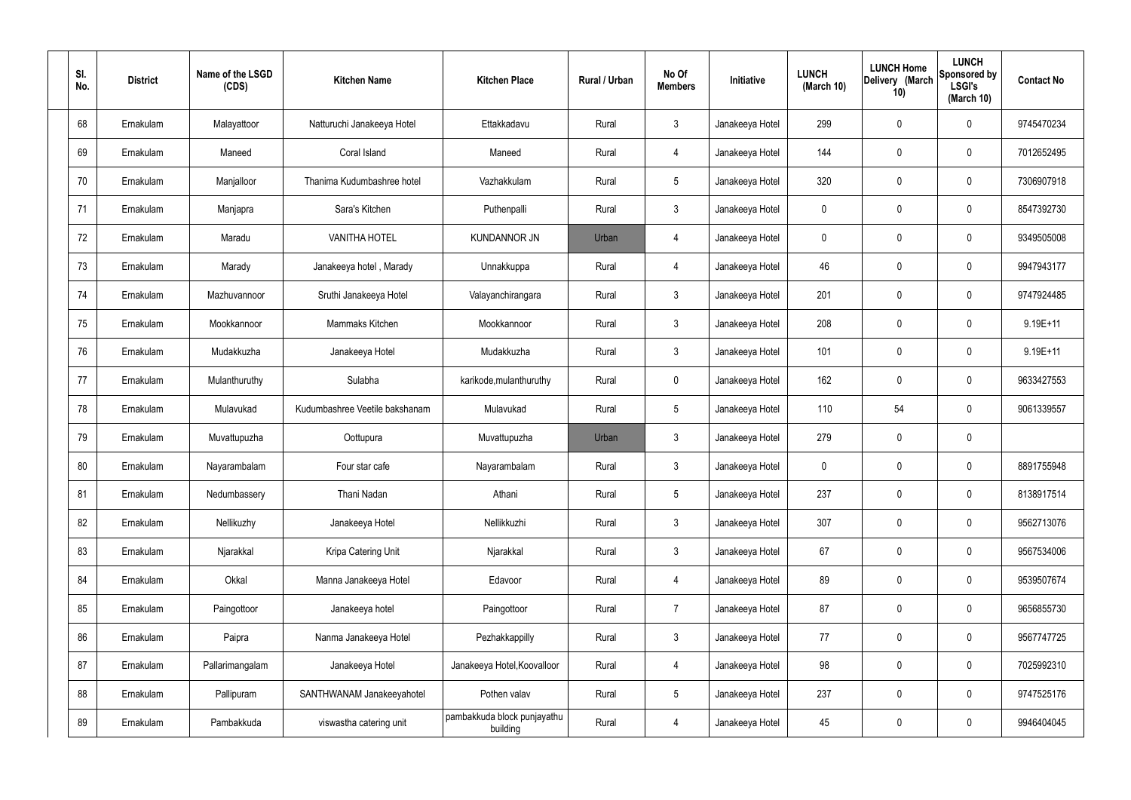| SI.<br>No. | <b>District</b> | Name of the LSGD<br>(CDS) | <b>Kitchen Name</b>            | <b>Kitchen Place</b>                    | Rural / Urban | No Of<br><b>Members</b> | Initiative      | <b>LUNCH</b><br>(March 10) | <b>LUNCH Home</b><br>Delivery (March<br>10) | <b>LUNCH</b><br>Sponsored by<br><b>LSGI's</b><br>(March 10) | <b>Contact No</b> |
|------------|-----------------|---------------------------|--------------------------------|-----------------------------------------|---------------|-------------------------|-----------------|----------------------------|---------------------------------------------|-------------------------------------------------------------|-------------------|
| 68         | Ernakulam       | Malayattoor               | Natturuchi Janakeeya Hotel     | Ettakkadavu                             | Rural         | $\mathbf{3}$            | Janakeeya Hotel | 299                        | 0                                           | $\mathbf 0$                                                 | 9745470234        |
| 69         | Ernakulam       | Maneed                    | Coral Island                   | Maneed                                  | Rural         | $\overline{4}$          | Janakeeya Hotel | 144                        | 0                                           | $\mathbf 0$                                                 | 7012652495        |
| 70         | Ernakulam       | Manjalloor                | Thanima Kudumbashree hotel     | Vazhakkulam                             | Rural         | $5\phantom{.0}$         | Janakeeya Hotel | 320                        | 0                                           | $\mathbf 0$                                                 | 7306907918        |
| 71         | Ernakulam       | Manjapra                  | Sara's Kitchen                 | Puthenpalli                             | Rural         | $\mathbf{3}$            | Janakeeya Hotel | $\mathbf 0$                | 0                                           | $\boldsymbol{0}$                                            | 8547392730        |
| 72         | Ernakulam       | Maradu                    | <b>VANITHA HOTEL</b>           | <b>KUNDANNOR JN</b>                     | Urban         | $\overline{4}$          | Janakeeya Hotel | 0                          | 0                                           | $\mathbf 0$                                                 | 9349505008        |
| 73         | Ernakulam       | Marady                    | Janakeeya hotel, Marady        | Unnakkuppa                              | Rural         | $\overline{4}$          | Janakeeya Hotel | 46                         | 0                                           | $\boldsymbol{0}$                                            | 9947943177        |
| 74         | Ernakulam       | Mazhuvannoor              | Sruthi Janakeeya Hotel         | Valayanchirangara                       | Rural         | $\mathbf{3}$            | Janakeeya Hotel | 201                        | 0                                           | $\mathbf 0$                                                 | 9747924485        |
| 75         | Ernakulam       | Mookkannoor               | Mammaks Kitchen                | Mookkannoor                             | Rural         | $\mathbf{3}$            | Janakeeya Hotel | 208                        | 0                                           | $\boldsymbol{0}$                                            | 9.19E+11          |
| 76         | Ernakulam       | Mudakkuzha                | Janakeeya Hotel                | Mudakkuzha                              | Rural         | $\mathbf{3}$            | Janakeeya Hotel | 101                        | 0                                           | $\boldsymbol{0}$                                            | 9.19E+11          |
| 77         | Ernakulam       | Mulanthuruthy             | Sulabha                        | karikode, mulanthuruthy                 | Rural         | $\mathbf 0$             | Janakeeya Hotel | 162                        | 0                                           | $\mathbf 0$                                                 | 9633427553        |
| 78         | Ernakulam       | Mulavukad                 | Kudumbashree Veetile bakshanam | Mulavukad                               | Rural         | $5\phantom{.0}$         | Janakeeya Hotel | 110                        | 54                                          | $\mathbf 0$                                                 | 9061339557        |
| 79         | Ernakulam       | Muvattupuzha              | Oottupura                      | Muvattupuzha                            | Urban         | $\mathbf{3}$            | Janakeeya Hotel | 279                        | 0                                           | $\pmb{0}$                                                   |                   |
| 80         | Ernakulam       | Nayarambalam              | Four star cafe                 | Nayarambalam                            | Rural         | $\mathbf{3}$            | Janakeeya Hotel | 0                          | $\boldsymbol{0}$                            | 0                                                           | 8891755948        |
| 81         | Ernakulam       | Nedumbassery              | Thani Nadan                    | Athani                                  | Rural         | $\sqrt{5}$              | Janakeeya Hotel | 237                        | 0                                           | $\mathbf 0$                                                 | 8138917514        |
| 82         | Ernakulam       | Nellikuzhy                | Janakeeya Hotel                | Nellikkuzhi                             | Rural         | 3 <sup>1</sup>          | Janakeeya Hotel | 307                        | 0                                           | $\mathbf 0$                                                 | 9562713076        |
| 83         | Ernakulam       | Njarakkal                 | Kripa Catering Unit            | Njarakkal                               | Rural         | $\mathbf{3}$            | Janakeeya Hotel | 67                         | 0                                           | $\mathbf 0$                                                 | 9567534006        |
| 84         | Ernakulam       | Okkal                     | Manna Janakeeya Hotel          | Edavoor                                 | Rural         | $\overline{4}$          | Janakeeya Hotel | 89                         | 0                                           | $\mathbf 0$                                                 | 9539507674        |
| 85         | Ernakulam       | Paingottoor               | Janakeeya hotel                | Paingottoor                             | Rural         | $\overline{7}$          | Janakeeya Hotel | 87                         | 0                                           | $\mathbf 0$                                                 | 9656855730        |
| 86         | Ernakulam       | Paipra                    | Nanma Janakeeya Hotel          | Pezhakkappilly                          | Rural         | $\mathfrak{Z}$          | Janakeeya Hotel | 77                         | 0                                           | $\mathbf 0$                                                 | 9567747725        |
| 87         | Ernakulam       | Pallarimangalam           | Janakeeya Hotel                | Janakeeya Hotel, Koovalloor             | Rural         | $\overline{4}$          | Janakeeya Hotel | 98                         | 0                                           | $\mathbf 0$                                                 | 7025992310        |
| 88         | Ernakulam       | Pallipuram                | SANTHWANAM Janakeeyahotel      | Pothen valav                            | Rural         | $5\,$                   | Janakeeya Hotel | 237                        | 0                                           | $\mathbf 0$                                                 | 9747525176        |
| 89         | Ernakulam       | Pambakkuda                | viswastha catering unit        | pambakkuda block punjayathu<br>building | Rural         | $\overline{4}$          | Janakeeya Hotel | 45                         | 0                                           | $\mathbf 0$                                                 | 9946404045        |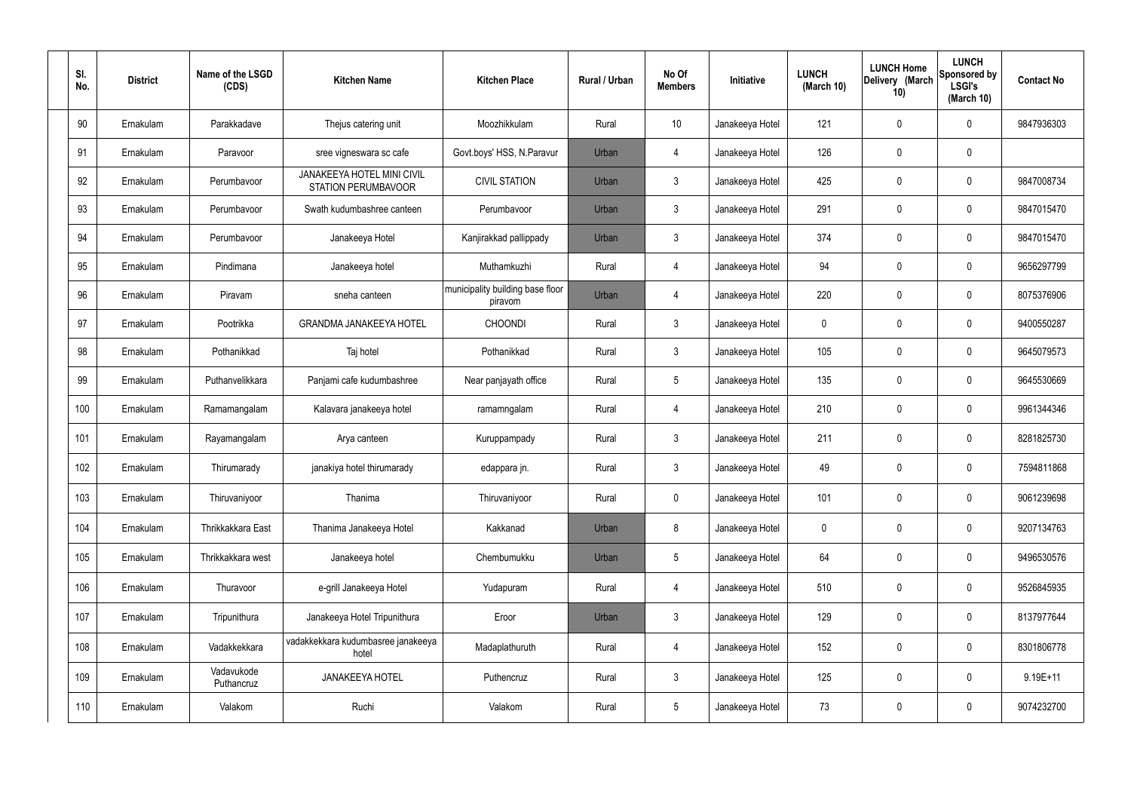| SI.<br>No. | <b>District</b> | Name of the LSGD<br>(CDS) | <b>Kitchen Name</b>                                      | <b>Kitchen Place</b>                        | Rural / Urban | No Of<br><b>Members</b> | Initiative      | <b>LUNCH</b><br>(March 10) | <b>LUNCH Home</b><br>Delivery (March<br>10) | <b>LUNCH</b><br>Sponsored by<br><b>LSGI's</b><br>(March 10) | <b>Contact No</b> |
|------------|-----------------|---------------------------|----------------------------------------------------------|---------------------------------------------|---------------|-------------------------|-----------------|----------------------------|---------------------------------------------|-------------------------------------------------------------|-------------------|
| 90         | Ernakulam       | Parakkadave               | Thejus catering unit                                     | Moozhikkulam                                | Rural         | 10                      | Janakeeya Hotel | 121                        | 0                                           | 0                                                           | 9847936303        |
| 91         | Ernakulam       | Paravoor                  | sree vigneswara sc cafe                                  | Govt.boys' HSS, N.Paravur                   | Urban         | 4                       | Janakeeya Hotel | 126                        | $\mathbf 0$                                 | 0                                                           |                   |
| 92         | Ernakulam       | Perumbavoor               | <b>JANAKEEYA HOTEL MINI CIVIL</b><br>STATION PERUMBAVOOR | <b>CIVIL STATION</b>                        | Urban         | $\mathbf{3}$            | Janakeeya Hotel | 425                        | $\mathbf 0$                                 | 0                                                           | 9847008734        |
| 93         | Ernakulam       | Perumbavoor               | Swath kudumbashree canteen                               | Perumbavoor                                 | Urban         | $\mathbf{3}$            | Janakeeya Hotel | 291                        | $\mathbf 0$                                 | 0                                                           | 9847015470        |
| 94         | Ernakulam       | Perumbavoor               | Janakeeya Hotel                                          | Kanjirakkad pallippady                      | Urban         | $\mathbf{3}$            | Janakeeya Hotel | 374                        | 0                                           | 0                                                           | 9847015470        |
| 95         | Ernakulam       | Pindimana                 | Janakeeya hotel                                          | Muthamkuzhi                                 | Rural         | $\overline{4}$          | Janakeeya Hotel | 94                         | $\mathbf 0$                                 | 0                                                           | 9656297799        |
| 96         | Ernakulam       | Piravam                   | sneha canteen                                            | municipality building base floor<br>piravom | Urban         | $\overline{4}$          | Janakeeya Hotel | 220                        | 0                                           | 0                                                           | 8075376906        |
| 97         | Ernakulam       | Pootrikka                 | <b>GRANDMA JANAKEEYA HOTEL</b>                           | <b>CHOONDI</b>                              | Rural         | $\mathbf{3}$            | Janakeeya Hotel | $\mathbf 0$                | $\mathbf 0$                                 | 0                                                           | 9400550287        |
| 98         | Ernakulam       | Pothanikkad               | Taj hotel                                                | Pothanikkad                                 | Rural         | $\mathbf{3}$            | Janakeeya Hotel | 105                        | 0                                           | 0                                                           | 9645079573        |
| 99         | Ernakulam       | Puthanvelikkara           | Panjami cafe kudumbashree                                | Near panjayath office                       | Rural         | $5\phantom{.0}$         | Janakeeya Hotel | 135                        | $\mathbf 0$                                 | 0                                                           | 9645530669        |
| 100        | Ernakulam       | Ramamangalam              | Kalavara janakeeya hotel                                 | ramamngalam                                 | Rural         | $\overline{4}$          | Janakeeya Hotel | 210                        | $\boldsymbol{0}$                            | 0                                                           | 9961344346        |
| 101        | Ernakulam       | Rayamangalam              | Arya canteen                                             | Kuruppampady                                | Rural         | $\mathbf{3}$            | Janakeeya Hotel | 211                        | $\mathbf 0$                                 | 0                                                           | 8281825730        |
| 102        | Ernakulam       | Thirumarady               | janakiya hotel thirumarady                               | edappara jn.                                | Rural         | $\mathbf{3}$            | Janakeeya Hotel | 49                         | $\mathbf 0$                                 | 0                                                           | 7594811868        |
| 103        | Ernakulam       | Thiruvaniyoor             | Thanima                                                  | Thiruvaniyoor                               | Rural         | $\pmb{0}$               | Janakeeya Hotel | 101                        | $\pmb{0}$                                   | 0                                                           | 9061239698        |
| 104        | Ernakulam       | Thrikkakkara East         | Thanima Janakeeya Hotel                                  | Kakkanad                                    | Urban         | 8                       | Janakeeya Hotel | $\mathbf 0$                | $\boldsymbol{0}$                            | 0                                                           | 9207134763        |
| 105        | Ernakulam       | Thrikkakkara west         | Janakeeya hotel                                          | Chembumukku                                 | Urban         | $5\phantom{.0}$         | Janakeeya Hotel | 64                         | $\pmb{0}$                                   | 0                                                           | 9496530576        |
| 106        | Ernakulam       | Thuravoor                 | e-grill Janakeeya Hotel                                  | Yudapuram                                   | Rural         | $\overline{4}$          | Janakeeya Hotel | 510                        | $\pmb{0}$                                   | 0                                                           | 9526845935        |
| 107        | Ernakulam       | Tripunithura              | Janakeeya Hotel Tripunithura                             | Eroor                                       | Urban         | $\mathbf{3}$            | Janakeeya Hotel | 129                        | $\pmb{0}$                                   | 0                                                           | 8137977644        |
| 108        | Ernakulam       | Vadakkekkara              | vadakkekkara kudumbasree janakeeya<br>hotel              | Madaplathuruth                              | Rural         | $\overline{4}$          | Janakeeya Hotel | 152                        | $\mathbf 0$                                 | 0                                                           | 8301806778        |
| 109        | Ernakulam       | Vadavukode<br>Puthancruz  | JANAKEEYA HOTEL                                          | Puthencruz                                  | Rural         | $\mathbf{3}$            | Janakeeya Hotel | 125                        | $\boldsymbol{0}$                            | 0                                                           | $9.19E + 11$      |
| 110        | Ernakulam       | Valakom                   | Ruchi                                                    | Valakom                                     | Rural         | $\overline{5}$          | Janakeeya Hotel | 73                         | $\boldsymbol{0}$                            | 0                                                           | 9074232700        |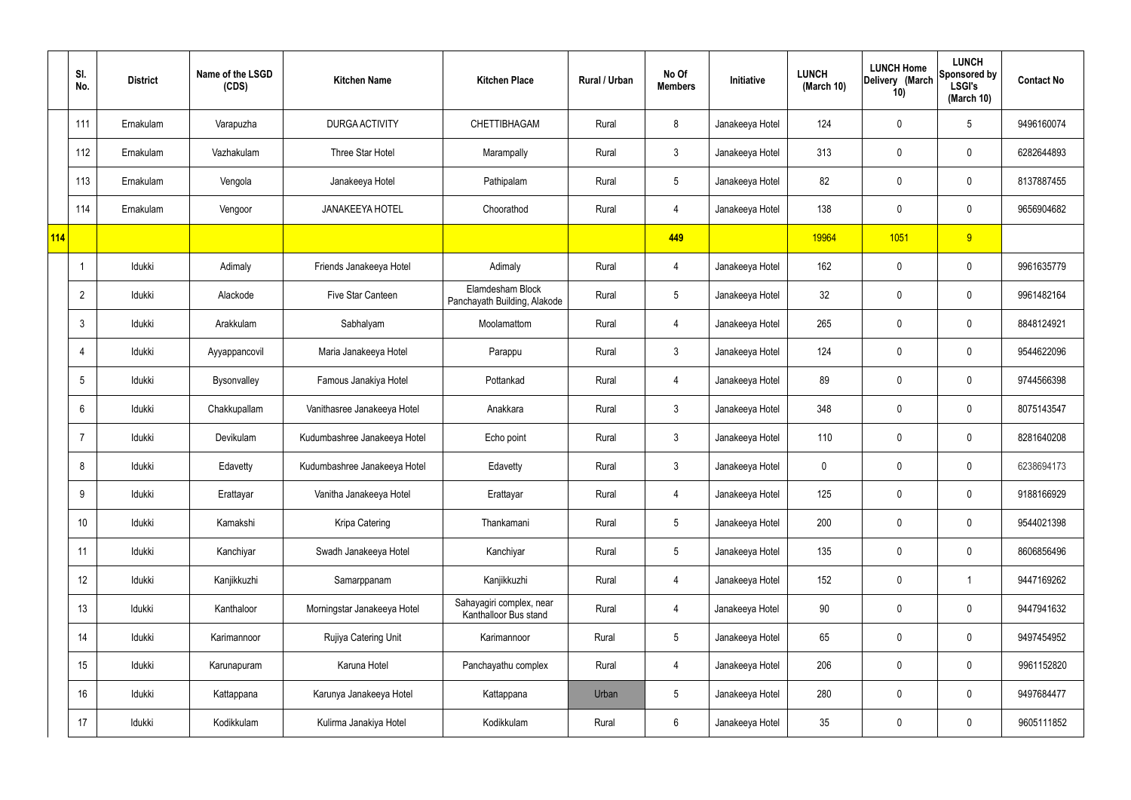|     | SI.<br>No.     | <b>District</b> | Name of the LSGD<br>(CDS) | <b>Kitchen Name</b>          | <b>Kitchen Place</b>                              | Rural / Urban | No Of<br><b>Members</b> | Initiative      | <b>LUNCH</b><br>(March 10) | <b>LUNCH Home</b><br>Delivery (March<br>10) | <b>LUNCH</b><br>Sponsored by<br><b>LSGI's</b><br>(March 10) | <b>Contact No</b> |
|-----|----------------|-----------------|---------------------------|------------------------------|---------------------------------------------------|---------------|-------------------------|-----------------|----------------------------|---------------------------------------------|-------------------------------------------------------------|-------------------|
|     | 111            | Ernakulam       | Varapuzha                 | DURGA ACTIVITY               | CHETTIBHAGAM                                      | Rural         | 8                       | Janakeeya Hotel | 124                        | $\mathbf 0$                                 | $5\phantom{.0}$                                             | 9496160074        |
|     | 112            | Ernakulam       | Vazhakulam                | Three Star Hotel             | Marampally                                        | Rural         | $\mathbf{3}$            | Janakeeya Hotel | 313                        | $\mathbf 0$                                 | $\mathbf 0$                                                 | 6282644893        |
|     | 113            | Ernakulam       | Vengola                   | Janakeeya Hotel              | Pathipalam                                        | Rural         | $5\overline{)}$         | Janakeeya Hotel | 82                         | $\mathbf 0$                                 | $\mathbf 0$                                                 | 8137887455        |
|     | 114            | Ernakulam       | Vengoor                   | <b>JANAKEEYA HOTEL</b>       | Choorathod                                        | Rural         | $\overline{4}$          | Janakeeya Hotel | 138                        | $\mathbf 0$                                 | $\mathbf 0$                                                 | 9656904682        |
| 114 |                |                 |                           |                              |                                                   |               | 449                     |                 | 19964                      | 1051                                        | 9                                                           |                   |
|     |                | Idukki          | Adimaly                   | Friends Janakeeya Hotel      | Adimaly                                           | Rural         | $\overline{4}$          | Janakeeya Hotel | 162                        | $\mathbf 0$                                 | $\mathbf 0$                                                 | 9961635779        |
|     | $\overline{2}$ | Idukki          | Alackode                  | Five Star Canteen            | Elamdesham Block<br>Panchayath Building, Alakode  | Rural         | $5\overline{)}$         | Janakeeya Hotel | 32 <sup>°</sup>            | $\mathbf 0$                                 | $\mathbf 0$                                                 | 9961482164        |
|     | 3              | Idukki          | Arakkulam                 | Sabhalyam                    | Moolamattom                                       | Rural         | $\overline{4}$          | Janakeeya Hotel | 265                        | $\mathbf 0$                                 | $\mathbf 0$                                                 | 8848124921        |
|     | $\overline{4}$ | Idukki          | Ayyappancovil             | Maria Janakeeya Hotel        | Parappu                                           | Rural         | $\mathbf{3}$            | Janakeeya Hotel | 124                        | $\mathbf 0$                                 | $\mathbf 0$                                                 | 9544622096        |
|     | 5              | Idukki          | Bysonvalley               | Famous Janakiya Hotel        | Pottankad                                         | Rural         | $\overline{4}$          | Janakeeya Hotel | 89                         | $\mathbf 0$                                 | $\mathbf 0$                                                 | 9744566398        |
|     | 6              | Idukki          | Chakkupallam              | Vanithasree Janakeeya Hotel  | Anakkara                                          | Rural         | $\mathbf{3}$            | Janakeeya Hotel | 348                        | 0                                           | $\mathbf 0$                                                 | 8075143547        |
|     |                | Idukki          | Devikulam                 | Kudumbashree Janakeeya Hotel | Echo point                                        | Rural         | $\mathbf{3}$            | Janakeeya Hotel | 110                        | $\mathbf 0$                                 | $\mathbf 0$                                                 | 8281640208        |
|     | 8              | Idukki          | Edavetty                  | Kudumbashree Janakeeya Hotel | Edavetty                                          | Rural         | $\mathbf{3}$            | Janakeeya Hotel | 0                          | 0                                           | $\mathbf 0$                                                 | 6238694173        |
|     | 9              | Idukki          | Erattayar                 | Vanitha Janakeeya Hotel      | Erattayar                                         | Rural         | $\overline{4}$          | Janakeeya Hotel | 125                        | $\mathbf 0$                                 | $\mathbf 0$                                                 | 9188166929        |
|     | 10             | Idukki          | Kamakshi                  | Kripa Catering               | Thankamani                                        | Rural         | $5\phantom{.0}$         | Janakeeya Hotel | 200                        | 0                                           | $\mathbf 0$                                                 | 9544021398        |
|     | 11             | Idukki          | Kanchiyar                 | Swadh Janakeeya Hotel        | Kanchiyar                                         | Rural         | $5\overline{)}$         | Janakeeya Hotel | 135                        | 0                                           | $\mathbf 0$                                                 | 8606856496        |
|     | 12             | Idukki          | Kanjikkuzhi               | Samarppanam                  | Kanjikkuzhi                                       | Rural         | $\overline{4}$          | Janakeeya Hotel | 152                        | 0                                           | $\mathbf{1}$                                                | 9447169262        |
|     | 13             | Idukki          | Kanthaloor                | Morningstar Janakeeya Hotel  | Sahayagiri complex, near<br>Kanthalloor Bus stand | Rural         | $\overline{4}$          | Janakeeya Hotel | 90                         | 0                                           | $\mathbf 0$                                                 | 9447941632        |
|     | 14             | Idukki          | Karimannoor               | Rujiya Catering Unit         | Karimannoor                                       | Rural         | $5\overline{)}$         | Janakeeya Hotel | 65                         | 0                                           | $\mathbf 0$                                                 | 9497454952        |
|     | 15             | Idukki          | Karunapuram               | Karuna Hotel                 | Panchayathu complex                               | Rural         | $\overline{4}$          | Janakeeya Hotel | 206                        | 0                                           | $\mathbf 0$                                                 | 9961152820        |
|     | 16             | Idukki          | Kattappana                | Karunya Janakeeya Hotel      | Kattappana                                        | Urban         | $5\phantom{.0}$         | Janakeeya Hotel | 280                        | 0                                           | $\mathbf 0$                                                 | 9497684477        |
|     | 17             | Idukki          | Kodikkulam                | Kulirma Janakiya Hotel       | Kodikkulam                                        | Rural         | $6\phantom{.}6$         | Janakeeya Hotel | 35                         | 0                                           | $\overline{0}$                                              | 9605111852        |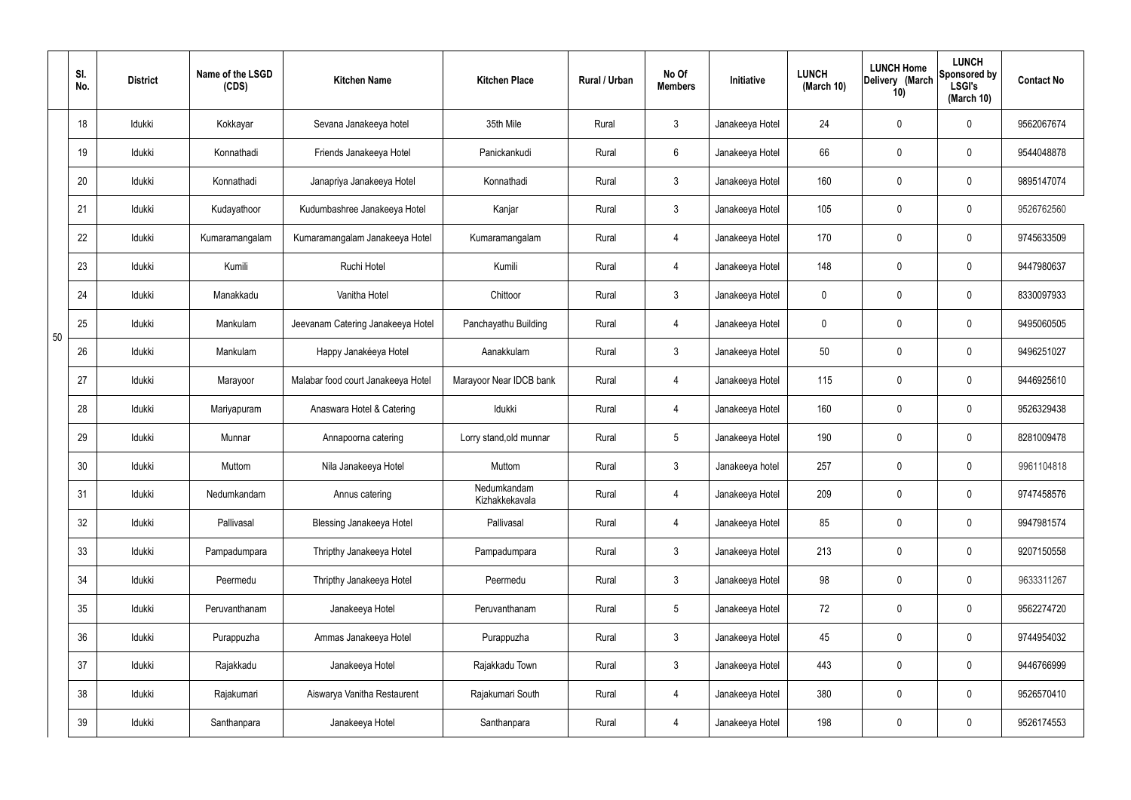|    | SI.<br>No. | <b>District</b> | Name of the LSGD<br>(CDS) | <b>Kitchen Name</b>                | <b>Kitchen Place</b>          | Rural / Urban | No Of<br><b>Members</b> | Initiative      | <b>LUNCH</b><br>(March 10) | <b>LUNCH Home</b><br>Delivery (March<br>10) | <b>LUNCH</b><br>Sponsored by<br><b>LSGI's</b><br>(March 10) | <b>Contact No</b> |
|----|------------|-----------------|---------------------------|------------------------------------|-------------------------------|---------------|-------------------------|-----------------|----------------------------|---------------------------------------------|-------------------------------------------------------------|-------------------|
|    | 18         | Idukki          | Kokkayar                  | Sevana Janakeeya hotel             | 35th Mile                     | Rural         | $\mathbf{3}$            | Janakeeya Hotel | 24                         | $\mathbf 0$                                 | $\mathbf 0$                                                 | 9562067674        |
|    | 19         | Idukki          | Konnathadi                | Friends Janakeeya Hotel            | Panickankudi                  | Rural         | $6\overline{6}$         | Janakeeya Hotel | 66                         | $\mathbf 0$                                 | $\mathbf 0$                                                 | 9544048878        |
|    | 20         | Idukki          | Konnathadi                | Janapriya Janakeeya Hotel          | Konnathadi                    | Rural         | 3                       | Janakeeya Hotel | 160                        | $\mathbf 0$                                 | $\mathbf 0$                                                 | 9895147074        |
|    | 21         | Idukki          | Kudayathoor               | Kudumbashree Janakeeya Hotel       | Kanjar                        | Rural         | $\mathbf{3}$            | Janakeeya Hotel | 105                        | $\mathbf 0$                                 | $\mathbf 0$                                                 | 9526762560        |
|    | 22         | Idukki          | Kumaramangalam            | Kumaramangalam Janakeeya Hotel     | Kumaramangalam                | Rural         | $\overline{4}$          | Janakeeya Hotel | 170                        | $\mathbf 0$                                 | $\mathbf 0$                                                 | 9745633509        |
|    | 23         | Idukki          | Kumili                    | Ruchi Hotel                        | Kumili                        | Rural         | 4                       | Janakeeya Hotel | 148                        | $\mathbf 0$                                 | $\mathbf 0$                                                 | 9447980637        |
|    | 24         | Idukki          | Manakkadu                 | Vanitha Hotel                      | Chittoor                      | Rural         | $\mathbf{3}$            | Janakeeya Hotel | $\mathbf 0$                | $\mathbf 0$                                 | $\mathbf 0$                                                 | 8330097933        |
| 50 | 25         | Idukki          | Mankulam                  | Jeevanam Catering Janakeeya Hotel  | Panchayathu Building          | Rural         | 4                       | Janakeeya Hotel | $\mathbf 0$                | $\mathbf 0$                                 | $\mathbf 0$                                                 | 9495060505        |
|    | 26         | Idukki          | Mankulam                  | Happy Janakéeya Hotel              | Aanakkulam                    | Rural         | $\mathbf{3}$            | Janakeeya Hotel | 50                         | 0                                           | $\mathbf 0$                                                 | 9496251027        |
|    | 27         | Idukki          | Marayoor                  | Malabar food court Janakeeya Hotel | Marayoor Near IDCB bank       | Rural         | 4                       | Janakeeya Hotel | 115                        | $\mathbf 0$                                 | $\mathbf 0$                                                 | 9446925610        |
|    | 28         | Idukki          | Mariyapuram               | Anaswara Hotel & Catering          | Idukki                        | Rural         | $\overline{4}$          | Janakeeya Hotel | 160                        | $\mathbf 0$                                 | $\mathbf 0$                                                 | 9526329438        |
|    | 29         | Idukki          | Munnar                    | Annapoorna catering                | Lorry stand, old munnar       | Rural         | $5\phantom{.0}$         | Janakeeya Hotel | 190                        | $\mathbf 0$                                 | $\mathbf 0$                                                 | 8281009478        |
|    | 30         | Idukki          | Muttom                    | Nila Janakeeya Hotel               | Muttom                        | Rural         | $\mathbf{3}$            | Janakeeya hotel | 257                        | $\mathbf 0$                                 | $\mathbf 0$                                                 | 9961104818        |
|    | 31         | Idukki          | Nedumkandam               | Annus catering                     | Nedumkandam<br>Kizhakkekavala | Rural         | $\overline{4}$          | Janakeeya Hotel | 209                        | $\pmb{0}$                                   | $\mathbf 0$                                                 | 9747458576        |
|    | 32         | Idukki          | Pallivasal                | <b>Blessing Janakeeya Hotel</b>    | Pallivasal                    | Rural         | $\overline{4}$          | Janakeeya Hotel | 85                         | $\pmb{0}$                                   | $\mathbf 0$                                                 | 9947981574        |
|    | 33         | Idukki          | Pampadumpara              | Thripthy Janakeeya Hotel           | Pampadumpara                  | Rural         | $3\phantom{a}$          | Janakeeya Hotel | 213                        | $\pmb{0}$                                   | $\mathbf 0$                                                 | 9207150558        |
|    | 34         | Idukki          | Peermedu                  | Thripthy Janakeeya Hotel           | Peermedu                      | Rural         | $3\phantom{a}$          | Janakeeya Hotel | 98                         | $\pmb{0}$                                   | $\mathbf 0$                                                 | 9633311267        |
|    | 35         | Idukki          | Peruvanthanam             | Janakeeya Hotel                    | Peruvanthanam                 | Rural         | $5\phantom{.0}$         | Janakeeya Hotel | 72                         | 0                                           | $\mathbf 0$                                                 | 9562274720        |
|    | 36         | Idukki          | Purappuzha                | Ammas Janakeeya Hotel              | Purappuzha                    | Rural         | 3                       | Janakeeya Hotel | 45                         | $\pmb{0}$                                   | $\mathbf 0$                                                 | 9744954032        |
|    | 37         | Idukki          | Rajakkadu                 | Janakeeya Hotel                    | Rajakkadu Town                | Rural         | 3                       | Janakeeya Hotel | 443                        | $\pmb{0}$                                   | $\mathbf 0$                                                 | 9446766999        |
|    | 38         | Idukki          | Rajakumari                | Aiswarya Vanitha Restaurent        | Rajakumari South              | Rural         | $\overline{4}$          | Janakeeya Hotel | 380                        | 0                                           | $\mathbf 0$                                                 | 9526570410        |
|    | 39         | Idukki          | Santhanpara               | Janakeeya Hotel                    | Santhanpara                   | Rural         | $\overline{4}$          | Janakeeya Hotel | 198                        | $\pmb{0}$                                   | $\boldsymbol{0}$                                            | 9526174553        |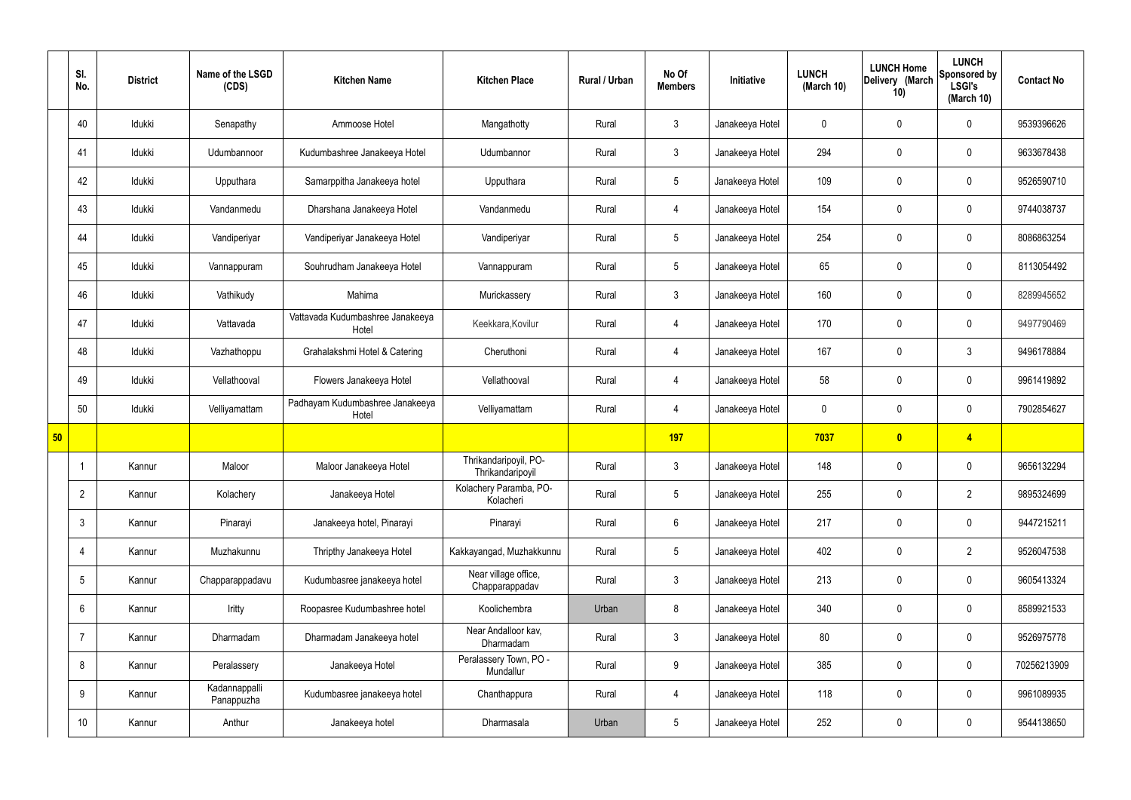|    | SI.<br>No.      | <b>District</b> | Name of the LSGD<br>(CDS)   | <b>Kitchen Name</b>                       | <b>Kitchen Place</b>                      | Rural / Urban | No Of<br><b>Members</b> | Initiative      | <b>LUNCH</b><br>(March 10) | <b>LUNCH Home</b><br>Delivery (March<br>10) | <b>LUNCH</b><br>Sponsored by<br><b>LSGI's</b><br>(March 10) | <b>Contact No</b> |
|----|-----------------|-----------------|-----------------------------|-------------------------------------------|-------------------------------------------|---------------|-------------------------|-----------------|----------------------------|---------------------------------------------|-------------------------------------------------------------|-------------------|
|    | 40              | Idukki          | Senapathy                   | Ammoose Hotel                             | Mangathotty                               | Rural         | $\mathbf{3}$            | Janakeeya Hotel | $\mathbf 0$                | $\mathbf 0$                                 | $\mathbf 0$                                                 | 9539396626        |
|    | 41              | Idukki          | Udumbannoor                 | Kudumbashree Janakeeya Hotel              | Udumbannor                                | Rural         | $\mathbf{3}$            | Janakeeya Hotel | 294                        | $\mathbf 0$                                 | $\mathbf 0$                                                 | 9633678438        |
|    | 42              | Idukki          | Upputhara                   | Samarppitha Janakeeya hotel               | Upputhara                                 | Rural         | 5 <sup>5</sup>          | Janakeeya Hotel | 109                        | $\mathbf 0$                                 | $\mathbf 0$                                                 | 9526590710        |
|    | 43              | Idukki          | Vandanmedu                  | Dharshana Janakeeya Hotel                 | Vandanmedu                                | Rural         | 4                       | Janakeeya Hotel | 154                        | $\mathbf 0$                                 | $\mathbf 0$                                                 | 9744038737        |
|    | 44              | Idukki          | Vandiperiyar                | Vandiperiyar Janakeeya Hotel              | Vandiperiyar                              | Rural         | $5\phantom{.0}$         | Janakeeya Hotel | 254                        | $\mathbf 0$                                 | $\mathbf 0$                                                 | 8086863254        |
|    | 45              | Idukki          | Vannappuram                 | Souhrudham Janakeeya Hotel                | Vannappuram                               | Rural         | $5\overline{)}$         | Janakeeya Hotel | 65                         | $\mathbf 0$                                 | $\mathbf 0$                                                 | 8113054492        |
|    | 46              | Idukki          | Vathikudy                   | Mahima                                    | Murickassery                              | Rural         | 3                       | Janakeeya Hotel | 160                        | $\mathbf 0$                                 | $\mathbf 0$                                                 | 8289945652        |
|    | 47              | Idukki          | Vattavada                   | Vattavada Kudumbashree Janakeeya<br>Hotel | Keekkara, Kovilur                         | Rural         | $\overline{4}$          | Janakeeya Hotel | 170                        | $\mathbf 0$                                 | $\mathbf 0$                                                 | 9497790469        |
|    | 48              | Idukki          | Vazhathoppu                 | Grahalakshmi Hotel & Catering             | Cheruthoni                                | Rural         | $\overline{4}$          | Janakeeya Hotel | 167                        | $\mathbf 0$                                 | $\mathfrak{Z}$                                              | 9496178884        |
|    | 49              | Idukki          | Vellathooval                | Flowers Janakeeya Hotel                   | Vellathooval                              | Rural         | $\overline{4}$          | Janakeeya Hotel | 58                         | $\mathbf 0$                                 | $\mathbf 0$                                                 | 9961419892        |
|    | 50              | Idukki          | Velliyamattam               | Padhayam Kudumbashree Janakeeya<br>Hotel  | Velliyamattam                             | Rural         | 4                       | Janakeeya Hotel | $\mathbf 0$                | $\mathbf 0$                                 | $\mathbf 0$                                                 | 7902854627        |
| 50 |                 |                 |                             |                                           |                                           |               | <b>197</b>              |                 | 7037                       | $\bullet$                                   | $\overline{4}$                                              |                   |
|    |                 | Kannur          | Maloor                      | Maloor Janakeeya Hotel                    | Thrikandaripoyil, PO-<br>Thrikandaripoyil | Rural         | $\mathbf{3}$            | Janakeeya Hotel | 148                        | $\mathbf 0$                                 | $\mathbf 0$                                                 | 9656132294        |
|    | $\overline{2}$  | Kannur          | Kolachery                   | Janakeeya Hotel                           | Kolachery Paramba, PO-<br>Kolacheri       | Rural         | $5\overline{)}$         | Janakeeya Hotel | 255                        | $\mathbf 0$                                 | $\overline{2}$                                              | 9895324699        |
|    | 3               | Kannur          | Pinarayi                    | Janakeeya hotel, Pinarayi                 | Pinarayi                                  | Rural         | $6\overline{6}$         | Janakeeya Hotel | 217                        | $\pmb{0}$                                   | $\mathbf 0$                                                 | 9447215211        |
|    | 4               | Kannur          | Muzhakunnu                  | Thripthy Janakeeya Hotel                  | Kakkayangad, Muzhakkunnu                  | Rural         | 5 <sup>5</sup>          | Janakeeya Hotel | 402                        | $\mathbf 0$                                 | $\overline{2}$                                              | 9526047538        |
|    | $5\phantom{.0}$ | Kannur          | Chapparappadavu             | Kudumbasree janakeeya hotel               | Near village office,<br>Chapparappadav    | Rural         | $3\phantom{a}$          | Janakeeya Hotel | 213                        | $\pmb{0}$                                   | $\mathbf 0$                                                 | 9605413324        |
|    | 6               | Kannur          | Iritty                      | Roopasree Kudumbashree hotel              | Koolichembra                              | Urban         | 8                       | Janakeeya Hotel | 340                        | $\mathbf 0$                                 | $\mathbf 0$                                                 | 8589921533        |
|    | 7               | Kannur          | Dharmadam                   | Dharmadam Janakeeya hotel                 | Near Andalloor kav,<br>Dharmadam          | Rural         | $3\phantom{a}$          | Janakeeya Hotel | 80                         | $\mathbf 0$                                 | $\mathbf 0$                                                 | 9526975778        |
|    | 8               | Kannur          | Peralassery                 | Janakeeya Hotel                           | Peralassery Town, PO -<br>Mundallur       | Rural         | $9\phantom{.0}$         | Janakeeya Hotel | 385                        | $\pmb{0}$                                   | $\mathbf 0$                                                 | 70256213909       |
|    | 9               | Kannur          | Kadannappalli<br>Panappuzha | Kudumbasree janakeeya hotel               | Chanthappura                              | Rural         | $\overline{4}$          | Janakeeya Hotel | 118                        | $\pmb{0}$                                   | $\mathbf 0$                                                 | 9961089935        |
|    | 10              | Kannur          | Anthur                      | Janakeeya hotel                           | Dharmasala                                | Urban         | $5\overline{)}$         | Janakeeya Hotel | 252                        | $\pmb{0}$                                   | $\boldsymbol{0}$                                            | 9544138650        |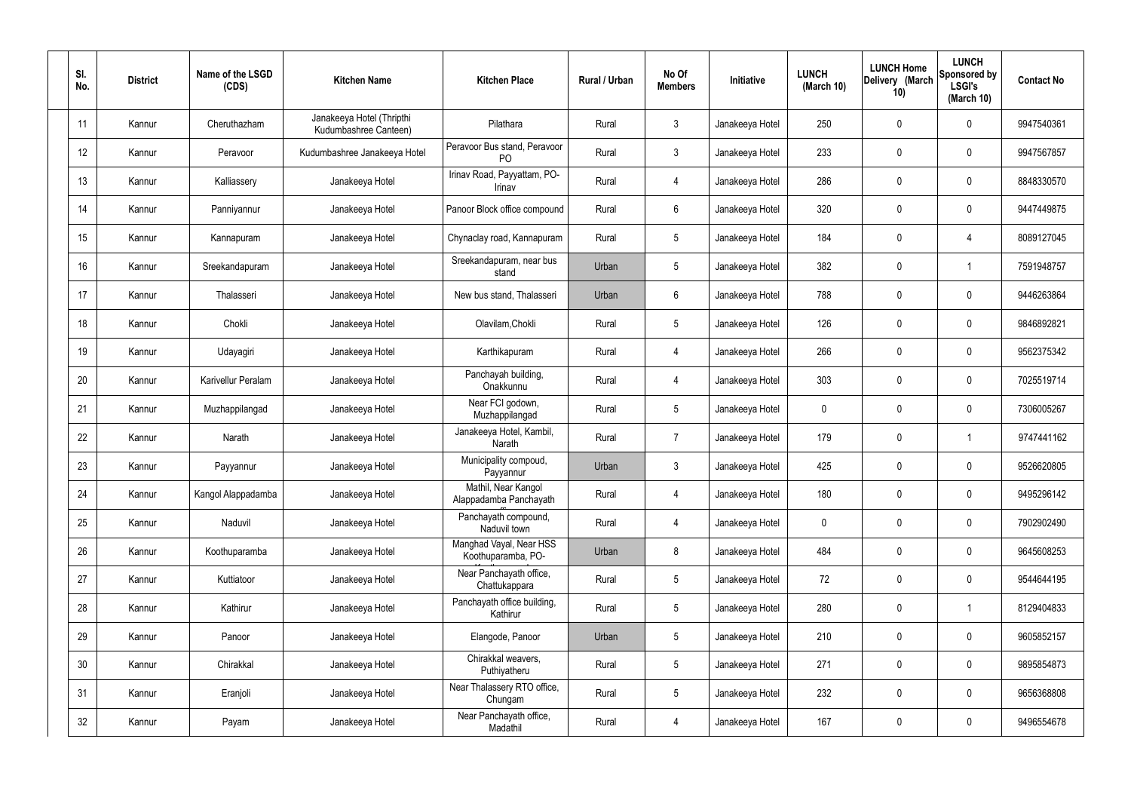| SI.<br>No. | <b>District</b> | Name of the LSGD<br>(CDS) | <b>Kitchen Name</b>                                | <b>Kitchen Place</b>                           | Rural / Urban | No Of<br><b>Members</b> | Initiative      | <b>LUNCH</b><br>(March 10) | <b>LUNCH Home</b><br>Delivery (March<br>10) | <b>LUNCH</b><br>Sponsored by<br><b>LSGI's</b><br>(March 10) | <b>Contact No</b> |
|------------|-----------------|---------------------------|----------------------------------------------------|------------------------------------------------|---------------|-------------------------|-----------------|----------------------------|---------------------------------------------|-------------------------------------------------------------|-------------------|
| 11         | Kannur          | Cheruthazham              | Janakeeya Hotel (Thripthi<br>Kudumbashree Canteen) | Pilathara                                      | Rural         | $\mathbf{3}$            | Janakeeya Hotel | 250                        | 0                                           | $\mathbf 0$                                                 | 9947540361        |
| 12         | Kannur          | Peravoor                  | Kudumbashree Janakeeya Hotel                       | Peravoor Bus stand, Peravoor<br>P <sub>O</sub> | Rural         | $\mathbf{3}$            | Janakeeya Hotel | 233                        | $\mathbf 0$                                 | $\mathbf 0$                                                 | 9947567857        |
| 13         | Kannur          | Kalliassery               | Janakeeya Hotel                                    | Irinav Road, Payyattam, PO-<br>Irinav          | Rural         | $\overline{4}$          | Janakeeya Hotel | 286                        | $\mathbf 0$                                 | $\mathbf 0$                                                 | 8848330570        |
| 14         | Kannur          | Panniyannur               | Janakeeya Hotel                                    | Panoor Block office compound                   | Rural         | $6\phantom{.}6$         | Janakeeya Hotel | 320                        | $\mathbf 0$                                 | $\mathbf 0$                                                 | 9447449875        |
| 15         | Kannur          | Kannapuram                | Janakeeya Hotel                                    | Chynaclay road, Kannapuram                     | Rural         | $5\overline{)}$         | Janakeeya Hotel | 184                        | $\mathbf 0$                                 | 4                                                           | 8089127045        |
| 16         | Kannur          | Sreekandapuram            | Janakeeya Hotel                                    | Sreekandapuram, near bus<br>stand              | Urban         | $5\phantom{.0}$         | Janakeeya Hotel | 382                        | $\mathbf 0$                                 | $\mathbf 1$                                                 | 7591948757        |
| 17         | Kannur          | Thalasseri                | Janakeeya Hotel                                    | New bus stand, Thalasseri                      | Urban         | $6\phantom{.}6$         | Janakeeya Hotel | 788                        | $\mathbf 0$                                 | $\mathbf 0$                                                 | 9446263864        |
| 18         | Kannur          | Chokli                    | Janakeeya Hotel                                    | Olavilam, Chokli                               | Rural         | $5\phantom{.0}$         | Janakeeya Hotel | 126                        | $\mathbf 0$                                 | $\mathbf 0$                                                 | 9846892821        |
| 19         | Kannur          | Udayagiri                 | Janakeeya Hotel                                    | Karthikapuram                                  | Rural         | $\overline{4}$          | Janakeeya Hotel | 266                        | $\mathbf 0$                                 | $\mathbf 0$                                                 | 9562375342        |
| 20         | Kannur          | Karivellur Peralam        | Janakeeya Hotel                                    | Panchayah building,<br>Onakkunnu               | Rural         | $\overline{4}$          | Janakeeya Hotel | 303                        | 0                                           | $\mathbf 0$                                                 | 7025519714        |
| 21         | Kannur          | Muzhappilangad            | Janakeeya Hotel                                    | Near FCI godown,<br>Muzhappilangad             | Rural         | $5\phantom{.0}$         | Janakeeya Hotel | 0                          | 0                                           | $\mathbf 0$                                                 | 7306005267        |
| 22         | Kannur          | Narath                    | Janakeeya Hotel                                    | Janakeeya Hotel, Kambil,<br>Narath             | Rural         | $\overline{7}$          | Janakeeya Hotel | 179                        | $\mathbf 0$                                 | -1                                                          | 9747441162        |
| 23         | Kannur          | Payyannur                 | Janakeeya Hotel                                    | Municipality compoud,<br>Payyannur             | Urban         | $\mathbf{3}$            | Janakeeya Hotel | 425                        | $\mathbf 0$                                 | $\mathbf 0$                                                 | 9526620805        |
| 24         | Kannur          | Kangol Alappadamba        | Janakeeya Hotel                                    | Mathil, Near Kangol<br>Alappadamba Panchayath  | Rural         | $\overline{4}$          | Janakeeya Hotel | 180                        | $\mathsf{0}$                                | $\mathbf 0$                                                 | 9495296142        |
| 25         | Kannur          | Naduvil                   | Janakeeya Hotel                                    | Panchayath compound,<br>Naduvil town           | Rural         | $\overline{4}$          | Janakeeya Hotel | 0                          | $\mathsf{0}$                                | $\mathbf 0$                                                 | 7902902490        |
| 26         | Kannur          | Koothuparamba             | Janakeeya Hotel                                    | Manghad Vayal, Near HSS<br>Koothuparamba, PO-  | Urban         | 8                       | Janakeeya Hotel | 484                        | $\mathbf 0$                                 | $\mathbf 0$                                                 | 9645608253        |
| 27         | Kannur          | Kuttiatoor                | Janakeeya Hotel                                    | Near Panchayath office,<br>Chattukappara       | Rural         | $5\phantom{.0}$         | Janakeeya Hotel | 72                         | $\mathsf{0}$                                | $\mathbf 0$                                                 | 9544644195        |
| 28         | Kannur          | Kathirur                  | Janakeeya Hotel                                    | Panchayath office building,<br>Kathirur        | Rural         | $5\phantom{.0}$         | Janakeeya Hotel | 280                        | $\mathsf{0}$                                | $\mathbf 1$                                                 | 8129404833        |
| 29         | Kannur          | Panoor                    | Janakeeya Hotel                                    | Elangode, Panoor                               | Urban         | $5\phantom{.0}$         | Janakeeya Hotel | 210                        | 0                                           | $\mathbf 0$                                                 | 9605852157        |
| 30         | Kannur          | Chirakkal                 | Janakeeya Hotel                                    | Chirakkal weavers,<br>Puthiyatheru             | Rural         | $5\phantom{.0}$         | Janakeeya Hotel | 271                        | 0                                           | $\mathbf 0$                                                 | 9895854873        |
| 31         | Kannur          | Eranjoli                  | Janakeeya Hotel                                    | Near Thalassery RTO office,<br>Chungam         | Rural         | $5\phantom{.0}$         | Janakeeya Hotel | 232                        | 0                                           | $\mathbf 0$                                                 | 9656368808        |
| 32         | Kannur          | Payam                     | Janakeeya Hotel                                    | Near Panchayath office,<br>Madathil            | Rural         | $\overline{4}$          | Janakeeya Hotel | 167                        | 0                                           | $\mathbf 0$                                                 | 9496554678        |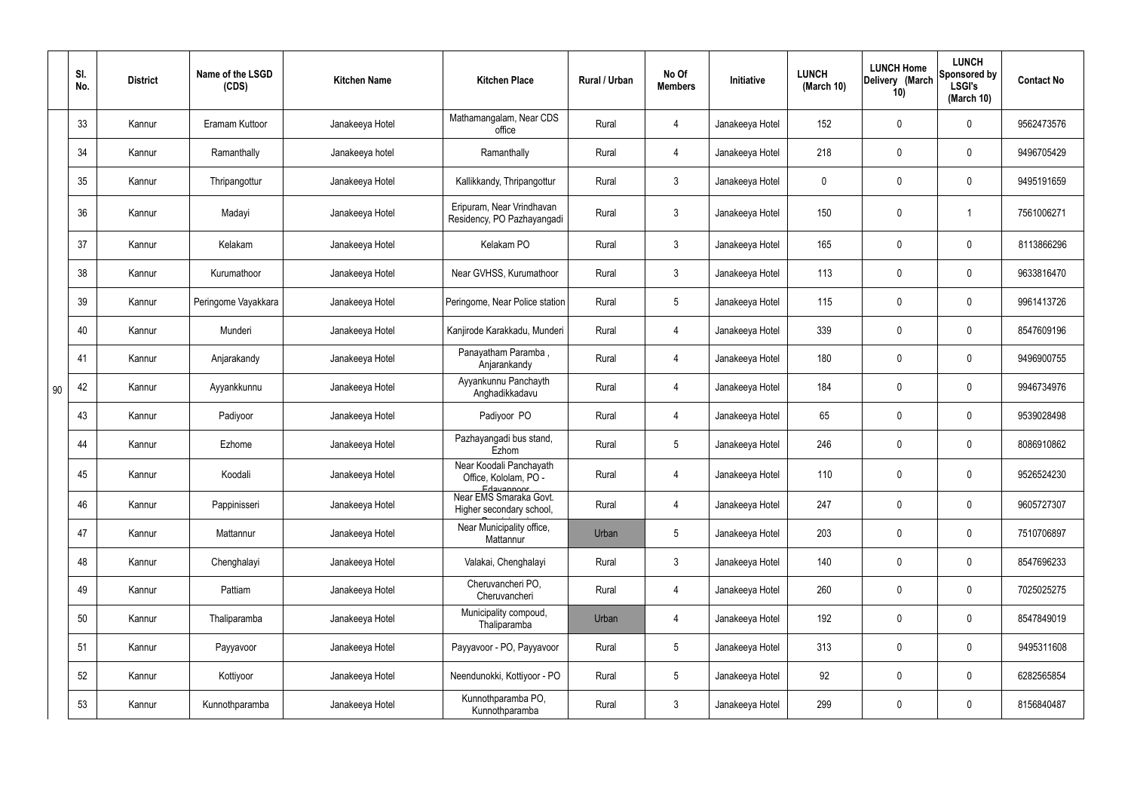|    | SI.<br>No. | <b>District</b> | Name of the LSGD<br>(CDS) | <b>Kitchen Name</b> | <b>Kitchen Place</b>                                           | Rural / Urban | No Of<br><b>Members</b> | Initiative      | <b>LUNCH</b><br>(March 10) | <b>LUNCH Home</b><br>Delivery (March<br>10) | <b>LUNCH</b><br>Sponsored by<br><b>LSGI's</b><br>(March 10) | <b>Contact No</b> |
|----|------------|-----------------|---------------------------|---------------------|----------------------------------------------------------------|---------------|-------------------------|-----------------|----------------------------|---------------------------------------------|-------------------------------------------------------------|-------------------|
|    | 33         | Kannur          | Eramam Kuttoor            | Janakeeya Hotel     | Mathamangalam, Near CDS<br>office                              | Rural         | 4                       | Janakeeya Hotel | 152                        | 0                                           | $\mathbf 0$                                                 | 9562473576        |
|    | 34         | Kannur          | Ramanthally               | Janakeeya hotel     | Ramanthally                                                    | Rural         | 4                       | Janakeeya Hotel | 218                        | $\mathbf 0$                                 | $\overline{0}$                                              | 9496705429        |
|    | 35         | Kannur          | Thripangottur             | Janakeeya Hotel     | Kallikkandy, Thripangottur                                     | Rural         | $\mathbf{3}$            | Janakeeya Hotel | $\mathbf 0$                | 0                                           | $\overline{0}$                                              | 9495191659        |
|    | 36         | Kannur          | Madayi                    | Janakeeya Hotel     | Eripuram, Near Vrindhavan<br>Residency, PO Pazhayangadi        | Rural         | $\mathbf{3}$            | Janakeeya Hotel | 150                        | 0                                           |                                                             | 7561006271        |
|    | 37         | Kannur          | Kelakam                   | Janakeeya Hotel     | Kelakam PO                                                     | Rural         | $\mathbf{3}$            | Janakeeya Hotel | 165                        | 0                                           | $\mathbf 0$                                                 | 8113866296        |
|    | 38         | Kannur          | Kurumathoor               | Janakeeya Hotel     | Near GVHSS, Kurumathoor                                        | Rural         | $\mathbf{3}$            | Janakeeya Hotel | 113                        | 0                                           | $\mathbf 0$                                                 | 9633816470        |
|    | 39         | Kannur          | Peringome Vayakkara       | Janakeeya Hotel     | Peringome, Near Police station                                 | Rural         | $5\phantom{.0}$         | Janakeeya Hotel | 115                        | 0                                           | $\mathbf 0$                                                 | 9961413726        |
|    | 40         | Kannur          | Munderi                   | Janakeeya Hotel     | Kanjirode Karakkadu, Munderi                                   | Rural         | $\overline{4}$          | Janakeeya Hotel | 339                        | 0                                           | $\mathbf 0$                                                 | 8547609196        |
|    | 41         | Kannur          | Anjarakandy               | Janakeeya Hotel     | Panayatham Paramba,<br>Anjarankandy                            | Rural         | 4                       | Janakeeya Hotel | 180                        | 0                                           | $\mathbf 0$                                                 | 9496900755        |
| 90 | 42         | Kannur          | Ayyankkunnu               | Janakeeya Hotel     | Ayyankunnu Panchayth<br>Anghadikkadavu                         | Rural         | $\overline{4}$          | Janakeeya Hotel | 184                        | 0                                           | $\mathbf 0$                                                 | 9946734976        |
|    | 43         | Kannur          | Padiyoor                  | Janakeeya Hotel     | Padiyoor PO                                                    | Rural         | 4                       | Janakeeya Hotel | 65                         | 0                                           | $\mathbf 0$                                                 | 9539028498        |
|    | 44         | Kannur          | Ezhome                    | Janakeeya Hotel     | Pazhayangadi bus stand,<br>Ezhom                               | Rural         | $5\phantom{.0}$         | Janakeeya Hotel | 246                        | 0                                           | $\mathbf 0$                                                 | 8086910862        |
|    | 45         | Kannur          | Koodali                   | Janakeeya Hotel     | Near Koodali Panchayath<br>Office, Kololam, PO -<br>Edavannoor | Rural         |                         | Janakeeya Hotel | 110                        | $\mathbf 0$                                 | 0                                                           | 9526524230        |
|    | 46         | Kannur          | Pappinisseri              | Janakeeya Hotel     | Near EMS Smaraka Govt.<br>Higher secondary school,             | Rural         | $\overline{4}$          | Janakeeya Hotel | 247                        | $\pmb{0}$                                   | $\mathbf 0$                                                 | 9605727307        |
|    | 47         | Kannur          | Mattannur                 | Janakeeya Hotel     | Near Municipality office,<br>Mattannur                         | Urban         | $5\phantom{.0}$         | Janakeeya Hotel | 203                        | $\pmb{0}$                                   | $\mathbf 0$                                                 | 7510706897        |
|    | 48         | Kannur          | Chenghalayi               | Janakeeya Hotel     | Valakai, Chenghalayi                                           | Rural         | $\mathbf{3}$            | Janakeeya Hotel | 140                        | $\pmb{0}$                                   | $\mathbf 0$                                                 | 8547696233        |
|    | 49         | Kannur          | Pattiam                   | Janakeeya Hotel     | Cheruvancheri PO,<br>Cheruvancheri                             | Rural         | $\overline{4}$          | Janakeeya Hotel | 260                        | $\pmb{0}$                                   | $\mathbf 0$                                                 | 7025025275        |
|    | 50         | Kannur          | Thaliparamba              | Janakeeya Hotel     | Municipality compoud,<br>Thaliparamba                          | Urban         | 4                       | Janakeeya Hotel | 192                        | $\pmb{0}$                                   | $\mathbf 0$                                                 | 8547849019        |
|    | 51         | Kannur          | Payyavoor                 | Janakeeya Hotel     | Payyavoor - PO, Payyavoor                                      | Rural         | $5\phantom{.0}$         | Janakeeya Hotel | 313                        | $\pmb{0}$                                   | $\mathbf 0$                                                 | 9495311608        |
|    | 52         | Kannur          | Kottiyoor                 | Janakeeya Hotel     | Neendunokki, Kottiyoor - PO                                    | Rural         | $5\overline{)}$         | Janakeeya Hotel | 92                         | $\mathbf 0$                                 | $\mathbf 0$                                                 | 6282565854        |
|    | 53         | Kannur          | Kunnothparamba            | Janakeeya Hotel     | Kunnothparamba PO,<br>Kunnothparamba                           | Rural         | 3 <sup>5</sup>          | Janakeeya Hotel | 299                        | 0                                           | $\boldsymbol{0}$                                            | 8156840487        |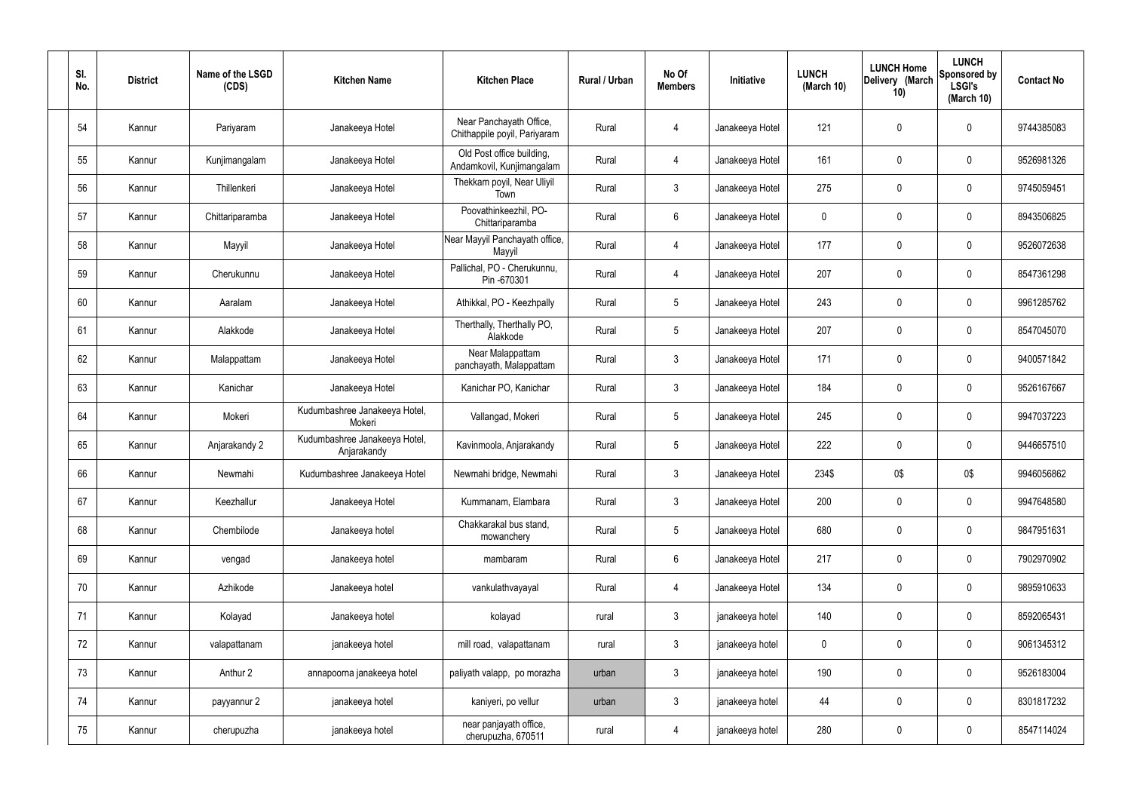| SI.<br>No. | <b>District</b> | Name of the LSGD<br>(CDS) | <b>Kitchen Name</b>                          | <b>Kitchen Place</b>                                    | Rural / Urban | No Of<br><b>Members</b> | Initiative      | <b>LUNCH</b><br>(March 10) | <b>LUNCH Home</b><br>Delivery (March<br>10) | <b>LUNCH</b><br>Sponsored by<br><b>LSGI's</b><br>(March $10$ ) | <b>Contact No</b> |
|------------|-----------------|---------------------------|----------------------------------------------|---------------------------------------------------------|---------------|-------------------------|-----------------|----------------------------|---------------------------------------------|----------------------------------------------------------------|-------------------|
| 54         | Kannur          | Pariyaram                 | Janakeeya Hotel                              | Near Panchayath Office,<br>Chithappile poyil, Pariyaram | Rural         | 4                       | Janakeeya Hotel | 121                        | 0                                           | $\pmb{0}$                                                      | 9744385083        |
| 55         | Kannur          | Kunjimangalam             | Janakeeya Hotel                              | Old Post office building,<br>Andamkovil, Kunjimangalam  | Rural         | 4                       | Janakeeya Hotel | 161                        | 0                                           | $\mathbf 0$                                                    | 9526981326        |
| 56         | Kannur          | Thillenkeri               | Janakeeya Hotel                              | Thekkam poyil, Near Uliyil<br>Town                      | Rural         | $\mathbf{3}$            | Janakeeya Hotel | 275                        | $\boldsymbol{0}$                            | $\overline{0}$                                                 | 9745059451        |
| 57         | Kannur          | Chittariparamba           | Janakeeya Hotel                              | Poovathinkeezhil, PO-<br>Chittariparamba                | Rural         | $6\,$                   | Janakeeya Hotel | 0                          | 0                                           | $\overline{0}$                                                 | 8943506825        |
| 58         | Kannur          | Mayyil                    | Janakeeya Hotel                              | Near Mayyil Panchayath office,<br>Mayyil                | Rural         | 4                       | Janakeeya Hotel | 177                        | $\boldsymbol{0}$                            | $\mathbf 0$                                                    | 9526072638        |
| 59         | Kannur          | Cherukunnu                | Janakeeya Hotel                              | Pallichal, PO - Cherukunnu,<br>Pin -670301              | Rural         | 4                       | Janakeeya Hotel | 207                        | 0                                           | $\mathbf 0$                                                    | 8547361298        |
| 60         | Kannur          | Aaralam                   | Janakeeya Hotel                              | Athikkal, PO - Keezhpally                               | Rural         | $5\phantom{.0}$         | Janakeeya Hotel | 243                        | 0                                           | $\mathbf 0$                                                    | 9961285762        |
| 61         | Kannur          | Alakkode                  | Janakeeya Hotel                              | Therthally, Therthally PO,<br>Alakkode                  | Rural         | $5\phantom{.0}$         | Janakeeya Hotel | 207                        | $\mathbf 0$                                 | $\mathbf 0$                                                    | 8547045070        |
| 62         | Kannur          | Malappattam               | Janakeeya Hotel                              | Near Malappattam<br>panchayath, Malappattam             | Rural         | $\mathbf{3}$            | Janakeeya Hotel | 171                        | $\mathbf 0$                                 | $\mathbf 0$                                                    | 9400571842        |
| 63         | Kannur          | Kanichar                  | Janakeeya Hotel                              | Kanichar PO, Kanichar                                   | Rural         | $\mathbf{3}$            | Janakeeya Hotel | 184                        | 0                                           | $\pmb{0}$                                                      | 9526167667        |
| 64         | Kannur          | Mokeri                    | Kudumbashree Janakeeya Hotel,<br>Mokeri      | Vallangad, Mokeri                                       | Rural         | $5\phantom{.0}$         | Janakeeya Hotel | 245                        | 0                                           | $\mathbf 0$                                                    | 9947037223        |
| 65         | Kannur          | Anjarakandy 2             | Kudumbashree Janakeeya Hotel,<br>Anjarakandy | Kavinmoola, Anjarakandy                                 | Rural         | $5\phantom{.0}$         | Janakeeya Hotel | 222                        | 0                                           | $\boldsymbol{0}$                                               | 9446657510        |
| 66         | Kannur          | Newmahi                   | Kudumbashree Janakeeya Hotel                 | Newmahi bridge, Newmahi                                 | Rural         | 3                       | Janakeeya Hotel | 234\$                      | 0\$                                         | 0\$                                                            | 9946056862        |
| 67         | Kannur          | Keezhallur                | Janakeeya Hotel                              | Kummanam, Elambara                                      | Rural         | $\mathbf{3}$            | Janakeeya Hotel | 200                        | 0                                           | $\mathbf 0$                                                    | 9947648580        |
| 68         | Kannur          | Chembilode                | Janakeeya hotel                              | Chakkarakal bus stand,<br>mowanchery                    | Rural         | $5\overline{)}$         | Janakeeya Hotel | 680                        | 0                                           | $\overline{0}$                                                 | 9847951631        |
| 69         | Kannur          | vengad                    | Janakeeya hotel                              | mambaram                                                | Rural         | 6                       | Janakeeya Hotel | 217                        | 0                                           | $\overline{0}$                                                 | 7902970902        |
| 70         | Kannur          | Azhikode                  | Janakeeya hotel                              | vankulathvayayal                                        | Rural         | 4                       | Janakeeya Hotel | 134                        | 0                                           | $\overline{0}$                                                 | 9895910633        |
| 71         | Kannur          | Kolayad                   | Janakeeya hotel                              | kolayad                                                 | rural         | $\mathbf{3}$            | janakeeya hotel | 140                        | 0                                           | $\overline{0}$                                                 | 8592065431        |
| 72         | Kannur          | valapattanam              | janakeeya hotel                              | mill road, valapattanam                                 | rural         | $\mathbf{3}$            | janakeeya hotel | 0                          | 0                                           | $\mathbf 0$                                                    | 9061345312        |
| 73         | Kannur          | Anthur 2                  | annapoorna janakeeya hotel                   | paliyath valapp, po morazha                             | urban         | $\mathbf{3}$            | janakeeya hotel | 190                        | 0                                           | $\mathbf 0$                                                    | 9526183004        |
| 74         | Kannur          | payyannur 2               | janakeeya hotel                              | kaniyeri, po vellur                                     | urban         | $\mathbf{3}$            | janakeeya hotel | 44                         | 0                                           | $\overline{0}$                                                 | 8301817232        |
| 75         | Kannur          | cherupuzha                | janakeeya hotel                              | near panjayath office,<br>cherupuzha, 670511            | rural         | $\overline{4}$          | janakeeya hotel | 280                        | 0                                           | $\overline{0}$                                                 | 8547114024        |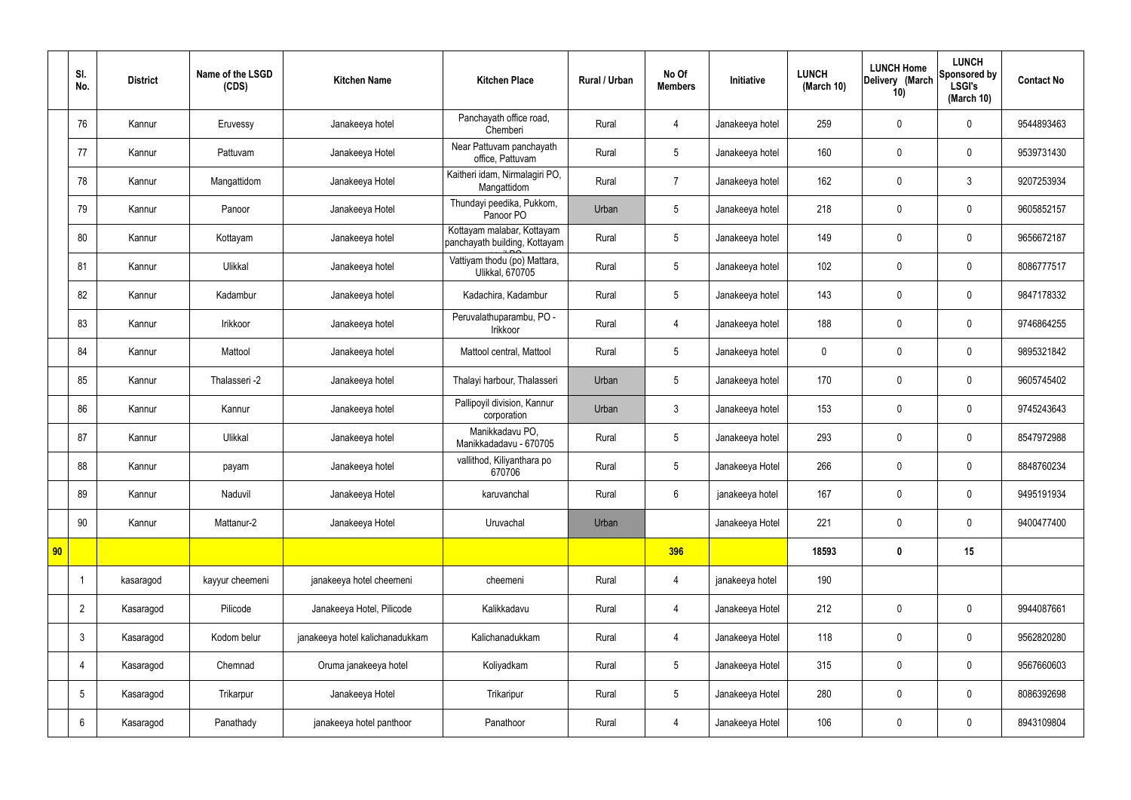|    | SI.<br>No.      | <b>District</b> | Name of the LSGD<br>(CDS) | <b>Kitchen Name</b>             | <b>Kitchen Place</b>                                        | <b>Rural / Urban</b> | No Of<br><b>Members</b> | Initiative      | <b>LUNCH</b><br>(March 10) | <b>LUNCH Home</b><br>Delivery (March<br>10) | <b>LUNCH</b><br>Sponsored by<br><b>LSGI's</b><br>(March 10) | <b>Contact No</b> |
|----|-----------------|-----------------|---------------------------|---------------------------------|-------------------------------------------------------------|----------------------|-------------------------|-----------------|----------------------------|---------------------------------------------|-------------------------------------------------------------|-------------------|
|    | 76              | Kannur          | Eruvessy                  | Janakeeya hotel                 | Panchayath office road,<br>Chemberi                         | Rural                | 4                       | Janakeeya hotel | 259                        | $\boldsymbol{0}$                            | $\mathbf 0$                                                 | 9544893463        |
|    | 77              | Kannur          | Pattuvam                  | Janakeeya Hotel                 | Near Pattuvam panchayath<br>office, Pattuvam                | Rural                | 5                       | Janakeeya hotel | 160                        | $\mathbf 0$                                 | $\mathbf 0$                                                 | 9539731430        |
|    | 78              | Kannur          | Mangattidom               | Janakeeya Hotel                 | Kaitheri idam, Nirmalagiri PO,<br>Mangattidom               | Rural                | $\overline{7}$          | Janakeeya hotel | 162                        | $\mathbf 0$                                 | $\mathbf{3}$                                                | 9207253934        |
|    | 79              | Kannur          | Panoor                    | Janakeeya Hotel                 | Thundayi peedika, Pukkom,<br>Panoor PO                      | Urban                | 5                       | Janakeeya hotel | 218                        | $\mathbf 0$                                 | $\mathbf 0$                                                 | 9605852157        |
|    | 80              | Kannur          | Kottayam                  | Janakeeya hotel                 | Kottayam malabar, Kottayam<br>panchayath building, Kottayam | Rural                | 5                       | Janakeeya hotel | 149                        | $\mathbf 0$                                 | $\mathbf 0$                                                 | 9656672187        |
|    | 81              | Kannur          | Ulikkal                   | Janakeeya hotel                 | Vattiyam thodu (po) Mattara,<br><b>Ulikkal, 670705</b>      | Rural                | 5                       | Janakeeya hotel | 102                        | $\mathbf 0$                                 | $\mathbf 0$                                                 | 8086777517        |
|    | 82              | Kannur          | Kadambur                  | Janakeeya hotel                 | Kadachira, Kadambur                                         | Rural                | 5                       | Janakeeya hotel | 143                        | $\mathbf 0$                                 | $\mathbf 0$                                                 | 9847178332        |
|    | 83              | Kannur          | Irikkoor                  | Janakeeya hotel                 | Peruvalathuparambu, PO -<br>Irikkoor                        | Rural                | 4                       | Janakeeya hotel | 188                        | $\mathbf 0$                                 | $\mathbf 0$                                                 | 9746864255        |
|    | 84              | Kannur          | Mattool                   | Janakeeya hotel                 | Mattool central, Mattool                                    | Rural                | 5                       | Janakeeya hotel | $\mathbf 0$                | $\mathbf 0$                                 | $\mathbf 0$                                                 | 9895321842        |
|    | 85              | Kannur          | Thalasseri -2             | Janakeeya hotel                 | Thalayi harbour, Thalasseri                                 | Urban                | 5                       | Janakeeya hotel | 170                        | $\mathbf 0$                                 | $\mathbf 0$                                                 | 9605745402        |
|    | 86              | Kannur          | Kannur                    | Janakeeya hotel                 | Pallipoyil division, Kannur<br>corporation                  | Urban                | $\mathbf{3}$            | Janakeeya hotel | 153                        | $\pmb{0}$                                   | $\mathbf 0$                                                 | 9745243643        |
|    | 87              | Kannur          | Ulikkal                   | Janakeeya hotel                 | Manikkadavu PO,<br>Manikkadadavu - 670705                   | Rural                | 5                       | Janakeeya hotel | 293                        | $\boldsymbol{0}$                            | $\mathbf 0$                                                 | 8547972988        |
|    | 88              | Kannur          | payam                     | Janakeeya hotel                 | vallithod, Kiliyanthara po<br>670706                        | Rural                | 5                       | Janakeeya Hotel | 266                        | $\mathbf 0$                                 | $\mathbf 0$                                                 | 8848760234        |
|    | 89              | Kannur          | Naduvil                   | Janakeeya Hotel                 | karuvanchal                                                 | Rural                | $6\overline{6}$         | janakeeya hotel | 167                        | $\pmb{0}$                                   | $\mathbf 0$                                                 | 9495191934        |
|    | 90              | Kannur          | Mattanur-2                | Janakeeya Hotel                 | Uruvachal                                                   | Urban                |                         | Janakeeya Hotel | 221                        | $\pmb{0}$                                   | $\mathbf 0$                                                 | 9400477400        |
| 90 |                 |                 |                           |                                 |                                                             |                      | 396                     |                 | 18593                      | $\pmb{0}$                                   | 15                                                          |                   |
|    |                 | kasaragod       | kayyur cheemeni           | janakeeya hotel cheemeni        | cheemeni                                                    | Rural                | $\overline{4}$          | janakeeya hotel | 190                        |                                             |                                                             |                   |
|    | $\overline{2}$  | Kasaragod       | Pilicode                  | Janakeeya Hotel, Pilicode       | Kalikkadavu                                                 | Rural                | $\overline{4}$          | Janakeeya Hotel | 212                        | $\pmb{0}$                                   | $\mathbf 0$                                                 | 9944087661        |
|    | $\mathbf{3}$    | Kasaragod       | Kodom belur               | janakeeya hotel kalichanadukkam | Kalichanadukkam                                             | Rural                | $\overline{4}$          | Janakeeya Hotel | 118                        | $\pmb{0}$                                   | $\mathbf 0$                                                 | 9562820280        |
|    | 4               | Kasaragod       | Chemnad                   | Oruma janakeeya hotel           | Koliyadkam                                                  | Rural                | 5                       | Janakeeya Hotel | 315                        | $\pmb{0}$                                   | $\mathbf 0$                                                 | 9567660603        |
|    | $5\phantom{.0}$ | Kasaragod       | Trikarpur                 | Janakeeya Hotel                 | Trikaripur                                                  | Rural                | 5                       | Janakeeya Hotel | 280                        | $\mathbf 0$                                 | $\mathbf 0$                                                 | 8086392698        |
|    | $6\phantom{.}6$ | Kasaragod       | Panathady                 | janakeeya hotel panthoor        | Panathoor                                                   | Rural                | 4                       | Janakeeya Hotel | 106                        | $\pmb{0}$                                   | $\mathbf 0$                                                 | 8943109804        |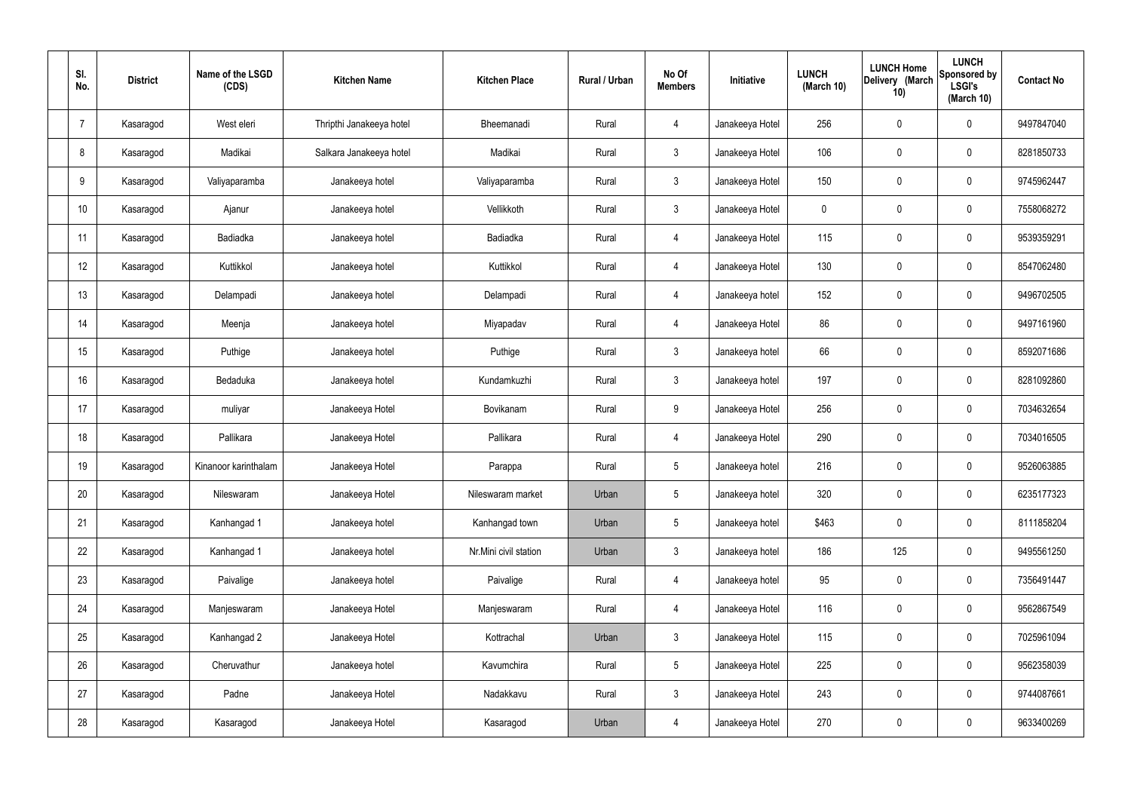| SI.<br>No.      | <b>District</b> | Name of the LSGD<br>(CDS) | <b>Kitchen Name</b>      | <b>Kitchen Place</b>  | <b>Rural / Urban</b> | No Of<br><b>Members</b> | Initiative      | <b>LUNCH</b><br>(March 10) | <b>LUNCH Home</b><br>Delivery (March<br>10) | <b>LUNCH</b><br>Sponsored by<br><b>LSGI's</b><br>(March 10) | <b>Contact No</b> |
|-----------------|-----------------|---------------------------|--------------------------|-----------------------|----------------------|-------------------------|-----------------|----------------------------|---------------------------------------------|-------------------------------------------------------------|-------------------|
| $\overline{7}$  | Kasaragod       | West eleri                | Thripthi Janakeeya hotel | Bheemanadi            | Rural                | 4                       | Janakeeya Hotel | 256                        | $\mathbf 0$                                 | $\mathbf 0$                                                 | 9497847040        |
| 8               | Kasaragod       | Madikai                   | Salkara Janakeeya hotel  | Madikai               | Rural                | $\mathbf{3}$            | Janakeeya Hotel | 106                        | $\mathbf 0$                                 | $\mathbf 0$                                                 | 8281850733        |
| 9               | Kasaragod       | Valiyaparamba             | Janakeeya hotel          | Valiyaparamba         | Rural                | $\mathbf{3}$            | Janakeeya Hotel | 150                        | $\mathbf 0$                                 | $\mathbf 0$                                                 | 9745962447        |
| 10 <sup>°</sup> | Kasaragod       | Ajanur                    | Janakeeya hotel          | Vellikkoth            | Rural                | $\mathbf{3}$            | Janakeeya Hotel | $\mathbf 0$                | $\mathbf 0$                                 | $\mathbf 0$                                                 | 7558068272        |
| 11              | Kasaragod       | Badiadka                  | Janakeeya hotel          | Badiadka              | Rural                | $\overline{4}$          | Janakeeya Hotel | 115                        | $\mathbf 0$                                 | $\mathbf 0$                                                 | 9539359291        |
| 12              | Kasaragod       | Kuttikkol                 | Janakeeya hotel          | Kuttikkol             | Rural                | $\overline{4}$          | Janakeeya Hotel | 130                        | $\pmb{0}$                                   | $\mathbf 0$                                                 | 8547062480        |
| 13              | Kasaragod       | Delampadi                 | Janakeeya hotel          | Delampadi             | Rural                | $\overline{4}$          | Janakeeya hotel | 152                        | $\mathbf 0$                                 | $\mathbf 0$                                                 | 9496702505        |
| 14              | Kasaragod       | Meenja                    | Janakeeya hotel          | Miyapadav             | Rural                | $\overline{4}$          | Janakeeya Hotel | 86                         | $\mathbf 0$                                 | $\mathbf 0$                                                 | 9497161960        |
| 15              | Kasaragod       | Puthige                   | Janakeeya hotel          | Puthige               | Rural                | $\mathbf{3}$            | Janakeeya hotel | 66                         | $\mathbf 0$                                 | $\mathbf 0$                                                 | 8592071686        |
| 16              | Kasaragod       | Bedaduka                  | Janakeeya hotel          | Kundamkuzhi           | Rural                | $\mathbf{3}$            | Janakeeya hotel | 197                        | $\mathbf 0$                                 | $\mathbf 0$                                                 | 8281092860        |
| 17              | Kasaragod       | muliyar                   | Janakeeya Hotel          | Bovikanam             | Rural                | 9                       | Janakeeya Hotel | 256                        | $\pmb{0}$                                   | $\mathbf 0$                                                 | 7034632654        |
| 18              | Kasaragod       | Pallikara                 | Janakeeya Hotel          | Pallikara             | Rural                | 4                       | Janakeeya Hotel | 290                        | $\pmb{0}$                                   | $\mathbf 0$                                                 | 7034016505        |
| 19              | Kasaragod       | Kinanoor karinthalam      | Janakeeya Hotel          | Parappa               | Rural                | 5                       | Janakeeya hotel | 216                        | $\mathbf 0$                                 | $\mathbf 0$                                                 | 9526063885        |
| 20              | Kasaragod       | Nileswaram                | Janakeeya Hotel          | Nileswaram market     | Urban                | 5                       | Janakeeya hotel | 320                        | $\pmb{0}$                                   | $\mathbf 0$                                                 | 6235177323        |
| 21              | Kasaragod       | Kanhangad 1               | Janakeeya hotel          | Kanhangad town        | Urban                | 5                       | Janakeeya hotel | \$463                      | $\pmb{0}$                                   | $\mathbf 0$                                                 | 8111858204        |
| 22              | Kasaragod       | Kanhangad 1               | Janakeeya hotel          | Nr.Mini civil station | Urban                | $\mathfrak{Z}$          | Janakeeya hotel | 186                        | 125                                         | $\mathbf 0$                                                 | 9495561250        |
| 23              | Kasaragod       | Paivalige                 | Janakeeya hotel          | Paivalige             | Rural                | $\overline{4}$          | Janakeeya hotel | 95                         | $\pmb{0}$                                   | $\mathbf 0$                                                 | 7356491447        |
| 24              | Kasaragod       | Manjeswaram               | Janakeeya Hotel          | Manjeswaram           | Rural                | $\overline{4}$          | Janakeeya Hotel | 116                        | $\pmb{0}$                                   | $\mathbf 0$                                                 | 9562867549        |
| 25              | Kasaragod       | Kanhangad 2               | Janakeeya Hotel          | Kottrachal            | Urban                | $\mathbf{3}$            | Janakeeya Hotel | 115                        | $\pmb{0}$                                   | $\mathbf 0$                                                 | 7025961094        |
| 26              | Kasaragod       | Cheruvathur               | Janakeeya hotel          | Kavumchira            | Rural                | $5\phantom{.0}$         | Janakeeya Hotel | 225                        | $\pmb{0}$                                   | $\mathbf 0$                                                 | 9562358039        |
| 27              | Kasaragod       | Padne                     | Janakeeya Hotel          | Nadakkavu             | Rural                | $\mathfrak{Z}$          | Janakeeya Hotel | 243                        | $\pmb{0}$                                   | $\mathbf 0$                                                 | 9744087661        |
| 28              | Kasaragod       | Kasaragod                 | Janakeeya Hotel          | Kasaragod             | Urban                | 4                       | Janakeeya Hotel | 270                        | $\pmb{0}$                                   | $\mathbf 0$                                                 | 9633400269        |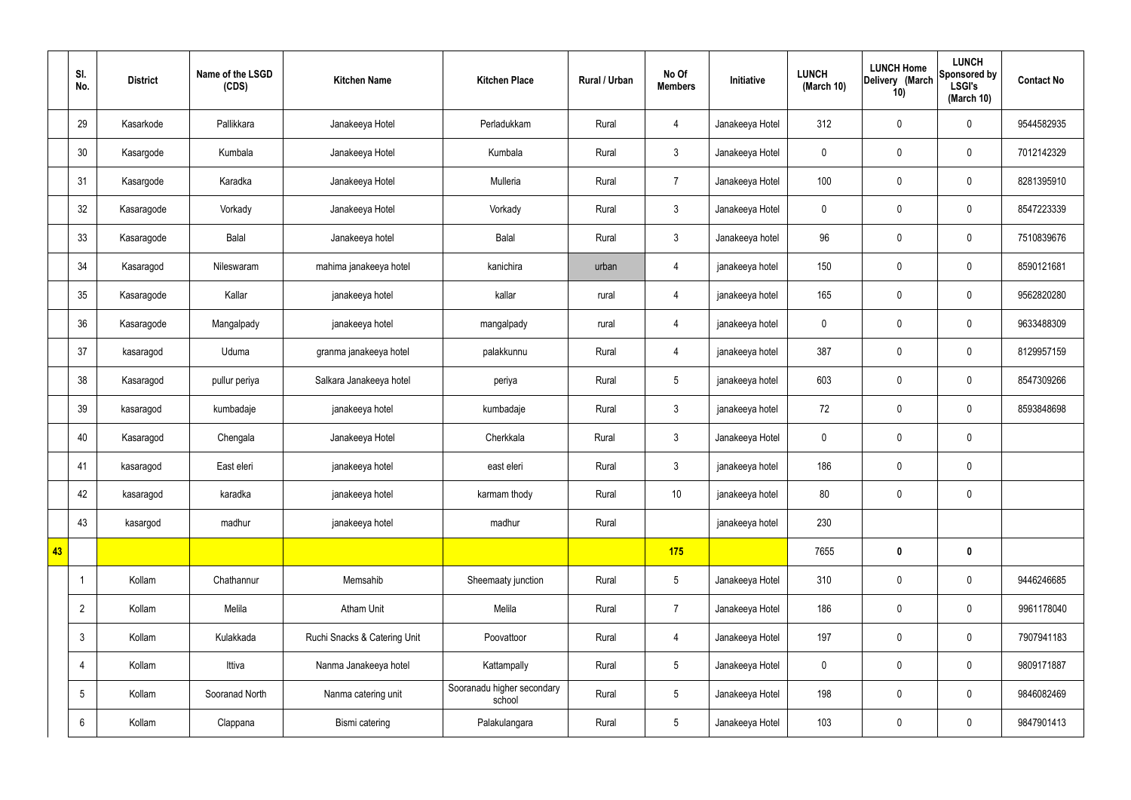|    | SI.<br>No.      | <b>District</b> | Name of the LSGD<br>(CDS) | <b>Kitchen Name</b>          | <b>Kitchen Place</b>                 | Rural / Urban | No Of<br><b>Members</b> | Initiative      | <b>LUNCH</b><br>(March 10) | <b>LUNCH Home</b><br>Delivery (March<br>10) | <b>LUNCH</b><br>Sponsored by<br><b>LSGI's</b><br>(March 10) | <b>Contact No</b> |
|----|-----------------|-----------------|---------------------------|------------------------------|--------------------------------------|---------------|-------------------------|-----------------|----------------------------|---------------------------------------------|-------------------------------------------------------------|-------------------|
|    | 29              | Kasarkode       | Pallikkara                | Janakeeya Hotel              | Perladukkam                          | Rural         | $\overline{4}$          | Janakeeya Hotel | 312                        | $\pmb{0}$                                   | $\mathbf 0$                                                 | 9544582935        |
|    | 30              | Kasargode       | Kumbala                   | Janakeeya Hotel              | Kumbala                              | Rural         | $\mathbf{3}$            | Janakeeya Hotel | $\pmb{0}$                  | $\pmb{0}$                                   | $\mathbf 0$                                                 | 7012142329        |
|    | 31              | Kasargode       | Karadka                   | Janakeeya Hotel              | Mulleria                             | Rural         | $\overline{7}$          | Janakeeya Hotel | 100                        | $\pmb{0}$                                   | $\mathbf 0$                                                 | 8281395910        |
|    | 32              | Kasaragode      | Vorkady                   | Janakeeya Hotel              | Vorkady                              | Rural         | $\mathbf{3}$            | Janakeeya Hotel | $\mathbf 0$                | $\pmb{0}$                                   | $\mathbf 0$                                                 | 8547223339        |
|    | 33              | Kasaragode      | Balal                     | Janakeeya hotel              | Balal                                | Rural         | $\mathbf{3}$            | Janakeeya hotel | 96                         | $\pmb{0}$                                   | $\mathbf 0$                                                 | 7510839676        |
|    | 34              | Kasaragod       | Nileswaram                | mahima janakeeya hotel       | kanichira                            | urban         | $\overline{4}$          | janakeeya hotel | 150                        | $\mathbf 0$                                 | $\mathbf 0$                                                 | 8590121681        |
|    | 35              | Kasaragode      | Kallar                    | janakeeya hotel              | kallar                               | rural         | $\overline{4}$          | janakeeya hotel | 165                        | $\pmb{0}$                                   | $\mathbf 0$                                                 | 9562820280        |
|    | 36              | Kasaragode      | Mangalpady                | janakeeya hotel              | mangalpady                           | rural         | $\overline{4}$          | janakeeya hotel | $\mathbf 0$                | $\pmb{0}$                                   | $\mathbf 0$                                                 | 9633488309        |
|    | 37              | kasaragod       | Uduma                     | granma janakeeya hotel       | palakkunnu                           | Rural         | $\overline{4}$          | janakeeya hotel | 387                        | $\pmb{0}$                                   | $\mathbf 0$                                                 | 8129957159        |
|    | 38              | Kasaragod       | pullur periya             | Salkara Janakeeya hotel      | periya                               | Rural         | $5\overline{)}$         | janakeeya hotel | 603                        | $\mathbf 0$                                 | $\mathbf 0$                                                 | 8547309266        |
|    | 39              | kasaragod       | kumbadaje                 | janakeeya hotel              | kumbadaje                            | Rural         | $\mathfrak{Z}$          | janakeeya hotel | 72                         | $\mathbf 0$                                 | $\mathbf 0$                                                 | 8593848698        |
|    | 40              | Kasaragod       | Chengala                  | Janakeeya Hotel              | Cherkkala                            | Rural         | $\mathbf{3}$            | Janakeeya Hotel | $\mathbf 0$                | $\pmb{0}$                                   | $\mathbf 0$                                                 |                   |
|    | 41              | kasaragod       | East eleri                | janakeeya hotel              | east eleri                           | Rural         | $\mathfrak{Z}$          | janakeeya hotel | 186                        | $\mathbf 0$                                 | $\mathbf 0$                                                 |                   |
|    | 42              | kasaragod       | karadka                   | janakeeya hotel              | karmam thody                         | Rural         | $10$                    | janakeeya hotel | 80                         | $\pmb{0}$                                   | $\mathbf 0$                                                 |                   |
|    | 43              | kasargod        | madhur                    | janakeeya hotel              | madhur                               | Rural         |                         | janakeeya hotel | 230                        |                                             |                                                             |                   |
| 43 |                 |                 |                           |                              |                                      |               | 175                     |                 | 7655                       | $\pmb{0}$                                   | $\mathbf 0$                                                 |                   |
|    | -1              | Kollam          | Chathannur                | Memsahib                     | Sheemaaty junction                   | Rural         | $5\phantom{.0}$         | Janakeeya Hotel | 310                        | $\mathbf 0$                                 | $\mathbf 0$                                                 | 9446246685        |
|    | $\overline{2}$  | Kollam          | Melila                    | <b>Atham Unit</b>            | Melila                               | Rural         | $\overline{7}$          | Janakeeya Hotel | 186                        | $\pmb{0}$                                   | $\mathbf 0$                                                 | 9961178040        |
|    | $\mathbf{3}$    | Kollam          | Kulakkada                 | Ruchi Snacks & Catering Unit | Poovattoor                           | Rural         | $\overline{4}$          | Janakeeya Hotel | 197                        | $\pmb{0}$                                   | $\mathbf 0$                                                 | 7907941183        |
|    | 4               | Kollam          | Ittiva                    | Nanma Janakeeya hotel        | Kattampally                          | Rural         | $5\phantom{.0}$         | Janakeeya Hotel | $\pmb{0}$                  | $\pmb{0}$                                   | $\mathbf 0$                                                 | 9809171887        |
|    | $5\phantom{.0}$ | Kollam          | Sooranad North            | Nanma catering unit          | Sooranadu higher secondary<br>school | Rural         | $5\phantom{.0}$         | Janakeeya Hotel | 198                        | $\pmb{0}$                                   | $\mathbf 0$                                                 | 9846082469        |
|    | 6               | Kollam          | Clappana                  | Bismi catering               | Palakulangara                        | Rural         | $5\phantom{.0}$         | Janakeeya Hotel | 103                        | $\pmb{0}$                                   | $\boldsymbol{0}$                                            | 9847901413        |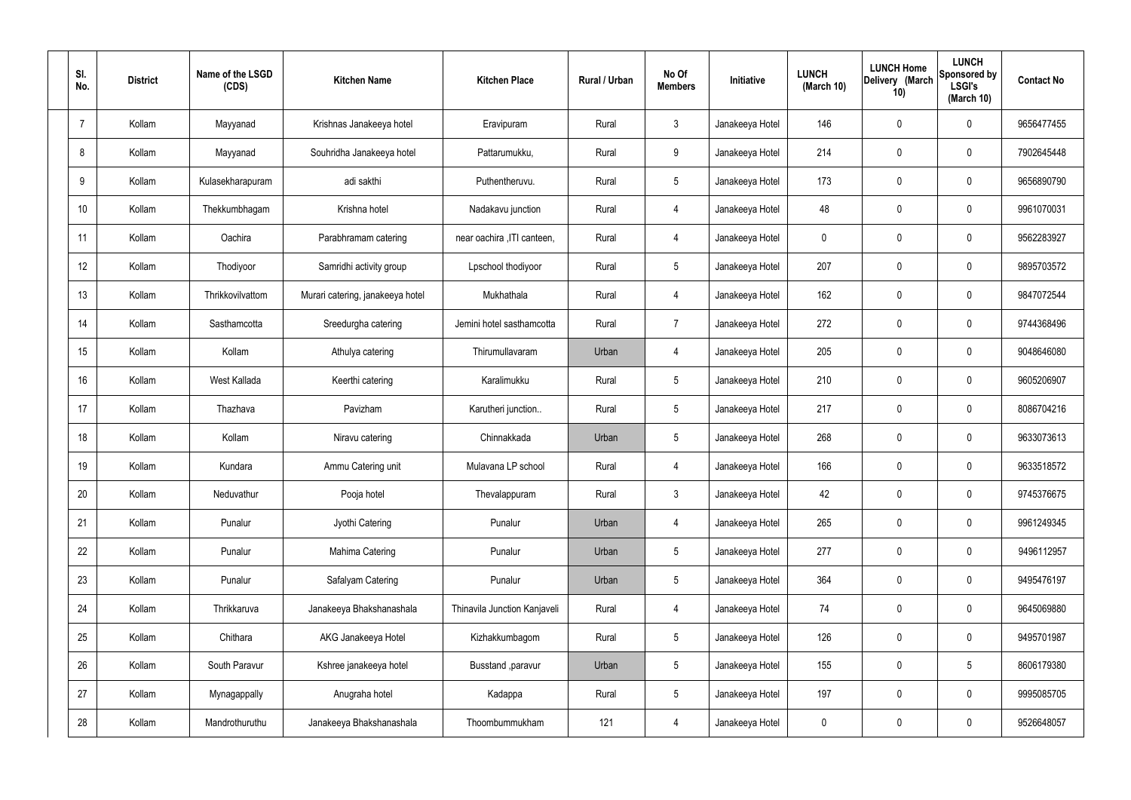| SI.<br>No.     | <b>District</b> | Name of the LSGD<br>(CDS) | <b>Kitchen Name</b>              | <b>Kitchen Place</b>         | Rural / Urban | No Of<br><b>Members</b> | Initiative      | <b>LUNCH</b><br>(March 10) | <b>LUNCH Home</b><br>Delivery (March<br>10) | <b>LUNCH</b><br>Sponsored by<br><b>LSGI's</b><br>(March 10) | <b>Contact No</b> |
|----------------|-----------------|---------------------------|----------------------------------|------------------------------|---------------|-------------------------|-----------------|----------------------------|---------------------------------------------|-------------------------------------------------------------|-------------------|
| $\overline{7}$ | Kollam          | Mayyanad                  | Krishnas Janakeeya hotel         | Eravipuram                   | Rural         | $\mathbf{3}$            | Janakeeya Hotel | 146                        | 0                                           | $\mathbf 0$                                                 | 9656477455        |
| 8              | Kollam          | Mayyanad                  | Souhridha Janakeeya hotel        | Pattarumukku,                | Rural         | 9                       | Janakeeya Hotel | 214                        | $\mathbf 0$                                 | $\mathbf 0$                                                 | 7902645448        |
| 9              | Kollam          | Kulasekharapuram          | adi sakthi                       | Puthentheruvu.               | Rural         | $5\phantom{.0}$         | Janakeeya Hotel | 173                        | 0                                           | $\mathbf 0$                                                 | 9656890790        |
| 10             | Kollam          | Thekkumbhagam             | Krishna hotel                    | Nadakavu junction            | Rural         | $\overline{4}$          | Janakeeya Hotel | 48                         | $\mathbf 0$                                 | $\mathbf 0$                                                 | 9961070031        |
| 11             | Kollam          | Oachira                   | Parabhramam catering             | near oachira , ITI canteen,  | Rural         | $\overline{4}$          | Janakeeya Hotel | $\mathbf 0$                | $\mathbf 0$                                 | $\mathbf 0$                                                 | 9562283927        |
| 12             | Kollam          | Thodiyoor                 | Samridhi activity group          | Lpschool thodiyoor           | Rural         | $5\phantom{.0}$         | Janakeeya Hotel | 207                        | 0                                           | $\mathbf 0$                                                 | 9895703572        |
| 13             | Kollam          | Thrikkovilvattom          | Murari catering, janakeeya hotel | Mukhathala                   | Rural         | $\overline{4}$          | Janakeeya Hotel | 162                        | $\mathbf 0$                                 | $\mathbf 0$                                                 | 9847072544        |
| 14             | Kollam          | Sasthamcotta              | Sreedurgha catering              | Jemini hotel sasthamcotta    | Rural         | $\overline{7}$          | Janakeeya Hotel | 272                        | 0                                           | $\mathbf 0$                                                 | 9744368496        |
| 15             | Kollam          | Kollam                    | Athulya catering                 | Thirumullavaram              | Urban         | 4                       | Janakeeya Hotel | 205                        | $\mathbf 0$                                 | $\mathbf 0$                                                 | 9048646080        |
| 16             | Kollam          | West Kallada              | Keerthi catering                 | Karalimukku                  | Rural         | $5\phantom{.0}$         | Janakeeya Hotel | 210                        | 0                                           | $\mathbf 0$                                                 | 9605206907        |
| 17             | Kollam          | Thazhava                  | Pavizham                         | Karutheri junction           | Rural         | $5\phantom{.0}$         | Janakeeya Hotel | 217                        | 0                                           | $\mathbf 0$                                                 | 8086704216        |
| 18             | Kollam          | Kollam                    | Niravu catering                  | Chinnakkada                  | Urban         | $5\phantom{.0}$         | Janakeeya Hotel | 268                        | 0                                           | $\mathbf 0$                                                 | 9633073613        |
| 19             | Kollam          | Kundara                   | Ammu Catering unit               | Mulavana LP school           | Rural         | 4                       | Janakeeya Hotel | 166                        | 0                                           | $\mathbf 0$                                                 | 9633518572        |
| 20             | Kollam          | Neduvathur                | Pooja hotel                      | Thevalappuram                | Rural         | $\mathbf{3}$            | Janakeeya Hotel | 42                         | $\mathbf 0$                                 | $\mathbf 0$                                                 | 9745376675        |
| 21             | Kollam          | Punalur                   | Jyothi Catering                  | Punalur                      | Urban         | $\overline{4}$          | Janakeeya Hotel | 265                        | $\mathbf 0$                                 | $\mathbf 0$                                                 | 9961249345        |
| 22             | Kollam          | Punalur                   | Mahima Catering                  | Punalur                      | Urban         | $5\phantom{.0}$         | Janakeeya Hotel | 277                        | 0                                           | $\mathbf 0$                                                 | 9496112957        |
| 23             | Kollam          | Punalur                   | Safalyam Catering                | Punalur                      | Urban         | $5\phantom{.0}$         | Janakeeya Hotel | 364                        | 0                                           | $\mathbf 0$                                                 | 9495476197        |
| 24             | Kollam          | Thrikkaruva               | Janakeeya Bhakshanashala         | Thinavila Junction Kanjaveli | Rural         | $\overline{4}$          | Janakeeya Hotel | 74                         | 0                                           | $\mathbf 0$                                                 | 9645069880        |
| 25             | Kollam          | Chithara                  | AKG Janakeeya Hotel              | Kizhakkumbagom               | Rural         | $5\phantom{.0}$         | Janakeeya Hotel | 126                        | 0                                           | $\mathbf 0$                                                 | 9495701987        |
| 26             | Kollam          | South Paravur             | Kshree janakeeya hotel           | Busstand , paravur           | Urban         | $5\phantom{.0}$         | Janakeeya Hotel | 155                        | 0                                           | $5\phantom{.0}$                                             | 8606179380        |
| 27             | Kollam          | Mynagappally              | Anugraha hotel                   | Kadappa                      | Rural         | $5\phantom{.0}$         | Janakeeya Hotel | 197                        | 0                                           | $\mathbf 0$                                                 | 9995085705        |
| 28             | Kollam          | Mandrothuruthu            | Janakeeya Bhakshanashala         | Thoombummukham               | 121           | 4                       | Janakeeya Hotel | 0                          | 0                                           | $\mathbf 0$                                                 | 9526648057        |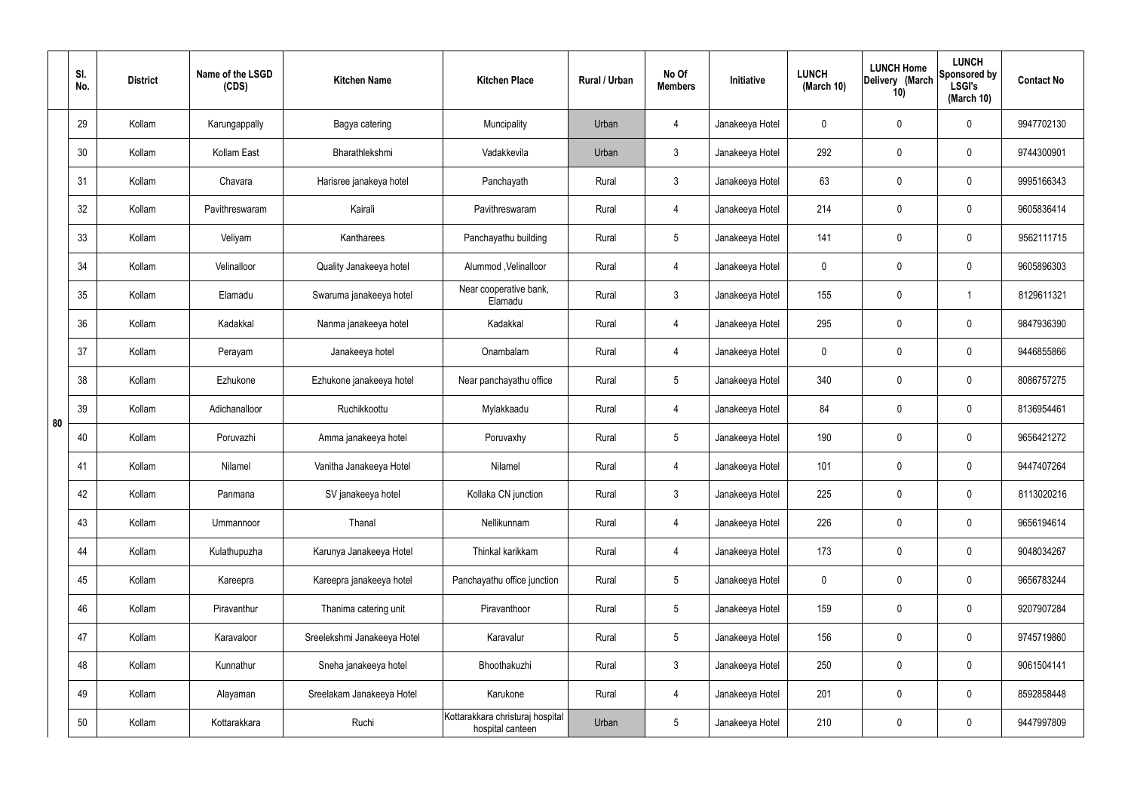|    | SI.<br>No. | <b>District</b> | Name of the LSGD<br>(CDS) | <b>Kitchen Name</b>         | <b>Kitchen Place</b>                                 | Rural / Urban | No Of<br><b>Members</b> | Initiative      | <b>LUNCH</b><br>(March 10) | <b>LUNCH Home</b><br>Delivery (March<br>10) | <b>LUNCH</b><br>Sponsored by<br><b>LSGI's</b><br>(March 10) | <b>Contact No</b> |
|----|------------|-----------------|---------------------------|-----------------------------|------------------------------------------------------|---------------|-------------------------|-----------------|----------------------------|---------------------------------------------|-------------------------------------------------------------|-------------------|
|    | 29         | Kollam          | Karungappally             | Bagya catering              | Muncipality                                          | Urban         | $\overline{4}$          | Janakeeya Hotel | $\mathbf 0$                | $\boldsymbol{0}$                            | $\mathbf 0$                                                 | 9947702130        |
|    | 30         | Kollam          | Kollam East               | Bharathlekshmi              | Vadakkevila                                          | Urban         | $\mathbf{3}$            | Janakeeya Hotel | 292                        | 0                                           | $\mathbf 0$                                                 | 9744300901        |
|    | 31         | Kollam          | Chavara                   | Harisree janakeya hotel     | Panchayath                                           | Rural         | $\mathbf{3}$            | Janakeeya Hotel | 63                         | 0                                           | $\mathbf 0$                                                 | 9995166343        |
|    | 32         | Kollam          | Pavithreswaram            | Kairali                     | Pavithreswaram                                       | Rural         | $\overline{4}$          | Janakeeya Hotel | 214                        | $\mathbf 0$                                 | $\mathbf 0$                                                 | 9605836414        |
|    | 33         | Kollam          | Veliyam                   | Kantharees                  | Panchayathu building                                 | Rural         | $5\phantom{.0}$         | Janakeeya Hotel | 141                        | $\mathbf 0$                                 | $\mathbf 0$                                                 | 9562111715        |
|    | 34         | Kollam          | Velinalloor               | Quality Janakeeya hotel     | Alummod, Velinalloor                                 | Rural         | $\overline{4}$          | Janakeeya Hotel | $\mathbf 0$                | 0                                           | $\mathbf 0$                                                 | 9605896303        |
|    | 35         | Kollam          | Elamadu                   | Swaruma janakeeya hotel     | Near cooperative bank,<br>Elamadu                    | Rural         | $\mathbf{3}$            | Janakeeya Hotel | 155                        | $\mathbf 0$                                 | -1                                                          | 8129611321        |
|    | 36         | Kollam          | Kadakkal                  | Nanma janakeeya hotel       | Kadakkal                                             | Rural         | $\overline{4}$          | Janakeeya Hotel | 295                        | 0                                           | $\mathbf 0$                                                 | 9847936390        |
|    | 37         | Kollam          | Perayam                   | Janakeeya hotel             | Onambalam                                            | Rural         | $\overline{4}$          | Janakeeya Hotel | $\mathbf 0$                | 0                                           | $\mathbf 0$                                                 | 9446855866        |
|    | 38         | Kollam          | Ezhukone                  | Ezhukone janakeeya hotel    | Near panchayathu office                              | Rural         | $5\phantom{.0}$         | Janakeeya Hotel | 340                        | 0                                           | $\mathbf 0$                                                 | 8086757275        |
| 80 | 39         | Kollam          | Adichanalloor             | Ruchikkoottu                | Mylakkaadu                                           | Rural         | 4                       | Janakeeya Hotel | 84                         | 0                                           | $\mathbf 0$                                                 | 8136954461        |
|    | 40         | Kollam          | Poruvazhi                 | Amma janakeeya hotel        | Poruvaxhy                                            | Rural         | $5\phantom{.0}$         | Janakeeya Hotel | 190                        | 0                                           | $\mathbf 0$                                                 | 9656421272        |
|    | 41         | Kollam          | Nilamel                   | Vanitha Janakeeya Hotel     | Nilamel                                              | Rural         | 4                       | Janakeeya Hotel | 101                        | 0                                           | $\mathbf 0$                                                 | 9447407264        |
|    | 42         | Kollam          | Panmana                   | SV janakeeya hotel          | Kollaka CN junction                                  | Rural         | $\mathbf{3}$            | Janakeeya Hotel | 225                        | $\mathbf 0$                                 | $\mathbf 0$                                                 | 8113020216        |
|    | 43         | Kollam          | Ummannoor                 | Thanal                      | Nellikunnam                                          | Rural         | $\overline{4}$          | Janakeeya Hotel | 226                        | $\mathbf 0$                                 | $\mathbf 0$                                                 | 9656194614        |
|    | 44         | Kollam          | Kulathupuzha              | Karunya Janakeeya Hotel     | Thinkal karikkam                                     | Rural         | $\overline{4}$          | Janakeeya Hotel | 173                        | 0                                           | $\mathbf 0$                                                 | 9048034267        |
|    | 45         | Kollam          | Kareepra                  | Kareepra janakeeya hotel    | Panchayathu office junction                          | Rural         | $5\phantom{.0}$         | Janakeeya Hotel | $\mathbf 0$                | 0                                           | $\mathbf 0$                                                 | 9656783244        |
|    | 46         | Kollam          | Piravanthur               | Thanima catering unit       | Piravanthoor                                         | Rural         | $5\phantom{.0}$         | Janakeeya Hotel | 159                        | 0                                           | $\mathbf 0$                                                 | 9207907284        |
|    | 47         | Kollam          | Karavaloor                | Sreelekshmi Janakeeya Hotel | Karavalur                                            | Rural         | $5\phantom{.0}$         | Janakeeya Hotel | 156                        | 0                                           | $\mathbf 0$                                                 | 9745719860        |
|    | 48         | Kollam          | Kunnathur                 | Sneha janakeeya hotel       | Bhoothakuzhi                                         | Rural         | $\mathfrak{Z}$          | Janakeeya Hotel | 250                        | 0                                           | $\mathbf 0$                                                 | 9061504141        |
|    | 49         | Kollam          | Alayaman                  | Sreelakam Janakeeya Hotel   | Karukone                                             | Rural         | $\overline{4}$          | Janakeeya Hotel | 201                        | 0                                           | $\mathbf 0$                                                 | 8592858448        |
|    | 50         | Kollam          | Kottarakkara              | Ruchi                       | Kottarakkara christuraj hospital<br>hospital canteen | Urban         | $5\phantom{.0}$         | Janakeeya Hotel | 210                        | 0                                           | $\mathbf 0$                                                 | 9447997809        |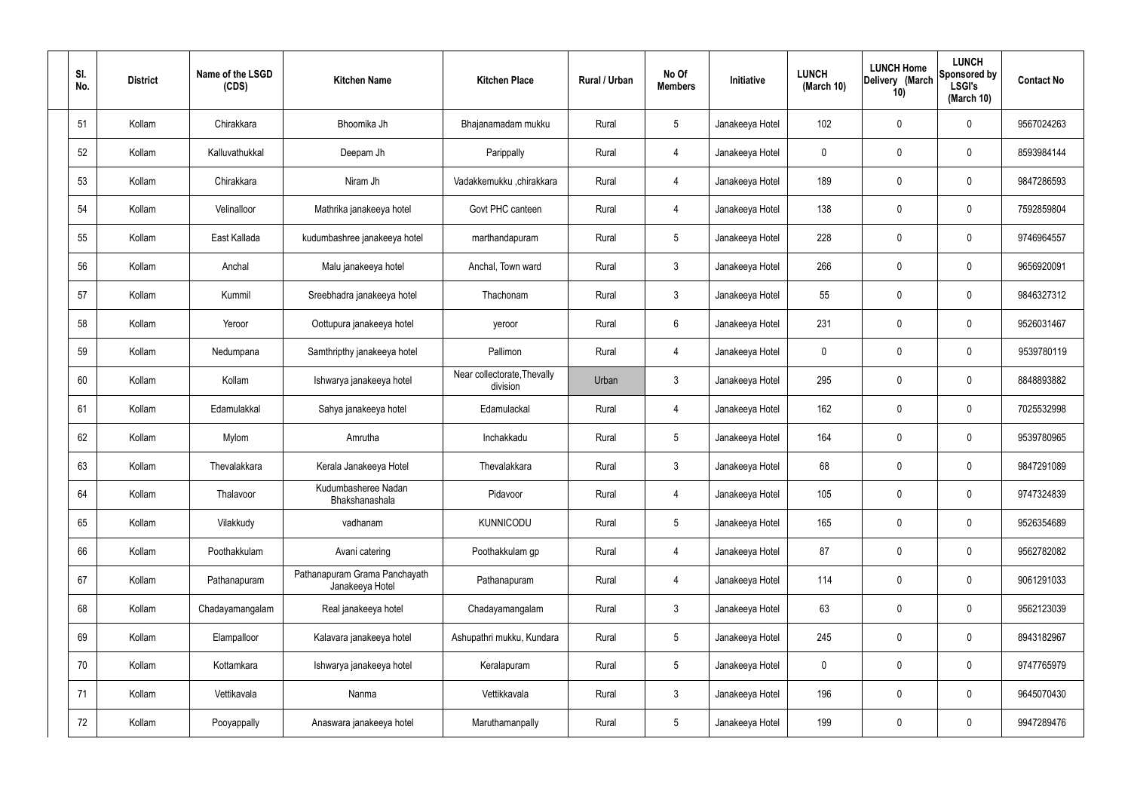| SI.<br>No. | <b>District</b> | Name of the LSGD<br>(CDS) | <b>Kitchen Name</b>                              | <b>Kitchen Place</b>                    | Rural / Urban | No Of<br><b>Members</b> | Initiative      | <b>LUNCH</b><br>(March 10) | <b>LUNCH Home</b><br>Delivery (March<br>10) | <b>LUNCH</b><br>Sponsored by<br><b>LSGI's</b><br>(March 10) | <b>Contact No</b> |
|------------|-----------------|---------------------------|--------------------------------------------------|-----------------------------------------|---------------|-------------------------|-----------------|----------------------------|---------------------------------------------|-------------------------------------------------------------|-------------------|
| 51         | Kollam          | Chirakkara                | Bhoomika Jh                                      | Bhajanamadam mukku                      | Rural         | $5\phantom{.0}$         | Janakeeya Hotel | 102                        | 0                                           | $\mathbf 0$                                                 | 9567024263        |
| 52         | Kollam          | Kalluvathukkal            | Deepam Jh                                        | Parippally                              | Rural         | $\overline{4}$          | Janakeeya Hotel | $\mathbf 0$                | 0                                           | $\mathbf 0$                                                 | 8593984144        |
| 53         | Kollam          | Chirakkara                | Niram Jh                                         | Vadakkemukku ,chirakkara                | Rural         | $\overline{4}$          | Janakeeya Hotel | 189                        | $\mathbf 0$                                 | $\mathbf 0$                                                 | 9847286593        |
| 54         | Kollam          | Velinalloor               | Mathrika janakeeya hotel                         | Govt PHC canteen                        | Rural         | $\overline{4}$          | Janakeeya Hotel | 138                        | 0                                           | $\mathbf 0$                                                 | 7592859804        |
| 55         | Kollam          | East Kallada              | kudumbashree janakeeya hotel                     | marthandapuram                          | Rural         | $5\phantom{.0}$         | Janakeeya Hotel | 228                        | $\mathbf 0$                                 | $\mathbf 0$                                                 | 9746964557        |
| 56         | Kollam          | Anchal                    | Malu janakeeya hotel                             | Anchal, Town ward                       | Rural         | $\mathbf{3}$            | Janakeeya Hotel | 266                        | 0                                           | $\mathbf 0$                                                 | 9656920091        |
| 57         | Kollam          | Kummil                    | Sreebhadra janakeeya hotel                       | Thachonam                               | Rural         | $\mathbf{3}$            | Janakeeya Hotel | 55                         | $\mathbf 0$                                 | $\mathbf 0$                                                 | 9846327312        |
| 58         | Kollam          | Yeroor                    | Oottupura janakeeya hotel                        | yeroor                                  | Rural         | $6\overline{6}$         | Janakeeya Hotel | 231                        | 0                                           | $\mathbf 0$                                                 | 9526031467        |
| 59         | Kollam          | Nedumpana                 | Samthripthy janakeeya hotel                      | Pallimon                                | Rural         | $\overline{4}$          | Janakeeya Hotel | $\mathbf 0$                | $\mathbf 0$                                 | $\mathbf 0$                                                 | 9539780119        |
| 60         | Kollam          | Kollam                    | Ishwarya janakeeya hotel                         | Near collectorate, Thevally<br>division | Urban         | $\mathbf{3}$            | Janakeeya Hotel | 295                        | 0                                           | $\mathbf 0$                                                 | 8848893882        |
| 61         | Kollam          | Edamulakkal               | Sahya janakeeya hotel                            | Edamulackal                             | Rural         | 4                       | Janakeeya Hotel | 162                        | 0                                           | $\mathbf 0$                                                 | 7025532998        |
| 62         | Kollam          | Mylom                     | Amrutha                                          | Inchakkadu                              | Rural         | $5\phantom{.0}$         | Janakeeya Hotel | 164                        | 0                                           | $\mathbf 0$                                                 | 9539780965        |
| 63         | Kollam          | Thevalakkara              | Kerala Janakeeya Hotel                           | Thevalakkara                            | Rural         | $\mathbf{3}$            | Janakeeya Hotel | 68                         | 0                                           | $\mathbf 0$                                                 | 9847291089        |
| 64         | Kollam          | Thalavoor                 | Kudumbasheree Nadan<br>Bhakshanashala            | Pidavoor                                | Rural         | $\overline{4}$          | Janakeeya Hotel | 105                        | $\mathbf 0$                                 | $\mathbf 0$                                                 | 9747324839        |
| 65         | Kollam          | Vilakkudy                 | vadhanam                                         | <b>KUNNICODU</b>                        | Rural         | $5\phantom{.0}$         | Janakeeya Hotel | 165                        | $\mathbf 0$                                 | $\mathbf 0$                                                 | 9526354689        |
| 66         | Kollam          | Poothakkulam              | Avani catering                                   | Poothakkulam gp                         | Rural         | $\overline{4}$          | Janakeeya Hotel | 87                         | $\mathbf 0$                                 | $\mathbf 0$                                                 | 9562782082        |
| 67         | Kollam          | Pathanapuram              | Pathanapuram Grama Panchayath<br>Janakeeya Hotel | Pathanapuram                            | Rural         | $\overline{4}$          | Janakeeya Hotel | 114                        | $\mathbf 0$                                 | $\mathbf 0$                                                 | 9061291033        |
| 68         | Kollam          | Chadayamangalam           | Real janakeeya hotel                             | Chadayamangalam                         | Rural         | $\mathfrak{Z}$          | Janakeeya Hotel | 63                         | 0                                           | $\mathbf 0$                                                 | 9562123039        |
| 69         | Kollam          | Elampalloor               | Kalavara janakeeya hotel                         | Ashupathri mukku, Kundara               | Rural         | $5\phantom{.0}$         | Janakeeya Hotel | 245                        | 0                                           | $\mathbf 0$                                                 | 8943182967        |
| 70         | Kollam          | Kottamkara                | Ishwarya janakeeya hotel                         | Keralapuram                             | Rural         | $5\phantom{.0}$         | Janakeeya Hotel | $\mathbf 0$                | 0                                           | $\mathbf 0$                                                 | 9747765979        |
| 71         | Kollam          | Vettikavala               | Nanma                                            | Vettikkavala                            | Rural         | $\mathfrak{Z}$          | Janakeeya Hotel | 196                        | 0                                           | $\mathbf 0$                                                 | 9645070430        |
| 72         | Kollam          | Pooyappally               | Anaswara janakeeya hotel                         | Maruthamanpally                         | Rural         | $5\,$                   | Janakeeya Hotel | 199                        | 0                                           | $\mathbf 0$                                                 | 9947289476        |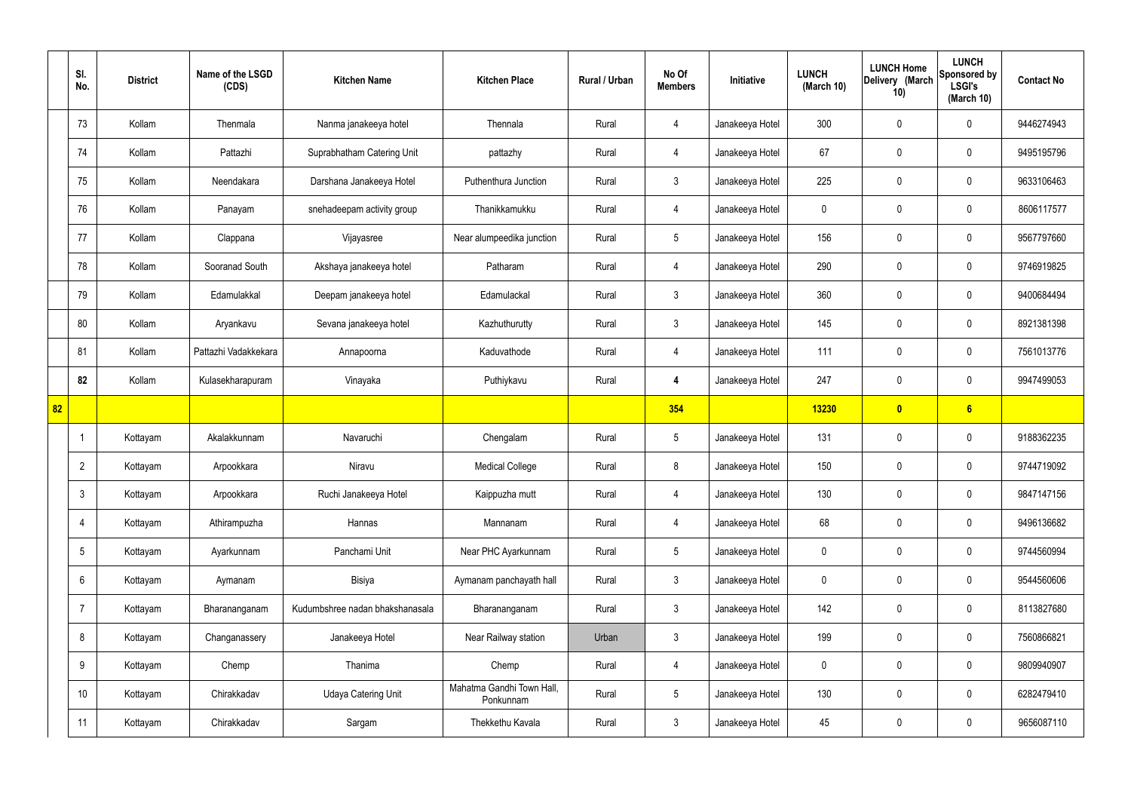|    | SI.<br>No.      | <b>District</b> | Name of the LSGD<br>(CDS) | <b>Kitchen Name</b>             | <b>Kitchen Place</b>                   | Rural / Urban | No Of<br><b>Members</b> | Initiative      | <b>LUNCH</b><br>(March 10) | <b>LUNCH Home</b><br>Delivery (March<br>10) | <b>LUNCH</b><br>Sponsored by<br><b>LSGI's</b><br>(March 10) | <b>Contact No</b> |
|----|-----------------|-----------------|---------------------------|---------------------------------|----------------------------------------|---------------|-------------------------|-----------------|----------------------------|---------------------------------------------|-------------------------------------------------------------|-------------------|
|    | 73              | Kollam          | Thenmala                  | Nanma janakeeya hotel           | Thennala                               | Rural         | 4                       | Janakeeya Hotel | 300                        | $\mathbf 0$                                 | $\mathbf 0$                                                 | 9446274943        |
|    | 74              | Kollam          | Pattazhi                  | Suprabhatham Catering Unit      | pattazhy                               | Rural         | $\overline{4}$          | Janakeeya Hotel | 67                         | $\mathbf 0$                                 | $\mathbf 0$                                                 | 9495195796        |
|    | 75              | Kollam          | Neendakara                | Darshana Janakeeya Hotel        | Puthenthura Junction                   | Rural         | $\mathbf{3}$            | Janakeeya Hotel | 225                        | $\mathbf 0$                                 | $\mathbf 0$                                                 | 9633106463        |
|    | 76              | Kollam          | Panayam                   | snehadeepam activity group      | Thanikkamukku                          | Rural         | $\overline{4}$          | Janakeeya Hotel | $\mathbf 0$                | $\mathbf 0$                                 | $\mathbf 0$                                                 | 8606117577        |
|    | 77              | Kollam          | Clappana                  | Vijayasree                      | Near alumpeedika junction              | Rural         | $5\overline{)}$         | Janakeeya Hotel | 156                        | $\mathbf 0$                                 | $\mathbf 0$                                                 | 9567797660        |
|    | 78              | Kollam          | Sooranad South            | Akshaya janakeeya hotel         | Patharam                               | Rural         | $\overline{4}$          | Janakeeya Hotel | 290                        | $\mathbf 0$                                 | $\mathbf 0$                                                 | 9746919825        |
|    | 79              | Kollam          | Edamulakkal               | Deepam janakeeya hotel          | Edamulackal                            | Rural         | 3                       | Janakeeya Hotel | 360                        | $\mathbf 0$                                 | $\mathbf 0$                                                 | 9400684494        |
|    | 80              | Kollam          | Aryankavu                 | Sevana janakeeya hotel          | Kazhuthurutty                          | Rural         | $\mathbf{3}$            | Janakeeya Hotel | 145                        | $\mathbf 0$                                 | $\mathbf 0$                                                 | 8921381398        |
|    | 81              | Kollam          | Pattazhi Vadakkekara      | Annapoorna                      | Kaduvathode                            | Rural         | 4                       | Janakeeya Hotel | 111                        | $\mathbf 0$                                 | $\mathbf 0$                                                 | 7561013776        |
|    | 82              | Kollam          | Kulasekharapuram          | Vinayaka                        | Puthiykavu                             | Rural         | $\overline{4}$          | Janakeeya Hotel | 247                        | $\mathbf 0$                                 | $\mathbf 0$                                                 | 9947499053        |
| 82 |                 |                 |                           |                                 |                                        |               | 354                     |                 | 13230                      | $\boldsymbol{0}$                            | 6                                                           |                   |
|    | -1              | Kottayam        | Akalakkunnam              | Navaruchi                       | Chengalam                              | Rural         | $5\phantom{.0}$         | Janakeeya Hotel | 131                        | $\mathbf 0$                                 | $\mathbf 0$                                                 | 9188362235        |
|    | $\overline{2}$  | Kottayam        | Arpookkara                | Niravu                          | <b>Medical College</b>                 | Rural         | 8                       | Janakeeya Hotel | 150                        | $\mathbf 0$                                 | $\mathbf 0$                                                 | 9744719092        |
|    | $\mathbf{3}$    | Kottayam        | Arpookkara                | Ruchi Janakeeya Hotel           | Kaippuzha mutt                         | Rural         | $\overline{4}$          | Janakeeya Hotel | 130                        | $\pmb{0}$                                   | $\mathbf 0$                                                 | 9847147156        |
|    | $\overline{4}$  | Kottayam        | Athirampuzha              | Hannas                          | Mannanam                               | Rural         | $\overline{4}$          | Janakeeya Hotel | 68                         | $\pmb{0}$                                   | $\mathbf 0$                                                 | 9496136682        |
|    | $5\overline{)}$ | Kottayam        | Ayarkunnam                | Panchami Unit                   | Near PHC Ayarkunnam                    | Rural         | $5\overline{)}$         | Janakeeya Hotel | $\mathbf 0$                | $\mathbf 0$                                 | $\mathbf 0$                                                 | 9744560994        |
|    | 6               | Kottayam        | Aymanam                   | Bisiya                          | Aymanam panchayath hall                | Rural         | $\mathbf{3}$            | Janakeeya Hotel | $\mathbf 0$                | 0                                           | $\mathbf 0$                                                 | 9544560606        |
|    | $\overline{7}$  | Kottayam        | Bharananganam             | Kudumbshree nadan bhakshanasala | Bharananganam                          | Rural         | $3\phantom{a}$          | Janakeeya Hotel | 142                        | 0                                           | $\mathbf 0$                                                 | 8113827680        |
|    | 8               | Kottayam        | Changanassery             | Janakeeya Hotel                 | Near Railway station                   | Urban         | $\mathbf{3}$            | Janakeeya Hotel | 199                        | 0                                           | $\mathbf 0$                                                 | 7560866821        |
|    | 9               | Kottayam        | Chemp                     | Thanima                         | Chemp                                  | Rural         | $\overline{4}$          | Janakeeya Hotel | $\mathbf 0$                | 0                                           | $\mathbf 0$                                                 | 9809940907        |
|    | 10              | Kottayam        | Chirakkadav               | <b>Udaya Catering Unit</b>      | Mahatma Gandhi Town Hall,<br>Ponkunnam | Rural         | $5\phantom{.0}$         | Janakeeya Hotel | 130                        | 0                                           | $\mathbf 0$                                                 | 6282479410        |
|    | 11              | Kottayam        | Chirakkadav               | Sargam                          | Thekkethu Kavala                       | Rural         | $\mathbf{3}$            | Janakeeya Hotel | 45                         | 0                                           | $\boldsymbol{0}$                                            | 9656087110        |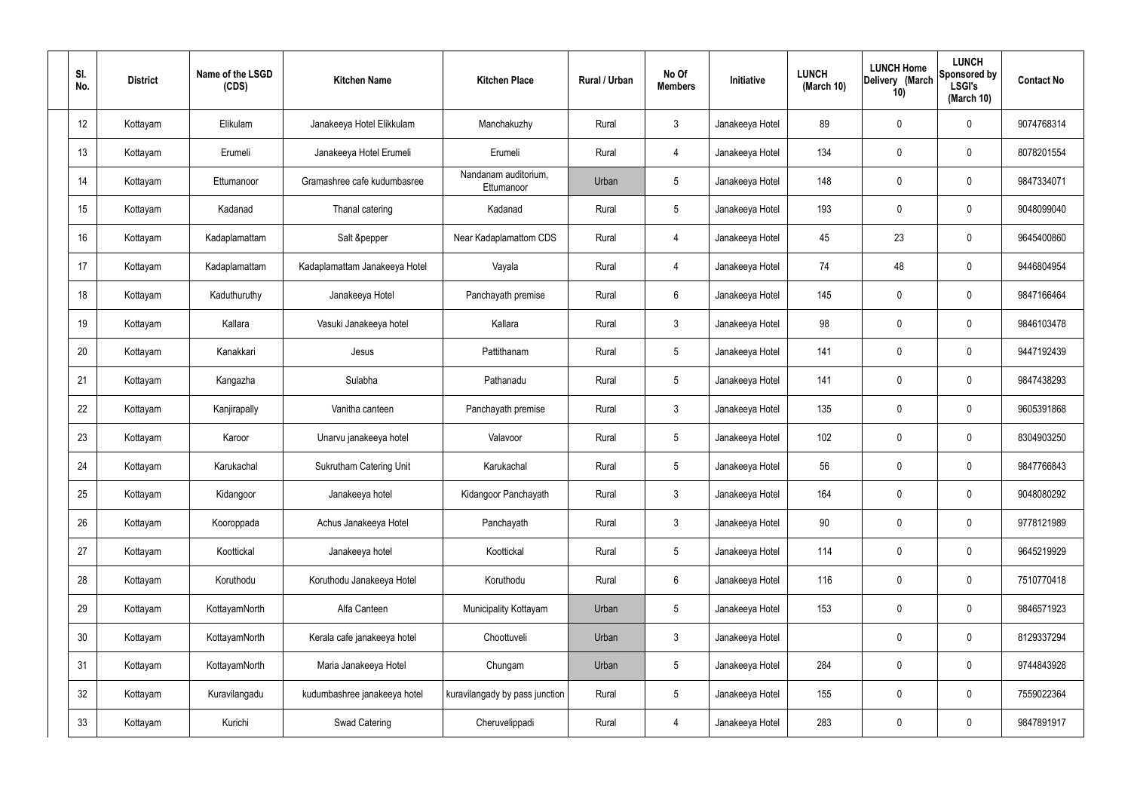| SI.<br>No.      | <b>District</b> | Name of the LSGD<br>(CDS) | <b>Kitchen Name</b>            | <b>Kitchen Place</b>               | Rural / Urban | No Of<br><b>Members</b> | Initiative      | <b>LUNCH</b><br>(March 10) | <b>LUNCH Home</b><br>Delivery (March<br>10) | <b>LUNCH</b><br><b>Sponsored by</b><br><b>LSGI's</b><br>(March 10) | <b>Contact No</b> |
|-----------------|-----------------|---------------------------|--------------------------------|------------------------------------|---------------|-------------------------|-----------------|----------------------------|---------------------------------------------|--------------------------------------------------------------------|-------------------|
| 12              | Kottayam        | Elikulam                  | Janakeeya Hotel Elikkulam      | Manchakuzhy                        | Rural         | $\mathbf{3}$            | Janakeeya Hotel | 89                         | $\mathbf 0$                                 | 0                                                                  | 9074768314        |
| 13              | Kottayam        | Erumeli                   | Janakeeya Hotel Erumeli        | Erumeli                            | Rural         | $\overline{4}$          | Janakeeya Hotel | 134                        | $\mathbf 0$                                 | 0                                                                  | 8078201554        |
| 14              | Kottayam        | Ettumanoor                | Gramashree cafe kudumbasree    | Nandanam auditorium,<br>Ettumanoor | Urban         | $5\phantom{.0}$         | Janakeeya Hotel | 148                        | $\mathbf 0$                                 | 0                                                                  | 9847334071        |
| 15              | Kottayam        | Kadanad                   | Thanal catering                | Kadanad                            | Rural         | $5\phantom{.0}$         | Janakeeya Hotel | 193                        | $\mathbf 0$                                 | 0                                                                  | 9048099040        |
| 16              | Kottayam        | Kadaplamattam             | Salt &pepper                   | Near Kadaplamattom CDS             | Rural         | $\overline{4}$          | Janakeeya Hotel | 45                         | 23                                          | 0                                                                  | 9645400860        |
| 17              | Kottayam        | Kadaplamattam             | Kadaplamattam Janakeeya Hotel  | Vayala                             | Rural         | $\overline{4}$          | Janakeeya Hotel | 74                         | 48                                          | 0                                                                  | 9446804954        |
| 18              | Kottayam        | Kaduthuruthy              | Janakeeya Hotel                | Panchayath premise                 | Rural         | 6                       | Janakeeya Hotel | 145                        | $\mathbf 0$                                 | 0                                                                  | 9847166464        |
| 19              | Kottayam        | Kallara                   | Vasuki Janakeeya hotel         | Kallara                            | Rural         | $\mathbf{3}$            | Janakeeya Hotel | 98                         | $\mathbf 0$                                 | 0                                                                  | 9846103478        |
| 20              | Kottayam        | Kanakkari                 | Jesus                          | Pattithanam                        | Rural         | $5\phantom{.0}$         | Janakeeya Hotel | 141                        | $\mathbf 0$                                 | 0                                                                  | 9447192439        |
| 21              | Kottayam        | Kangazha                  | Sulabha                        | Pathanadu                          | Rural         | $5\phantom{.0}$         | Janakeeya Hotel | 141                        | $\mathbf 0$                                 | 0                                                                  | 9847438293        |
| 22              | Kottayam        | Kanjirapally              | Vanitha canteen                | Panchayath premise                 | Rural         | $\mathbf{3}$            | Janakeeya Hotel | 135                        | 0                                           | 0                                                                  | 9605391868        |
| 23              | Kottayam        | Karoor                    | Unarvu janakeeya hotel         | Valavoor                           | Rural         | $5\phantom{.0}$         | Janakeeya Hotel | 102                        | 0                                           | 0                                                                  | 8304903250        |
| 24              | Kottayam        | Karukachal                | <b>Sukrutham Catering Unit</b> | Karukachal                         | Rural         | 5                       | Janakeeya Hotel | 56                         | $\mathbf 0$                                 | 0                                                                  | 9847766843        |
| 25              | Kottayam        | Kidangoor                 | Janakeeya hotel                | Kidangoor Panchayath               | Rural         | $\mathbf{3}$            | Janakeeya Hotel | 164                        | $\mathbf 0$                                 | 0                                                                  | 9048080292        |
| 26              | Kottayam        | Kooroppada                | Achus Janakeeya Hotel          | Panchayath                         | Rural         | $\mathbf{3}$            | Janakeeya Hotel | 90 <sup>°</sup>            | $\pmb{0}$                                   | 0                                                                  | 9778121989        |
| 27              | Kottayam        | Koottickal                | Janakeeya hotel                | Koottickal                         | Rural         | $5\phantom{.0}$         | Janakeeya Hotel | 114                        | $\mathbf 0$                                 | 0                                                                  | 9645219929        |
| 28              | Kottayam        | Koruthodu                 | Koruthodu Janakeeya Hotel      | Koruthodu                          | Rural         | $6\overline{6}$         | Janakeeya Hotel | 116                        | $\pmb{0}$                                   | 0                                                                  | 7510770418        |
| 29              | Kottayam        | KottayamNorth             | Alfa Canteen                   | Municipality Kottayam              | Urban         | $5\phantom{.0}$         | Janakeeya Hotel | 153                        | $\mathbf 0$                                 | 0                                                                  | 9846571923        |
| 30 <sub>2</sub> | Kottayam        | KottayamNorth             | Kerala cafe janakeeya hotel    | Choottuveli                        | Urban         | $\mathbf{3}$            | Janakeeya Hotel |                            | $\mathbf 0$                                 | 0                                                                  | 8129337294        |
| 31              | Kottayam        | KottayamNorth             | Maria Janakeeya Hotel          | Chungam                            | Urban         | $5\phantom{.0}$         | Janakeeya Hotel | 284                        | $\mathbf 0$                                 | 0                                                                  | 9744843928        |
| 32              | Kottayam        | Kuravilangadu             | kudumbashree janakeeya hotel   | kuravilangady by pass junction     | Rural         | $5\phantom{.0}$         | Janakeeya Hotel | 155                        | $\mathbf 0$                                 | 0                                                                  | 7559022364        |
| 33              | Kottayam        | Kurichi                   | Swad Catering                  | Cheruvelippadi                     | Rural         | $\overline{4}$          | Janakeeya Hotel | 283                        | $\pmb{0}$                                   | 0                                                                  | 9847891917        |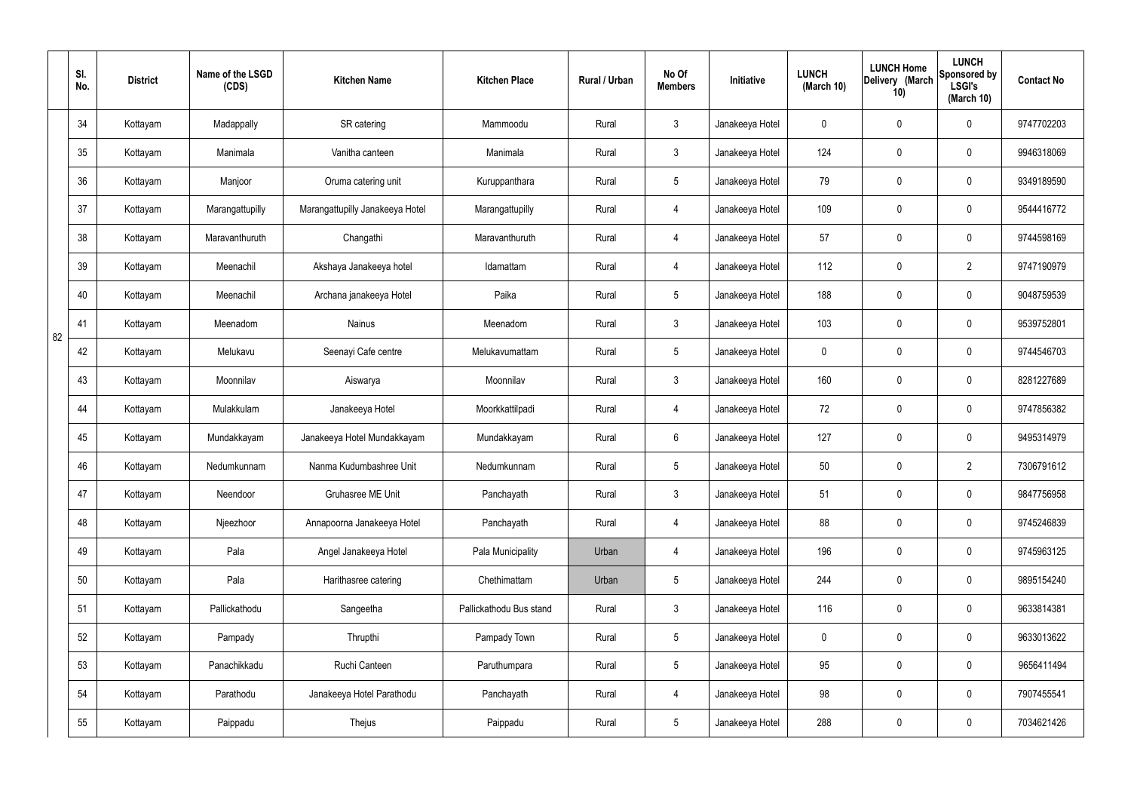|    | SI.<br>No. | <b>District</b> | Name of the LSGD<br>(CDS) | <b>Kitchen Name</b>             | <b>Kitchen Place</b>    | Rural / Urban | No Of<br><b>Members</b> | Initiative      | <b>LUNCH</b><br>(March 10) | <b>LUNCH Home</b><br>Delivery (March<br>10) | <b>LUNCH</b><br>Sponsored by<br><b>LSGI's</b><br>(March 10) | <b>Contact No</b> |
|----|------------|-----------------|---------------------------|---------------------------------|-------------------------|---------------|-------------------------|-----------------|----------------------------|---------------------------------------------|-------------------------------------------------------------|-------------------|
|    | 34         | Kottayam        | Madappally                | SR catering                     | Mammoodu                | Rural         | $\mathbf{3}$            | Janakeeya Hotel | 0                          | 0                                           | $\mathbf 0$                                                 | 9747702203        |
|    | 35         | Kottayam        | Manimala                  | Vanitha canteen                 | Manimala                | Rural         | $\mathbf{3}$            | Janakeeya Hotel | 124                        | 0                                           | $\mathbf 0$                                                 | 9946318069        |
|    | 36         | Kottayam        | Manjoor                   | Oruma catering unit             | Kuruppanthara           | Rural         | $5\phantom{.0}$         | Janakeeya Hotel | 79                         | 0                                           | $\mathbf 0$                                                 | 9349189590        |
|    | 37         | Kottayam        | Marangattupilly           | Marangattupilly Janakeeya Hotel | Marangattupilly         | Rural         | $\overline{4}$          | Janakeeya Hotel | 109                        | 0                                           | $\mathbf 0$                                                 | 9544416772        |
|    | 38         | Kottayam        | Maravanthuruth            | Changathi                       | Maravanthuruth          | Rural         | 4                       | Janakeeya Hotel | 57                         | 0                                           | $\mathbf 0$                                                 | 9744598169        |
|    | 39         | Kottayam        | Meenachil                 | Akshaya Janakeeya hotel         | Idamattam               | Rural         | $\overline{4}$          | Janakeeya Hotel | 112                        | 0                                           | $\overline{2}$                                              | 9747190979        |
|    | 40         | Kottayam        | Meenachil                 | Archana janakeeya Hotel         | Paika                   | Rural         | $5\phantom{.0}$         | Janakeeya Hotel | 188                        | $\boldsymbol{0}$                            | $\mathbf 0$                                                 | 9048759539        |
| 82 | 41         | Kottayam        | Meenadom                  | Nainus                          | Meenadom                | Rural         | $\mathfrak{Z}$          | Janakeeya Hotel | 103                        | $\boldsymbol{0}$                            | $\mathbf 0$                                                 | 9539752801        |
|    | 42         | Kottayam        | Melukavu                  | Seenayi Cafe centre             | Melukavumattam          | Rural         | $5\phantom{.0}$         | Janakeeya Hotel | $\mathbf 0$                | $\boldsymbol{0}$                            | $\mathbf 0$                                                 | 9744546703        |
|    | 43         | Kottayam        | Moonnilav                 | Aiswarya                        | Moonnilav               | Rural         | $\mathbf{3}$            | Janakeeya Hotel | 160                        | 0                                           | $\mathbf 0$                                                 | 8281227689        |
|    | 44         | Kottayam        | Mulakkulam                | Janakeeya Hotel                 | Moorkkattilpadi         | Rural         | 4                       | Janakeeya Hotel | 72                         | 0                                           | $\mathbf 0$                                                 | 9747856382        |
|    | 45         | Kottayam        | Mundakkayam               | Janakeeya Hotel Mundakkayam     | Mundakkayam             | Rural         | $6\phantom{.}6$         | Janakeeya Hotel | 127                        | $\boldsymbol{0}$                            | $\mathbf 0$                                                 | 9495314979        |
|    | 46         | Kottayam        | Nedumkunnam               | Nanma Kudumbashree Unit         | Nedumkunnam             | Rural         | $5\phantom{.0}$         | Janakeeya Hotel | 50                         | 0                                           | $\overline{2}$                                              | 7306791612        |
|    | 47         | Kottayam        | Neendoor                  | Gruhasree ME Unit               | Panchayath              | Rural         | $\mathfrak{Z}$          | Janakeeya Hotel | 51                         | 0                                           | $\mathbf 0$                                                 | 9847756958        |
|    | 48         | Kottayam        | Njeezhoor                 | Annapoorna Janakeeya Hotel      | Panchayath              | Rural         | $\overline{4}$          | Janakeeya Hotel | 88                         | 0                                           | $\mathbf 0$                                                 | 9745246839        |
|    | 49         | Kottayam        | Pala                      | Angel Janakeeya Hotel           | Pala Municipality       | Urban         | $\overline{4}$          | Janakeeya Hotel | 196                        | 0                                           | $\mathbf 0$                                                 | 9745963125        |
|    | 50         | Kottayam        | Pala                      | Harithasree catering            | Chethimattam            | Urban         | $5\overline{)}$         | Janakeeya Hotel | 244                        | 0                                           | $\mathbf 0$                                                 | 9895154240        |
|    | 51         | Kottayam        | Pallickathodu             | Sangeetha                       | Pallickathodu Bus stand | Rural         | $\mathbf{3}$            | Janakeeya Hotel | 116                        | 0                                           | $\mathbf 0$                                                 | 9633814381        |
|    | 52         | Kottayam        | Pampady                   | Thrupthi                        | Pampady Town            | Rural         | $5\overline{)}$         | Janakeeya Hotel | $\mathbf 0$                | 0                                           | $\mathbf 0$                                                 | 9633013622        |
|    | 53         | Kottayam        | Panachikkadu              | Ruchi Canteen                   | Paruthumpara            | Rural         | $5\overline{)}$         | Janakeeya Hotel | 95                         | 0                                           | $\mathbf 0$                                                 | 9656411494        |
|    | 54         | Kottayam        | Parathodu                 | Janakeeya Hotel Parathodu       | Panchayath              | Rural         | $\overline{4}$          | Janakeeya Hotel | 98                         | 0                                           | $\mathbf 0$                                                 | 7907455541        |
|    | 55         | Kottayam        | Paippadu                  | Thejus                          | Paippadu                | Rural         | $\sqrt{5}$              | Janakeeya Hotel | 288                        | $\pmb{0}$                                   | $\boldsymbol{0}$                                            | 7034621426        |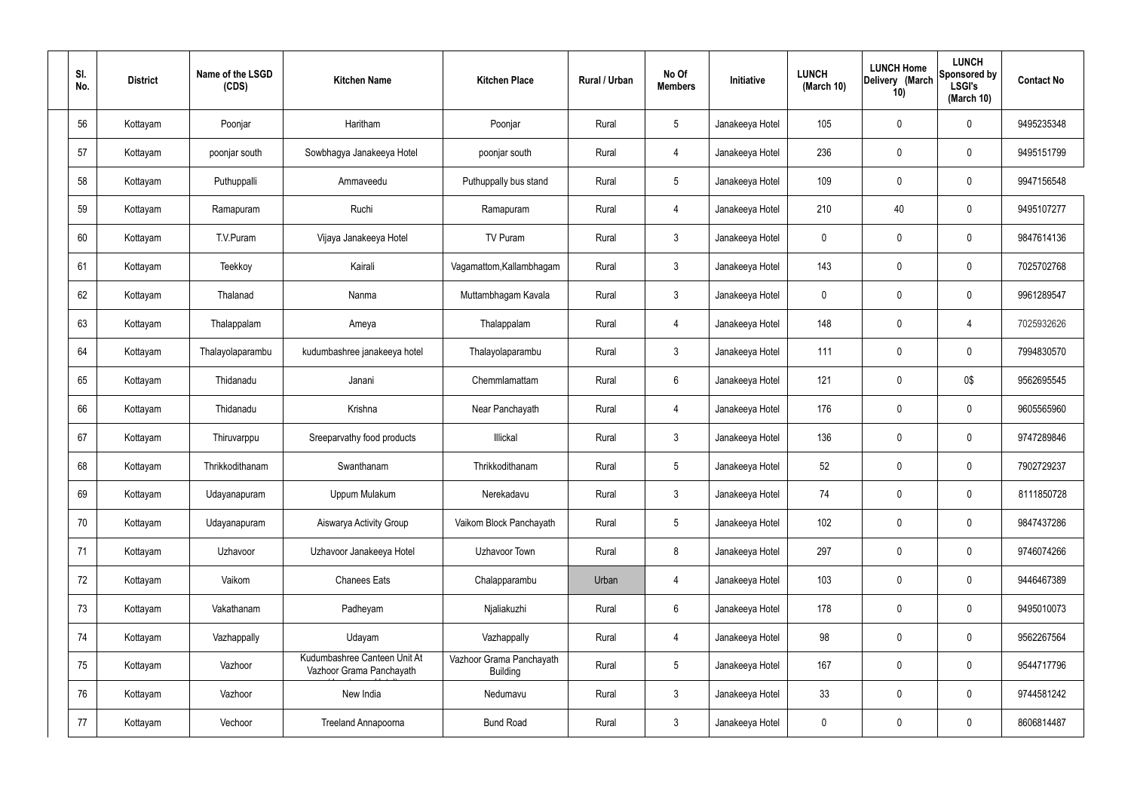| SI.<br>No. | <b>District</b> | Name of the LSGD<br>(CDS) | <b>Kitchen Name</b>                                      | <b>Kitchen Place</b>                        | Rural / Urban | No Of<br><b>Members</b> | Initiative      | <b>LUNCH</b><br>(March 10) | <b>LUNCH Home</b><br>Delivery (March<br>10) | <b>LUNCH</b><br>Sponsored by<br><b>LSGI's</b><br>(March 10) | <b>Contact No</b> |
|------------|-----------------|---------------------------|----------------------------------------------------------|---------------------------------------------|---------------|-------------------------|-----------------|----------------------------|---------------------------------------------|-------------------------------------------------------------|-------------------|
| 56         | Kottayam        | Poonjar                   | Haritham                                                 | Poonjar                                     | Rural         | 5                       | Janakeeya Hotel | 105                        | $\mathbf 0$                                 | 0                                                           | 9495235348        |
| 57         | Kottayam        | poonjar south             | Sowbhagya Janakeeya Hotel                                | poonjar south                               | Rural         | $\overline{4}$          | Janakeeya Hotel | 236                        | $\mathbf 0$                                 | 0                                                           | 9495151799        |
| 58         | Kottayam        | Puthuppalli               | Ammaveedu                                                | Puthuppally bus stand                       | Rural         | $5\phantom{.0}$         | Janakeeya Hotel | 109                        | $\mathbf 0$                                 | 0                                                           | 9947156548        |
| 59         | Kottayam        | Ramapuram                 | Ruchi                                                    | Ramapuram                                   | Rural         | $\overline{4}$          | Janakeeya Hotel | 210                        | 40                                          | 0                                                           | 9495107277        |
| 60         | Kottayam        | T.V.Puram                 | Vijaya Janakeeya Hotel                                   | TV Puram                                    | Rural         | $\mathbf{3}$            | Janakeeya Hotel | 0                          | $\mathbf 0$                                 | 0                                                           | 9847614136        |
| 61         | Kottayam        | Teekkoy                   | Kairali                                                  | Vagamattom, Kallambhagam                    | Rural         | $\mathbf{3}$            | Janakeeya Hotel | 143                        | $\mathbf 0$                                 | 0                                                           | 7025702768        |
| 62         | Kottayam        | Thalanad                  | Nanma                                                    | Muttambhagam Kavala                         | Rural         | $\mathbf{3}$            | Janakeeya Hotel | 0                          | $\mathbf 0$                                 | 0                                                           | 9961289547        |
| 63         | Kottayam        | Thalappalam               | Ameya                                                    | Thalappalam                                 | Rural         | $\overline{4}$          | Janakeeya Hotel | 148                        | $\mathbf 0$                                 | $\overline{4}$                                              | 7025932626        |
| 64         | Kottayam        | Thalayolaparambu          | kudumbashree janakeeya hotel                             | Thalayolaparambu                            | Rural         | $\mathbf{3}$            | Janakeeya Hotel | 111                        | $\mathbf 0$                                 | 0                                                           | 7994830570        |
| 65         | Kottayam        | Thidanadu                 | Janani                                                   | Chemmlamattam                               | Rural         | 6                       | Janakeeya Hotel | 121                        | $\mathbf 0$                                 | 0\$                                                         | 9562695545        |
| 66         | Kottayam        | Thidanadu                 | Krishna                                                  | Near Panchayath                             | Rural         | $\overline{4}$          | Janakeeya Hotel | 176                        | $\mathbf 0$                                 | 0                                                           | 9605565960        |
| 67         | Kottayam        | Thiruvarppu               | Sreeparvathy food products                               | Illickal                                    | Rural         | $\mathbf{3}$            | Janakeeya Hotel | 136                        | $\mathbf 0$                                 | 0                                                           | 9747289846        |
| 68         | Kottayam        | Thrikkodithanam           | Swanthanam                                               | Thrikkodithanam                             | Rural         | 5                       | Janakeeya Hotel | 52                         | $\mathbf 0$                                 | 0                                                           | 7902729237        |
| 69         | Kottayam        | Udayanapuram              | Uppum Mulakum                                            | Nerekadavu                                  | Rural         | $\mathfrak{Z}$          | Janakeeya Hotel | 74                         | $\pmb{0}$                                   | 0                                                           | 8111850728        |
| 70         | Kottayam        | Udayanapuram              | Aiswarya Activity Group                                  | Vaikom Block Panchayath                     | Rural         | $5\phantom{.0}$         | Janakeeya Hotel | 102                        | $\mathbf 0$                                 | 0                                                           | 9847437286        |
| 71         | Kottayam        | Uzhavoor                  | Uzhavoor Janakeeya Hotel                                 | Uzhavoor Town                               | Rural         | 8                       | Janakeeya Hotel | 297                        | $\mathbf 0$                                 | 0                                                           | 9746074266        |
| 72         | Kottayam        | Vaikom                    | <b>Chanees Eats</b>                                      | Chalapparambu                               | Urban         | $\overline{4}$          | Janakeeya Hotel | 103                        | $\mathbf 0$                                 | 0                                                           | 9446467389        |
| 73         | Kottayam        | Vakathanam                | Padheyam                                                 | Njaliakuzhi                                 | Rural         | $6\phantom{.}6$         | Janakeeya Hotel | 178                        | $\mathbf 0$                                 | 0                                                           | 9495010073        |
| 74         | Kottayam        | Vazhappally               | Udayam                                                   | Vazhappally                                 | Rural         | $\overline{4}$          | Janakeeya Hotel | 98                         | $\mathbf 0$                                 | 0                                                           | 9562267564        |
| 75         | Kottayam        | Vazhoor                   | Kudumbashree Canteen Unit At<br>Vazhoor Grama Panchayath | Vazhoor Grama Panchayath<br><b>Building</b> | Rural         | $5\phantom{.0}$         | Janakeeya Hotel | 167                        | $\mathbf 0$                                 | 0                                                           | 9544717796        |
| 76         | Kottayam        | Vazhoor                   | New India                                                | Nedumavu                                    | Rural         | $\mathbf{3}$            | Janakeeya Hotel | 33                         | $\mathbf 0$                                 | 0                                                           | 9744581242        |
| 77         | Kottayam        | Vechoor                   | Treeland Annapoorna                                      | <b>Bund Road</b>                            | Rural         | $\mathfrak{Z}$          | Janakeeya Hotel | $\boldsymbol{0}$           | $\boldsymbol{0}$                            | 0                                                           | 8606814487        |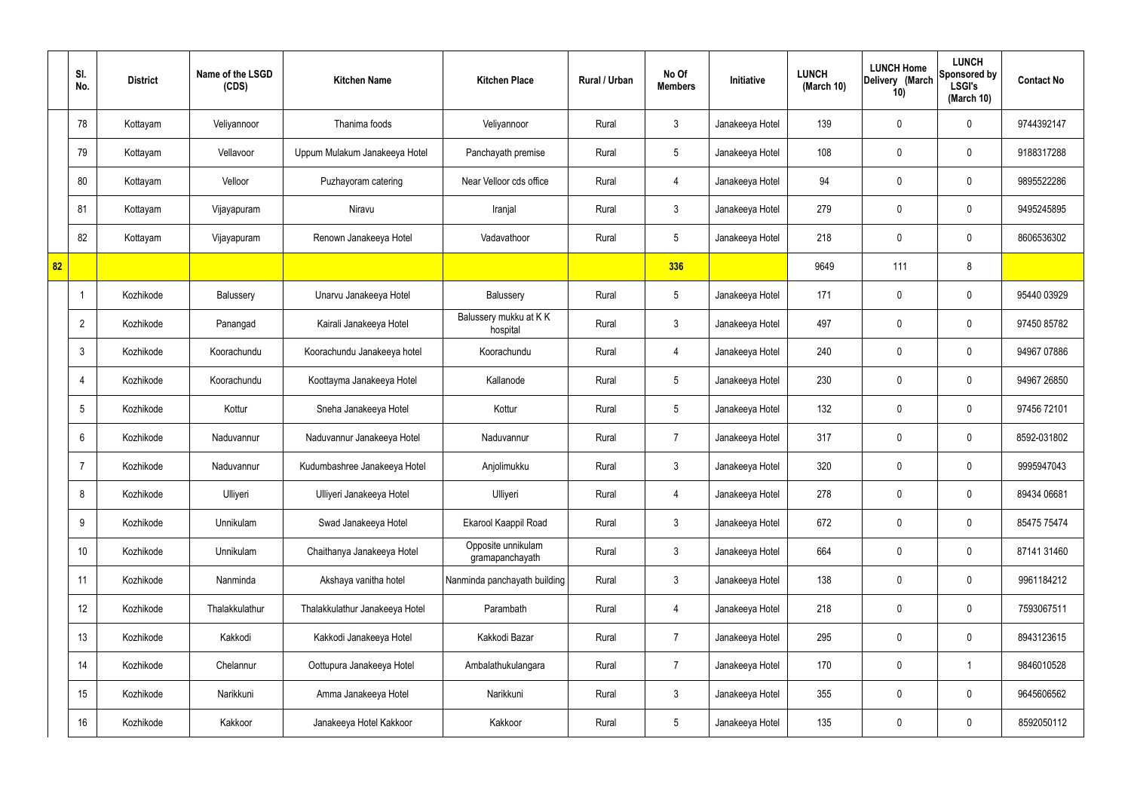|    | SI.<br>No.      | <b>District</b> | Name of the LSGD<br>(CDS) | <b>Kitchen Name</b>            | <b>Kitchen Place</b>                  | Rural / Urban | No Of<br><b>Members</b> | <b>Initiative</b> | <b>LUNCH</b><br>(March 10) | <b>LUNCH Home</b><br>Delivery (March<br>10) | <b>LUNCH</b><br>Sponsored by<br><b>LSGI's</b><br>(March 10) | <b>Contact No</b> |
|----|-----------------|-----------------|---------------------------|--------------------------------|---------------------------------------|---------------|-------------------------|-------------------|----------------------------|---------------------------------------------|-------------------------------------------------------------|-------------------|
|    | 78              | Kottayam        | Veliyannoor               | Thanima foods                  | Veliyannoor                           | Rural         | $\mathbf{3}$            | Janakeeya Hotel   | 139                        | $\mathbf 0$                                 | $\mathbf 0$                                                 | 9744392147        |
|    | 79              | Kottayam        | Vellavoor                 | Uppum Mulakum Janakeeya Hotel  | Panchayath premise                    | Rural         | $5\phantom{.0}$         | Janakeeya Hotel   | 108                        | $\mathbf 0$                                 | $\mathbf 0$                                                 | 9188317288        |
|    | 80              | Kottayam        | Velloor                   | Puzhayoram catering            | Near Velloor cds office               | Rural         | $\overline{4}$          | Janakeeya Hotel   | 94                         | $\mathbf 0$                                 | $\mathbf 0$                                                 | 9895522286        |
|    | 81              | Kottayam        | Vijayapuram               | Niravu                         | Iranjal                               | Rural         | $\mathbf{3}$            | Janakeeya Hotel   | 279                        | $\mathbf 0$                                 | $\mathbf 0$                                                 | 9495245895        |
|    | 82              | Kottayam        | Vijayapuram               | Renown Janakeeya Hotel         | Vadavathoor                           | Rural         | $5\overline{)}$         | Janakeeya Hotel   | 218                        | $\mathbf 0$                                 | $\mathbf 0$                                                 | 8606536302        |
| 82 |                 |                 |                           |                                |                                       |               | 336                     |                   | 9649                       | 111                                         | 8                                                           |                   |
|    | -1              | Kozhikode       | Balussery                 | Unarvu Janakeeya Hotel         | Balussery                             | Rural         | $5\phantom{.0}$         | Janakeeya Hotel   | 171                        | $\mathbf 0$                                 | $\mathbf 0$                                                 | 95440 03929       |
|    | $\overline{2}$  | Kozhikode       | Panangad                  | Kairali Janakeeya Hotel        | Balussery mukku at KK<br>hospital     | Rural         | $\mathbf{3}$            | Janakeeya Hotel   | 497                        | 0                                           | $\mathbf 0$                                                 | 97450 85782       |
|    | $\mathbf{3}$    | Kozhikode       | Koorachundu               | Koorachundu Janakeeya hotel    | Koorachundu                           | Rural         | $\overline{4}$          | Janakeeya Hotel   | 240                        | $\mathbf 0$                                 | $\mathbf 0$                                                 | 94967 07886       |
|    | $\overline{4}$  | Kozhikode       | Koorachundu               | Koottayma Janakeeya Hotel      | Kallanode                             | Rural         | $5\phantom{.0}$         | Janakeeya Hotel   | 230                        | 0                                           | $\mathbf 0$                                                 | 94967 26850       |
|    | $5\overline{)}$ | Kozhikode       | Kottur                    | Sneha Janakeeya Hotel          | Kottur                                | Rural         | $5\phantom{.0}$         | Janakeeya Hotel   | 132                        | 0                                           | $\mathbf 0$                                                 | 97456 72101       |
|    | 6               | Kozhikode       | Naduvannur                | Naduvannur Janakeeya Hotel     | Naduvannur                            | Rural         | $\overline{7}$          | Janakeeya Hotel   | 317                        | $\mathbf 0$                                 | $\mathbf 0$                                                 | 8592-031802       |
|    | $\overline{7}$  | Kozhikode       | Naduvannur                | Kudumbashree Janakeeya Hotel   | Anjolimukku                           | Rural         | $\mathbf{3}$            | Janakeeya Hotel   | 320                        | 0                                           | $\mathbf 0$                                                 | 9995947043        |
|    | 8               | Kozhikode       | Ulliyeri                  | Ulliyeri Janakeeya Hotel       | Ulliyeri                              | Rural         | $\overline{4}$          | Janakeeya Hotel   | 278                        | $\mathbf 0$                                 | $\mathbf 0$                                                 | 89434 06681       |
|    | 9               | Kozhikode       | Unnikulam                 | Swad Janakeeya Hotel           | Ekarool Kaappil Road                  | Rural         | $\mathbf{3}$            | Janakeeya Hotel   | 672                        | $\mathbf 0$                                 | $\mathbf 0$                                                 | 85475 75474       |
|    | 10              | Kozhikode       | Unnikulam                 | Chaithanya Janakeeya Hotel     | Opposite unnikulam<br>gramapanchayath | Rural         | $\mathfrak{Z}$          | Janakeeya Hotel   | 664                        | $\mathbf 0$                                 | $\mathbf 0$                                                 | 87141 31460       |
|    | 11              | Kozhikode       | Nanminda                  | Akshaya vanitha hotel          | Nanminda panchayath building          | Rural         | $\mathfrak{Z}$          | Janakeeya Hotel   | 138                        | 0                                           | $\mathbf 0$                                                 | 9961184212        |
|    | 12              | Kozhikode       | Thalakkulathur            | Thalakkulathur Janakeeya Hotel | Parambath                             | Rural         | $\overline{4}$          | Janakeeya Hotel   | 218                        | 0                                           | $\mathbf 0$                                                 | 7593067511        |
|    | 13              | Kozhikode       | Kakkodi                   | Kakkodi Janakeeya Hotel        | Kakkodi Bazar                         | Rural         | $\overline{7}$          | Janakeeya Hotel   | 295                        | 0                                           | $\mathbf 0$                                                 | 8943123615        |
|    | 14              | Kozhikode       | Chelannur                 | Oottupura Janakeeya Hotel      | Ambalathukulangara                    | Rural         | $\overline{7}$          | Janakeeya Hotel   | 170                        | 0                                           | $\mathbf 1$                                                 | 9846010528        |
|    | 15              | Kozhikode       | Narikkuni                 | Amma Janakeeya Hotel           | Narikkuni                             | Rural         | $\mathfrak{Z}$          | Janakeeya Hotel   | 355                        | 0                                           | $\mathbf 0$                                                 | 9645606562        |
|    | 16              | Kozhikode       | Kakkoor                   | Janakeeya Hotel Kakkoor        | Kakkoor                               | Rural         | $5\,$                   | Janakeeya Hotel   | 135                        | 0                                           | $\mathbf 0$                                                 | 8592050112        |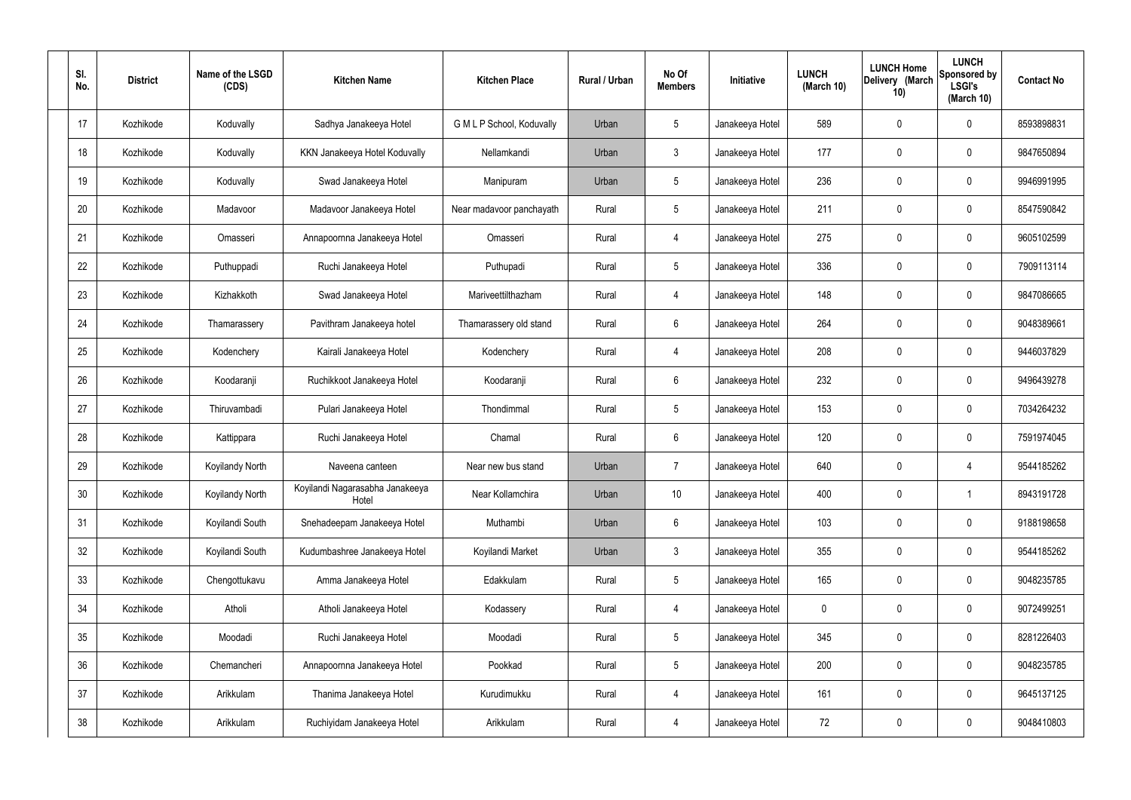| SI.<br>No. | <b>District</b> | Name of the LSGD<br>(CDS) | <b>Kitchen Name</b>                      | <b>Kitchen Place</b>      | Rural / Urban | No Of<br><b>Members</b> | Initiative      | <b>LUNCH</b><br>(March 10) | <b>LUNCH Home</b><br>Delivery (March<br>10) | <b>LUNCH</b><br>Sponsored by<br><b>LSGI's</b><br>(March 10) | <b>Contact No</b> |
|------------|-----------------|---------------------------|------------------------------------------|---------------------------|---------------|-------------------------|-----------------|----------------------------|---------------------------------------------|-------------------------------------------------------------|-------------------|
| 17         | Kozhikode       | Koduvally                 | Sadhya Janakeeya Hotel                   | G M L P School, Koduvally | Urban         | 5                       | Janakeeya Hotel | 589                        | 0                                           | $\mathbf 0$                                                 | 8593898831        |
| 18         | Kozhikode       | Koduvally                 | KKN Janakeeya Hotel Koduvally            | Nellamkandi               | Urban         | $\mathbf{3}$            | Janakeeya Hotel | 177                        | 0                                           | $\mathbf 0$                                                 | 9847650894        |
| 19         | Kozhikode       | Koduvally                 | Swad Janakeeya Hotel                     | Manipuram                 | Urban         | $5\phantom{.0}$         | Janakeeya Hotel | 236                        | 0                                           | $\mathbf 0$                                                 | 9946991995        |
| 20         | Kozhikode       | Madavoor                  | Madavoor Janakeeya Hotel                 | Near madavoor panchayath  | Rural         | $5\phantom{.0}$         | Janakeeya Hotel | 211                        | 0                                           | $\mathbf 0$                                                 | 8547590842        |
| 21         | Kozhikode       | Omasseri                  | Annapoornna Janakeeya Hotel              | Omasseri                  | Rural         | $\overline{4}$          | Janakeeya Hotel | 275                        | 0                                           | $\mathbf 0$                                                 | 9605102599        |
| 22         | Kozhikode       | Puthuppadi                | Ruchi Janakeeya Hotel                    | Puthupadi                 | Rural         | $5\overline{)}$         | Janakeeya Hotel | 336                        | 0                                           | $\mathbf 0$                                                 | 7909113114        |
| 23         | Kozhikode       | Kizhakkoth                | Swad Janakeeya Hotel                     | Mariveettilthazham        | Rural         | $\overline{4}$          | Janakeeya Hotel | 148                        | 0                                           | $\mathbf 0$                                                 | 9847086665        |
| 24         | Kozhikode       | Thamarassery              | Pavithram Janakeeya hotel                | Thamarassery old stand    | Rural         | $6\phantom{.}6$         | Janakeeya Hotel | 264                        | 0                                           | $\mathbf 0$                                                 | 9048389661        |
| 25         | Kozhikode       | Kodenchery                | Kairali Janakeeya Hotel                  | Kodenchery                | Rural         | 4                       | Janakeeya Hotel | 208                        | 0                                           | $\mathbf 0$                                                 | 9446037829        |
| 26         | Kozhikode       | Koodaranji                | Ruchikkoot Janakeeya Hotel               | Koodaranji                | Rural         | $6\phantom{.}6$         | Janakeeya Hotel | 232                        | 0                                           | $\mathbf 0$                                                 | 9496439278        |
| 27         | Kozhikode       | Thiruvambadi              | Pulari Janakeeya Hotel                   | Thondimmal                | Rural         | $5\,$                   | Janakeeya Hotel | 153                        | 0                                           | $\boldsymbol{0}$                                            | 7034264232        |
| 28         | Kozhikode       | Kattippara                | Ruchi Janakeeya Hotel                    | Chamal                    | Rural         | $6\phantom{.}6$         | Janakeeya Hotel | 120                        | 0                                           | $\boldsymbol{0}$                                            | 7591974045        |
| 29         | Kozhikode       | <b>Koyilandy North</b>    | Naveena canteen                          | Near new bus stand        | Urban         | $\overline{7}$          | Janakeeya Hotel | 640                        | 0                                           | 4                                                           | 9544185262        |
| 30         | Kozhikode       | Koyilandy North           | Koyilandi Nagarasabha Janakeeya<br>Hotel | Near Kollamchira          | Urban         | 10 <sup>°</sup>         | Janakeeya Hotel | 400                        | $\mathbf 0$                                 | $\mathbf 1$                                                 | 8943191728        |
| 31         | Kozhikode       | Koyilandi South           | Snehadeepam Janakeeya Hotel              | Muthambi                  | Urban         | $6\,$                   | Janakeeya Hotel | 103                        | $\mathbf 0$                                 | $\mathbf 0$                                                 | 9188198658        |
| 32         | Kozhikode       | Koyilandi South           | Kudumbashree Janakeeya Hotel             | Koyilandi Market          | Urban         | $\mathbf{3}$            | Janakeeya Hotel | 355                        | 0                                           | $\mathbf 0$                                                 | 9544185262        |
| 33         | Kozhikode       | Chengottukavu             | Amma Janakeeya Hotel                     | Edakkulam                 | Rural         | $5\phantom{.0}$         | Janakeeya Hotel | 165                        | 0                                           | $\mathbf 0$                                                 | 9048235785        |
| 34         | Kozhikode       | Atholi                    | Atholi Janakeeya Hotel                   | Kodassery                 | Rural         | 4                       | Janakeeya Hotel | 0                          | 0                                           | $\mathbf 0$                                                 | 9072499251        |
| 35         | Kozhikode       | Moodadi                   | Ruchi Janakeeya Hotel                    | Moodadi                   | Rural         | $5\phantom{.0}$         | Janakeeya Hotel | 345                        | 0                                           | $\mathbf 0$                                                 | 8281226403        |
| 36         | Kozhikode       | Chemancheri               | Annapoornna Janakeeya Hotel              | Pookkad                   | Rural         | $5\phantom{.0}$         | Janakeeya Hotel | 200                        | 0                                           | $\mathbf 0$                                                 | 9048235785        |
| 37         | Kozhikode       | Arikkulam                 | Thanima Janakeeya Hotel                  | Kurudimukku               | Rural         | 4                       | Janakeeya Hotel | 161                        | 0                                           | $\mathbf 0$                                                 | 9645137125        |
| 38         | Kozhikode       | Arikkulam                 | Ruchiyidam Janakeeya Hotel               | Arikkulam                 | Rural         | 4                       | Janakeeya Hotel | 72                         | 0                                           | $\boldsymbol{0}$                                            | 9048410803        |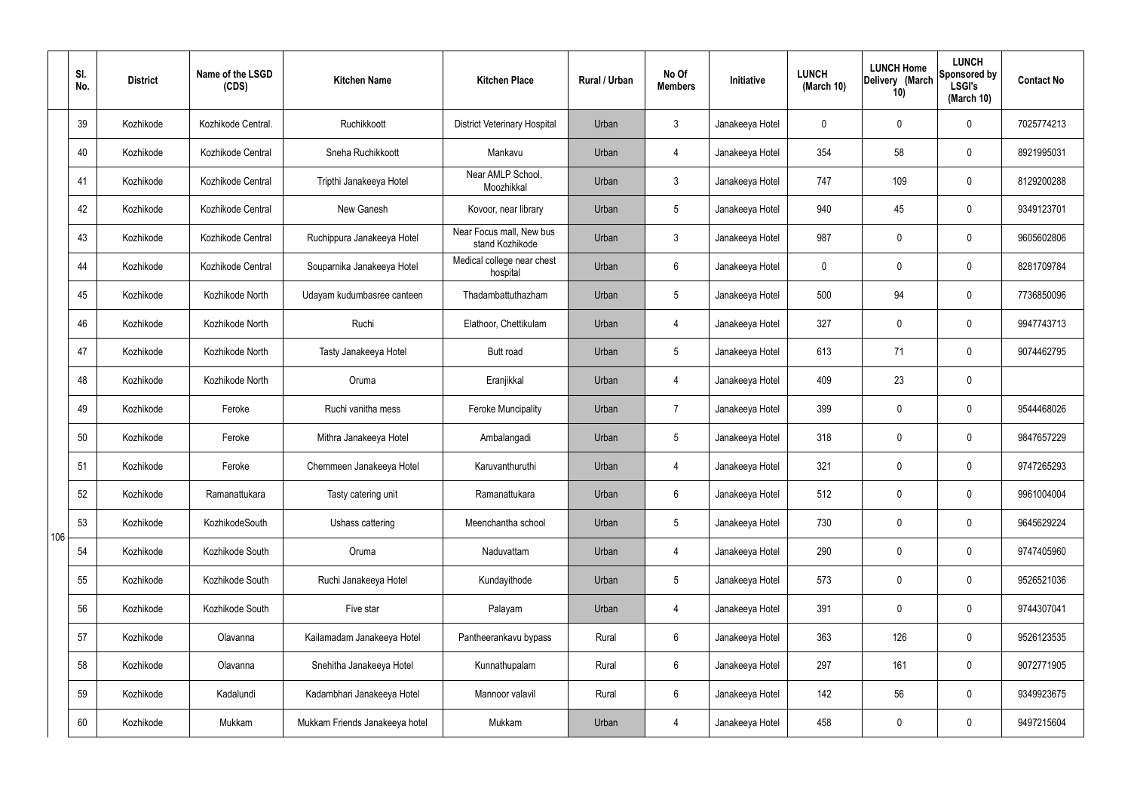|     | SI.<br>No. | <b>District</b> | Name of the LSGD<br>(CDS) | <b>Kitchen Name</b>            | <b>Kitchen Place</b>                        | <b>Rural / Urban</b> | No Of<br><b>Members</b> | Initiative      | <b>LUNCH</b><br>(March 10) | <b>LUNCH Home</b><br>Delivery (March<br>10) | <b>LUNCH</b><br>Sponsored by<br><b>LSGI's</b><br>(March 10) | <b>Contact No</b> |
|-----|------------|-----------------|---------------------------|--------------------------------|---------------------------------------------|----------------------|-------------------------|-----------------|----------------------------|---------------------------------------------|-------------------------------------------------------------|-------------------|
|     | 39         | Kozhikode       | Kozhikode Central.        | Ruchikkoott                    | <b>District Veterinary Hospital</b>         | Urban                | $\mathbf{3}$            | Janakeeya Hotel | $\mathbf 0$                | $\mathbf 0$                                 | $\mathbf{0}$                                                | 7025774213        |
|     | 40         | Kozhikode       | Kozhikode Central         | Sneha Ruchikkoott              | Mankavu                                     | Urban                | 4                       | Janakeeya Hotel | 354                        | 58                                          | $\mathbf 0$                                                 | 8921995031        |
|     | 41         | Kozhikode       | Kozhikode Central         | Tripthi Janakeeya Hotel        | Near AMLP School,<br>Moozhikkal             | Urban                | $\mathbf{3}$            | Janakeeya Hotel | 747                        | 109                                         | $\mathbf 0$                                                 | 8129200288        |
|     | 42         | Kozhikode       | Kozhikode Central         | New Ganesh                     | Kovoor, near library                        | Urban                | $5\phantom{.0}$         | Janakeeya Hotel | 940                        | 45                                          | $\mathbf 0$                                                 | 9349123701        |
|     | 43         | Kozhikode       | Kozhikode Central         | Ruchippura Janakeeya Hotel     | Near Focus mall, New bus<br>stand Kozhikode | Urban                | $\mathbf{3}$            | Janakeeya Hotel | 987                        | $\mathbf 0$                                 | $\mathbf 0$                                                 | 9605602806        |
|     | 44         | Kozhikode       | Kozhikode Central         | Souparnika Janakeeya Hotel     | Medical college near chest<br>hospital      | Urban                | $6\phantom{.}6$         | Janakeeya Hotel | $\mathbf 0$                | $\mathbf 0$                                 | $\mathbf 0$                                                 | 8281709784        |
|     | 45         | Kozhikode       | Kozhikode North           | Udayam kudumbasree canteen     | Thadambattuthazham                          | Urban                | $5\overline{)}$         | Janakeeya Hotel | 500                        | 94                                          | $\mathbf 0$                                                 | 7736850096        |
|     | 46         | Kozhikode       | Kozhikode North           | Ruchi                          | Elathoor, Chettikulam                       | Urban                | 4                       | Janakeeya Hotel | 327                        | $\mathbf 0$                                 | $\mathbf 0$                                                 | 9947743713        |
|     | 47         | Kozhikode       | Kozhikode North           | Tasty Janakeeya Hotel          | <b>Butt</b> road                            | Urban                | $5\overline{)}$         | Janakeeya Hotel | 613                        | 71                                          | $\mathbf 0$                                                 | 9074462795        |
|     | 48         | Kozhikode       | Kozhikode North           | Oruma                          | Eranjikkal                                  | Urban                | 4                       | Janakeeya Hotel | 409                        | 23                                          | $\mathbf 0$                                                 |                   |
|     | 49         | Kozhikode       | Feroke                    | Ruchi vanitha mess             | <b>Feroke Muncipality</b>                   | Urban                | $\overline{7}$          | Janakeeya Hotel | 399                        | $\mathbf 0$                                 | $\mathbf 0$                                                 | 9544468026        |
|     | 50         | Kozhikode       | Feroke                    | Mithra Janakeeya Hotel         | Ambalangadi                                 | Urban                | $5\phantom{.0}$         | Janakeeya Hotel | 318                        | $\mathbf 0$                                 | $\mathbf 0$                                                 | 9847657229        |
|     | 51         | Kozhikode       | Feroke                    | Chemmeen Janakeeya Hotel       | Karuvanthuruthi                             | Urban                | 4                       | Janakeeya Hotel | 321                        | $\mathbf 0$                                 | $\mathbf 0$                                                 | 9747265293        |
|     | 52         | Kozhikode       | Ramanattukara             | Tasty catering unit            | Ramanattukara                               | Urban                | $6\phantom{.}6$         | Janakeeya Hotel | 512                        | $\mathbf 0$                                 | $\mathbf 0$                                                 | 9961004004        |
| 106 | 53         | Kozhikode       | KozhikodeSouth            | Ushass cattering               | Meenchantha school                          | Urban                | $5\phantom{.0}$         | Janakeeya Hotel | 730                        | 0                                           | $\mathbf 0$                                                 | 9645629224        |
|     | 54         | Kozhikode       | Kozhikode South           | Oruma                          | Naduvattam                                  | Urban                | 4                       | Janakeeya Hotel | 290                        | 0                                           | $\mathbf 0$                                                 | 9747405960        |
|     | 55         | Kozhikode       | Kozhikode South           | Ruchi Janakeeya Hotel          | Kundayithode                                | Urban                | $5\phantom{.0}$         | Janakeeya Hotel | 573                        | 0                                           | $\mathbf 0$                                                 | 9526521036        |
|     | 56         | Kozhikode       | Kozhikode South           | Five star                      | Palayam                                     | Urban                | 4                       | Janakeeya Hotel | 391                        | 0                                           | $\mathbf 0$                                                 | 9744307041        |
|     | 57         | Kozhikode       | Olavanna                  | Kailamadam Janakeeya Hotel     | Pantheerankavu bypass                       | Rural                | $6\overline{6}$         | Janakeeya Hotel | 363                        | 126                                         | $\mathbf 0$                                                 | 9526123535        |
|     | 58         | Kozhikode       | Olavanna                  | Snehitha Janakeeya Hotel       | Kunnathupalam                               | Rural                | $6\overline{6}$         | Janakeeya Hotel | 297                        | 161                                         | $\mathbf 0$                                                 | 9072771905        |
|     | 59         | Kozhikode       | Kadalundi                 | Kadambhari Janakeeya Hotel     | Mannoor valavil                             | Rural                | $6\overline{6}$         | Janakeeya Hotel | 142                        | 56                                          | $\mathbf 0$                                                 | 9349923675        |
|     | 60         | Kozhikode       | Mukkam                    | Mukkam Friends Janakeeya hotel | Mukkam                                      | Urban                | 4                       | Janakeeya Hotel | 458                        | 0                                           | $\overline{0}$                                              | 9497215604        |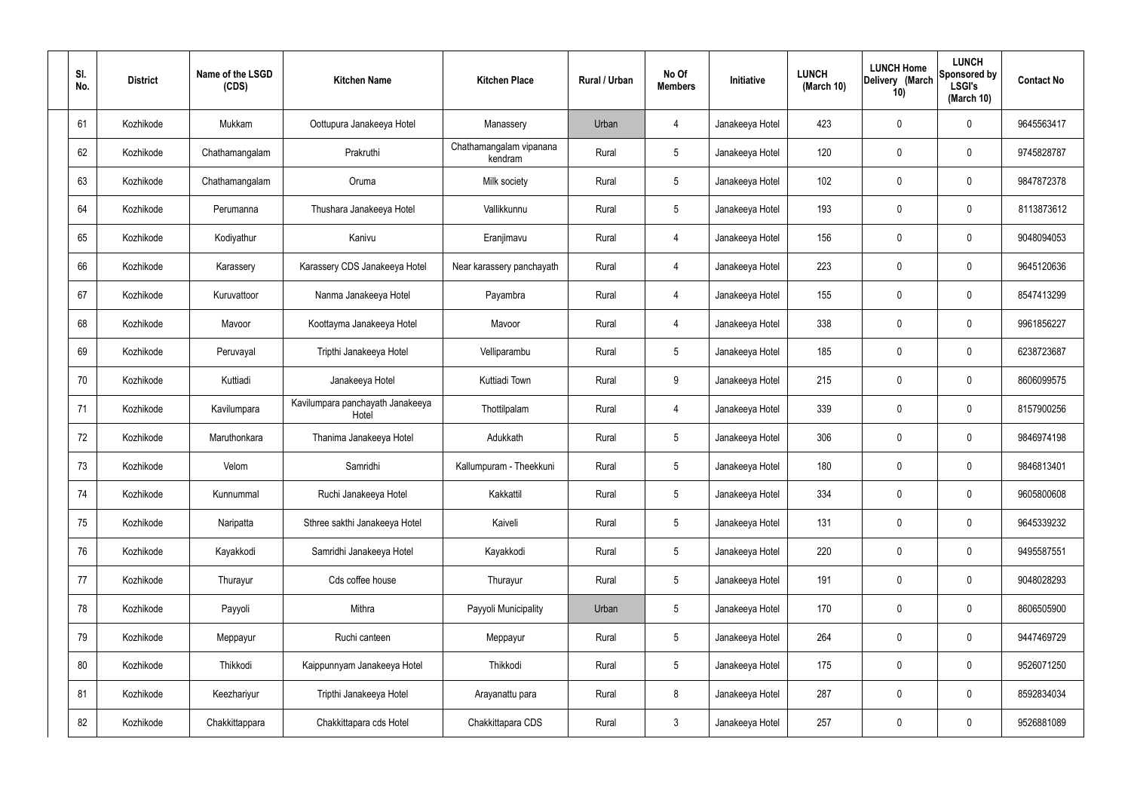| SI.<br>No. | <b>District</b> | Name of the LSGD<br>(CDS) | <b>Kitchen Name</b>                       | <b>Kitchen Place</b>               | Rural / Urban | No Of<br><b>Members</b> | Initiative      | <b>LUNCH</b><br>(March 10) | <b>LUNCH Home</b><br>Delivery (March<br>10) | <b>LUNCH</b><br>Sponsored by<br><b>LSGI's</b><br>(March 10) | <b>Contact No</b> |
|------------|-----------------|---------------------------|-------------------------------------------|------------------------------------|---------------|-------------------------|-----------------|----------------------------|---------------------------------------------|-------------------------------------------------------------|-------------------|
| 61         | Kozhikode       | Mukkam                    | Oottupura Janakeeya Hotel                 | Manassery                          | Urban         | 4                       | Janakeeya Hotel | 423                        | 0                                           | 0                                                           | 9645563417        |
| 62         | Kozhikode       | Chathamangalam            | Prakruthi                                 | Chathamangalam vipanana<br>kendram | Rural         | $5\phantom{.0}$         | Janakeeya Hotel | 120                        | $\mathbf 0$                                 | 0                                                           | 9745828787        |
| 63         | Kozhikode       | Chathamangalam            | Oruma                                     | Milk society                       | Rural         | $5\phantom{.0}$         | Janakeeya Hotel | 102                        | 0                                           | 0                                                           | 9847872378        |
| 64         | Kozhikode       | Perumanna                 | Thushara Janakeeya Hotel                  | Vallikkunnu                        | Rural         | $5\phantom{.0}$         | Janakeeya Hotel | 193                        | 0                                           | 0                                                           | 8113873612        |
| 65         | Kozhikode       | Kodiyathur                | Kanivu                                    | Eranjimavu                         | Rural         | $\overline{4}$          | Janakeeya Hotel | 156                        | 0                                           | 0                                                           | 9048094053        |
| 66         | Kozhikode       | Karassery                 | Karassery CDS Janakeeya Hotel             | Near karassery panchayath          | Rural         | $\overline{4}$          | Janakeeya Hotel | 223                        | 0                                           | 0                                                           | 9645120636        |
| 67         | Kozhikode       | Kuruvattoor               | Nanma Janakeeya Hotel                     | Payambra                           | Rural         | $\overline{4}$          | Janakeeya Hotel | 155                        | 0                                           | 0                                                           | 8547413299        |
| 68         | Kozhikode       | Mavoor                    | Koottayma Janakeeya Hotel                 | Mavoor                             | Rural         | $\overline{4}$          | Janakeeya Hotel | 338                        | 0                                           | 0                                                           | 9961856227        |
| 69         | Kozhikode       | Peruvayal                 | Tripthi Janakeeya Hotel                   | Velliparambu                       | Rural         | $5\phantom{.0}$         | Janakeeya Hotel | 185                        | 0                                           | 0                                                           | 6238723687        |
| 70         | Kozhikode       | Kuttiadi                  | Janakeeya Hotel                           | Kuttiadi Town                      | Rural         | 9                       | Janakeeya Hotel | 215                        | $\mathbf 0$                                 | 0                                                           | 8606099575        |
| 71         | Kozhikode       | Kavilumpara               | Kavilumpara panchayath Janakeeya<br>Hotel | Thottilpalam                       | Rural         | 4                       | Janakeeya Hotel | 339                        | 0                                           | 0                                                           | 8157900256        |
| 72         | Kozhikode       | Maruthonkara              | Thanima Janakeeya Hotel                   | Adukkath                           | Rural         | $5\phantom{.0}$         | Janakeeya Hotel | 306                        | 0                                           | 0                                                           | 9846974198        |
| 73         | Kozhikode       | Velom                     | Samridhi                                  | Kallumpuram - Theekkuni            | Rural         | $5\phantom{.0}$         | Janakeeya Hotel | 180                        | 0                                           | 0                                                           | 9846813401        |
| 74         | Kozhikode       | Kunnummal                 | Ruchi Janakeeya Hotel                     | Kakkattil                          | Rural         | $5\phantom{.0}$         | Janakeeya Hotel | 334                        | $\mathbf 0$                                 | 0                                                           | 9605800608        |
| 75         | Kozhikode       | Naripatta                 | Sthree sakthi Janakeeya Hotel             | Kaiveli                            | Rural         | $5\phantom{.0}$         | Janakeeya Hotel | 131                        | $\mathbf 0$                                 | 0                                                           | 9645339232        |
| 76         | Kozhikode       | Kayakkodi                 | Samridhi Janakeeya Hotel                  | Kayakkodi                          | Rural         | $5\overline{)}$         | Janakeeya Hotel | 220                        | $\pmb{0}$                                   | 0                                                           | 9495587551        |
| 77         | Kozhikode       | Thurayur                  | Cds coffee house                          | Thurayur                           | Rural         | $5\phantom{.0}$         | Janakeeya Hotel | 191                        | $\mathbf 0$                                 | 0                                                           | 9048028293        |
| 78         | Kozhikode       | Payyoli                   | Mithra                                    | Payyoli Municipality               | Urban         | $5\phantom{.0}$         | Janakeeya Hotel | 170                        | $\pmb{0}$                                   | 0                                                           | 8606505900        |
| 79         | Kozhikode       | Meppayur                  | Ruchi canteen                             | Meppayur                           | Rural         | $5\phantom{.0}$         | Janakeeya Hotel | 264                        | $\pmb{0}$                                   | 0                                                           | 9447469729        |
| 80         | Kozhikode       | Thikkodi                  | Kaippunnyam Janakeeya Hotel               | Thikkodi                           | Rural         | $5\phantom{.0}$         | Janakeeya Hotel | 175                        | $\pmb{0}$                                   | 0                                                           | 9526071250        |
| 81         | Kozhikode       | Keezhariyur               | Tripthi Janakeeya Hotel                   | Arayanattu para                    | Rural         | 8                       | Janakeeya Hotel | 287                        | $\boldsymbol{0}$                            | 0                                                           | 8592834034        |
| 82         | Kozhikode       | Chakkittappara            | Chakkittapara cds Hotel                   | Chakkittapara CDS                  | Rural         | $\mathbf{3}$            | Janakeeya Hotel | 257                        | $\pmb{0}$                                   | 0                                                           | 9526881089        |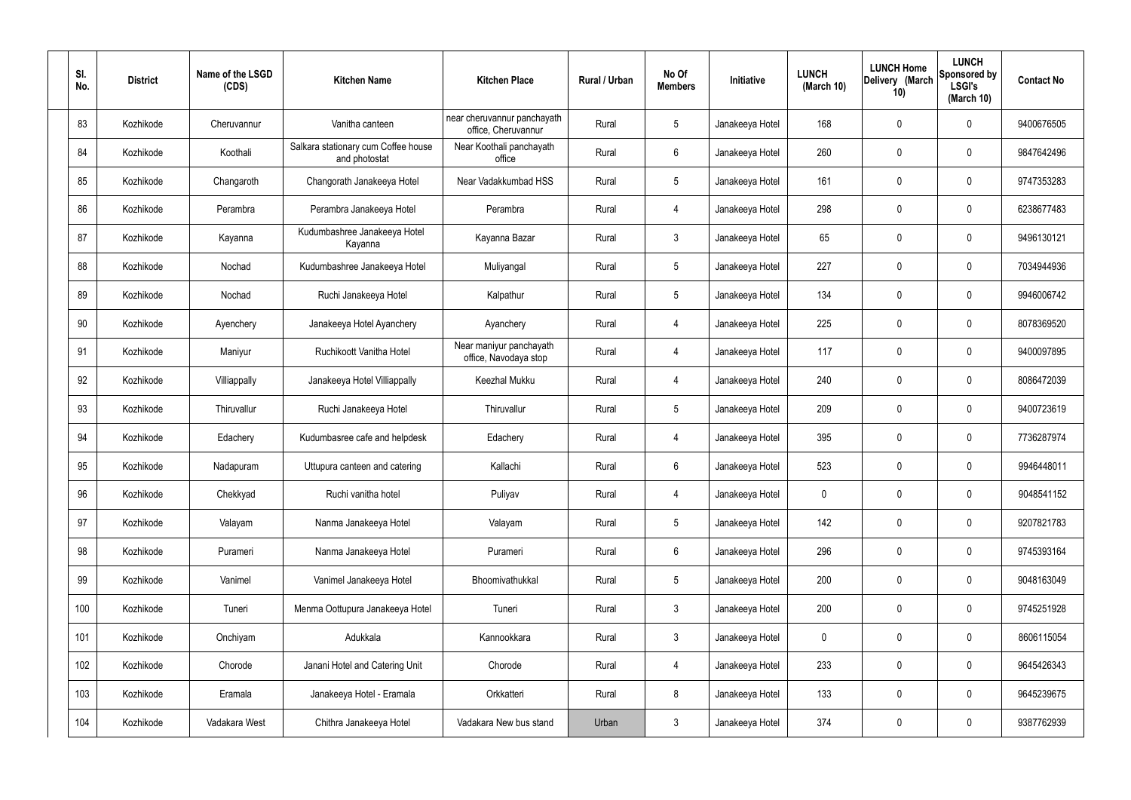| SI.<br>No. | <b>District</b> | Name of the LSGD<br>(CDS) | <b>Kitchen Name</b>                                  | <b>Kitchen Place</b>                               | Rural / Urban | No Of<br><b>Members</b> | Initiative      | <b>LUNCH</b><br>(March 10) | <b>LUNCH Home</b><br>Delivery (March<br>10) | <b>LUNCH</b><br>Sponsored by<br><b>LSGI's</b><br>(March 10) | <b>Contact No</b> |
|------------|-----------------|---------------------------|------------------------------------------------------|----------------------------------------------------|---------------|-------------------------|-----------------|----------------------------|---------------------------------------------|-------------------------------------------------------------|-------------------|
| 83         | Kozhikode       | Cheruvannur               | Vanitha canteen                                      | near cheruvannur panchayath<br>office, Cheruvannur | Rural         | $5\phantom{.0}$         | Janakeeya Hotel | 168                        | 0                                           | 0                                                           | 9400676505        |
| 84         | Kozhikode       | Koothali                  | Salkara stationary cum Coffee house<br>and photostat | Near Koothali panchayath<br>office                 | Rural         | 6                       | Janakeeya Hotel | 260                        | 0                                           | $\mathbf 0$                                                 | 9847642496        |
| 85         | Kozhikode       | Changaroth                | Changorath Janakeeya Hotel                           | Near Vadakkumbad HSS                               | Rural         | $5\phantom{.0}$         | Janakeeya Hotel | 161                        | 0                                           | $\boldsymbol{0}$                                            | 9747353283        |
| 86         | Kozhikode       | Perambra                  | Perambra Janakeeya Hotel                             | Perambra                                           | Rural         | 4                       | Janakeeya Hotel | 298                        | 0                                           | $\mathbf 0$                                                 | 6238677483        |
| 87         | Kozhikode       | Kayanna                   | Kudumbashree Janakeeya Hotel<br>Kayanna              | Kayanna Bazar                                      | Rural         | $\mathbf{3}$            | Janakeeya Hotel | 65                         | 0                                           | $\mathbf 0$                                                 | 9496130121        |
| 88         | Kozhikode       | Nochad                    | Kudumbashree Janakeeya Hotel                         | Muliyangal                                         | Rural         | $5\phantom{.0}$         | Janakeeya Hotel | 227                        | 0                                           | $\mathbf 0$                                                 | 7034944936        |
| 89         | Kozhikode       | Nochad                    | Ruchi Janakeeya Hotel                                | Kalpathur                                          | Rural         | $5\phantom{.0}$         | Janakeeya Hotel | 134                        | 0                                           | $\mathbf 0$                                                 | 9946006742        |
| 90         | Kozhikode       | Ayenchery                 | Janakeeya Hotel Ayanchery                            | Ayanchery                                          | Rural         | 4                       | Janakeeya Hotel | 225                        | 0                                           | $\mathbf 0$                                                 | 8078369520        |
| 91         | Kozhikode       | Maniyur                   | Ruchikoott Vanitha Hotel                             | Near maniyur panchayath<br>office, Navodaya stop   | Rural         | 4                       | Janakeeya Hotel | 117                        | 0                                           | $\mathbf 0$                                                 | 9400097895        |
| 92         | Kozhikode       | Villiappally              | Janakeeya Hotel Villiappally                         | Keezhal Mukku                                      | Rural         | 4                       | Janakeeya Hotel | 240                        | 0                                           | $\mathbf 0$                                                 | 8086472039        |
| 93         | Kozhikode       | Thiruvallur               | Ruchi Janakeeya Hotel                                | Thiruvallur                                        | Rural         | $5\,$                   | Janakeeya Hotel | 209                        | 0                                           | $\boldsymbol{0}$                                            | 9400723619        |
| 94         | Kozhikode       | Edachery                  | Kudumbasree cafe and helpdesk                        | Edachery                                           | Rural         | 4                       | Janakeeya Hotel | 395                        | 0                                           | $\boldsymbol{0}$                                            | 7736287974        |
| 95         | Kozhikode       | Nadapuram                 | Uttupura canteen and catering                        | Kallachi                                           | Rural         | 6                       | Janakeeya Hotel | 523                        | 0                                           | 0                                                           | 9946448011        |
| 96         | Kozhikode       | Chekkyad                  | Ruchi vanitha hotel                                  | Puliyav                                            | Rural         | $\overline{4}$          | Janakeeya Hotel | $\mathbf 0$                | 0                                           | $\mathbf 0$                                                 | 9048541152        |
| 97         | Kozhikode       | Valayam                   | Nanma Janakeeya Hotel                                | Valayam                                            | Rural         | $5\phantom{.0}$         | Janakeeya Hotel | 142                        | 0                                           | $\mathbf 0$                                                 | 9207821783        |
| 98         | Kozhikode       | Purameri                  | Nanma Janakeeya Hotel                                | Purameri                                           | Rural         | $6\overline{6}$         | Janakeeya Hotel | 296                        | 0                                           | $\mathbf 0$                                                 | 9745393164        |
| 99         | Kozhikode       | Vanimel                   | Vanimel Janakeeya Hotel                              | Bhoomivathukkal                                    | Rural         | $5\phantom{.0}$         | Janakeeya Hotel | 200                        | 0                                           | $\mathbf 0$                                                 | 9048163049        |
| 100        | Kozhikode       | Tuneri                    | Menma Oottupura Janakeeya Hotel                      | Tuneri                                             | Rural         | $\mathbf{3}$            | Janakeeya Hotel | 200                        | 0                                           | $\mathbf 0$                                                 | 9745251928        |
| 101        | Kozhikode       | Onchiyam                  | Adukkala                                             | Kannookkara                                        | Rural         | $\mathfrak{Z}$          | Janakeeya Hotel | $\mathbf 0$                | $\mathbf 0$                                 | $\mathbf 0$                                                 | 8606115054        |
| 102        | Kozhikode       | Chorode                   | Janani Hotel and Catering Unit                       | Chorode                                            | Rural         | $\overline{4}$          | Janakeeya Hotel | 233                        | 0                                           | $\mathbf 0$                                                 | 9645426343        |
| 103        | Kozhikode       | Eramala                   | Janakeeya Hotel - Eramala                            | Orkkatteri                                         | Rural         | 8                       | Janakeeya Hotel | 133                        | $\pmb{0}$                                   | $\mathbf 0$                                                 | 9645239675        |
| 104        | Kozhikode       | Vadakara West             | Chithra Janakeeya Hotel                              | Vadakara New bus stand                             | Urban         | $\mathbf{3}$            | Janakeeya Hotel | 374                        | $\pmb{0}$                                   | $\pmb{0}$                                                   | 9387762939        |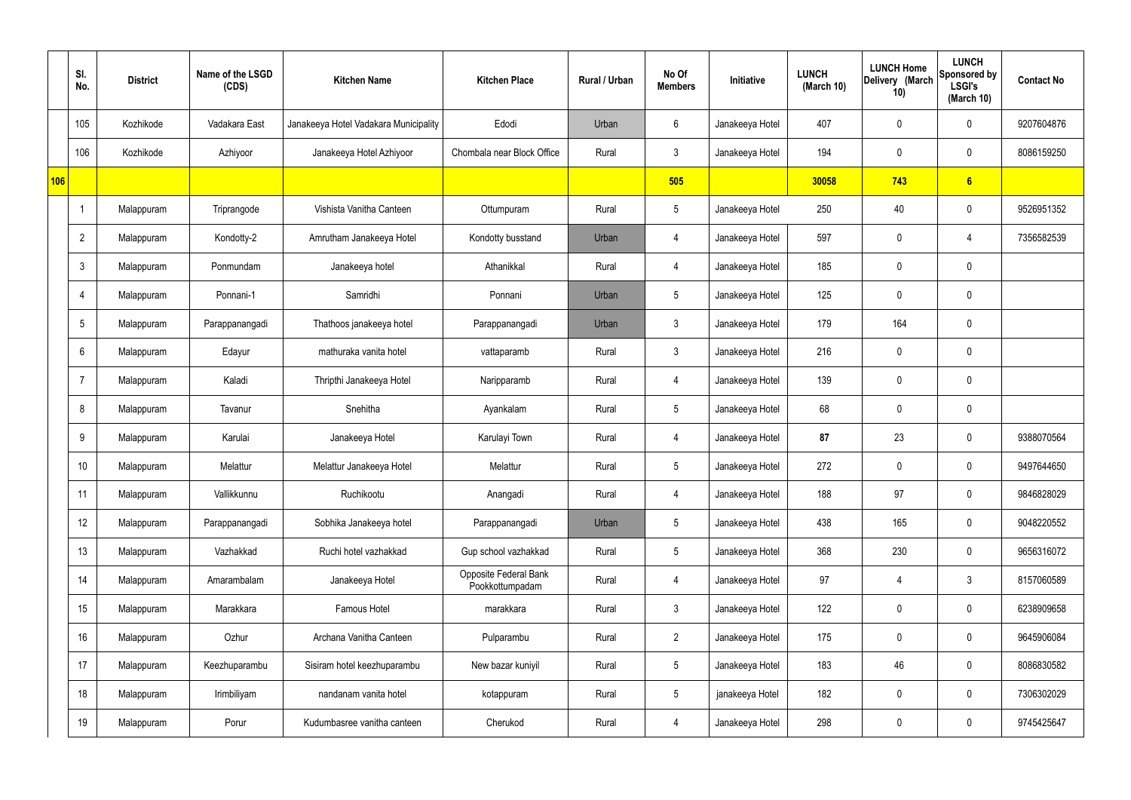|     | SI.<br>No.     | <b>District</b> | Name of the LSGD<br>(CDS) | <b>Kitchen Name</b>                   | <b>Kitchen Place</b>                     | Rural / Urban | No Of<br><b>Members</b> | Initiative      | <b>LUNCH</b><br>(March 10) | <b>LUNCH Home</b><br>Delivery (March<br>10) | <b>LUNCH</b><br>Sponsored by<br><b>LSGI's</b><br>(March 10) | <b>Contact No</b> |
|-----|----------------|-----------------|---------------------------|---------------------------------------|------------------------------------------|---------------|-------------------------|-----------------|----------------------------|---------------------------------------------|-------------------------------------------------------------|-------------------|
|     | 105            | Kozhikode       | Vadakara East             | Janakeeya Hotel Vadakara Municipality | Edodi                                    | Urban         | 6                       | Janakeeya Hotel | 407                        | $\mathbf 0$                                 | $\mathbf 0$                                                 | 9207604876        |
|     | 106            | Kozhikode       | Azhiyoor                  | Janakeeya Hotel Azhiyoor              | Chombala near Block Office               | Rural         | $\mathbf{3}$            | Janakeeya Hotel | 194                        | $\mathbf 0$                                 | $\mathbf 0$                                                 | 8086159250        |
| 106 |                |                 |                           |                                       |                                          |               | 505                     |                 | 30058                      | 743                                         | 6                                                           |                   |
|     | -1             | Malappuram      | Triprangode               | Vishista Vanitha Canteen              | Ottumpuram                               | Rural         | $5\phantom{.0}$         | Janakeeya Hotel | 250                        | 40                                          | $\mathbf 0$                                                 | 9526951352        |
|     | $\overline{2}$ | Malappuram      | Kondotty-2                | Amrutham Janakeeya Hotel              | Kondotty busstand                        | Urban         | 4                       | Janakeeya Hotel | 597                        | $\mathbf 0$                                 | 4                                                           | 7356582539        |
|     | $\mathbf{3}$   | Malappuram      | Ponmundam                 | Janakeeya hotel                       | Athanikkal                               | Rural         | 4                       | Janakeeya Hotel | 185                        | $\mathbf 0$                                 | $\mathbf 0$                                                 |                   |
|     | 4              | Malappuram      | Ponnani-1                 | Samridhi                              | Ponnani                                  | Urban         | $5\overline{)}$         | Janakeeya Hotel | 125                        | 0                                           | $\mathbf 0$                                                 |                   |
|     | 5              | Malappuram      | Parappanangadi            | Thathoos janakeeya hotel              | Parappanangadi                           | Urban         | $\mathbf{3}$            | Janakeeya Hotel | 179                        | 164                                         | $\mathbf 0$                                                 |                   |
|     | 6              | Malappuram      | Edayur                    | mathuraka vanita hotel                | vattaparamb                              | Rural         | $\mathbf{3}$            | Janakeeya Hotel | 216                        | 0                                           | $\mathbf 0$                                                 |                   |
|     | 7              | Malappuram      | Kaladi                    | Thripthi Janakeeya Hotel              | Naripparamb                              | Rural         | 4                       | Janakeeya Hotel | 139                        | $\mathbf 0$                                 | $\mathbf 0$                                                 |                   |
|     | 8              | Malappuram      | Tavanur                   | Snehitha                              | Ayankalam                                | Rural         | $5\overline{)}$         | Janakeeya Hotel | 68                         | 0                                           | $\mathbf 0$                                                 |                   |
|     | 9              | Malappuram      | Karulai                   | Janakeeya Hotel                       | Karulayi Town                            | Rural         | 4                       | Janakeeya Hotel | 87                         | 23                                          | $\mathbf 0$                                                 | 9388070564        |
|     | 10             | Malappuram      | Melattur                  | Melattur Janakeeya Hotel              | Melattur                                 | Rural         | $5\overline{)}$         | Janakeeya Hotel | 272                        | $\mathbf 0$                                 | $\mathbf 0$                                                 | 9497644650        |
|     | 11             | Malappuram      | Vallikkunnu               | Ruchikootu                            | Anangadi                                 | Rural         | $\overline{4}$          | Janakeeya Hotel | 188                        | 97                                          | $\mathbf 0$                                                 | 9846828029        |
|     | 12             | Malappuram      | Parappanangadi            | Sobhika Janakeeya hotel               | Parappanangadi                           | Urban         | $5\phantom{.0}$         | Janakeeya Hotel | 438                        | 165                                         | $\mathbf 0$                                                 | 9048220552        |
|     | 13             | Malappuram      | Vazhakkad                 | Ruchi hotel vazhakkad                 | Gup school vazhakkad                     | Rural         | $5\overline{)}$         | Janakeeya Hotel | 368                        | 230                                         | $\mathbf 0$                                                 | 9656316072        |
|     | 14             | Malappuram      | Amarambalam               | Janakeeya Hotel                       | Opposite Federal Bank<br>Pookkottumpadam | Rural         | $\overline{4}$          | Janakeeya Hotel | 97                         | $\overline{4}$                              | $\mathbf{3}$                                                | 8157060589        |
|     | 15             | Malappuram      | Marakkara                 | Famous Hotel                          | marakkara                                | Rural         | $\mathbf{3}$            | Janakeeya Hotel | 122                        | 0                                           | $\mathbf 0$                                                 | 6238909658        |
|     | 16             | Malappuram      | Ozhur                     | Archana Vanitha Canteen               | Pulparambu                               | Rural         | $\overline{2}$          | Janakeeya Hotel | 175                        | $\pmb{0}$                                   | $\mathbf 0$                                                 | 9645906084        |
|     | 17             | Malappuram      | Keezhuparambu             | Sisiram hotel keezhuparambu           | New bazar kuniyil                        | Rural         | $5\overline{)}$         | Janakeeya Hotel | 183                        | 46                                          | $\mathbf 0$                                                 | 8086830582        |
|     | 18             | Malappuram      | Irimbiliyam               | nandanam vanita hotel                 | kotappuram                               | Rural         | $5\overline{)}$         | janakeeya Hotel | 182                        | 0                                           | $\mathbf 0$                                                 | 7306302029        |
|     | 19             | Malappuram      | Porur                     | Kudumbasree vanitha canteen           | Cherukod                                 | Rural         | $\overline{4}$          | Janakeeya Hotel | 298                        | $\pmb{0}$                                   | $\boldsymbol{0}$                                            | 9745425647        |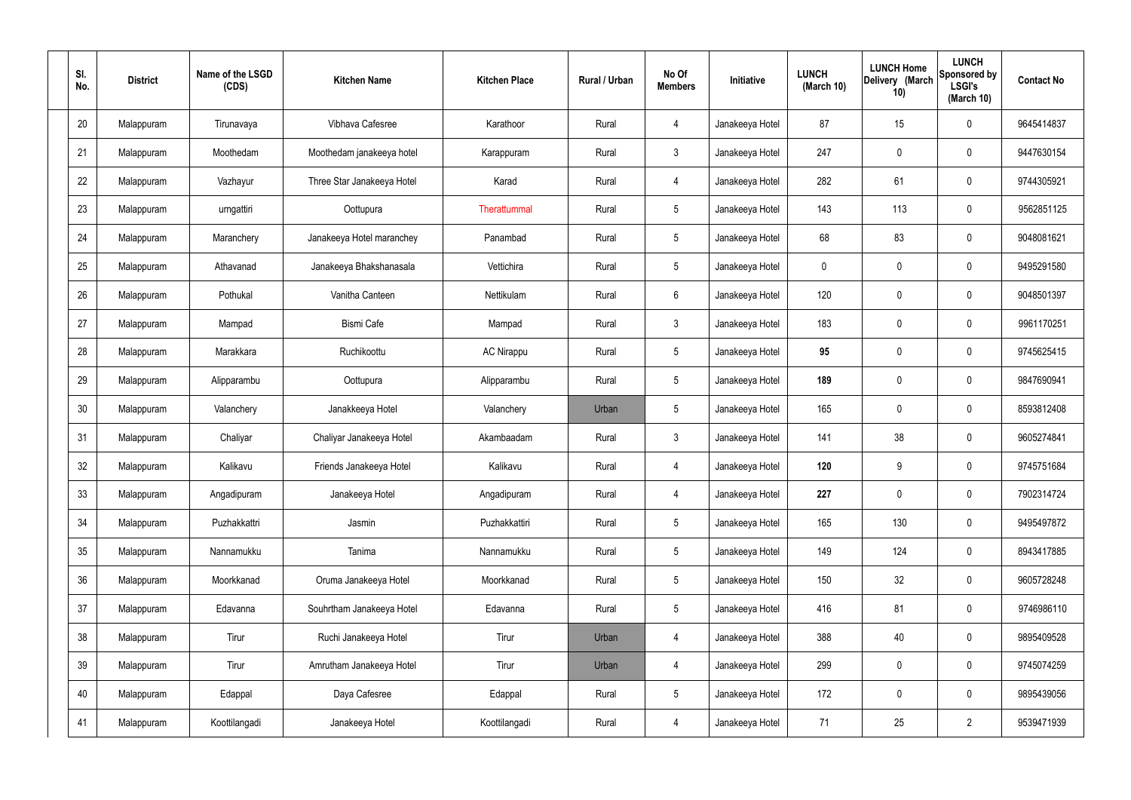| SI.<br>No. | <b>District</b> | Name of the LSGD<br>(CDS) | <b>Kitchen Name</b>        | <b>Kitchen Place</b> | Rural / Urban | No Of<br><b>Members</b> | Initiative      | <b>LUNCH</b><br>(March 10) | <b>LUNCH Home</b><br>Delivery (March<br>10) | <b>LUNCH</b><br>Sponsored by<br><b>LSGI's</b><br>(March 10) | <b>Contact No</b> |
|------------|-----------------|---------------------------|----------------------------|----------------------|---------------|-------------------------|-----------------|----------------------------|---------------------------------------------|-------------------------------------------------------------|-------------------|
| 20         | Malappuram      | Tirunavaya                | Vibhava Cafesree           | Karathoor            | Rural         | 4                       | Janakeeya Hotel | 87                         | 15                                          | $\mathbf 0$                                                 | 9645414837        |
| 21         | Malappuram      | Moothedam                 | Moothedam janakeeya hotel  | Karappuram           | Rural         | $\mathbf{3}$            | Janakeeya Hotel | 247                        | $\mathbf 0$                                 | $\mathbf 0$                                                 | 9447630154        |
| 22         | Malappuram      | Vazhayur                  | Three Star Janakeeya Hotel | Karad                | Rural         | 4                       | Janakeeya Hotel | 282                        | 61                                          | $\boldsymbol{0}$                                            | 9744305921        |
| 23         | Malappuram      | urngattiri                | Oottupura                  | Therattummal         | Rural         | $5\phantom{.0}$         | Janakeeya Hotel | 143                        | 113                                         | $\mathbf 0$                                                 | 9562851125        |
| 24         | Malappuram      | Maranchery                | Janakeeya Hotel maranchey  | Panambad             | Rural         | $5\phantom{.0}$         | Janakeeya Hotel | 68                         | 83                                          | $\boldsymbol{0}$                                            | 9048081621        |
| 25         | Malappuram      | Athavanad                 | Janakeeya Bhakshanasala    | Vettichira           | Rural         | $5\phantom{.0}$         | Janakeeya Hotel | $\mathbf 0$                | 0                                           | $\mathbf 0$                                                 | 9495291580        |
| 26         | Malappuram      | Pothukal                  | Vanitha Canteen            | Nettikulam           | Rural         | $6\phantom{.}$          | Janakeeya Hotel | 120                        | 0                                           | $\boldsymbol{0}$                                            | 9048501397        |
| 27         | Malappuram      | Mampad                    | <b>Bismi Cafe</b>          | Mampad               | Rural         | $\mathbf{3}$            | Janakeeya Hotel | 183                        | 0                                           | $\mathbf 0$                                                 | 9961170251        |
| 28         | Malappuram      | Marakkara                 | Ruchikoottu                | <b>AC Nirappu</b>    | Rural         | $\sqrt{5}$              | Janakeeya Hotel | 95                         | 0                                           | $\boldsymbol{0}$                                            | 9745625415        |
| 29         | Malappuram      | Alipparambu               | Oottupura                  | Alipparambu          | Rural         | $\sqrt{5}$              | Janakeeya Hotel | 189                        | 0                                           | $\mathbf 0$                                                 | 9847690941        |
| 30         | Malappuram      | Valanchery                | Janakkeeya Hotel           | Valanchery           | Urban         | $\sqrt{5}$              | Janakeeya Hotel | 165                        | 0                                           | $\boldsymbol{0}$                                            | 8593812408        |
| 31         | Malappuram      | Chaliyar                  | Chaliyar Janakeeya Hotel   | Akambaadam           | Rural         | $\mathfrak{Z}$          | Janakeeya Hotel | 141                        | 38                                          | $\mathbf 0$                                                 | 9605274841        |
| 32         | Malappuram      | Kalikavu                  | Friends Janakeeya Hotel    | Kalikavu             | Rural         | 4                       | Janakeeya Hotel | 120                        | 9                                           | 0                                                           | 9745751684        |
| 33         | Malappuram      | Angadipuram               | Janakeeya Hotel            | Angadipuram          | Rural         | $\overline{4}$          | Janakeeya Hotel | 227                        | 0                                           | $\mathbf 0$                                                 | 7902314724        |
| 34         | Malappuram      | Puzhakkattri              | Jasmin                     | Puzhakkattiri        | Rural         | $5\phantom{.0}$         | Janakeeya Hotel | 165                        | 130                                         | $\mathbf 0$                                                 | 9495497872        |
| 35         | Malappuram      | Nannamukku                | Tanima                     | Nannamukku           | Rural         | $5\phantom{.0}$         | Janakeeya Hotel | 149                        | 124                                         | $\mathbf 0$                                                 | 8943417885        |
| 36         | Malappuram      | Moorkkanad                | Oruma Janakeeya Hotel      | Moorkkanad           | Rural         | $5\,$                   | Janakeeya Hotel | 150                        | 32                                          | $\pmb{0}$                                                   | 9605728248        |
| 37         | Malappuram      | Edavanna                  | Souhrtham Janakeeya Hotel  | Edavanna             | Rural         | $5\phantom{.0}$         | Janakeeya Hotel | 416                        | 81                                          | $\mathbf 0$                                                 | 9746986110        |
| 38         | Malappuram      | Tirur                     | Ruchi Janakeeya Hotel      | Tirur                | Urban         | 4                       | Janakeeya Hotel | 388                        | 40                                          | $\mathbf 0$                                                 | 9895409528        |
| 39         | Malappuram      | Tirur                     | Amrutham Janakeeya Hotel   | Tirur                | Urban         | $\overline{4}$          | Janakeeya Hotel | 299                        | 0                                           | $\mathbf 0$                                                 | 9745074259        |
| 40         | Malappuram      | Edappal                   | Daya Cafesree              | Edappal              | Rural         | $5\,$                   | Janakeeya Hotel | 172                        | 0                                           | $\mathbf 0$                                                 | 9895439056        |
| 41         | Malappuram      | Koottilangadi             | Janakeeya Hotel            | Koottilangadi        | Rural         | 4                       | Janakeeya Hotel | 71                         | 25                                          | $\overline{2}$                                              | 9539471939        |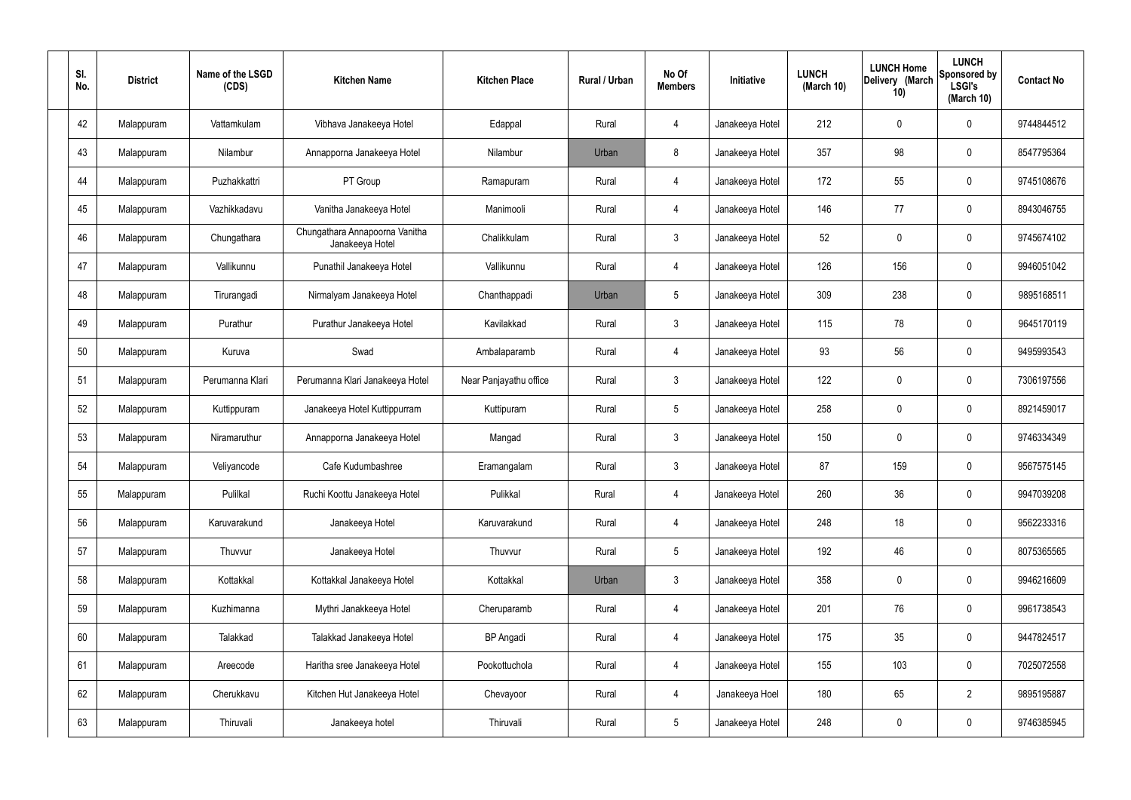| SI.<br>No. | <b>District</b> | Name of the LSGD<br>(CDS) | <b>Kitchen Name</b>                               | <b>Kitchen Place</b>   | Rural / Urban | No Of<br><b>Members</b> | Initiative      | <b>LUNCH</b><br>(March 10) | <b>LUNCH Home</b><br>Delivery (March<br>10) | <b>LUNCH</b><br>Sponsored by<br><b>LSGI's</b><br>(March 10) | <b>Contact No</b> |
|------------|-----------------|---------------------------|---------------------------------------------------|------------------------|---------------|-------------------------|-----------------|----------------------------|---------------------------------------------|-------------------------------------------------------------|-------------------|
| 42         | Malappuram      | Vattamkulam               | Vibhava Janakeeya Hotel                           | Edappal                | Rural         | 4                       | Janakeeya Hotel | 212                        | 0                                           | 0                                                           | 9744844512        |
| 43         | Malappuram      | Nilambur                  | Annapporna Janakeeya Hotel                        | Nilambur               | Urban         | 8                       | Janakeeya Hotel | 357                        | 98                                          | 0                                                           | 8547795364        |
| 44         | Malappuram      | Puzhakkattri              | PT Group                                          | Ramapuram              | Rural         | $\overline{4}$          | Janakeeya Hotel | 172                        | 55                                          | 0                                                           | 9745108676        |
| 45         | Malappuram      | Vazhikkadavu              | Vanitha Janakeeya Hotel                           | Manimooli              | Rural         | 4                       | Janakeeya Hotel | 146                        | 77                                          | 0                                                           | 8943046755        |
| 46         | Malappuram      | Chungathara               | Chungathara Annapoorna Vanitha<br>Janakeeya Hotel | Chalikkulam            | Rural         | $\mathbf{3}$            | Janakeeya Hotel | 52                         | 0                                           | 0                                                           | 9745674102        |
| 47         | Malappuram      | Vallikunnu                | Punathil Janakeeya Hotel                          | Vallikunnu             | Rural         | $\overline{4}$          | Janakeeya Hotel | 126                        | 156                                         | 0                                                           | 9946051042        |
| 48         | Malappuram      | Tirurangadi               | Nirmalyam Janakeeya Hotel                         | Chanthappadi           | Urban         | $5\phantom{.0}$         | Janakeeya Hotel | 309                        | 238                                         | 0                                                           | 9895168511        |
| 49         | Malappuram      | Purathur                  | Purathur Janakeeya Hotel                          | Kavilakkad             | Rural         | $\mathbf{3}$            | Janakeeya Hotel | 115                        | 78                                          | 0                                                           | 9645170119        |
| 50         | Malappuram      | Kuruva                    | Swad                                              | Ambalaparamb           | Rural         | $\overline{4}$          | Janakeeya Hotel | 93                         | 56                                          | 0                                                           | 9495993543        |
| 51         | Malappuram      | Perumanna Klari           | Perumanna Klari Janakeeya Hotel                   | Near Panjayathu office | Rural         | $\mathbf{3}$            | Janakeeya Hotel | 122                        | $\mathbf 0$                                 | 0                                                           | 7306197556        |
| 52         | Malappuram      | Kuttippuram               | Janakeeya Hotel Kuttippurram                      | Kuttipuram             | Rural         | $5\phantom{.0}$         | Janakeeya Hotel | 258                        | 0                                           | 0                                                           | 8921459017        |
| 53         | Malappuram      | Niramaruthur              | Annapporna Janakeeya Hotel                        | Mangad                 | Rural         | $\mathbf{3}$            | Janakeeya Hotel | 150                        | $\mathbf 0$                                 | 0                                                           | 9746334349        |
| 54         | Malappuram      | Veliyancode               | Cafe Kudumbashree                                 | Eramangalam            | Rural         | $\mathfrak{Z}$          | Janakeeya Hotel | 87                         | 159                                         | 0                                                           | 9567575145        |
| 55         | Malappuram      | Pulilkal                  | Ruchi Koottu Janakeeya Hotel                      | Pulikkal               | Rural         | $\overline{4}$          | Janakeeya Hotel | 260                        | 36                                          | 0                                                           | 9947039208        |
| 56         | Malappuram      | Karuvarakund              | Janakeeya Hotel                                   | Karuvarakund           | Rural         | $\overline{4}$          | Janakeeya Hotel | 248                        | 18                                          | 0                                                           | 9562233316        |
| 57         | Malappuram      | Thuvvur                   | Janakeeya Hotel                                   | Thuvvur                | Rural         | $5\overline{)}$         | Janakeeya Hotel | 192                        | 46                                          | 0                                                           | 8075365565        |
| 58         | Malappuram      | Kottakkal                 | Kottakkal Janakeeya Hotel                         | Kottakkal              | Urban         | $\mathbf{3}$            | Janakeeya Hotel | 358                        | $\mathbf 0$                                 | 0                                                           | 9946216609        |
| 59         | Malappuram      | Kuzhimanna                | Mythri Janakkeeya Hotel                           | Cheruparamb            | Rural         | $\overline{4}$          | Janakeeya Hotel | 201                        | 76                                          | 0                                                           | 9961738543        |
| 60         | Malappuram      | Talakkad                  | Talakkad Janakeeya Hotel                          | <b>BP</b> Angadi       | Rural         | $\overline{4}$          | Janakeeya Hotel | 175                        | 35                                          | 0                                                           | 9447824517        |
| 61         | Malappuram      | Areecode                  | Haritha sree Janakeeya Hotel                      | Pookottuchola          | Rural         | $\overline{4}$          | Janakeeya Hotel | 155                        | 103                                         | 0                                                           | 7025072558        |
| 62         | Malappuram      | Cherukkavu                | Kitchen Hut Janakeeya Hotel                       | Chevayoor              | Rural         | $\overline{4}$          | Janakeeya Hoel  | 180                        | 65                                          | $\overline{2}$                                              | 9895195887        |
| 63         | Malappuram      | Thiruvali                 | Janakeeya hotel                                   | Thiruvali              | Rural         | $5\phantom{.0}$         | Janakeeya Hotel | 248                        | $\pmb{0}$                                   | 0                                                           | 9746385945        |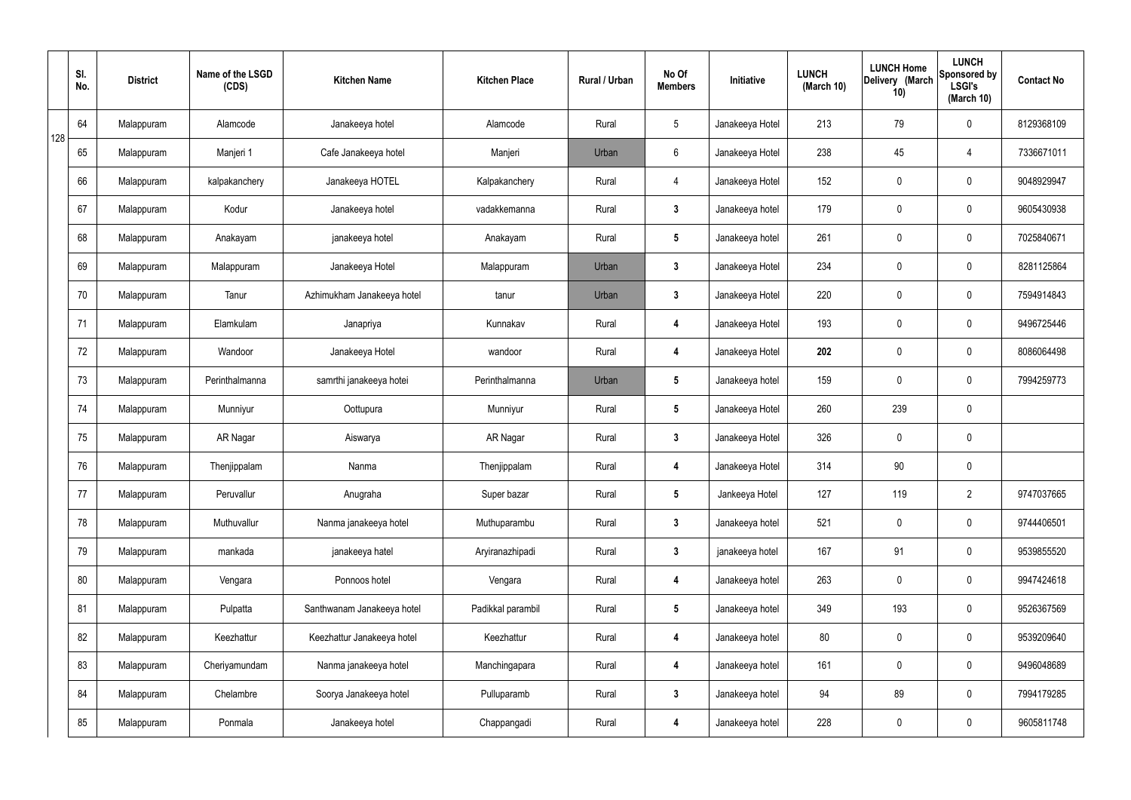|     | SI.<br>No. | <b>District</b> | Name of the LSGD<br>(CDS) | <b>Kitchen Name</b>        | <b>Kitchen Place</b> | Rural / Urban | No Of<br><b>Members</b> | Initiative      | <b>LUNCH</b><br>(March 10) | <b>LUNCH Home</b><br>Delivery (March<br>10) | <b>LUNCH</b><br>Sponsored by<br><b>LSGI's</b><br>(March 10) | <b>Contact No</b> |
|-----|------------|-----------------|---------------------------|----------------------------|----------------------|---------------|-------------------------|-----------------|----------------------------|---------------------------------------------|-------------------------------------------------------------|-------------------|
| 128 | 64         | Malappuram      | Alamcode                  | Janakeeya hotel            | Alamcode             | Rural         | $5\phantom{.0}$         | Janakeeya Hotel | 213                        | 79                                          | $\mathbf 0$                                                 | 8129368109        |
|     | 65         | Malappuram      | Manjeri 1                 | Cafe Janakeeya hotel       | Manjeri              | Urban         | $6\phantom{.}6$         | Janakeeya Hotel | 238                        | 45                                          | 4                                                           | 7336671011        |
|     | 66         | Malappuram      | kalpakanchery             | Janakeeya HOTEL            | Kalpakanchery        | Rural         | $\overline{4}$          | Janakeeya Hotel | 152                        | 0                                           | $\mathbf 0$                                                 | 9048929947        |
|     | 67         | Malappuram      | Kodur                     | Janakeeya hotel            | vadakkemanna         | Rural         | $\mathbf{3}$            | Janakeeya hotel | 179                        | 0                                           | $\mathbf 0$                                                 | 9605430938        |
|     | 68         | Malappuram      | Anakayam                  | janakeeya hotel            | Anakayam             | Rural         | $5\phantom{.0}$         | Janakeeya hotel | 261                        | 0                                           | $\mathbf 0$                                                 | 7025840671        |
|     | 69         | Malappuram      | Malappuram                | Janakeeya Hotel            | Malappuram           | Urban         | $\mathbf{3}$            | Janakeeya Hotel | 234                        | $\mathbf 0$                                 | $\mathbf 0$                                                 | 8281125864        |
|     | 70         | Malappuram      | Tanur                     | Azhimukham Janakeeya hotel | tanur                | Urban         | $\mathbf{3}$            | Janakeeya Hotel | 220                        | $\mathbf 0$                                 | $\mathbf 0$                                                 | 7594914843        |
|     | 71         | Malappuram      | Elamkulam                 | Janapriya                  | Kunnakav             | Rural         | 4                       | Janakeeya Hotel | 193                        | $\mathbf 0$                                 | $\mathbf 0$                                                 | 9496725446        |
|     | 72         | Malappuram      | Wandoor                   | Janakeeya Hotel            | wandoor              | Rural         | 4                       | Janakeeya Hotel | 202                        | 0                                           | $\mathbf 0$                                                 | 8086064498        |
|     | 73         | Malappuram      | Perinthalmanna            | samrthi janakeeya hotei    | Perinthalmanna       | Urban         | $5\phantom{.0}$         | Janakeeya hotel | 159                        | 0                                           | $\mathbf 0$                                                 | 7994259773        |
|     | 74         | Malappuram      | Munniyur                  | Oottupura                  | Munniyur             | Rural         | $5\phantom{.0}$         | Janakeeya Hotel | 260                        | 239                                         | $\pmb{0}$                                                   |                   |
|     | 75         | Malappuram      | AR Nagar                  | Aiswarya                   | AR Nagar             | Rural         | $\mathbf{3}$            | Janakeeya Hotel | 326                        | 0                                           | $\mathbf 0$                                                 |                   |
|     | 76         | Malappuram      | Thenjippalam              | Nanma                      | Thenjippalam         | Rural         | 4                       | Janakeeya Hotel | 314                        | 90                                          | $\mathbf 0$                                                 |                   |
|     | 77         | Malappuram      | Peruvallur                | Anugraha                   | Super bazar          | Rural         | $5\overline{)}$         | Jankeeya Hotel  | 127                        | 119                                         | $\overline{2}$                                              | 9747037665        |
|     | 78         | Malappuram      | Muthuvallur               | Nanma janakeeya hotel      | Muthuparambu         | Rural         | $3\phantom{a}$          | Janakeeya hotel | 521                        | $\mathbf 0$                                 | $\mathbf 0$                                                 | 9744406501        |
|     | 79         | Malappuram      | mankada                   | janakeeya hatel            | Aryiranazhipadi      | Rural         | $\mathbf{3}$            | janakeeya hotel | 167                        | 91                                          | $\mathbf 0$                                                 | 9539855520        |
|     | 80         | Malappuram      | Vengara                   | Ponnoos hotel              | Vengara              | Rural         | 4                       | Janakeeya hotel | 263                        | 0                                           | $\mathbf 0$                                                 | 9947424618        |
|     | 81         | Malappuram      | Pulpatta                  | Santhwanam Janakeeya hotel | Padikkal parambil    | Rural         | $5\phantom{.0}$         | Janakeeya hotel | 349                        | 193                                         | $\mathbf 0$                                                 | 9526367569        |
|     | 82         | Malappuram      | Keezhattur                | Keezhattur Janakeeya hotel | Keezhattur           | Rural         | 4                       | Janakeeya hotel | 80                         | 0                                           | $\mathbf 0$                                                 | 9539209640        |
|     | 83         | Malappuram      | Cheriyamundam             | Nanma janakeeya hotel      | Manchingapara        | Rural         | 4                       | Janakeeya hotel | 161                        | 0                                           | $\mathbf 0$                                                 | 9496048689        |
|     | 84         | Malappuram      | Chelambre                 | Soorya Janakeeya hotel     | Pulluparamb          | Rural         | $\mathbf{3}$            | Janakeeya hotel | 94                         | 89                                          | $\mathbf 0$                                                 | 7994179285        |
|     | 85         | Malappuram      | Ponmala                   | Janakeeya hotel            | Chappangadi          | Rural         | 4                       | Janakeeya hotel | 228                        | 0                                           | $\mathbf 0$                                                 | 9605811748        |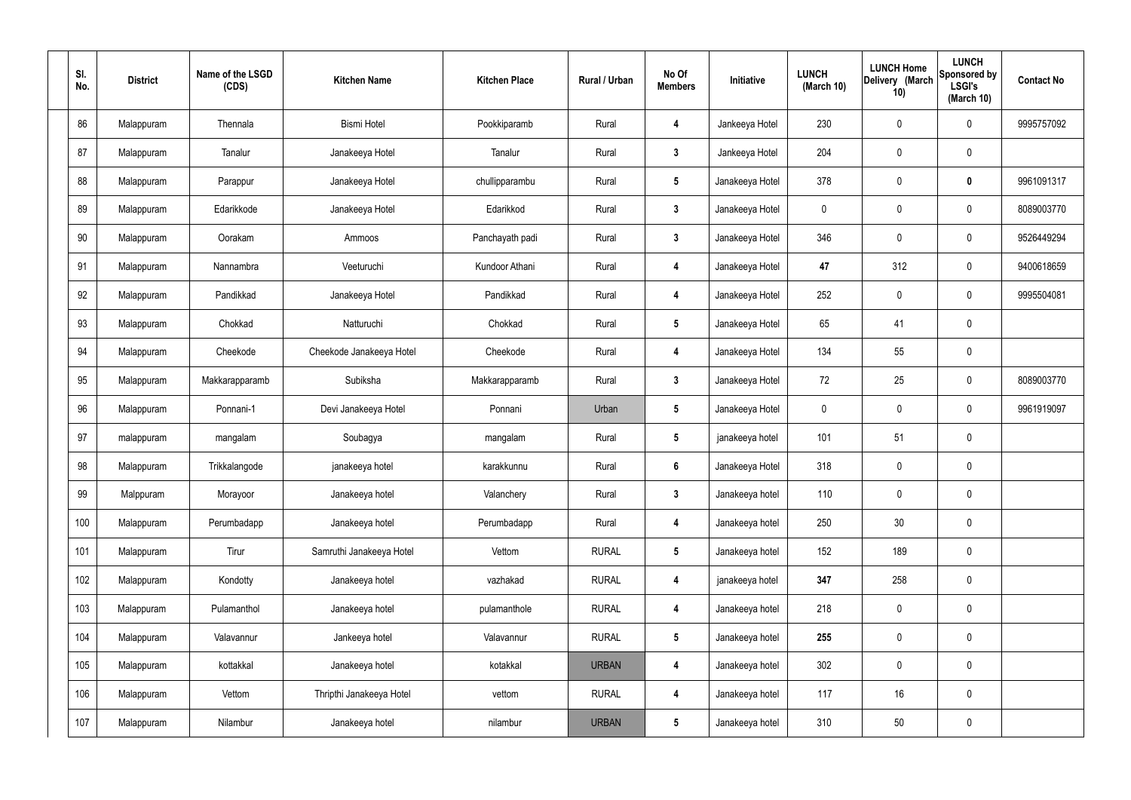| SI.<br>No. | <b>District</b> | Name of the LSGD<br>(CDS) | <b>Kitchen Name</b>      | <b>Kitchen Place</b> | Rural / Urban | No Of<br><b>Members</b> | Initiative      | <b>LUNCH</b><br>(March 10) | <b>LUNCH Home</b><br>Delivery (March<br>10) | <b>LUNCH</b><br>Sponsored by<br><b>LSGI's</b><br>(March 10) | <b>Contact No</b> |
|------------|-----------------|---------------------------|--------------------------|----------------------|---------------|-------------------------|-----------------|----------------------------|---------------------------------------------|-------------------------------------------------------------|-------------------|
| 86         | Malappuram      | Thennala                  | <b>Bismi Hotel</b>       | Pookkiparamb         | Rural         | 4                       | Jankeeya Hotel  | 230                        | 0                                           | $\boldsymbol{0}$                                            | 9995757092        |
| 87         | Malappuram      | Tanalur                   | Janakeeya Hotel          | Tanalur              | Rural         | $\mathbf{3}$            | Jankeeya Hotel  | 204                        | $\mathbf 0$                                 | $\mathbf 0$                                                 |                   |
| 88         | Malappuram      | Parappur                  | Janakeeya Hotel          | chullipparambu       | Rural         | $5\phantom{.0}$         | Janakeeya Hotel | 378                        | 0                                           | $\mathbf 0$                                                 | 9961091317        |
| 89         | Malappuram      | Edarikkode                | Janakeeya Hotel          | Edarikkod            | Rural         | $\mathbf{3}$            | Janakeeya Hotel | $\mathbf 0$                | $\boldsymbol{0}$                            | $\mathbf 0$                                                 | 8089003770        |
| 90         | Malappuram      | Oorakam                   | Ammoos                   | Panchayath padi      | Rural         | $\mathbf{3}$            | Janakeeya Hotel | 346                        | 0                                           | $\mathbf 0$                                                 | 9526449294        |
| 91         | Malappuram      | Nannambra                 | Veeturuchi               | Kundoor Athani       | Rural         | 4                       | Janakeeya Hotel | 47                         | 312                                         | $\mathbf 0$                                                 | 9400618659        |
| 92         | Malappuram      | Pandikkad                 | Janakeeya Hotel          | Pandikkad            | Rural         | 4                       | Janakeeya Hotel | 252                        | 0                                           | $\mathbf 0$                                                 | 9995504081        |
| 93         | Malappuram      | Chokkad                   | Natturuchi               | Chokkad              | Rural         | $5\phantom{.0}$         | Janakeeya Hotel | 65                         | 41                                          | $\pmb{0}$                                                   |                   |
| 94         | Malappuram      | Cheekode                  | Cheekode Janakeeya Hotel | Cheekode             | Rural         | 4                       | Janakeeya Hotel | 134                        | 55                                          | $\mathbf 0$                                                 |                   |
| 95         | Malappuram      | Makkarapparamb            | Subiksha                 | Makkarapparamb       | Rural         | $\mathbf{3}$            | Janakeeya Hotel | 72                         | 25                                          | $\mathbf 0$                                                 | 8089003770        |
| 96         | Malappuram      | Ponnani-1                 | Devi Janakeeya Hotel     | Ponnani              | Urban         | $5\phantom{.0}$         | Janakeeya Hotel | $\mathbf 0$                | 0                                           | $\mathbf 0$                                                 | 9961919097        |
| 97         | malappuram      | mangalam                  | Soubagya                 | mangalam             | Rural         | ${\bf 5}$               | janakeeya hotel | 101                        | 51                                          | $\mathbf 0$                                                 |                   |
| 98         | Malappuram      | Trikkalangode             | janakeeya hotel          | karakkunnu           | Rural         | $6\phantom{.}$          | Janakeeya Hotel | 318                        | 0                                           | $\pmb{0}$                                                   |                   |
| 99         | Malppuram       | Morayoor                  | Janakeeya hotel          | Valanchery           | Rural         | $3\phantom{a}$          | Janakeeya hotel | 110                        | 0                                           | $\mathbf 0$                                                 |                   |
| 100        | Malappuram      | Perumbadapp               | Janakeeya hotel          | Perumbadapp          | Rural         | $\overline{\mathbf{4}}$ | Janakeeya hotel | 250                        | $30\,$                                      | $\pmb{0}$                                                   |                   |
| 101        | Malappuram      | Tirur                     | Samruthi Janakeeya Hotel | Vettom               | <b>RURAL</b>  | $5\phantom{.0}$         | Janakeeya hotel | 152                        | 189                                         | $\mathbf 0$                                                 |                   |
| 102        | Malappuram      | Kondotty                  | Janakeeya hotel          | vazhakad             | <b>RURAL</b>  | $\overline{\mathbf{4}}$ | janakeeya hotel | 347                        | 258                                         | $\mathbf 0$                                                 |                   |
| 103        | Malappuram      | Pulamanthol               | Janakeeya hotel          | pulamanthole         | <b>RURAL</b>  | $\overline{\mathbf{4}}$ | Janakeeya hotel | 218                        | 0                                           | $\mathbf 0$                                                 |                   |
| 104        | Malappuram      | Valavannur                | Jankeeya hotel           | Valavannur           | <b>RURAL</b>  | $5\phantom{.0}$         | Janakeeya hotel | 255                        | 0                                           | $\mathbf 0$                                                 |                   |
| 105        | Malappuram      | kottakkal                 | Janakeeya hotel          | kotakkal             | <b>URBAN</b>  | 4                       | Janakeeya hotel | 302                        | 0                                           | $\mathbf 0$                                                 |                   |
| 106        | Malappuram      | Vettom                    | Thripthi Janakeeya Hotel | vettom               | <b>RURAL</b>  | $\overline{\mathbf{4}}$ | Janakeeya hotel | 117                        | 16                                          | $\pmb{0}$                                                   |                   |
| 107        | Malappuram      | Nilambur                  | Janakeeya hotel          | nilambur             | <b>URBAN</b>  | $5\phantom{.0}$         | Janakeeya hotel | 310                        | $50\,$                                      | $\pmb{0}$                                                   |                   |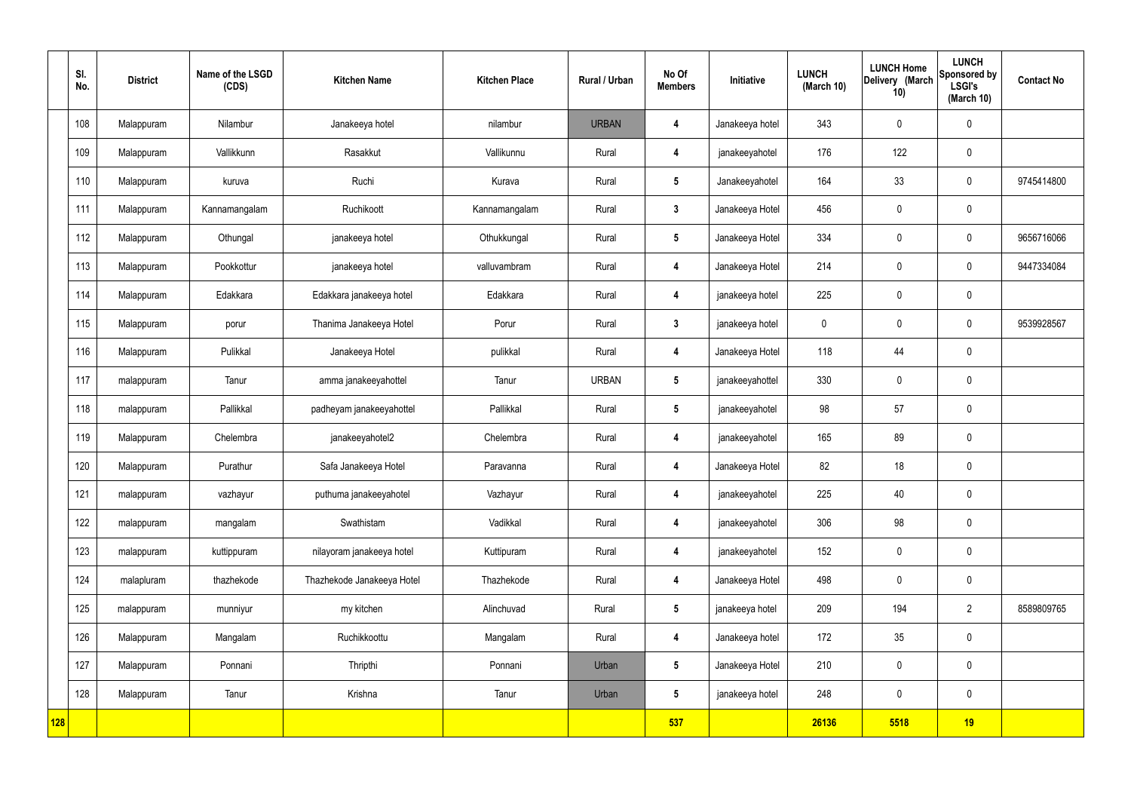|            | SI.<br>No. | <b>District</b> | Name of the LSGD<br>(CDS) | <b>Kitchen Name</b>        | <b>Kitchen Place</b> | <b>Rural / Urban</b> | No Of<br><b>Members</b> | Initiative      | <b>LUNCH</b><br>(March 10) | <b>LUNCH Home</b><br>Delivery (March<br>10) | <b>LUNCH</b><br>Sponsored by<br><b>LSGI's</b><br>(March 10) | <b>Contact No</b> |
|------------|------------|-----------------|---------------------------|----------------------------|----------------------|----------------------|-------------------------|-----------------|----------------------------|---------------------------------------------|-------------------------------------------------------------|-------------------|
|            | 108        | Malappuram      | Nilambur                  | Janakeeya hotel            | nilambur             | <b>URBAN</b>         | $\boldsymbol{4}$        | Janakeeya hotel | 343                        | $\mathbf 0$                                 | $\mathbf 0$                                                 |                   |
|            | 109        | Malappuram      | Vallikkunn                | Rasakkut                   | Vallikunnu           | Rural                | 4                       | janakeeyahotel  | 176                        | 122                                         | $\mathbf 0$                                                 |                   |
|            | 110        | Malappuram      | kuruva                    | Ruchi                      | Kurava               | Rural                | $5\overline{)}$         | Janakeeyahotel  | 164                        | 33                                          | $\mathbf 0$                                                 | 9745414800        |
|            | 111        | Malappuram      | Kannamangalam             | Ruchikoott                 | Kannamangalam        | Rural                | $\mathbf{3}$            | Janakeeya Hotel | 456                        | $\mathbf 0$                                 | $\mathbf 0$                                                 |                   |
|            | 112        | Malappuram      | Othungal                  | janakeeya hotel            | Othukkungal          | Rural                | $5\overline{)}$         | Janakeeya Hotel | 334                        | $\mathbf 0$                                 | $\mathbf 0$                                                 | 9656716066        |
|            | 113        | Malappuram      | Pookkottur                | janakeeya hotel            | valluvambram         | Rural                | 4                       | Janakeeya Hotel | 214                        | $\mathbf 0$                                 | $\mathbf 0$                                                 | 9447334084        |
|            | 114        | Malappuram      | Edakkara                  | Edakkara janakeeya hotel   | Edakkara             | Rural                | $\overline{\mathbf{4}}$ | janakeeya hotel | 225                        | $\mathbf 0$                                 | $\mathbf 0$                                                 |                   |
|            | 115        | Malappuram      | porur                     | Thanima Janakeeya Hotel    | Porur                | Rural                | $\mathbf{3}$            | janakeeya hotel | $\mathbf 0$                | $\mathbf 0$                                 | $\mathbf 0$                                                 | 9539928567        |
|            | 116        | Malappuram      | Pulikkal                  | Janakeeya Hotel            | pulikkal             | Rural                | $\overline{\mathbf{4}}$ | Janakeeya Hotel | 118                        | 44                                          | $\mathbf 0$                                                 |                   |
|            | 117        | malappuram      | Tanur                     | amma janakeeyahottel       | Tanur                | <b>URBAN</b>         | $5\phantom{.0}$         | janakeeyahottel | 330                        | $\pmb{0}$                                   | $\mathbf 0$                                                 |                   |
|            | 118        | malappuram      | Pallikkal                 | padheyam janakeeyahottel   | Pallikkal            | Rural                | $5\phantom{.0}$         | janakeeyahotel  | 98                         | 57                                          | $\mathbf 0$                                                 |                   |
|            | 119        | Malappuram      | Chelembra                 | janakeeyahotel2            | Chelembra            | Rural                | 4                       | janakeeyahotel  | 165                        | 89                                          | $\mathbf 0$                                                 |                   |
|            | 120        | Malappuram      | Purathur                  | Safa Janakeeya Hotel       | Paravanna            | Rural                | 4                       | Janakeeya Hotel | 82                         | 18                                          | $\mathbf 0$                                                 |                   |
|            | 121        | malappuram      | vazhayur                  | puthuma janakeeyahotel     | Vazhayur             | Rural                | $\overline{\mathbf{4}}$ | janakeeyahotel  | 225                        | 40                                          | $\mathbf 0$                                                 |                   |
|            | 122        | malappuram      | mangalam                  | Swathistam                 | Vadikkal             | Rural                | $\overline{\mathbf{4}}$ | janakeeyahotel  | 306                        | 98                                          | $\mathbf 0$                                                 |                   |
|            | 123        | malappuram      | kuttippuram               | nilayoram janakeeya hotel  | Kuttipuram           | Rural                | $\overline{\mathbf{4}}$ | janakeeyahotel  | 152                        | $\mathbf 0$                                 | $\pmb{0}$                                                   |                   |
|            | 124        | malapluram      | thazhekode                | Thazhekode Janakeeya Hotel | Thazhekode           | Rural                | $\overline{\mathbf{4}}$ | Janakeeya Hotel | 498                        | $\pmb{0}$                                   | $\pmb{0}$                                                   |                   |
|            | 125        | malappuram      | munniyur                  | my kitchen                 | Alinchuvad           | Rural                | $5\phantom{.0}$         | janakeeya hotel | 209                        | 194                                         | $\overline{2}$                                              | 8589809765        |
|            | 126        | Malappuram      | Mangalam                  | Ruchikkoottu               | Mangalam             | Rural                | $\overline{\mathbf{4}}$ | Janakeeya hotel | 172                        | 35                                          | $\mathbf 0$                                                 |                   |
|            | 127        | Malappuram      | Ponnani                   | Thripthi                   | Ponnani              | Urban                | $5\overline{)}$         | Janakeeya Hotel | 210                        | $\mathbf 0$                                 | $\mathbf 0$                                                 |                   |
|            | 128        | Malappuram      | Tanur                     | Krishna                    | Tanur                | Urban                | $5\overline{)}$         | janakeeya hotel | 248                        | $\pmb{0}$                                   | $\mathbf 0$                                                 |                   |
| <b>128</b> |            |                 |                           |                            |                      |                      | 537                     |                 | 26136                      | 5518                                        | 19                                                          |                   |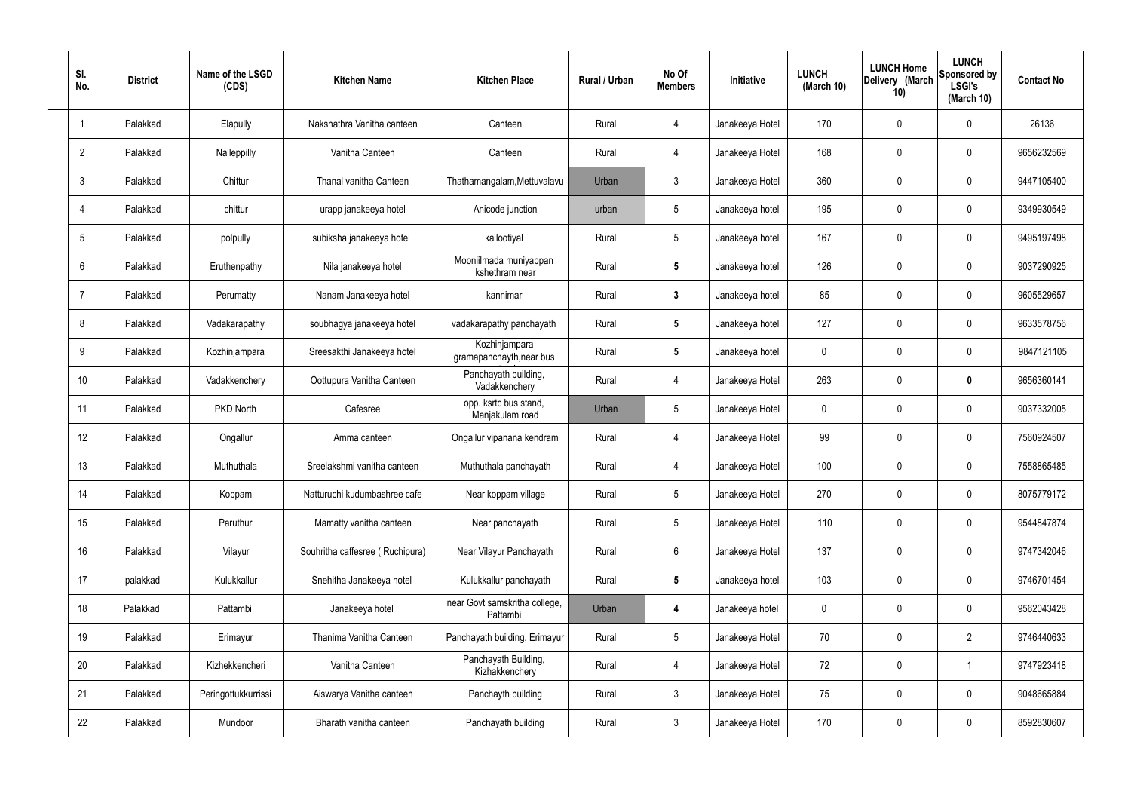| SI.<br>No.     | <b>District</b> | Name of the LSGD<br>(CDS) | <b>Kitchen Name</b>             | <b>Kitchen Place</b>                      | Rural / Urban | No Of<br><b>Members</b> | Initiative      | <b>LUNCH</b><br>(March 10) | <b>LUNCH Home</b><br>Delivery (March<br>10) | <b>LUNCH</b><br>Sponsored by<br><b>LSGI's</b><br>(March $10$ ) | <b>Contact No</b> |
|----------------|-----------------|---------------------------|---------------------------------|-------------------------------------------|---------------|-------------------------|-----------------|----------------------------|---------------------------------------------|----------------------------------------------------------------|-------------------|
| -1             | Palakkad        | Elapully                  | Nakshathra Vanitha canteen      | Canteen                                   | Rural         | 4                       | Janakeeya Hotel | 170                        | 0                                           | $\mathbf 0$                                                    | 26136             |
| $\overline{2}$ | Palakkad        | Nalleppilly               | Vanitha Canteen                 | Canteen                                   | Rural         | 4                       | Janakeeya Hotel | 168                        | 0                                           | $\mathbf 0$                                                    | 9656232569        |
| 3              | Palakkad        | Chittur                   | Thanal vanitha Canteen          | Thathamangalam, Mettuvalavu               | Urban         | 3                       | Janakeeya Hotel | 360                        | 0                                           | $\mathbf 0$                                                    | 9447105400        |
|                | Palakkad        | chittur                   | urapp janakeeya hotel           | Anicode junction                          | urban         | $5\phantom{.0}$         | Janakeeya hotel | 195                        | 0                                           | $\mathbf 0$                                                    | 9349930549        |
| 5              | Palakkad        | polpully                  | subiksha janakeeya hotel        | kallootiyal                               | Rural         | $5\phantom{.0}$         | Janakeeya hotel | 167                        | 0                                           | $\mathbf 0$                                                    | 9495197498        |
| 6              | Palakkad        | Eruthenpathy              | Nila janakeeya hotel            | Mooniilmada muniyappan<br>kshethram near  | Rural         | $5\phantom{.0}$         | Janakeeya hotel | 126                        | $\mathbf{0}$                                | $\mathbf 0$                                                    | 9037290925        |
| 7              | Palakkad        | Perumatty                 | Nanam Janakeeya hotel           | kannimari                                 | Rural         | $\mathbf{3}$            | Janakeeya hotel | 85                         | $\mathbf{0}$                                | $\mathbf 0$                                                    | 9605529657        |
| 8              | Palakkad        | Vadakarapathy             | soubhagya janakeeya hotel       | vadakarapathy panchayath                  | Rural         | $5\phantom{.0}$         | Janakeeya hotel | 127                        | $\mathbf{0}$                                | $\mathbf 0$                                                    | 9633578756        |
| 9              | Palakkad        | Kozhinjampara             | Sreesakthi Janakeeya hotel      | Kozhinjampara<br>gramapanchayth, near bus | Rural         | $5\phantom{.0}$         | Janakeeya hotel | $\mathbf 0$                | 0                                           | $\mathbf 0$                                                    | 9847121105        |
| 10             | Palakkad        | Vadakkenchery             | Oottupura Vanitha Canteen       | Panchayath building,<br>Vadakkenchery     | Rural         | 4                       | Janakeeya Hotel | 263                        | 0                                           | $\mathbf 0$                                                    | 9656360141        |
| 11             | Palakkad        | PKD North                 | Cafesree                        | opp. ksrtc bus stand,<br>Manjakulam road  | Urban         | $5\phantom{.0}$         | Janakeeya Hotel | $\mathbf 0$                | 0                                           | $\mathbf 0$                                                    | 9037332005        |
| 12             | Palakkad        | Ongallur                  | Amma canteen                    | Ongallur vipanana kendram                 | Rural         | 4                       | Janakeeya Hotel | 99                         | 0                                           | $\boldsymbol{0}$                                               | 7560924507        |
| 13             | Palakkad        | Muthuthala                | Sreelakshmi vanitha canteen     | Muthuthala panchayath                     | Rural         | 4                       | Janakeeya Hotel | 100                        | 0                                           | 0                                                              | 7558865485        |
| 14             | Palakkad        | Koppam                    | Natturuchi kudumbashree cafe    | Near koppam village                       | Rural         | $5\phantom{.0}$         | Janakeeya Hotel | 270                        | $\mathbf 0$                                 | $\mathbf 0$                                                    | 8075779172        |
| 15             | Palakkad        | Paruthur                  | Mamatty vanitha canteen         | Near panchayath                           | Rural         | $5\phantom{.0}$         | Janakeeya Hotel | 110                        | $\mathbf 0$                                 | $\mathbf 0$                                                    | 9544847874        |
| 16             | Palakkad        | Vilayur                   | Souhritha caffesree (Ruchipura) | Near Vilayur Panchayath                   | Rural         | $6\phantom{.}6$         | Janakeeya Hotel | 137                        | $\mathbf 0$                                 | $\mathbf 0$                                                    | 9747342046        |
| 17             | palakkad        | Kulukkallur               | Snehitha Janakeeya hotel        | Kulukkallur panchayath                    | Rural         | $5\phantom{.0}$         | Janakeeya hotel | 103                        | $\mathbf 0$                                 | $\mathbf 0$                                                    | 9746701454        |
| 18             | Palakkad        | Pattambi                  | Janakeeya hotel                 | near Govt samskritha college,<br>Pattambi | Urban         | 4                       | Janakeeya hotel | $\mathbf 0$                | 0                                           | $\mathbf 0$                                                    | 9562043428        |
| 19             | Palakkad        | Erimayur                  | Thanima Vanitha Canteen         | Panchayath building, Erimayur             | Rural         | $5\,$                   | Janakeeya Hotel | 70                         | 0                                           | $\overline{2}$                                                 | 9746440633        |
| 20             | Palakkad        | Kizhekkencheri            | Vanitha Canteen                 | Panchayath Building,<br>Kizhakkenchery    | Rural         | 4                       | Janakeeya Hotel | 72                         | 0                                           | $\mathbf 1$                                                    | 9747923418        |
| 21             | Palakkad        | Peringottukkurrissi       | Aiswarya Vanitha canteen        | Panchayth building                        | Rural         | $\mathbf{3}$            | Janakeeya Hotel | 75                         | $\mathbf 0$                                 | $\mathbf 0$                                                    | 9048665884        |
| 22             | Palakkad        | Mundoor                   | Bharath vanitha canteen         | Panchayath building                       | Rural         | $\mathfrak{Z}$          | Janakeeya Hotel | 170                        | 0                                           | $\boldsymbol{0}$                                               | 8592830607        |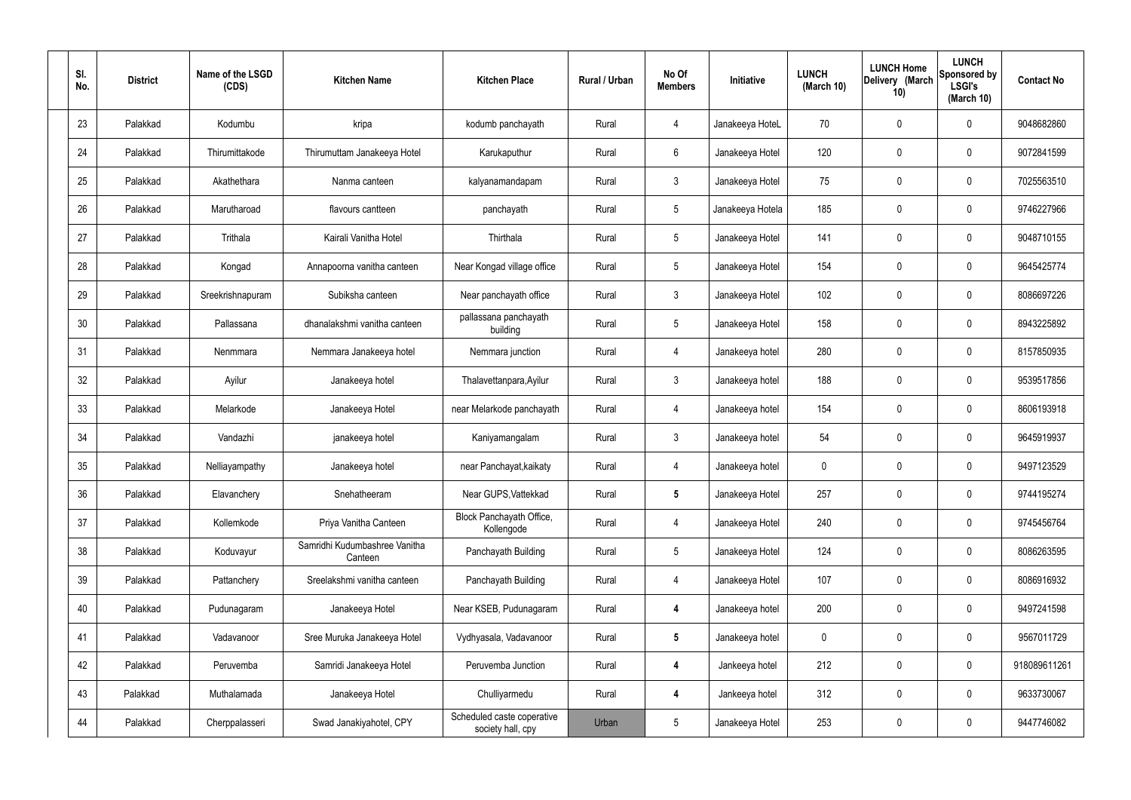| SI.<br>No. | <b>District</b> | Name of the LSGD<br>(CDS) | <b>Kitchen Name</b>                      | <b>Kitchen Place</b>                            | Rural / Urban | No Of<br><b>Members</b> | Initiative       | <b>LUNCH</b><br>(March 10) | <b>LUNCH Home</b><br>Delivery (March<br>10) | <b>LUNCH</b><br>Sponsored by<br><b>LSGI's</b><br>(March 10) | <b>Contact No</b> |
|------------|-----------------|---------------------------|------------------------------------------|-------------------------------------------------|---------------|-------------------------|------------------|----------------------------|---------------------------------------------|-------------------------------------------------------------|-------------------|
| 23         | Palakkad        | Kodumbu                   | kripa                                    | kodumb panchayath                               | Rural         | 4                       | Janakeeya HoteL  | 70                         | $\mathbf 0$                                 | 0                                                           | 9048682860        |
| 24         | Palakkad        | Thirumittakode            | Thirumuttam Janakeeya Hotel              | Karukaputhur                                    | Rural         | 6                       | Janakeeya Hotel  | 120                        | $\mathbf 0$                                 | 0                                                           | 9072841599        |
| 25         | Palakkad        | Akathethara               | Nanma canteen                            | kalyanamandapam                                 | Rural         | $\mathbf{3}$            | Janakeeya Hotel  | 75                         | 0                                           | 0                                                           | 7025563510        |
| 26         | Palakkad        | Marutharoad               | flavours cantteen                        | panchayath                                      | Rural         | $5\phantom{.0}$         | Janakeeya Hotela | 185                        | $\mathbf 0$                                 | 0                                                           | 9746227966        |
| 27         | Palakkad        | Trithala                  | Kairali Vanitha Hotel                    | Thirthala                                       | Rural         | $5\phantom{.0}$         | Janakeeya Hotel  | 141                        | 0                                           | 0                                                           | 9048710155        |
| 28         | Palakkad        | Kongad                    | Annapoorna vanitha canteen               | Near Kongad village office                      | Rural         | $5\phantom{.0}$         | Janakeeya Hotel  | 154                        | $\mathbf 0$                                 | 0                                                           | 9645425774        |
| 29         | Palakkad        | Sreekrishnapuram          | Subiksha canteen                         | Near panchayath office                          | Rural         | $\mathbf{3}$            | Janakeeya Hotel  | 102                        | $\mathbf 0$                                 | 0                                                           | 8086697226        |
| 30         | Palakkad        | Pallassana                | dhanalakshmi vanitha canteen             | pallassana panchayath<br>building               | Rural         | $5\phantom{.0}$         | Janakeeya Hotel  | 158                        | $\mathbf 0$                                 | 0                                                           | 8943225892        |
| 31         | Palakkad        | Nenmmara                  | Nemmara Janakeeya hotel                  | Nemmara junction                                | Rural         | 4                       | Janakeeya hotel  | 280                        | $\mathbf 0$                                 | 0                                                           | 8157850935        |
| 32         | Palakkad        | Ayilur                    | Janakeeya hotel                          | Thalavettanpara, Ayilur                         | Rural         | $\mathbf{3}$            | Janakeeya hotel  | 188                        | 0                                           | 0                                                           | 9539517856        |
| 33         | Palakkad        | Melarkode                 | Janakeeya Hotel                          | near Melarkode panchayath                       | Rural         | $\overline{4}$          | Janakeeya hotel  | 154                        | 0                                           | 0                                                           | 8606193918        |
| 34         | Palakkad        | Vandazhi                  | janakeeya hotel                          | Kaniyamangalam                                  | Rural         | $\mathbf{3}$            | Janakeeya hotel  | 54                         | 0                                           | 0                                                           | 9645919937        |
| 35         | Palakkad        | Nelliayampathy            | Janakeeya hotel                          | near Panchayat, kaikaty                         | Rural         | 4                       | Janakeeya hotel  | 0                          | 0                                           | 0                                                           | 9497123529        |
| 36         | Palakkad        | Elavanchery               | Snehatheeram                             | Near GUPS, Vattekkad                            | Rural         | $\sqrt{5}$              | Janakeeya Hotel  | 257                        | $\mathbf 0$                                 | 0                                                           | 9744195274        |
| 37         | Palakkad        | Kollemkode                | Priya Vanitha Canteen                    | Block Panchayath Office,<br>Kollengode          | Rural         | $\overline{4}$          | Janakeeya Hotel  | 240                        | $\mathbf 0$                                 | 0                                                           | 9745456764        |
| 38         | Palakkad        | Koduvayur                 | Samridhi Kudumbashree Vanitha<br>Canteen | Panchayath Building                             | Rural         | $5\phantom{.0}$         | Janakeeya Hotel  | 124                        | $\mathbf 0$                                 | 0                                                           | 8086263595        |
| 39         | Palakkad        | Pattanchery               | Sreelakshmi vanitha canteen              | Panchayath Building                             | Rural         | $\overline{4}$          | Janakeeya Hotel  | 107                        | $\mathbf 0$                                 | 0                                                           | 8086916932        |
| 40         | Palakkad        | Pudunagaram               | Janakeeya Hotel                          | Near KSEB, Pudunagaram                          | Rural         | $\overline{4}$          | Janakeeya hotel  | 200                        | $\mathbf 0$                                 | 0                                                           | 9497241598        |
| 41         | Palakkad        | Vadavanoor                | Sree Muruka Janakeeya Hotel              | Vydhyasala, Vadavanoor                          | Rural         | $5\phantom{.0}$         | Janakeeya hotel  | $\mathbf 0$                | $\mathbf 0$                                 | 0                                                           | 9567011729        |
| 42         | Palakkad        | Peruvemba                 | Samridi Janakeeya Hotel                  | Peruvemba Junction                              | Rural         | 4                       | Jankeeya hotel   | 212                        | $\mathbf 0$                                 | 0                                                           | 918089611261      |
| 43         | Palakkad        | Muthalamada               | Janakeeya Hotel                          | Chulliyarmedu                                   | Rural         | 4                       | Jankeeya hotel   | 312                        | $\mathbf 0$                                 | 0                                                           | 9633730067        |
| 44         | Palakkad        | Cherppalasseri            | Swad Janakiyahotel, CPY                  | Scheduled caste coperative<br>society hall, cpy | Urban         | $5\phantom{.0}$         | Janakeeya Hotel  | 253                        | 0                                           | 0                                                           | 9447746082        |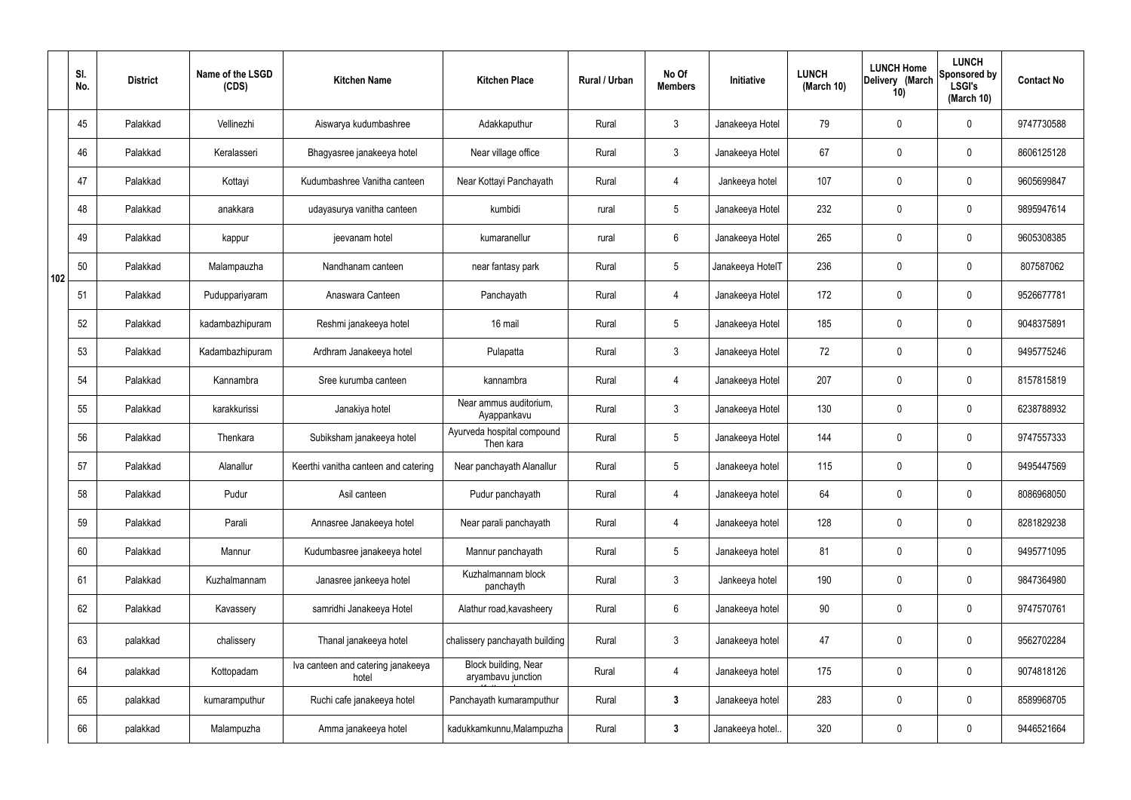|     | SI.<br>No. | <b>District</b> | Name of the LSGD<br>(CDS) | <b>Kitchen Name</b>                         | <b>Kitchen Place</b>                       | Rural / Urban | No Of<br><b>Members</b> | Initiative       | <b>LUNCH</b><br>(March 10) | <b>LUNCH Home</b><br>Delivery (March<br>10) | <b>LUNCH</b><br>Sponsored by<br><b>LSGI's</b><br>(March 10) | <b>Contact No</b> |
|-----|------------|-----------------|---------------------------|---------------------------------------------|--------------------------------------------|---------------|-------------------------|------------------|----------------------------|---------------------------------------------|-------------------------------------------------------------|-------------------|
|     | 45         | Palakkad        | Vellinezhi                | Aiswarya kudumbashree                       | Adakkaputhur                               | Rural         | $\mathbf{3}$            | Janakeeya Hotel  | 79                         | 0                                           | $\mathbf 0$                                                 | 9747730588        |
|     | 46         | Palakkad        | Keralasseri               | Bhagyasree janakeeya hotel                  | Near village office                        | Rural         | $\mathbf{3}$            | Janakeeya Hotel  | 67                         | $\mathbf 0$                                 | $\mathbf 0$                                                 | 8606125128        |
|     | 47         | Palakkad        | Kottayi                   | Kudumbashree Vanitha canteen                | Near Kottayi Panchayath                    | Rural         | $\overline{4}$          | Jankeeya hotel   | 107                        | $\mathbf 0$                                 | $\mathbf 0$                                                 | 9605699847        |
|     | 48         | Palakkad        | anakkara                  | udayasurya vanitha canteen                  | kumbidi                                    | rural         | $5\phantom{.0}$         | Janakeeya Hotel  | 232                        | $\mathbf 0$                                 | $\mathbf 0$                                                 | 9895947614        |
|     | 49         | Palakkad        | kappur                    | jeevanam hotel                              | kumaranellur                               | rural         | $6\overline{6}$         | Janakeeya Hotel  | 265                        | $\mathbf 0$                                 | $\mathbf 0$                                                 | 9605308385        |
| 102 | 50         | Palakkad        | Malampauzha               | Nandhanam canteen                           | near fantasy park                          | Rural         | $5\overline{)}$         | Janakeeya HotelT | 236                        | $\mathbf 0$                                 | $\mathbf 0$                                                 | 807587062         |
|     | 51         | Palakkad        | Puduppariyaram            | Anaswara Canteen                            | Panchayath                                 | Rural         | $\overline{4}$          | Janakeeya Hotel  | 172                        | $\mathbf 0$                                 | $\mathbf 0$                                                 | 9526677781        |
|     | 52         | Palakkad        | kadambazhipuram           | Reshmi janakeeya hotel                      | 16 mail                                    | Rural         | $5\phantom{.0}$         | Janakeeya Hotel  | 185                        | 0                                           | $\mathbf 0$                                                 | 9048375891        |
|     | 53         | Palakkad        | Kadambazhipuram           | Ardhram Janakeeya hotel                     | Pulapatta                                  | Rural         | $\mathbf{3}$            | Janakeeya Hotel  | 72                         | $\mathbf 0$                                 | $\mathbf 0$                                                 | 9495775246        |
|     | 54         | Palakkad        | Kannambra                 | Sree kurumba canteen                        | kannambra                                  | Rural         | 4                       | Janakeeya Hotel  | 207                        | 0                                           | $\mathbf 0$                                                 | 8157815819        |
|     | 55         | Palakkad        | karakkurissi              | Janakiya hotel                              | Near ammus auditorium,<br>Ayappankavu      | Rural         | $\mathbf{3}$            | Janakeeya Hotel  | 130                        | 0                                           | $\mathbf 0$                                                 | 6238788932        |
|     | 56         | Palakkad        | Thenkara                  | Subiksham janakeeya hotel                   | Ayurveda hospital compound<br>Then kara    | Rural         | $5\phantom{.0}$         | Janakeeya Hotel  | 144                        | 0                                           | $\mathbf 0$                                                 | 9747557333        |
|     | 57         | Palakkad        | Alanallur                 | Keerthi vanitha canteen and catering        | Near panchayath Alanallur                  | Rural         | $5\phantom{.0}$         | Janakeeya hotel  | 115                        | 0                                           | $\mathbf 0$                                                 | 9495447569        |
|     | 58         | Palakkad        | Pudur                     | Asil canteen                                | Pudur panchayath                           | Rural         | 4                       | Janakeeya hotel  | 64                         | $\mathbf 0$                                 | $\mathbf 0$                                                 | 8086968050        |
|     | 59         | Palakkad        | Parali                    | Annasree Janakeeya hotel                    | Near parali panchayath                     | Rural         | $\overline{4}$          | Janakeeya hotel  | 128                        | $\mathbf 0$                                 | $\mathbf 0$                                                 | 8281829238        |
|     | 60         | Palakkad        | Mannur                    | Kudumbasree janakeeya hotel                 | Mannur panchayath                          | Rural         | $5\phantom{.0}$         | Janakeeya hotel  | 81                         | $\mathbf 0$                                 | $\mathbf 0$                                                 | 9495771095        |
|     | 61         | Palakkad        | Kuzhalmannam              | Janasree jankeeya hotel                     | Kuzhalmannam block<br>panchayth            | Rural         | $\mathbf{3}$            | Jankeeya hotel   | 190                        | 0                                           | $\mathbf 0$                                                 | 9847364980        |
|     | 62         | Palakkad        | Kavassery                 | samridhi Janakeeya Hotel                    | Alathur road, kavasheery                   | Rural         | $6\overline{6}$         | Janakeeya hotel  | 90                         | 0                                           | $\mathbf 0$                                                 | 9747570761        |
|     | 63         | palakkad        | chalissery                | Thanal janakeeya hotel                      | chalissery panchayath building             | Rural         | $\mathfrak{Z}$          | Janakeeya hotel  | 47                         | 0                                           | $\mathbf 0$                                                 | 9562702284        |
|     | 64         | palakkad        | Kottopadam                | Iva canteen and catering janakeeya<br>hotel | Block building, Near<br>aryambavu junction | Rural         | $\overline{4}$          | Janakeeya hotel  | 175                        | 0                                           | $\mathbf 0$                                                 | 9074818126        |
|     | 65         | palakkad        | kumaramputhur             | Ruchi cafe janakeeya hotel                  | Panchayath kumaramputhur                   | Rural         | $\mathbf{3}$            | Janakeeya hotel  | 283                        | 0                                           | $\mathbf 0$                                                 | 8589968705        |
|     | 66         | palakkad        | Malampuzha                | Amma janakeeya hotel                        | kadukkamkunnu, Malampuzha                  | Rural         | $\mathbf{3}$            | Janakeeya hotel. | 320                        | 0                                           | $\overline{0}$                                              | 9446521664        |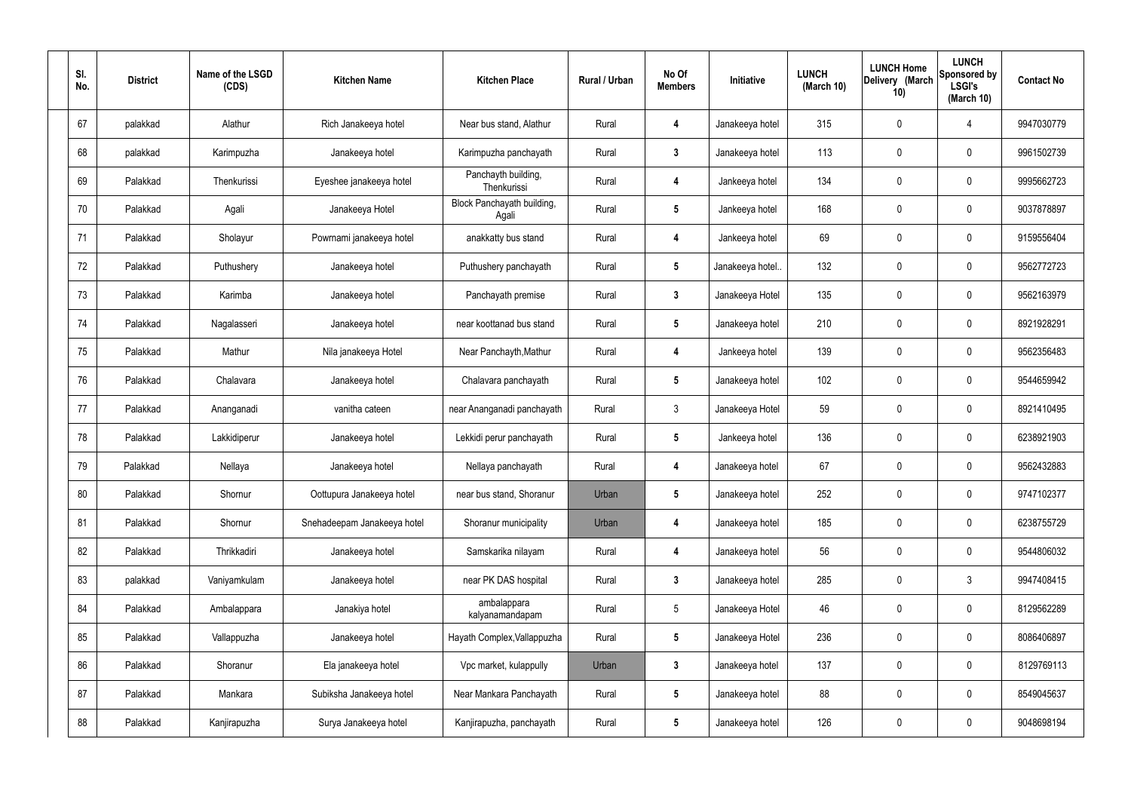| SI.<br>No. | <b>District</b> | Name of the LSGD<br>(CDS) | <b>Kitchen Name</b>         | <b>Kitchen Place</b>                | Rural / Urban | No Of<br><b>Members</b> | Initiative       | <b>LUNCH</b><br>(March 10) | <b>LUNCH Home</b><br>Delivery (March<br>10) | <b>LUNCH</b><br>Sponsored by<br><b>LSGI's</b><br>(March 10) | <b>Contact No</b> |
|------------|-----------------|---------------------------|-----------------------------|-------------------------------------|---------------|-------------------------|------------------|----------------------------|---------------------------------------------|-------------------------------------------------------------|-------------------|
| 67         | palakkad        | Alathur                   | Rich Janakeeya hotel        | Near bus stand, Alathur             | Rural         | 4                       | Janakeeya hotel  | 315                        | 0                                           | 4                                                           | 9947030779        |
| 68         | palakkad        | Karimpuzha                | Janakeeya hotel             | Karimpuzha panchayath               | Rural         | $\mathbf{3}$            | Janakeeya hotel  | 113                        | $\mathbf 0$                                 | $\mathbf 0$                                                 | 9961502739        |
| 69         | Palakkad        | Thenkurissi               | Eyeshee janakeeya hotel     | Panchayth building,<br>Thenkurissi  | Rural         | 4                       | Jankeeya hotel   | 134                        | 0                                           | $\mathbf 0$                                                 | 9995662723        |
| 70         | Palakkad        | Agali                     | Janakeeya Hotel             | Block Panchayath building,<br>Agali | Rural         | $5\phantom{.0}$         | Jankeeya hotel   | 168                        | $\mathbf 0$                                 | $\mathbf 0$                                                 | 9037878897        |
| 71         | Palakkad        | Sholayur                  | Powrnami janakeeya hotel    | anakkatty bus stand                 | Rural         | 4                       | Jankeeya hotel   | 69                         | $\mathbf 0$                                 | $\mathbf 0$                                                 | 9159556404        |
| 72         | Palakkad        | Puthushery                | Janakeeya hotel             | Puthushery panchayath               | Rural         | $5\phantom{.0}$         | Janakeeya hotel. | 132                        | $\mathbf 0$                                 | $\mathbf 0$                                                 | 9562772723        |
| 73         | Palakkad        | Karimba                   | Janakeeya hotel             | Panchayath premise                  | Rural         | $\mathbf{3}$            | Janakeeya Hotel  | 135                        | $\mathbf 0$                                 | $\mathbf 0$                                                 | 9562163979        |
| 74         | Palakkad        | Nagalasseri               | Janakeeya hotel             | near koottanad bus stand            | Rural         | $5\phantom{.0}$         | Janakeeya hotel  | 210                        | $\mathbf 0$                                 | $\mathbf 0$                                                 | 8921928291        |
| 75         | Palakkad        | Mathur                    | Nila janakeeya Hotel        | Near Panchayth, Mathur              | Rural         | 4                       | Jankeeya hotel   | 139                        | $\mathbf 0$                                 | $\mathbf 0$                                                 | 9562356483        |
| 76         | Palakkad        | Chalavara                 | Janakeeya hotel             | Chalavara panchayath                | Rural         | $5\phantom{.0}$         | Janakeeya hotel  | 102                        | 0                                           | $\mathbf 0$                                                 | 9544659942        |
| 77         | Palakkad        | Ananganadi                | vanitha cateen              | near Ananganadi panchayath          | Rural         | $\mathbf{3}$            | Janakeeya Hotel  | 59                         | 0                                           | $\mathbf 0$                                                 | 8921410495        |
| 78         | Palakkad        | Lakkidiperur              | Janakeeya hotel             | Lekkidi perur panchayath            | Rural         | $5\phantom{.0}$         | Jankeeya hotel   | 136                        | $\mathbf 0$                                 | $\mathbf 0$                                                 | 6238921903        |
| 79         | Palakkad        | Nellaya                   | Janakeeya hotel             | Nellaya panchayath                  | Rural         | 4                       | Janakeeya hotel  | 67                         | 0                                           | $\mathbf 0$                                                 | 9562432883        |
| 80         | Palakkad        | Shornur                   | Oottupura Janakeeya hotel   | near bus stand, Shoranur            | Urban         | $5\phantom{.0}$         | Janakeeya hotel  | 252                        | $\mathbf 0$                                 | $\mathbf 0$                                                 | 9747102377        |
| 81         | Palakkad        | Shornur                   | Snehadeepam Janakeeya hotel | Shoranur municipality               | Urban         | $\overline{4}$          | Janakeeya hotel  | 185                        | 0                                           | $\mathbf 0$                                                 | 6238755729        |
| 82         | Palakkad        | Thrikkadiri               | Janakeeya hotel             | Samskarika nilayam                  | Rural         | 4                       | Janakeeya hotel  | 56                         | 0                                           | $\mathbf 0$                                                 | 9544806032        |
| 83         | palakkad        | Vaniyamkulam              | Janakeeya hotel             | near PK DAS hospital                | Rural         | $\mathbf{3}$            | Janakeeya hotel  | 285                        | 0                                           | $\mathbf{3}$                                                | 9947408415        |
| 84         | Palakkad        | Ambalappara               | Janakiya hotel              | ambalappara<br>kalyanamandapam      | Rural         | $5\phantom{.0}$         | Janakeeya Hotel  | 46                         | 0                                           | $\mathbf 0$                                                 | 8129562289        |
| 85         | Palakkad        | Vallappuzha               | Janakeeya hotel             | Hayath Complex, Vallappuzha         | Rural         | $5\phantom{.0}$         | Janakeeya Hotel  | 236                        | 0                                           | $\mathbf 0$                                                 | 8086406897        |
| 86         | Palakkad        | Shoranur                  | Ela janakeeya hotel         | Vpc market, kulappully              | Urban         | $\mathbf{3}$            | Janakeeya hotel  | 137                        | 0                                           | $\mathbf 0$                                                 | 8129769113        |
| 87         | Palakkad        | Mankara                   | Subiksha Janakeeya hotel    | Near Mankara Panchayath             | Rural         | $5\phantom{.0}$         | Janakeeya hotel  | 88                         | 0                                           | $\mathbf 0$                                                 | 8549045637        |
| 88         | Palakkad        | Kanjirapuzha              | Surya Janakeeya hotel       | Kanjirapuzha, panchayath            | Rural         | $5\overline{)}$         | Janakeeya hotel  | 126                        | 0                                           | $\overline{0}$                                              | 9048698194        |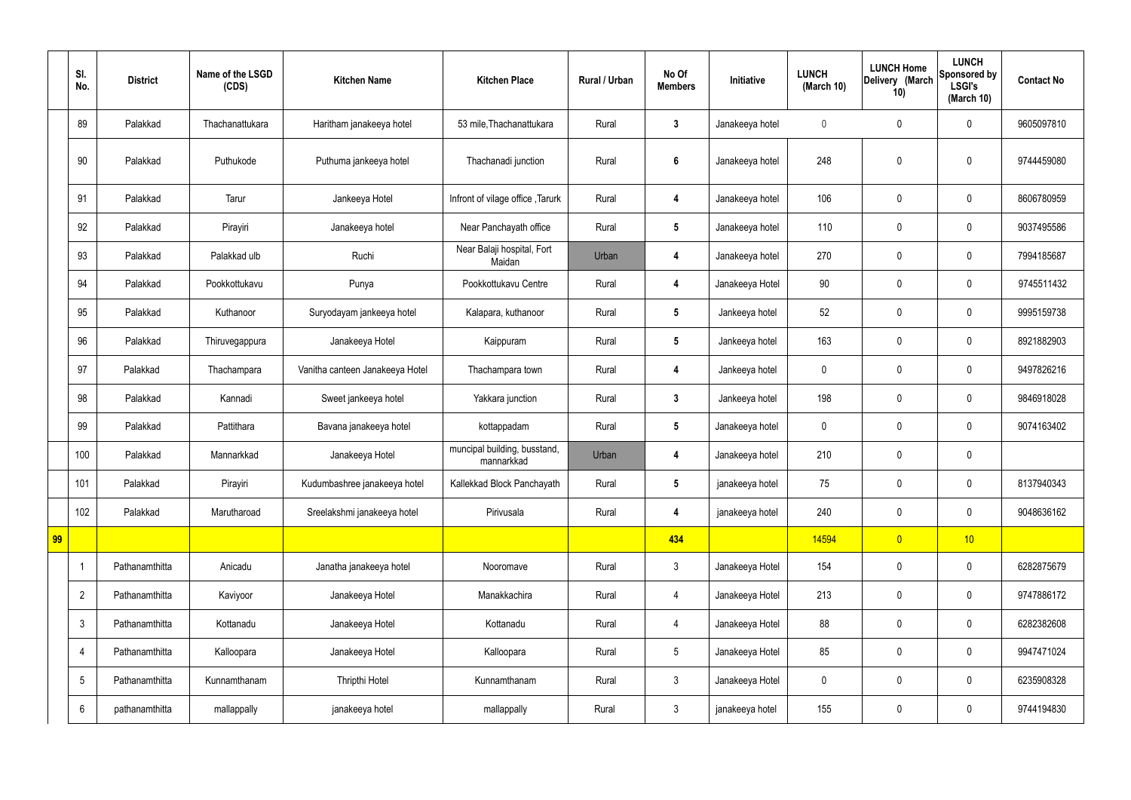|    | SI.<br>No.              | <b>District</b> | Name of the LSGD<br>(CDS) | <b>Kitchen Name</b>             | <b>Kitchen Place</b>                       | Rural / Urban | No Of<br><b>Members</b> | Initiative      | <b>LUNCH</b><br>(March 10) | <b>LUNCH Home</b><br>Delivery (March<br>10) | <b>LUNCH</b><br>Sponsored by<br><b>LSGI's</b><br>(March 10) | <b>Contact No</b> |
|----|-------------------------|-----------------|---------------------------|---------------------------------|--------------------------------------------|---------------|-------------------------|-----------------|----------------------------|---------------------------------------------|-------------------------------------------------------------|-------------------|
|    | 89                      | Palakkad        | Thachanattukara           | Haritham janakeeya hotel        | 53 mile, Thachanattukara                   | Rural         | $\mathbf{3}$            | Janakeeya hotel | $\mathbf 0$                | $\mathbf 0$                                 | $\mathbf 0$                                                 | 9605097810        |
|    | 90                      | Palakkad        | Puthukode                 | Puthuma jankeeya hotel          | Thachanadi junction                        | Rural         | $\boldsymbol{6}$        | Janakeeya hotel | 248                        | $\mathbf 0$                                 | $\mathbf 0$                                                 | 9744459080        |
|    | 91                      | Palakkad        | Tarur                     | Jankeeya Hotel                  | Infront of vilage office, Tarurk           | Rural         | $\overline{\mathbf{4}}$ | Janakeeya hotel | 106                        | $\mathbf 0$                                 | $\mathbf 0$                                                 | 8606780959        |
|    | 92                      | Palakkad        | Pirayiri                  | Janakeeya hotel                 | Near Panchayath office                     | Rural         | $5\phantom{.0}$         | Janakeeya hotel | 110                        | $\mathbf 0$                                 | $\mathbf 0$                                                 | 9037495586        |
|    | 93                      | Palakkad        | Palakkad ulb              | Ruchi                           | Near Balaji hospital, Fort<br>Maidan       | Urban         | 4                       | Janakeeya hotel | 270                        | $\mathbf 0$                                 | $\mathbf 0$                                                 | 7994185687        |
|    | 94                      | Palakkad        | Pookkottukavu             | Punya                           | Pookkottukavu Centre                       | Rural         | 4                       | Janakeeya Hotel | 90                         | $\pmb{0}$                                   | $\mathbf 0$                                                 | 9745511432        |
|    | 95                      | Palakkad        | Kuthanoor                 | Suryodayam jankeeya hotel       | Kalapara, kuthanoor                        | Rural         | $5\phantom{.0}$         | Jankeeya hotel  | 52                         | $\mathbf 0$                                 | $\mathbf 0$                                                 | 9995159738        |
|    | 96                      | Palakkad        | Thiruvegappura            | Janakeeya Hotel                 | Kaippuram                                  | Rural         | $5\phantom{.0}$         | Jankeeya hotel  | 163                        | $\pmb{0}$                                   | $\mathbf 0$                                                 | 8921882903        |
|    | 97                      | Palakkad        | Thachampara               | Vanitha canteen Janakeeya Hotel | Thachampara town                           | Rural         | 4                       | Jankeeya hotel  | $\mathbf 0$                | $\mathbf 0$                                 | $\mathbf 0$                                                 | 9497826216        |
|    | 98                      | Palakkad        | Kannadi                   | Sweet jankeeya hotel            | Yakkara junction                           | Rural         | $3\phantom{a}$          | Jankeeya hotel  | 198                        | $\pmb{0}$                                   | $\mathbf 0$                                                 | 9846918028        |
|    | 99                      | Palakkad        | Pattithara                | Bavana janakeeya hotel          | kottappadam                                | Rural         | $5\phantom{.0}$         | Janakeeya hotel | $\mathbf 0$                | $\mathbf 0$                                 | $\mathbf 0$                                                 | 9074163402        |
|    | 100                     | Palakkad        | Mannarkkad                | Janakeeya Hotel                 | muncipal building, busstand,<br>mannarkkad | Urban         | 4                       | Janakeeya hotel | 210                        | $\pmb{0}$                                   | $\mathbf 0$                                                 |                   |
|    | 101                     | Palakkad        | Pirayiri                  | Kudumbashree janakeeya hotel    | Kallekkad Block Panchayath                 | Rural         | $5\phantom{.0}$         | janakeeya hotel | 75                         | $\pmb{0}$                                   | $\mathbf 0$                                                 | 8137940343        |
|    | 102                     | Palakkad        | Marutharoad               | Sreelakshmi janakeeya hotel     | Pirivusala                                 | Rural         | $\overline{\mathbf{4}}$ | janakeeya hotel | 240                        | $\pmb{0}$                                   | $\mathbf 0$                                                 | 9048636162        |
| 99 |                         |                 |                           |                                 |                                            |               | 434                     |                 | 14594                      | $\overline{0}$                              | 10                                                          |                   |
|    | $\overline{\mathbf{1}}$ | Pathanamthitta  | Anicadu                   | Janatha janakeeya hotel         | Nooromave                                  | Rural         | $\mathbf{3}$            | Janakeeya Hotel | 154                        | $\pmb{0}$                                   | $\mathbf 0$                                                 | 6282875679        |
|    | $\overline{2}$          | Pathanamthitta  | Kaviyoor                  | Janakeeya Hotel                 | Manakkachira                               | Rural         | $\overline{4}$          | Janakeeya Hotel | 213                        | $\pmb{0}$                                   | $\mathbf 0$                                                 | 9747886172        |
|    | $\mathfrak{Z}$          | Pathanamthitta  | Kottanadu                 | Janakeeya Hotel                 | Kottanadu                                  | Rural         | $\overline{4}$          | Janakeeya Hotel | 88                         | $\pmb{0}$                                   | $\pmb{0}$                                                   | 6282382608        |
|    | $\overline{4}$          | Pathanamthitta  | Kalloopara                | Janakeeya Hotel                 | Kalloopara                                 | Rural         | $5\phantom{.0}$         | Janakeeya Hotel | 85                         | $\pmb{0}$                                   | $\mathbf 0$                                                 | 9947471024        |
|    | $\sqrt{5}$              | Pathanamthitta  | Kunnamthanam              | Thripthi Hotel                  | Kunnamthanam                               | Rural         | $\mathbf{3}$            | Janakeeya Hotel | $\pmb{0}$                  | $\pmb{0}$                                   | $\mathbf 0$                                                 | 6235908328        |
|    | $6\phantom{.}6$         | pathanamthitta  | mallappally               | janakeeya hotel                 | mallappally                                | Rural         | $\mathbf{3}$            | janakeeya hotel | 155                        | $\pmb{0}$                                   | $\boldsymbol{0}$                                            | 9744194830        |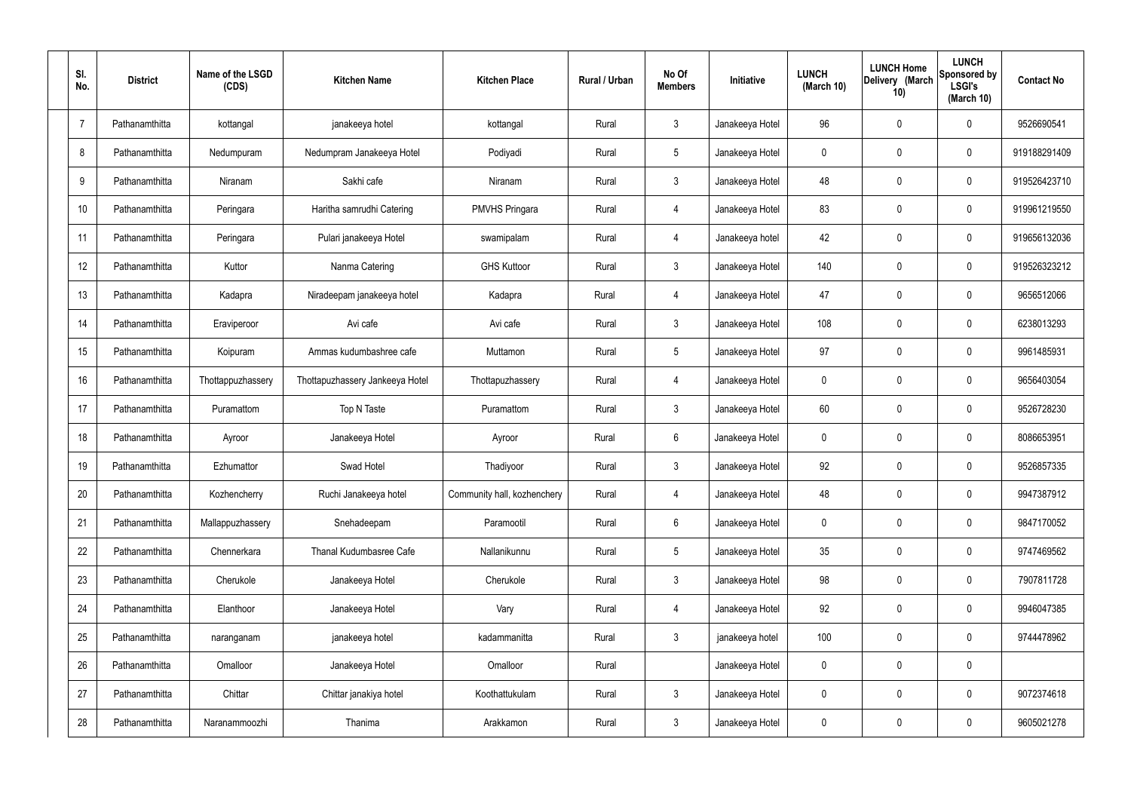| SI.<br>No.     | <b>District</b> | Name of the LSGD<br>(CDS) | <b>Kitchen Name</b>             | <b>Kitchen Place</b>        | Rural / Urban | No Of<br><b>Members</b> | Initiative      | <b>LUNCH</b><br>(March 10) | <b>LUNCH Home</b><br>Delivery (March<br>10) | <b>LUNCH</b><br>Sponsored by<br><b>LSGI's</b><br>(March 10) | <b>Contact No</b> |
|----------------|-----------------|---------------------------|---------------------------------|-----------------------------|---------------|-------------------------|-----------------|----------------------------|---------------------------------------------|-------------------------------------------------------------|-------------------|
| $\overline{7}$ | Pathanamthitta  | kottangal                 | janakeeya hotel                 | kottangal                   | Rural         | $\mathbf{3}$            | Janakeeya Hotel | 96                         | 0                                           | $\mathbf 0$                                                 | 9526690541        |
| 8              | Pathanamthitta  | Nedumpuram                | Nedumpram Janakeeya Hotel       | Podiyadi                    | Rural         | $5\phantom{.0}$         | Janakeeya Hotel | $\mathbf 0$                | 0                                           | $\mathbf 0$                                                 | 919188291409      |
| 9              | Pathanamthitta  | Niranam                   | Sakhi cafe                      | Niranam                     | Rural         | $\mathbf{3}$            | Janakeeya Hotel | 48                         | 0                                           | $\mathbf 0$                                                 | 919526423710      |
| 10             | Pathanamthitta  | Peringara                 | Haritha samrudhi Catering       | <b>PMVHS Pringara</b>       | Rural         | $\overline{4}$          | Janakeeya Hotel | 83                         | 0                                           | $\mathbf 0$                                                 | 919961219550      |
| 11             | Pathanamthitta  | Peringara                 | Pulari janakeeya Hotel          | swamipalam                  | Rural         | $\overline{4}$          | Janakeeya hotel | 42                         | 0                                           | $\mathbf 0$                                                 | 919656132036      |
| 12             | Pathanamthitta  | Kuttor                    | Nanma Catering                  | <b>GHS Kuttoor</b>          | Rural         | $\mathbf{3}$            | Janakeeya Hotel | 140                        | 0                                           | $\mathbf 0$                                                 | 919526323212      |
| 13             | Pathanamthitta  | Kadapra                   | Niradeepam janakeeya hotel      | Kadapra                     | Rural         | $\overline{4}$          | Janakeeya Hotel | 47                         | $\boldsymbol{0}$                            | $\mathbf 0$                                                 | 9656512066        |
| 14             | Pathanamthitta  | Eraviperoor               | Avi cafe                        | Avi cafe                    | Rural         | $\mathbf{3}$            | Janakeeya Hotel | 108                        | 0                                           | $\mathbf 0$                                                 | 6238013293        |
| 15             | Pathanamthitta  | Koipuram                  | Ammas kudumbashree cafe         | Muttamon                    | Rural         | $5\phantom{.0}$         | Janakeeya Hotel | 97                         | 0                                           | $\mathbf 0$                                                 | 9961485931        |
| 16             | Pathanamthitta  | Thottappuzhassery         | Thottapuzhassery Jankeeya Hotel | Thottapuzhassery            | Rural         | 4                       | Janakeeya Hotel | $\mathbf 0$                | 0                                           | $\mathbf 0$                                                 | 9656403054        |
| 17             | Pathanamthitta  | Puramattom                | Top N Taste                     | Puramattom                  | Rural         | $\mathbf{3}$            | Janakeeya Hotel | 60                         | 0                                           | $\boldsymbol{0}$                                            | 9526728230        |
| 18             | Pathanamthitta  | Ayroor                    | Janakeeya Hotel                 | Ayroor                      | Rural         | $6\phantom{.}$          | Janakeeya Hotel | $\mathbf 0$                | 0                                           | $\boldsymbol{0}$                                            | 8086653951        |
| 19             | Pathanamthitta  | Ezhumattor                | Swad Hotel                      | Thadiyoor                   | Rural         | $\mathfrak{Z}$          | Janakeeya Hotel | 92                         | 0                                           | $\boldsymbol{0}$                                            | 9526857335        |
| 20             | Pathanamthitta  | Kozhencherry              | Ruchi Janakeeya hotel           | Community hall, kozhenchery | Rural         | 4                       | Janakeeya Hotel | 48                         | $\mathbf 0$                                 | $\mathbf 0$                                                 | 9947387912        |
| 21             | Pathanamthitta  | Mallappuzhassery          | Snehadeepam                     | Paramootil                  | Rural         | $6\phantom{.}$          | Janakeeya Hotel | $\mathbf 0$                | $\mathbf 0$                                 | $\mathbf 0$                                                 | 9847170052        |
| 22             | Pathanamthitta  | Chennerkara               | Thanal Kudumbasree Cafe         | Nallanikunnu                | Rural         | $\sqrt{5}$              | Janakeeya Hotel | 35                         | 0                                           | $\mathbf 0$                                                 | 9747469562        |
| 23             | Pathanamthitta  | Cherukole                 | Janakeeya Hotel                 | Cherukole                   | Rural         | $\mathbf{3}$            | Janakeeya Hotel | 98                         | $\mathbf 0$                                 | $\mathbf 0$                                                 | 7907811728        |
| 24             | Pathanamthitta  | Elanthoor                 | Janakeeya Hotel                 | Vary                        | Rural         | $\overline{4}$          | Janakeeya Hotel | 92                         | 0                                           | $\mathbf 0$                                                 | 9946047385        |
| 25             | Pathanamthitta  | naranganam                | janakeeya hotel                 | kadammanitta                | Rural         | $\mathbf{3}$            | janakeeya hotel | 100                        | $\mathbf 0$                                 | $\mathbf 0$                                                 | 9744478962        |
| 26             | Pathanamthitta  | Omalloor                  | Janakeeya Hotel                 | Omalloor                    | Rural         |                         | Janakeeya Hotel | $\mathbf 0$                | 0                                           | $\pmb{0}$                                                   |                   |
| 27             | Pathanamthitta  | Chittar                   | Chittar janakiya hotel          | Koothattukulam              | Rural         | $\mathfrak{Z}$          | Janakeeya Hotel | 0                          | 0                                           | $\mathbf 0$                                                 | 9072374618        |
| 28             | Pathanamthitta  | Naranammoozhi             | Thanima                         | Arakkamon                   | Rural         | $\mathfrak{Z}$          | Janakeeya Hotel | 0                          | $\pmb{0}$                                   | $\boldsymbol{0}$                                            | 9605021278        |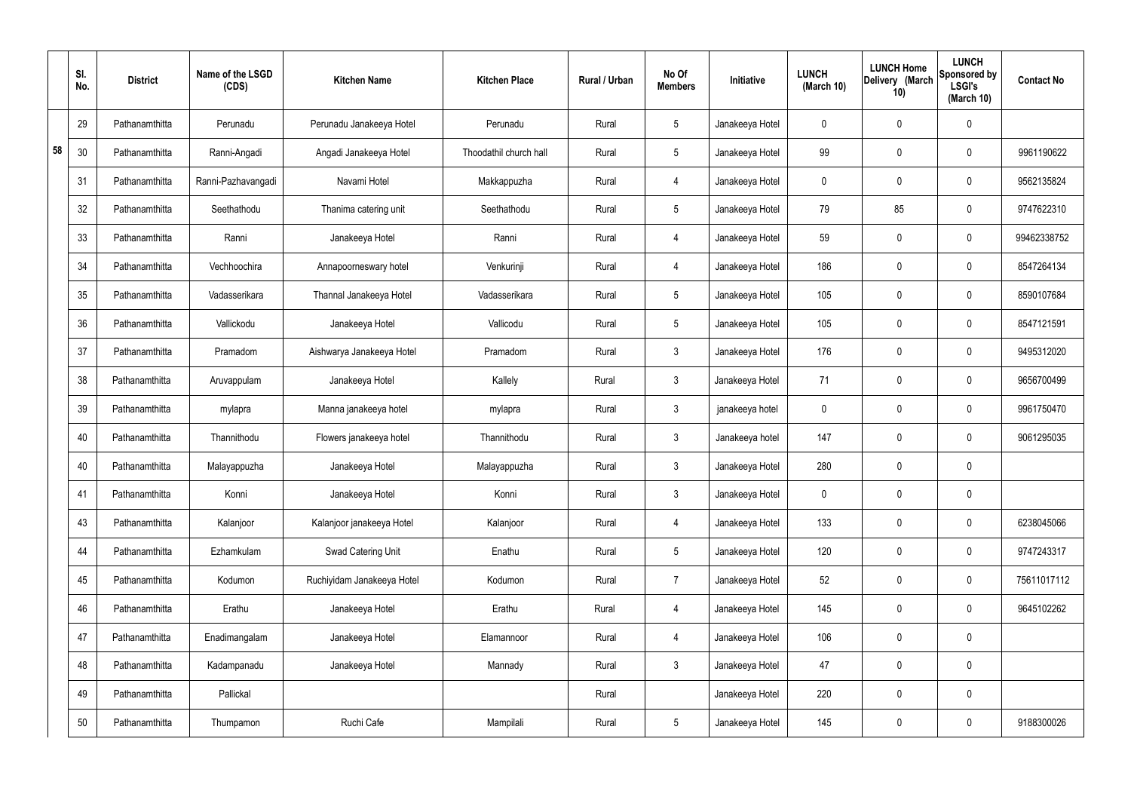|    | SI.<br>No. | <b>District</b> | Name of the LSGD<br>(CDS) | <b>Kitchen Name</b>        | <b>Kitchen Place</b>   | Rural / Urban | No Of<br><b>Members</b> | Initiative      | <b>LUNCH</b><br>(March 10) | <b>LUNCH Home</b><br>Delivery (March<br>10) | <b>LUNCH</b><br>Sponsored by<br><b>LSGI's</b><br>(March $10$ ) | <b>Contact No</b> |
|----|------------|-----------------|---------------------------|----------------------------|------------------------|---------------|-------------------------|-----------------|----------------------------|---------------------------------------------|----------------------------------------------------------------|-------------------|
|    | 29         | Pathanamthitta  | Perunadu                  | Perunadu Janakeeya Hotel   | Perunadu               | Rural         | $5\phantom{.0}$         | Janakeeya Hotel | $\mathbf 0$                | $\mathbf 0$                                 | $\mathbf{0}$                                                   |                   |
| 58 | 30         | Pathanamthitta  | Ranni-Angadi              | Angadi Janakeeya Hotel     | Thoodathil church hall | Rural         | $5\overline{)}$         | Janakeeya Hotel | 99                         | $\mathbf 0$                                 | $\mathbf 0$                                                    | 9961190622        |
|    | 31         | Pathanamthitta  | Ranni-Pazhavangadi        | Navami Hotel               | Makkappuzha            | Rural         | $\overline{4}$          | Janakeeya Hotel | $\mathbf 0$                | $\mathbf 0$                                 | $\mathbf 0$                                                    | 9562135824        |
|    | 32         | Pathanamthitta  | Seethathodu               | Thanima catering unit      | Seethathodu            | Rural         | $5\overline{)}$         | Janakeeya Hotel | 79                         | 85                                          | $\mathbf 0$                                                    | 9747622310        |
|    | 33         | Pathanamthitta  | Ranni                     | Janakeeya Hotel            | Ranni                  | Rural         | 4                       | Janakeeya Hotel | 59                         | $\mathbf 0$                                 | $\mathbf 0$                                                    | 99462338752       |
|    | 34         | Pathanamthitta  | Vechhoochira              | Annapoorneswary hotel      | Venkurinji             | Rural         | 4                       | Janakeeya Hotel | 186                        | $\mathbf 0$                                 | $\mathbf 0$                                                    | 8547264134        |
|    | 35         | Pathanamthitta  | Vadasserikara             | Thannal Janakeeya Hotel    | Vadasserikara          | Rural         | $5\phantom{.0}$         | Janakeeya Hotel | 105                        | $\mathbf 0$                                 | $\mathbf 0$                                                    | 8590107684        |
|    | 36         | Pathanamthitta  | Vallickodu                | Janakeeya Hotel            | Vallicodu              | Rural         | $5\phantom{.0}$         | Janakeeya Hotel | 105                        | $\mathbf 0$                                 | $\mathbf 0$                                                    | 8547121591        |
|    | 37         | Pathanamthitta  | Pramadom                  | Aishwarya Janakeeya Hotel  | Pramadom               | Rural         | $\mathbf{3}$            | Janakeeya Hotel | 176                        | $\mathbf 0$                                 | $\mathbf 0$                                                    | 9495312020        |
|    | 38         | Pathanamthitta  | Aruvappulam               | Janakeeya Hotel            | Kallely                | Rural         | $\mathbf{3}$            | Janakeeya Hotel | 71                         | $\mathbf 0$                                 | $\mathbf 0$                                                    | 9656700499        |
|    | 39         | Pathanamthitta  | mylapra                   | Manna janakeeya hotel      | mylapra                | Rural         | $\mathbf{3}$            | janakeeya hotel | $\mathbf 0$                | $\mathbf 0$                                 | $\mathbf 0$                                                    | 9961750470        |
|    | 40         | Pathanamthitta  | Thannithodu               | Flowers janakeeya hotel    | Thannithodu            | Rural         | $\mathbf{3}$            | Janakeeya hotel | 147                        | $\mathbf 0$                                 | $\mathbf 0$                                                    | 9061295035        |
|    | 40         | Pathanamthitta  | Malayappuzha              | Janakeeya Hotel            | Malayappuzha           | Rural         | $\mathbf{3}$            | Janakeeya Hotel | 280                        | $\mathbf 0$                                 | $\mathbf 0$                                                    |                   |
|    | 41         | Pathanamthitta  | Konni                     | Janakeeya Hotel            | Konni                  | Rural         | $\mathbf{3}$            | Janakeeya Hotel | $\mathbf 0$                | $\pmb{0}$                                   | $\mathbf 0$                                                    |                   |
|    | 43         | Pathanamthitta  | Kalanjoor                 | Kalanjoor janakeeya Hotel  | Kalanjoor              | Rural         | $\overline{4}$          | Janakeeya Hotel | 133                        | $\pmb{0}$                                   | $\mathbf 0$                                                    | 6238045066        |
|    | 44         | Pathanamthitta  | Ezhamkulam                | Swad Catering Unit         | Enathu                 | Rural         | $5\overline{)}$         | Janakeeya Hotel | 120                        | $\pmb{0}$                                   | $\mathbf 0$                                                    | 9747243317        |
|    | 45         | Pathanamthitta  | Kodumon                   | Ruchiyidam Janakeeya Hotel | Kodumon                | Rural         | $\overline{7}$          | Janakeeya Hotel | 52                         | $\pmb{0}$                                   | $\mathbf 0$                                                    | 75611017112       |
|    | 46         | Pathanamthitta  | Erathu                    | Janakeeya Hotel            | Erathu                 | Rural         | $\overline{4}$          | Janakeeya Hotel | 145                        | $\pmb{0}$                                   | $\mathbf 0$                                                    | 9645102262        |
|    | 47         | Pathanamthitta  | Enadimangalam             | Janakeeya Hotel            | Elamannoor             | Rural         | $\overline{4}$          | Janakeeya Hotel | 106                        | $\pmb{0}$                                   | $\mathbf 0$                                                    |                   |
|    | 48         | Pathanamthitta  | Kadampanadu               | Janakeeya Hotel            | Mannady                | Rural         | 3 <sup>1</sup>          | Janakeeya Hotel | 47                         | $\pmb{0}$                                   | $\mathbf 0$                                                    |                   |
|    | 49         | Pathanamthitta  | Pallickal                 |                            |                        | Rural         |                         | Janakeeya Hotel | 220                        | $\pmb{0}$                                   | $\mathbf 0$                                                    |                   |
|    | 50         | Pathanamthitta  | Thumpamon                 | Ruchi Cafe                 | Mampilali              | Rural         | $5\phantom{.0}$         | Janakeeya Hotel | 145                        | $\pmb{0}$                                   | $\boldsymbol{0}$                                               | 9188300026        |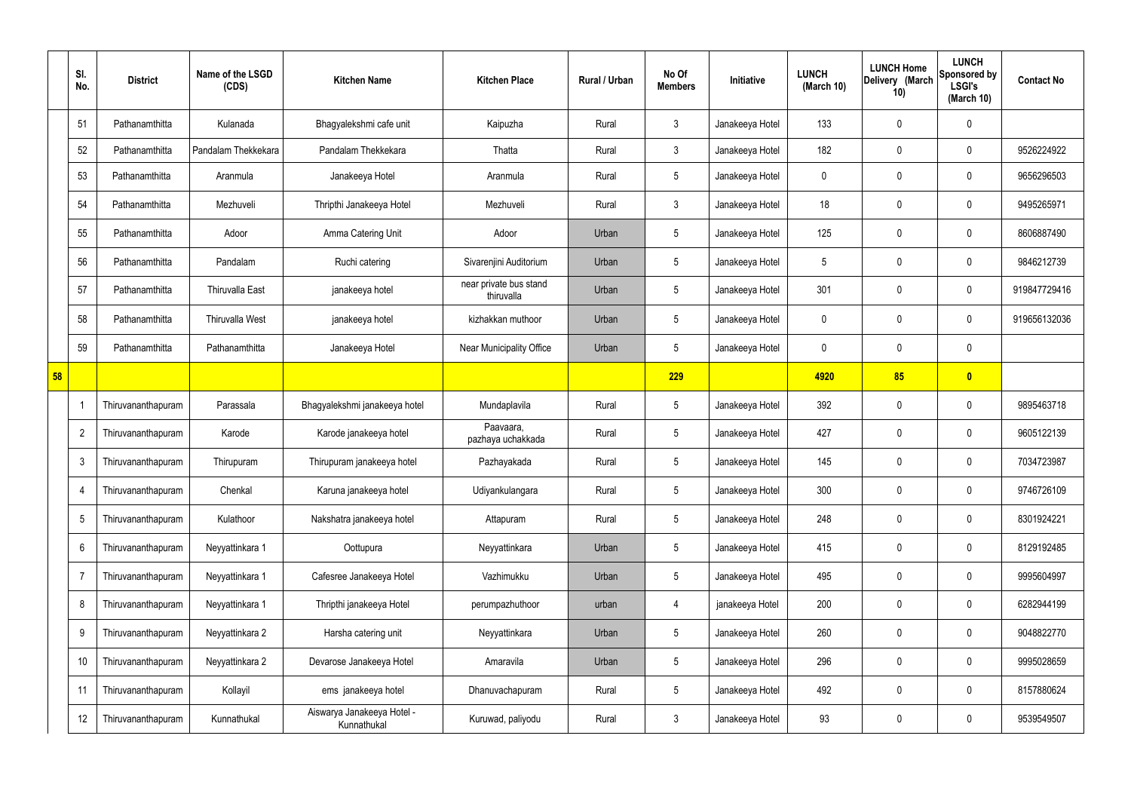|    | SI.<br>No.      | <b>District</b>    | Name of the LSGD<br>(CDS) | <b>Kitchen Name</b>                       | <b>Kitchen Place</b>                 | Rural / Urban | No Of<br><b>Members</b> | Initiative      | <b>LUNCH</b><br>(March 10) | <b>LUNCH Home</b><br>Delivery (March<br>10) | <b>LUNCH</b><br>Sponsored by<br><b>LSGI's</b><br>(March 10) | <b>Contact No</b> |
|----|-----------------|--------------------|---------------------------|-------------------------------------------|--------------------------------------|---------------|-------------------------|-----------------|----------------------------|---------------------------------------------|-------------------------------------------------------------|-------------------|
|    | 51              | Pathanamthitta     | Kulanada                  | Bhagyalekshmi cafe unit                   | Kaipuzha                             | Rural         | $\mathbf{3}$            | Janakeeya Hotel | 133                        | 0                                           | $\mathbf 0$                                                 |                   |
|    | 52              | Pathanamthitta     | Pandalam Thekkekara       | Pandalam Thekkekara                       | Thatta                               | Rural         | $\mathbf{3}$            | Janakeeya Hotel | 182                        | 0                                           | $\boldsymbol{0}$                                            | 9526224922        |
|    | 53              | Pathanamthitta     | Aranmula                  | Janakeeya Hotel                           | Aranmula                             | Rural         | $5\overline{)}$         | Janakeeya Hotel | 0                          | 0                                           | $\pmb{0}$                                                   | 9656296503        |
|    | 54              | Pathanamthitta     | Mezhuveli                 | Thripthi Janakeeya Hotel                  | Mezhuveli                            | Rural         | $\mathbf{3}$            | Janakeeya Hotel | 18                         | 0                                           | $\pmb{0}$                                                   | 9495265971        |
|    | 55              | Pathanamthitta     | Adoor                     | Amma Catering Unit                        | Adoor                                | Urban         | 5                       | Janakeeya Hotel | 125                        | 0                                           | $\pmb{0}$                                                   | 8606887490        |
|    | 56              | Pathanamthitta     | Pandalam                  | Ruchi catering                            | Sivarenjini Auditorium               | Urban         | $5\overline{)}$         | Janakeeya Hotel | 5                          | 0                                           | $\pmb{0}$                                                   | 9846212739        |
|    | 57              | Pathanamthitta     | Thiruvalla East           | janakeeya hotel                           | near private bus stand<br>thiruvalla | Urban         | 5                       | Janakeeya Hotel | 301                        | 0                                           | $\pmb{0}$                                                   | 919847729416      |
|    | 58              | Pathanamthitta     | <b>Thiruvalla West</b>    | janakeeya hotel                           | kizhakkan muthoor                    | Urban         | $5\overline{)}$         | Janakeeya Hotel | 0                          | 0                                           | $\pmb{0}$                                                   | 919656132036      |
|    | 59              | Pathanamthitta     | Pathanamthitta            | Janakeeya Hotel                           | <b>Near Municipality Office</b>      | Urban         | $5\overline{)}$         | Janakeeya Hotel | 0                          | 0                                           | $\mathbf 0$                                                 |                   |
| 58 |                 |                    |                           |                                           |                                      |               | 229                     |                 | 4920                       | 85                                          | $\bullet$                                                   |                   |
|    |                 | Thiruvananthapuram | Parassala                 | Bhagyalekshmi janakeeya hotel             | Mundaplavila                         | Rural         | $5\overline{)}$         | Janakeeya Hotel | 392                        | 0                                           | $\boldsymbol{0}$                                            | 9895463718        |
|    | $\overline{2}$  | Thiruvananthapuram | Karode                    | Karode janakeeya hotel                    | Paavaara,<br>pazhaya uchakkada       | Rural         | $5\phantom{.0}$         | Janakeeya Hotel | 427                        | 0                                           | $\boldsymbol{0}$                                            | 9605122139        |
|    | $\mathbf{3}$    | Thiruvananthapuram | Thirupuram                | Thirupuram janakeeya hotel                | Pazhayakada                          | Rural         | $5\overline{)}$         | Janakeeya Hotel | 145                        | 0                                           | $\mathbf 0$                                                 | 7034723987        |
|    | $\overline{4}$  | Thiruvananthapuram | Chenkal                   | Karuna janakeeya hotel                    | Udiyankulangara                      | Rural         | $5\phantom{.0}$         | Janakeeya Hotel | 300                        | 0                                           | $\boldsymbol{0}$                                            | 9746726109        |
|    | $5\phantom{.0}$ | Thiruvananthapuram | Kulathoor                 | Nakshatra janakeeya hotel                 | Attapuram                            | Rural         | 5                       | Janakeeya Hotel | 248                        | 0                                           | $\pmb{0}$                                                   | 8301924221        |
|    | 6               | Thiruvananthapuram | Neyyattinkara 1           | Oottupura                                 | Neyyattinkara                        | Urban         | $5\phantom{.0}$         | Janakeeya Hotel | 415                        | 0                                           | $\mathbf 0$                                                 | 8129192485        |
|    | $\overline{7}$  | Thiruvananthapuram | Neyyattinkara 1           | Cafesree Janakeeya Hotel                  | Vazhimukku                           | Urban         | $5\phantom{.0}$         | Janakeeya Hotel | 495                        | 0                                           | $\pmb{0}$                                                   | 9995604997        |
|    | 8               | Thiruvananthapuram | Neyyattinkara 1           | Thripthi janakeeya Hotel                  | perumpazhuthoor                      | urban         | 4                       | janakeeya Hotel | 200                        | 0                                           | $\mathbf 0$                                                 | 6282944199        |
|    | 9               | Thiruvananthapuram | Neyyattinkara 2           | Harsha catering unit                      | Neyyattinkara                        | Urban         | $5\phantom{.0}$         | Janakeeya Hotel | 260                        | 0                                           | $\pmb{0}$                                                   | 9048822770        |
|    | 10              | Thiruvananthapuram | Neyyattinkara 2           | Devarose Janakeeya Hotel                  | Amaravila                            | Urban         | $5\phantom{.0}$         | Janakeeya Hotel | 296                        | 0                                           | $\boldsymbol{0}$                                            | 9995028659        |
|    | 11              | Thiruvananthapuram | Kollayil                  | ems janakeeya hotel                       | Dhanuvachapuram                      | Rural         | $5\phantom{.0}$         | Janakeeya Hotel | 492                        | 0                                           | $\pmb{0}$                                                   | 8157880624        |
|    | 12              | Thiruvananthapuram | Kunnathukal               | Aiswarya Janakeeya Hotel -<br>Kunnathukal | Kuruwad, paliyodu                    | Rural         | $\mathbf{3}$            | Janakeeya Hotel | 93                         | 0                                           | $\pmb{0}$                                                   | 9539549507        |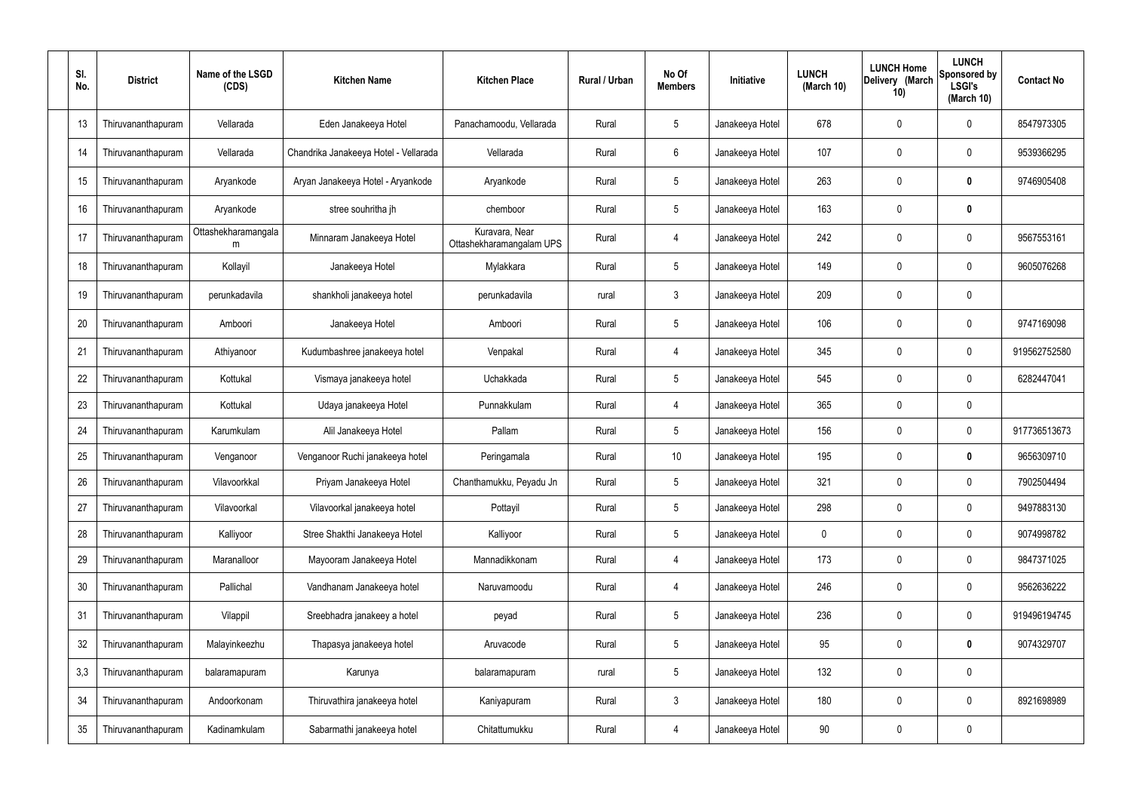| SI.<br>No. | <b>District</b>    | Name of the LSGD<br>(CDS) | <b>Kitchen Name</b>                   | <b>Kitchen Place</b>                       | Rural / Urban | No Of<br><b>Members</b> | Initiative      | <b>LUNCH</b><br>(March 10) | <b>LUNCH Home</b><br>Delivery (March<br>10) | <b>LUNCH</b><br>Sponsored by<br><b>LSGI's</b><br>(March 10) | <b>Contact No</b> |
|------------|--------------------|---------------------------|---------------------------------------|--------------------------------------------|---------------|-------------------------|-----------------|----------------------------|---------------------------------------------|-------------------------------------------------------------|-------------------|
| 13         | Thiruvananthapuram | Vellarada                 | Eden Janakeeya Hotel                  | Panachamoodu, Vellarada                    | Rural         | $5\phantom{.0}$         | Janakeeya Hotel | 678                        | 0                                           | $\mathbf 0$                                                 | 8547973305        |
| 14         | Thiruvananthapuram | Vellarada                 | Chandrika Janakeeya Hotel - Vellarada | Vellarada                                  | Rural         | $6\phantom{.}$          | Janakeeya Hotel | 107                        | 0                                           | $\mathbf 0$                                                 | 9539366295        |
| 15         | Thiruvananthapuram | Aryankode                 | Aryan Janakeeya Hotel - Aryankode     | Aryankode                                  | Rural         | $5\phantom{.0}$         | Janakeeya Hotel | 263                        | 0                                           | $\boldsymbol{0}$                                            | 9746905408        |
| 16         | Thiruvananthapuram | Aryankode                 | stree souhritha jh                    | chemboor                                   | Rural         | $5\phantom{.0}$         | Janakeeya Hotel | 163                        | 0                                           | $\mathbf 0$                                                 |                   |
| 17         | Thiruvananthapuram | Ottashekharamangala<br>m  | Minnaram Janakeeya Hotel              | Kuravara, Near<br>Ottashekharamangalam UPS | Rural         | $\overline{4}$          | Janakeeya Hotel | 242                        | 0                                           | $\mathbf 0$                                                 | 9567553161        |
| 18         | Thiruvananthapuram | Kollayil                  | Janakeeya Hotel                       | Mylakkara                                  | Rural         | $5\phantom{.0}$         | Janakeeya Hotel | 149                        | 0                                           | $\mathbf 0$                                                 | 9605076268        |
| 19         | Thiruvananthapuram | perunkadavila             | shankholi janakeeya hotel             | perunkadavila                              | rural         | $\mathbf{3}$            | Janakeeya Hotel | 209                        | 0                                           | $\mathbf 0$                                                 |                   |
| 20         | Thiruvananthapuram | Amboori                   | Janakeeya Hotel                       | Amboori                                    | Rural         | $5\phantom{.0}$         | Janakeeya Hotel | 106                        | 0                                           | $\mathbf 0$                                                 | 9747169098        |
| 21         | Thiruvananthapuram | Athiyanoor                | Kudumbashree janakeeya hotel          | Venpakal                                   | Rural         | $\overline{4}$          | Janakeeya Hotel | 345                        | 0                                           | $\mathbf 0$                                                 | 919562752580      |
| 22         | Thiruvananthapuram | Kottukal                  | Vismaya janakeeya hotel               | Uchakkada                                  | Rural         | $5\phantom{.0}$         | Janakeeya Hotel | 545                        | $\boldsymbol{0}$                            | $\mathbf 0$                                                 | 6282447041        |
| 23         | Thiruvananthapuram | Kottukal                  | Udaya janakeeya Hotel                 | Punnakkulam                                | Rural         | $\overline{4}$          | Janakeeya Hotel | 365                        | 0                                           | $\boldsymbol{0}$                                            |                   |
| 24         | Thiruvananthapuram | Karumkulam                | Alil Janakeeya Hotel                  | Pallam                                     | Rural         | $5\phantom{.0}$         | Janakeeya Hotel | 156                        | 0                                           | $\boldsymbol{0}$                                            | 917736513673      |
| 25         | Thiruvananthapuram | Venganoor                 | Venganoor Ruchi janakeeya hotel       | Peringamala                                | Rural         | 10 <sup>°</sup>         | Janakeeya Hotel | 195                        | 0                                           | $\boldsymbol{0}$                                            | 9656309710        |
| 26         | Thiruvananthapuram | Vilavoorkkal              | Priyam Janakeeya Hotel                | Chanthamukku, Peyadu Jn                    | Rural         | $5\phantom{.0}$         | Janakeeya Hotel | 321                        | $\mathbf 0$                                 | $\mathbf 0$                                                 | 7902504494        |
| 27         | Thiruvananthapuram | Vilavoorkal               | Vilavoorkal janakeeya hotel           | Pottayil                                   | Rural         | $5\overline{)}$         | Janakeeya Hotel | 298                        | 0                                           | $\mathbf 0$                                                 | 9497883130        |
| 28         | Thiruvananthapuram | Kalliyoor                 | Stree Shakthi Janakeeya Hotel         | Kalliyoor                                  | Rural         | $5\phantom{.0}$         | Janakeeya Hotel | $\mathbf 0$                | $\mathsf{0}$                                | $\mathbf 0$                                                 | 9074998782        |
| 29         | Thiruvananthapuram | Maranalloor               | Mayooram Janakeeya Hotel              | Mannadikkonam                              | Rural         | $\overline{4}$          | Janakeeya Hotel | 173                        | $\boldsymbol{0}$                            | $\pmb{0}$                                                   | 9847371025        |
| 30         | Thiruvananthapuram | Pallichal                 | Vandhanam Janakeeya hotel             | Naruvamoodu                                | Rural         | $\overline{4}$          | Janakeeya Hotel | 246                        | 0                                           | $\pmb{0}$                                                   | 9562636222        |
| 31         | Thiruvananthapuram | Vilappil                  | Sreebhadra janakeey a hotel           | peyad                                      | Rural         | $5\phantom{.0}$         | Janakeeya Hotel | 236                        | 0                                           | $\pmb{0}$                                                   | 919496194745      |
| 32         | Thiruvananthapuram | Malayinkeezhu             | Thapasya janakeeya hotel              | Aruvacode                                  | Rural         | $5\phantom{.0}$         | Janakeeya Hotel | 95                         | 0                                           | $\pmb{0}$                                                   | 9074329707        |
| 3,3        | Thiruvananthapuram | balaramapuram             | Karunya                               | balaramapuram                              | rural         | $5\phantom{.0}$         | Janakeeya Hotel | 132                        | $\boldsymbol{0}$                            | $\pmb{0}$                                                   |                   |
| 34         | Thiruvananthapuram | Andoorkonam               | Thiruvathira janakeeya hotel          | Kaniyapuram                                | Rural         | $\mathbf{3}$            | Janakeeya Hotel | 180                        | $\boldsymbol{0}$                            | $\pmb{0}$                                                   | 8921698989        |
| 35         | Thiruvananthapuram | Kadinamkulam              | Sabarmathi janakeeya hotel            | Chitattumukku                              | Rural         | 4                       | Janakeeya Hotel | 90                         | $\boldsymbol{0}$                            | $\pmb{0}$                                                   |                   |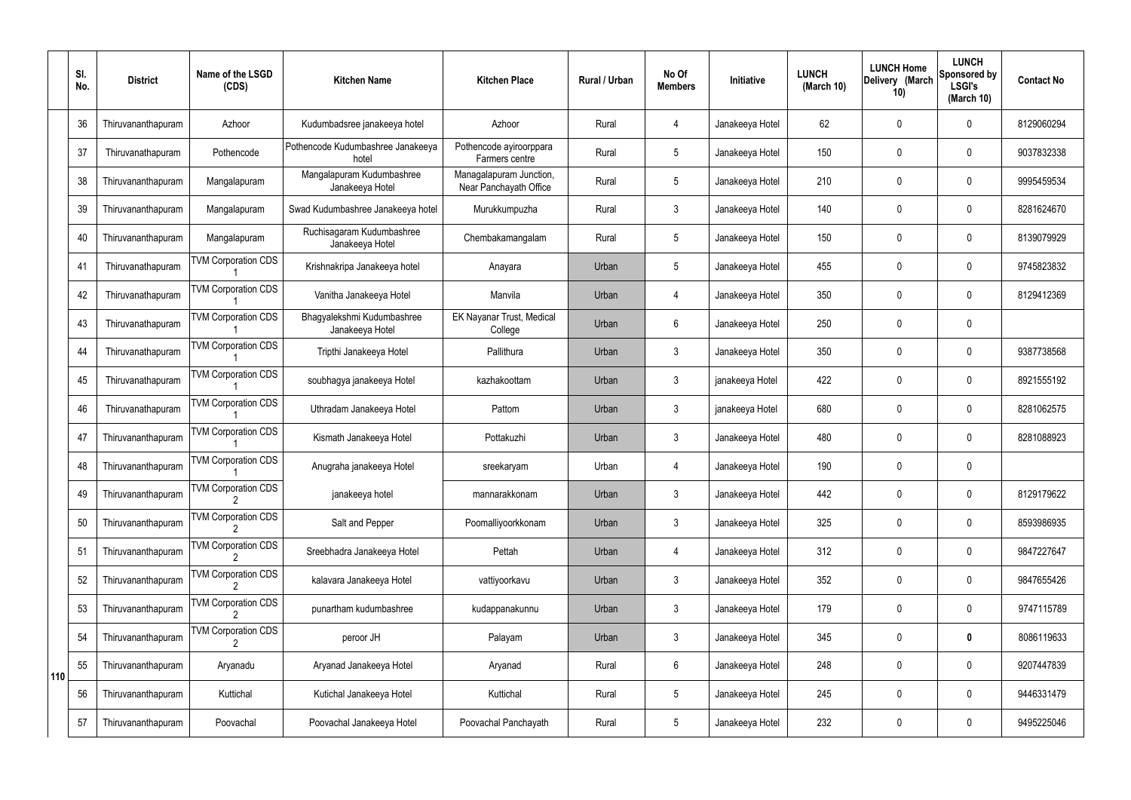|     | SI.<br>No. | <b>District</b>    | Name of the LSGD<br>(CDS)  | <b>Kitchen Name</b>                           | <b>Kitchen Place</b>                              | <b>Rural / Urban</b> | No Of<br><b>Members</b> | Initiative      | <b>LUNCH</b><br>(March 10) | <b>LUNCH Home</b><br>Delivery (March<br>10) | <b>LUNCH</b><br>Sponsored by<br><b>LSGI's</b><br>(March 10) | <b>Contact No</b> |
|-----|------------|--------------------|----------------------------|-----------------------------------------------|---------------------------------------------------|----------------------|-------------------------|-----------------|----------------------------|---------------------------------------------|-------------------------------------------------------------|-------------------|
|     | 36         | Thiruvananthapuram | Azhoor                     | Kudumbadsree janakeeya hotel                  | Azhoor                                            | Rural                | 4                       | Janakeeya Hotel | 62                         | 0                                           | $\mathbf{0}$                                                | 8129060294        |
|     | 37         | Thiruvanathapuram  | Pothencode                 | Pothencode Kudumbashree Janakeeya<br>hotel    | Pothencode ayiroorppara<br>Farmers centre         | Rural                | $5\overline{)}$         | Janakeeya Hotel | 150                        | 0                                           | $\mathbf 0$                                                 | 9037832338        |
|     | 38         | Thiruvananthapuram | Mangalapuram               | Mangalapuram Kudumbashree<br>Janakeeya Hotel  | Managalapuram Junction,<br>Near Panchayath Office | Rural                | $5\overline{)}$         | Janakeeya Hotel | 210                        | 0                                           | $\mathbf 0$                                                 | 9995459534        |
|     | 39         | Thiruvananthapuram | Mangalapuram               | Swad Kudumbashree Janakeeya hotel             | Murukkumpuzha                                     | Rural                | $\mathbf{3}$            | Janakeeya Hotel | 140                        | 0                                           | $\mathbf 0$                                                 | 8281624670        |
|     | 40         | Thiruvananthapuram | Mangalapuram               | Ruchisagaram Kudumbashree<br>Janakeeya Hotel  | Chembakamangalam                                  | Rural                | $5\phantom{.0}$         | Janakeeya Hotel | 150                        | 0                                           | $\mathbf 0$                                                 | 8139079929        |
|     | 41         | Thiruvanathapuram  | <b>TVM Corporation CDS</b> | Krishnakripa Janakeeya hotel                  | Anayara                                           | Urban                | 5                       | Janakeeya Hotel | 455                        | 0                                           | $\mathbf 0$                                                 | 9745823832        |
|     | 42         | Thiruvanathapuram  | <b>TVM Corporation CDS</b> | Vanitha Janakeeya Hotel                       | Manvila                                           | Urban                | $\overline{4}$          | Janakeeya Hotel | 350                        | 0                                           | $\mathbf 0$                                                 | 8129412369        |
|     | 43         | Thiruvanathapuram  | <b>TVM Corporation CDS</b> | Bhagyalekshmi Kudumbashree<br>Janakeeya Hotel | EK Nayanar Trust, Medical<br>College              | Urban                | 6                       | Janakeeya Hotel | 250                        | 0                                           | $\mathbf 0$                                                 |                   |
|     | 44         | Thiruvanathapuram  | <b>TVM Corporation CDS</b> | Tripthi Janakeeya Hotel                       | Pallithura                                        | Urban                | $\mathbf{3}$            | Janakeeya Hotel | 350                        | $\mathbf 0$                                 | $\mathbf 0$                                                 | 9387738568        |
|     | 45         | Thiruvanathapuram  | <b>TVM Corporation CDS</b> | soubhagya janakeeya Hotel                     | kazhakoottam                                      | Urban                | $\mathfrak{Z}$          | janakeeya Hotel | 422                        | 0                                           | $\mathbf 0$                                                 | 8921555192        |
|     | 46         | Thiruvanathapuram  | <b>TVM Corporation CDS</b> | Uthradam Janakeeya Hotel                      | Pattom                                            | Urban                | $\mathbf{3}$            | janakeeya Hotel | 680                        | 0                                           | $\mathbf 0$                                                 | 8281062575        |
|     | 47         | Thiruvananthapuram | <b>TVM Corporation CDS</b> | Kismath Janakeeya Hotel                       | Pottakuzhi                                        | Urban                | $\mathfrak{Z}$          | Janakeeya Hotel | 480                        | 0                                           | $\mathbf 0$                                                 | 8281088923        |
|     | 48         | Thiruvananthapuram | <b>TVM Corporation CDS</b> | Anugraha janakeeya Hotel                      | sreekaryam                                        | Urban                | 4                       | Janakeeya Hotel | 190                        | 0                                           | 0                                                           |                   |
|     | 49         | Thiruvananthapuram | <b>TVM Corporation CDS</b> | janakeeya hotel                               | mannarakkonam                                     | Urban                | $\mathfrak{Z}$          | Janakeeya Hotel | 442                        | $\mathbf 0$                                 | $\mathbf 0$                                                 | 8129179622        |
|     | 50         | Thiruvananthapuram | <b>TVM Corporation CDS</b> | Salt and Pepper                               | Poomalliyoorkkonam                                | Urban                | $\mathfrak{Z}$          | Janakeeya Hotel | 325                        | $\mathbf 0$                                 | $\mathbf 0$                                                 | 8593986935        |
|     | 51         | Thiruvananthapuram | <b>TVM Corporation CDS</b> | Sreebhadra Janakeeya Hotel                    | Pettah                                            | Urban                | 4                       | Janakeeya Hotel | 312                        | $\pmb{0}$                                   | $\mathbf 0$                                                 | 9847227647        |
|     | 52         | Thiruvananthapuram | <b>TVM Corporation CDS</b> | kalavara Janakeeya Hotel                      | vattiyoorkavu                                     | Urban                | $\mathfrak{Z}$          | Janakeeya Hotel | 352                        | $\pmb{0}$                                   | $\boldsymbol{0}$                                            | 9847655426        |
|     | 53         | Thiruvananthapuram | <b>TVM Corporation CDS</b> | punartham kudumbashree                        | kudappanakunnu                                    | Urban                | $\mathfrak{Z}$          | Janakeeya Hotel | 179                        | $\pmb{0}$                                   | $\mathbf 0$                                                 | 9747115789        |
|     | 54         | Thiruvananthapuram | <b>TVM Corporation CDS</b> | peroor JH                                     | Palayam                                           | Urban                | $\mathbf{3}$            | Janakeeya Hotel | 345                        | $\mathbf 0$                                 | $\bf{0}$                                                    | 8086119633        |
| 110 | 55         | Thiruvananthapuram | Aryanadu                   | Aryanad Janakeeya Hotel                       | Aryanad                                           | Rural                | $6\phantom{.}6$         | Janakeeya Hotel | 248                        | $\mathbf 0$                                 | $\mathbf 0$                                                 | 9207447839        |
|     | 56         | Thiruvananthapuram | Kuttichal                  | Kutichal Janakeeya Hotel                      | Kuttichal                                         | Rural                | $5\phantom{.0}$         | Janakeeya Hotel | 245                        | 0                                           | $\mathbf 0$                                                 | 9446331479        |
|     | 57         | Thiruvananthapuram | Poovachal                  | Poovachal Janakeeya Hotel                     | Poovachal Panchayath                              | Rural                | $5\phantom{.0}$         | Janakeeya Hotel | 232                        | 0                                           | $\boldsymbol{0}$                                            | 9495225046        |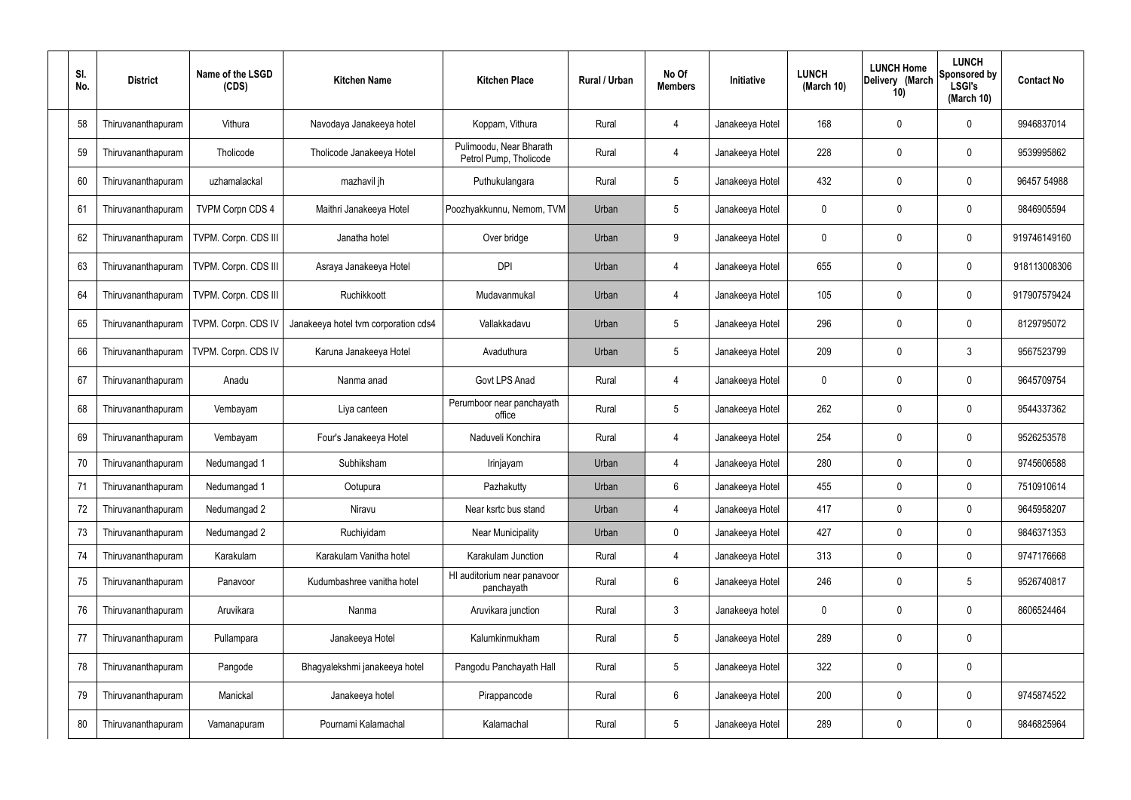| SI. | No. | <b>District</b>    | Name of the LSGD<br>(CDS) | <b>Kitchen Name</b>                  | <b>Kitchen Place</b>                              | Rural / Urban | No Of<br><b>Members</b> | <b>Initiative</b> | <b>LUNCH</b><br>(March 10) | <b>LUNCH Home</b><br>Delivery (March<br>10) | <b>LUNCH</b><br>Sponsored by<br><b>LSGI's</b><br>(March 10) | <b>Contact No</b> |
|-----|-----|--------------------|---------------------------|--------------------------------------|---------------------------------------------------|---------------|-------------------------|-------------------|----------------------------|---------------------------------------------|-------------------------------------------------------------|-------------------|
|     | 58  | Thiruvananthapuram | Vithura                   | Navodaya Janakeeya hotel             | Koppam, Vithura                                   | Rural         | $\overline{4}$          | Janakeeya Hotel   | 168                        | 0                                           | 0                                                           | 9946837014        |
|     | 59  | Thiruvananthapuram | Tholicode                 | Tholicode Janakeeya Hotel            | Pulimoodu, Near Bharath<br>Petrol Pump, Tholicode | Rural         | $\overline{4}$          | Janakeeya Hotel   | 228                        | 0                                           | 0                                                           | 9539995862        |
|     | 60  | Thiruvananthapuram | uzhamalackal              | mazhavil jh                          | Puthukulangara                                    | Rural         | $5\phantom{.0}$         | Janakeeya Hotel   | 432                        | 0                                           | 0                                                           | 96457 54988       |
|     | 61  | Thiruvananthapuram | <b>TVPM Corpn CDS 4</b>   | Maithri Janakeeya Hotel              | Poozhyakkunnu, Nemom, TVM                         | Urban         | $5\phantom{.0}$         | Janakeeya Hotel   | 0                          | 0                                           | 0                                                           | 9846905594        |
|     | 62  | Thiruvananthapuram | TVPM. Corpn. CDS III      | Janatha hotel                        | Over bridge                                       | Urban         | 9                       | Janakeeya Hotel   | 0                          | 0                                           | 0                                                           | 919746149160      |
|     | 63  | Thiruvananthapuram | TVPM. Corpn. CDS III      | Asraya Janakeeya Hotel               | <b>DPI</b>                                        | Urban         | 4                       | Janakeeya Hotel   | 655                        | 0                                           | $\mathbf 0$                                                 | 918113008306      |
|     | 64  | Thiruvananthapuram | TVPM. Corpn. CDS III      | Ruchikkoott                          | Mudavanmukal                                      | Urban         | $\overline{4}$          | Janakeeya Hotel   | 105                        | 0                                           | 0                                                           | 917907579424      |
|     | 65  | Thiruvananthapuram | TVPM. Corpn. CDS IV       | Janakeeya hotel tvm corporation cds4 | Vallakkadavu                                      | Urban         | $5\phantom{.0}$         | Janakeeya Hotel   | 296                        | 0                                           | 0                                                           | 8129795072        |
|     | 66  | Thiruvananthapuram | TVPM. Corpn. CDS IV       | Karuna Janakeeya Hotel               | Avaduthura                                        | Urban         | $5\phantom{.0}$         | Janakeeya Hotel   | 209                        | 0                                           | 3                                                           | 9567523799        |
|     | 67  | Thiruvananthapuram | Anadu                     | Nanma anad                           | Govt LPS Anad                                     | Rural         | 4                       | Janakeeya Hotel   | 0                          | 0                                           | $\mathbf 0$                                                 | 9645709754        |
|     | 68  | Thiruvananthapuram | Vembayam                  | Liya canteen                         | Perumboor near panchayath<br>office               | Rural         | $5\phantom{.0}$         | Janakeeya Hotel   | 262                        | 0                                           | $\pmb{0}$                                                   | 9544337362        |
|     | 69  | Thiruvananthapuram | Vembayam                  | Four's Janakeeya Hotel               | Naduveli Konchira                                 | Rural         | $\overline{4}$          | Janakeeya Hotel   | 254                        | 0                                           | $\mathbf 0$                                                 | 9526253578        |
|     | 70  | Thiruvananthapuram | Nedumangad 1              | Subhiksham                           | Irinjayam                                         | Urban         | 4                       | Janakeeya Hotel   | 280                        | 0                                           | 0                                                           | 9745606588        |
|     | 71  | Thiruvananthapuram | Nedumangad 1              | Ootupura                             | Pazhakutty                                        | Urban         | 6                       | Janakeeya Hotel   | 455                        | 0                                           | $\boldsymbol{0}$                                            | 7510910614        |
|     | 72  | Thiruvananthapuram | Nedumangad 2              | Niravu                               | Near ksrtc bus stand                              | Urban         | $\overline{4}$          | Janakeeya Hotel   | 417                        | 0                                           | $\pmb{0}$                                                   | 9645958207        |
|     | 73  | Thiruvananthapuram | Nedumangad 2              | Ruchiyidam                           | <b>Near Municipality</b>                          | Urban         | $\mathbf 0$             | Janakeeya Hotel   | 427                        | 0                                           | $\mathbf 0$                                                 | 9846371353        |
|     | 74  | Thiruvananthapuram | Karakulam                 | Karakulam Vanitha hotel              | Karakulam Junction                                | Rural         | 4                       | Janakeeya Hotel   | 313                        | 0                                           | $\mathbf 0$                                                 | 9747176668        |
|     | 75  | Thiruvananthapuram | Panavoor                  | Kudumbashree vanitha hotel           | HI auditorium near panavoor<br>panchayath         | Rural         | $6\phantom{.}$          | Janakeeya Hotel   | 246                        | 0                                           | $\sqrt{5}$                                                  | 9526740817        |
|     | 76  | Thiruvananthapuram | Aruvikara                 | Nanma                                | Aruvikara junction                                | Rural         | $\mathbf{3}$            | Janakeeya hotel   | 0                          | 0                                           | $\pmb{0}$                                                   | 8606524464        |
|     | 77  | Thiruvananthapuram | Pullampara                | Janakeeya Hotel                      | Kalumkinmukham                                    | Rural         | $5\phantom{.0}$         | Janakeeya Hotel   | 289                        | 0                                           | $\pmb{0}$                                                   |                   |
|     | 78  | Thiruvananthapuram | Pangode                   | Bhagyalekshmi janakeeya hotel        | Pangodu Panchayath Hall                           | Rural         | $5\phantom{.0}$         | Janakeeya Hotel   | 322                        | 0                                           | $\pmb{0}$                                                   |                   |
|     | 79  | Thiruvananthapuram | Manickal                  | Janakeeya hotel                      | Pirappancode                                      | Rural         | 6                       | Janakeeya Hotel   | 200                        | 0                                           | $\pmb{0}$                                                   | 9745874522        |
|     | 80  | Thiruvananthapuram | Vamanapuram               | Pournami Kalamachal                  | Kalamachal                                        | Rural         | $\sqrt{5}$              | Janakeeya Hotel   | 289                        | 0                                           | $\pmb{0}$                                                   | 9846825964        |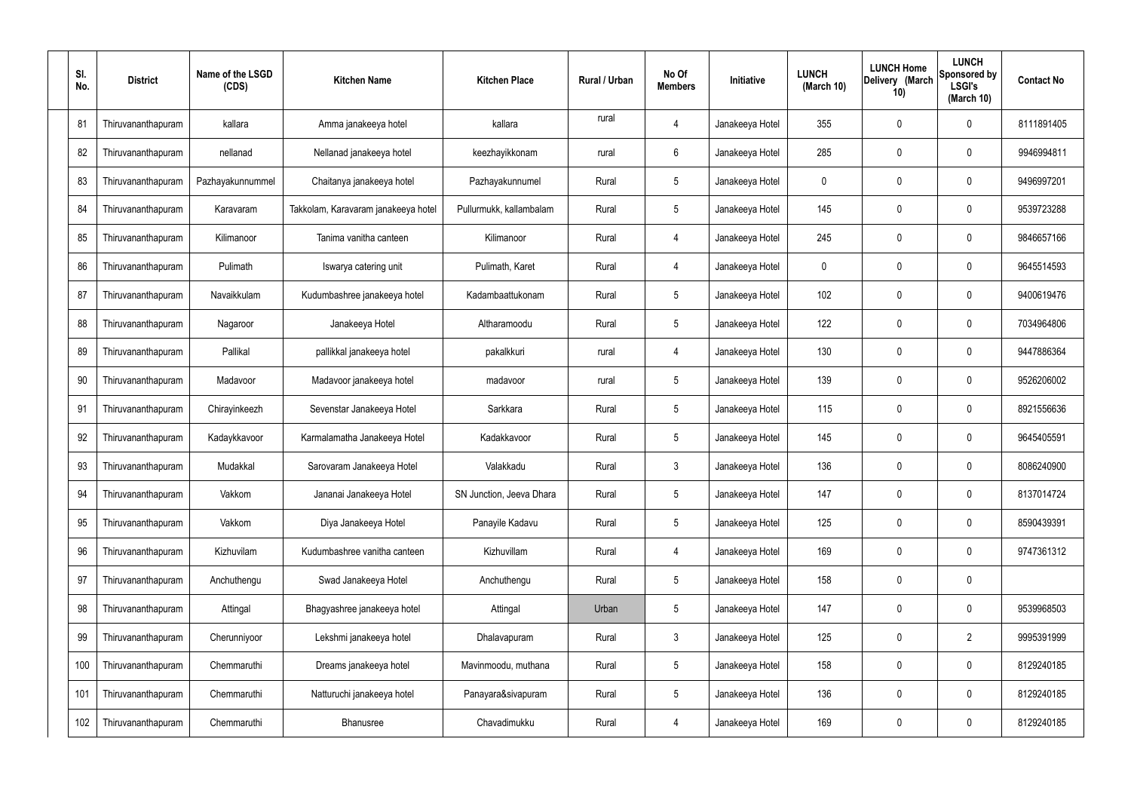| SI.<br>No. | <b>District</b>    | Name of the LSGD<br>(CDS) | <b>Kitchen Name</b>                 | <b>Kitchen Place</b>     | Rural / Urban | No Of<br><b>Members</b> | Initiative      | <b>LUNCH</b><br>(March 10) | <b>LUNCH Home</b><br>Delivery (March<br>10) | <b>LUNCH</b><br>Sponsored by<br><b>LSGI's</b><br>(March 10) | <b>Contact No</b> |
|------------|--------------------|---------------------------|-------------------------------------|--------------------------|---------------|-------------------------|-----------------|----------------------------|---------------------------------------------|-------------------------------------------------------------|-------------------|
| 81         | Thiruvananthapuram | kallara                   | Amma janakeeya hotel                | kallara                  | rural         | 4                       | Janakeeya Hotel | 355                        | 0                                           | 0                                                           | 8111891405        |
| 82         | Thiruvananthapuram | nellanad                  | Nellanad janakeeya hotel            | keezhayikkonam           | rural         | $6\phantom{.}6$         | Janakeeya Hotel | 285                        | 0                                           | $\mathbf 0$                                                 | 9946994811        |
| 83         | Thiruvananthapuram | Pazhayakunnummel          | Chaitanya janakeeya hotel           | Pazhayakunnumel          | Rural         | $5\phantom{.0}$         | Janakeeya Hotel | 0                          | 0                                           | $\mathbf 0$                                                 | 9496997201        |
| 84         | Thiruvananthapuram | Karavaram                 | Takkolam, Karavaram janakeeya hotel | Pullurmukk, kallambalam  | Rural         | $5\phantom{.0}$         | Janakeeya Hotel | 145                        | 0                                           | $\mathbf 0$                                                 | 9539723288        |
| 85         | Thiruvananthapuram | Kilimanoor                | Tanima vanitha canteen              | Kilimanoor               | Rural         | 4                       | Janakeeya Hotel | 245                        | 0                                           | $\mathbf 0$                                                 | 9846657166        |
| 86         | Thiruvananthapuram | Pulimath                  | Iswarya catering unit               | Pulimath, Karet          | Rural         | 4                       | Janakeeya Hotel | $\mathbf 0$                | 0                                           | $\mathbf 0$                                                 | 9645514593        |
| 87         | Thiruvananthapuram | Navaikkulam               | Kudumbashree janakeeya hotel        | Kadambaattukonam         | Rural         | $5\phantom{.0}$         | Janakeeya Hotel | 102                        | 0                                           | $\mathbf 0$                                                 | 9400619476        |
| 88         | Thiruvananthapuram | Nagaroor                  | Janakeeya Hotel                     | Altharamoodu             | Rural         | $5\phantom{.0}$         | Janakeeya Hotel | 122                        | 0                                           | $\mathbf 0$                                                 | 7034964806        |
| 89         | Thiruvananthapuram | Pallikal                  | pallikkal janakeeya hotel           | pakalkkuri               | rural         | 4                       | Janakeeya Hotel | 130                        | 0                                           | $\mathbf 0$                                                 | 9447886364        |
| 90         | Thiruvananthapuram | Madavoor                  | Madavoor janakeeya hotel            | madavoor                 | rural         | $5\phantom{.0}$         | Janakeeya Hotel | 139                        | 0                                           | $\boldsymbol{0}$                                            | 9526206002        |
| 91         | Thiruvananthapuram | Chirayinkeezh             | Sevenstar Janakeeya Hotel           | Sarkkara                 | Rural         | $5\phantom{.0}$         | Janakeeya Hotel | 115                        | 0                                           | 0                                                           | 8921556636        |
| 92         | Thiruvananthapuram | Kadaykkavoor              | Karmalamatha Janakeeya Hotel        | Kadakkavoor              | Rural         | $5\phantom{.0}$         | Janakeeya Hotel | 145                        | 0                                           | $\boldsymbol{0}$                                            | 9645405591        |
| 93         | Thiruvananthapuram | Mudakkal                  | Sarovaram Janakeeya Hotel           | Valakkadu                | Rural         | $\mathbf{3}$            | Janakeeya Hotel | 136                        | 0                                           | 0                                                           | 8086240900        |
| 94         | Thiruvananthapuram | Vakkom                    | Jananai Janakeeya Hotel             | SN Junction, Jeeva Dhara | Rural         | $5\phantom{.0}$         | Janakeeya Hotel | 147                        | 0                                           | $\mathbf 0$                                                 | 8137014724        |
| 95         | Thiruvananthapuram | Vakkom                    | Diya Janakeeya Hotel                | Panayile Kadavu          | Rural         | $5\,$                   | Janakeeya Hotel | 125                        | $\mathbf 0$                                 | $\mathbf 0$                                                 | 8590439391        |
| 96         | Thiruvananthapuram | Kizhuvilam                | Kudumbashree vanitha canteen        | Kizhuvillam              | Rural         | $\overline{4}$          | Janakeeya Hotel | 169                        | 0                                           | $\mathbf 0$                                                 | 9747361312        |
| 97         | Thiruvananthapuram | Anchuthengu               | Swad Janakeeya Hotel                | Anchuthengu              | Rural         | $5\,$                   | Janakeeya Hotel | 158                        | 0                                           | $\pmb{0}$                                                   |                   |
| 98         | Thiruvananthapuram | Attingal                  | Bhagyashree janakeeya hotel         | Attingal                 | Urban         | $\sqrt{5}$              | Janakeeya Hotel | 147                        | 0                                           | $\mathbf 0$                                                 | 9539968503        |
| 99         | Thiruvananthapuram | Cherunniyoor              | Lekshmi janakeeya hotel             | Dhalavapuram             | Rural         | $\mathfrak{Z}$          | Janakeeya Hotel | 125                        | 0                                           | $\overline{2}$                                              | 9995391999        |
| 100        | Thiruvananthapuram | Chemmaruthi               | Dreams janakeeya hotel              | Mavinmoodu, muthana      | Rural         | $5\,$                   | Janakeeya Hotel | 158                        | 0                                           | $\mathbf 0$                                                 | 8129240185        |
| 101        | Thiruvananthapuram | Chemmaruthi               | Natturuchi janakeeya hotel          | Panayara&sivapuram       | Rural         | $5\,$                   | Janakeeya Hotel | 136                        | 0                                           | $\mathbf 0$                                                 | 8129240185        |
| 102        | Thiruvananthapuram | Chemmaruthi               | Bhanusree                           | Chavadimukku             | Rural         | 4                       | Janakeeya Hotel | 169                        | 0                                           | $\boldsymbol{0}$                                            | 8129240185        |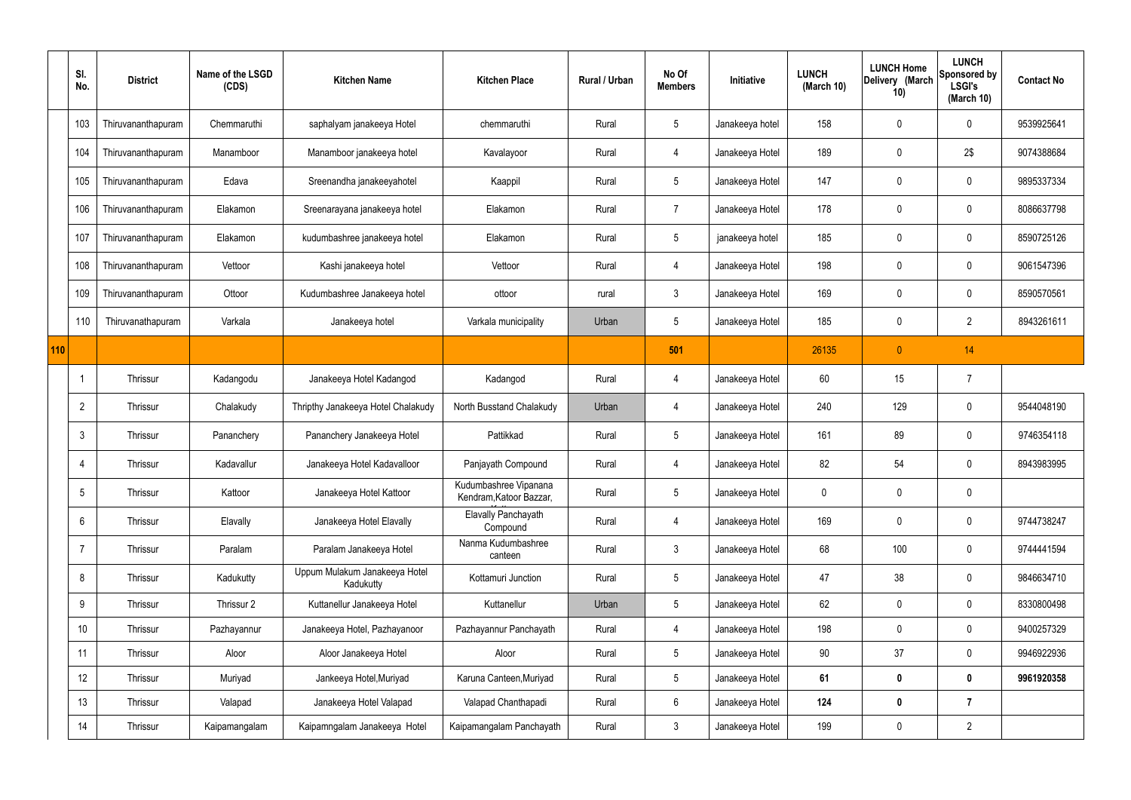|     | SI.<br>No.      | <b>District</b>    | Name of the LSGD<br>(CDS) | <b>Kitchen Name</b>                        | <b>Kitchen Place</b>                             | Rural / Urban | No Of<br><b>Members</b> | Initiative      | <b>LUNCH</b><br>(March 10) | <b>LUNCH Home</b><br>Delivery (March<br>10) | <b>LUNCH</b><br>Sponsored by<br><b>LSGI's</b><br>(March 10) | <b>Contact No</b> |
|-----|-----------------|--------------------|---------------------------|--------------------------------------------|--------------------------------------------------|---------------|-------------------------|-----------------|----------------------------|---------------------------------------------|-------------------------------------------------------------|-------------------|
|     | 103             | Thiruvananthapuram | Chemmaruthi               | saphalyam janakeeya Hotel                  | chemmaruthi                                      | Rural         | 5                       | Janakeeya hotel | 158                        | 0                                           | $\mathbf 0$                                                 | 9539925641        |
|     | 104             | Thiruvananthapuram | Manamboor                 | Manamboor janakeeya hotel                  | Kavalayoor                                       | Rural         | 4                       | Janakeeya Hotel | 189                        | 0                                           | 2\$                                                         | 9074388684        |
|     | 105             | Thiruvananthapuram | Edava                     | Sreenandha janakeeyahotel                  | Kaappil                                          | Rural         | $5\phantom{.0}$         | Janakeeya Hotel | 147                        | 0                                           | $\mathbf 0$                                                 | 9895337334        |
|     | 106             | Thiruvananthapuram | Elakamon                  | Sreenarayana janakeeya hotel               | Elakamon                                         | Rural         | $\overline{7}$          | Janakeeya Hotel | 178                        | 0                                           | $\mathbf 0$                                                 | 8086637798        |
|     | 107             | Thiruvananthapuram | Elakamon                  | kudumbashree janakeeya hotel               | Elakamon                                         | Rural         | 5                       | janakeeya hotel | 185                        | 0                                           | $\mathbf 0$                                                 | 8590725126        |
|     | 108             | Thiruvananthapuram | Vettoor                   | Kashi janakeeya hotel                      | Vettoor                                          | Rural         | 4                       | Janakeeya Hotel | 198                        | 0                                           | $\mathbf 0$                                                 | 9061547396        |
|     | 109             | Thiruvananthapuram | Ottoor                    | Kudumbashree Janakeeya hotel               | ottoor                                           | rural         | 3                       | Janakeeya Hotel | 169                        | 0                                           | $\pmb{0}$                                                   | 8590570561        |
|     | 110             | Thiruvanathapuram  | Varkala                   | Janakeeya hotel                            | Varkala municipality                             | Urban         | $5\phantom{.0}$         | Janakeeya Hotel | 185                        | 0                                           | $\overline{2}$                                              | 8943261611        |
| 110 |                 |                    |                           |                                            |                                                  |               | 501                     |                 | 26135                      | $\overline{0}$                              | 14                                                          |                   |
|     | $\mathbf{1}$    | Thrissur           | Kadangodu                 | Janakeeya Hotel Kadangod                   | Kadangod                                         | Rural         | 4                       | Janakeeya Hotel | 60                         | 15                                          | $\overline{7}$                                              |                   |
|     | $\overline{2}$  | Thrissur           | Chalakudy                 | Thripthy Janakeeya Hotel Chalakudy         | North Busstand Chalakudy                         | Urban         | 4                       | Janakeeya Hotel | 240                        | 129                                         | $\mathbf 0$                                                 | 9544048190        |
|     | $\mathbf{3}$    | Thrissur           | Pananchery                | Pananchery Janakeeya Hotel                 | Pattikkad                                        | Rural         | 5                       | Janakeeya Hotel | 161                        | 89                                          | $\pmb{0}$                                                   | 9746354118        |
|     | 4               | Thrissur           | Kadavallur                | Janakeeya Hotel Kadavalloor                | Panjayath Compound                               | Rural         | 4                       | Janakeeya Hotel | 82                         | 54                                          | $\mathbf 0$                                                 | 8943983995        |
|     | $5\phantom{.0}$ | Thrissur           | Kattoor                   | Janakeeya Hotel Kattoor                    | Kudumbashree Vipanana<br>Kendram, Katoor Bazzar, | Rural         | 5                       | Janakeeya Hotel | 0                          | 0                                           | $\mathbf 0$                                                 |                   |
|     | $6\phantom{.}$  | Thrissur           | Elavally                  | Janakeeya Hotel Elavally                   | Elavally Panchayath<br>Compound                  | Rural         | 4                       | Janakeeya Hotel | 169                        | $\mathbf 0$                                 | $\pmb{0}$                                                   | 9744738247        |
|     | $\overline{7}$  | Thrissur           | Paralam                   | Paralam Janakeeya Hotel                    | Nanma Kudumbashree<br>canteen                    | Rural         | $\mathbf{3}$            | Janakeeya Hotel | 68                         | 100                                         | $\pmb{0}$                                                   | 9744441594        |
|     | 8               | Thrissur           | Kadukutty                 | Uppum Mulakum Janakeeya Hotel<br>Kadukutty | Kottamuri Junction                               | Rural         | $5\phantom{.0}$         | Janakeeya Hotel | 47                         | 38                                          | $\pmb{0}$                                                   | 9846634710        |
|     | 9               | Thrissur           | Thrissur 2                | Kuttanellur Janakeeya Hotel                | Kuttanellur                                      | Urban         | $5\phantom{.0}$         | Janakeeya Hotel | 62                         | 0                                           | $\mathbf 0$                                                 | 8330800498        |
|     | 10 <sup>°</sup> | Thrissur           | Pazhayannur               | Janakeeya Hotel, Pazhayanoor               | Pazhayannur Panchayath                           | Rural         | 4                       | Janakeeya Hotel | 198                        | $\mathbf 0$                                 | $\mathbf 0$                                                 | 9400257329        |
|     | 11              | Thrissur           | Aloor                     | Aloor Janakeeya Hotel                      | Aloor                                            | Rural         | $5\phantom{.0}$         | Janakeeya Hotel | 90                         | 37                                          | $\mathbf 0$                                                 | 9946922936        |
|     | 12              | Thrissur           | Muriyad                   | Jankeeya Hotel, Muriyad                    | Karuna Canteen, Muriyad                          | Rural         | $5\phantom{.0}$         | Janakeeya Hotel | 61                         | $\pmb{0}$                                   | $\mathbf 0$                                                 | 9961920358        |
|     | 13              | Thrissur           | Valapad                   | Janakeeya Hotel Valapad                    | Valapad Chanthapadi                              | Rural         | 6                       | Janakeeya Hotel | 124                        | $\boldsymbol{0}$                            | $\overline{7}$                                              |                   |
|     | 14              | Thrissur           | Kaipamangalam             | Kaipamngalam Janakeeya Hotel               | Kaipamangalam Panchayath                         | Rural         | $\mathfrak{Z}$          | Janakeeya Hotel | 199                        | 0                                           | $\overline{2}$                                              |                   |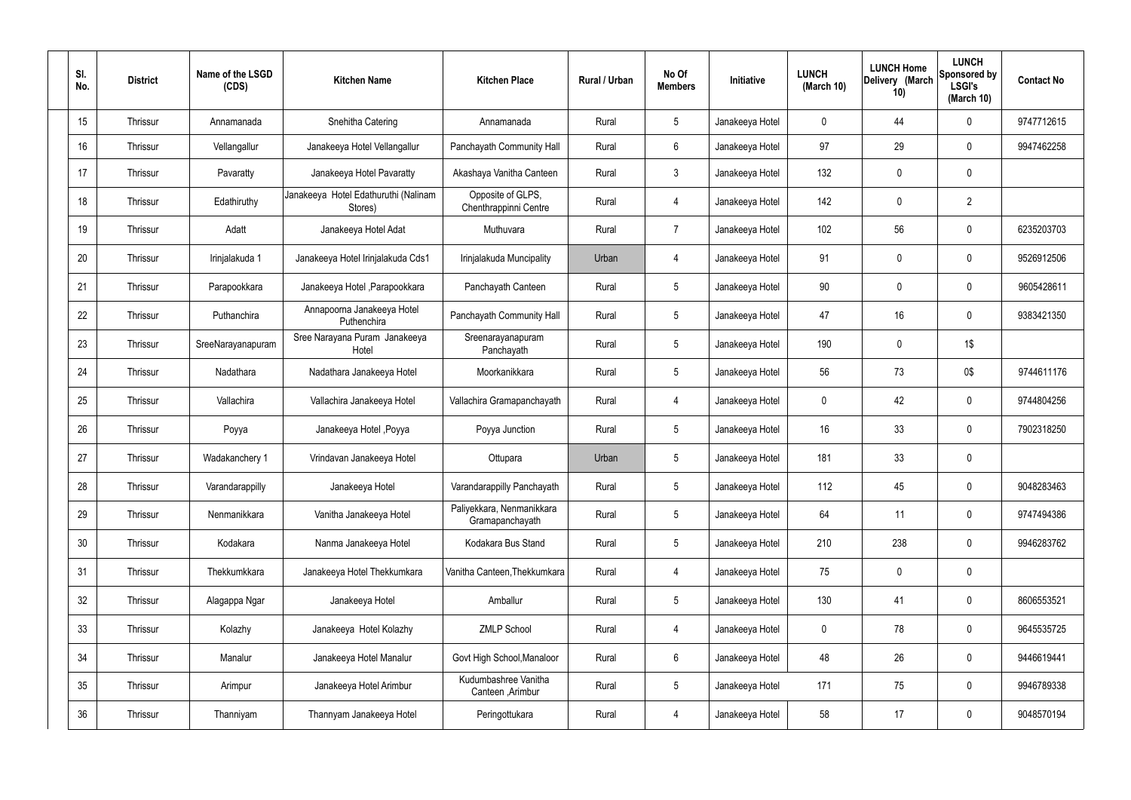| SI.<br>No. | <b>District</b> | Name of the LSGD<br>(CDS) | <b>Kitchen Name</b>                             | <b>Kitchen Place</b>                         | Rural / Urban | No Of<br><b>Members</b> | Initiative      | <b>LUNCH</b><br>(March 10) | <b>LUNCH Home</b><br>Delivery (March<br>10) | <b>LUNCH</b><br>Sponsored by<br><b>LSGI's</b><br>(March $10$ ) | <b>Contact No</b> |
|------------|-----------------|---------------------------|-------------------------------------------------|----------------------------------------------|---------------|-------------------------|-----------------|----------------------------|---------------------------------------------|----------------------------------------------------------------|-------------------|
| 15         | Thrissur        | Annamanada                | Snehitha Catering                               | Annamanada                                   | Rural         | $5\overline{)}$         | Janakeeya Hotel | $\mathbf 0$                | 44                                          | $\mathbf 0$                                                    | 9747712615        |
| 16         | Thrissur        | Vellangallur              | Janakeeya Hotel Vellangallur                    | Panchayath Community Hall                    | Rural         | $6\phantom{.}6$         | Janakeeya Hotel | 97                         | 29                                          | $\mathbf 0$                                                    | 9947462258        |
| 17         | Thrissur        | Pavaratty                 | Janakeeya Hotel Pavaratty                       | Akashaya Vanitha Canteen                     | Rural         | $\mathbf{3}$            | Janakeeya Hotel | 132                        | $\mathbf 0$                                 | $\boldsymbol{0}$                                               |                   |
| 18         | Thrissur        | Edathiruthy               | Janakeeya Hotel Edathuruthi (Nalinam<br>Stores) | Opposite of GLPS,<br>Chenthrappinni Centre   | Rural         | 4                       | Janakeeya Hotel | 142                        | 0                                           | $\overline{2}$                                                 |                   |
| 19         | Thrissur        | Adatt                     | Janakeeya Hotel Adat                            | Muthuvara                                    | Rural         | $\overline{7}$          | Janakeeya Hotel | 102                        | 56                                          | $\mathbf 0$                                                    | 6235203703        |
| 20         | Thrissur        | Irinjalakuda 1            | Janakeeya Hotel Irinjalakuda Cds1               | Irinjalakuda Muncipality                     | Urban         | 4                       | Janakeeya Hotel | 91                         | 0                                           | $\mathbf 0$                                                    | 9526912506        |
| 21         | Thrissur        | Parapookkara              | Janakeeya Hotel, Parapookkara                   | Panchayath Canteen                           | Rural         | $5\phantom{.0}$         | Janakeeya Hotel | 90                         | 0                                           | $\boldsymbol{0}$                                               | 9605428611        |
| 22         | Thrissur        | Puthanchira               | Annapoorna Janakeeya Hotel<br>Puthenchira       | Panchayath Community Hall                    | Rural         | $5\overline{)}$         | Janakeeya Hotel | 47                         | 16                                          | $\mathbf 0$                                                    | 9383421350        |
| 23         | Thrissur        | SreeNarayanapuram         | Sree Narayana Puram Janakeeya<br>Hotel          | Sreenarayanapuram<br>Panchayath              | Rural         | $5\phantom{.0}$         | Janakeeya Hotel | 190                        | $\mathbf 0$                                 | 1\$                                                            |                   |
| 24         | Thrissur        | Nadathara                 | Nadathara Janakeeya Hotel                       | Moorkanikkara                                | Rural         | $5\overline{)}$         | Janakeeya Hotel | 56                         | 73                                          | 0\$                                                            | 9744611176        |
| 25         | Thrissur        | Vallachira                | Vallachira Janakeeya Hotel                      | Vallachira Gramapanchayath                   | Rural         | 4                       | Janakeeya Hotel | $\mathbf 0$                | 42                                          | $\mathbf 0$                                                    | 9744804256        |
| 26         | Thrissur        | Poyya                     | Janakeeya Hotel , Poyya                         | Poyya Junction                               | Rural         | $5\overline{)}$         | Janakeeya Hotel | 16                         | 33                                          | $\mathbf 0$                                                    | 7902318250        |
| 27         | Thrissur        | Wadakanchery 1            | Vrindavan Janakeeya Hotel                       | Ottupara                                     | Urban         | $5\,$                   | Janakeeya Hotel | 181                        | 33                                          | $\boldsymbol{0}$                                               |                   |
| 28         | Thrissur        | Varandarappilly           | Janakeeya Hotel                                 | Varandarappilly Panchayath                   | Rural         | $\sqrt{5}$              | Janakeeya Hotel | 112                        | 45                                          | $\pmb{0}$                                                      | 9048283463        |
| 29         | Thrissur        | Nenmanikkara              | Vanitha Janakeeya Hotel                         | Paliyekkara, Nenmanikkara<br>Gramapanchayath | Rural         | $5\phantom{.0}$         | Janakeeya Hotel | 64                         | 11                                          | $\mathbf 0$                                                    | 9747494386        |
| 30         | Thrissur        | Kodakara                  | Nanma Janakeeya Hotel                           | Kodakara Bus Stand                           | Rural         | $5\phantom{.0}$         | Janakeeya Hotel | 210                        | 238                                         | $\pmb{0}$                                                      | 9946283762        |
| 31         | Thrissur        | Thekkumkkara              | Janakeeya Hotel Thekkumkara                     | Vanitha Canteen, Thekkumkara                 | Rural         | 4                       | Janakeeya Hotel | 75                         | $\pmb{0}$                                   | $\pmb{0}$                                                      |                   |
| 32         | Thrissur        | Alagappa Ngar             | Janakeeya Hotel                                 | Amballur                                     | Rural         | $5\phantom{.0}$         | Janakeeya Hotel | 130                        | 41                                          | $\pmb{0}$                                                      | 8606553521        |
| 33         | Thrissur        | Kolazhy                   | Janakeeya Hotel Kolazhy                         | <b>ZMLP School</b>                           | Rural         | $\overline{4}$          | Janakeeya Hotel | 0                          | 78                                          | $\mathbf 0$                                                    | 9645535725        |
| 34         | Thrissur        | Manalur                   | Janakeeya Hotel Manalur                         | Govt High School, Manaloor                   | Rural         | $6\,$                   | Janakeeya Hotel | 48                         | 26                                          | $\pmb{0}$                                                      | 9446619441        |
| 35         | Thrissur        | Arimpur                   | Janakeeya Hotel Arimbur                         | Kudumbashree Vanitha<br>Canteen, Arimbur     | Rural         | $5\phantom{.0}$         | Janakeeya Hotel | 171                        | 75                                          | $\mathbf 0$                                                    | 9946789338        |
| 36         | Thrissur        | Thanniyam                 | Thannyam Janakeeya Hotel                        | Peringottukara                               | Rural         | $\overline{4}$          | Janakeeya Hotel | 58                         | 17                                          | $\pmb{0}$                                                      | 9048570194        |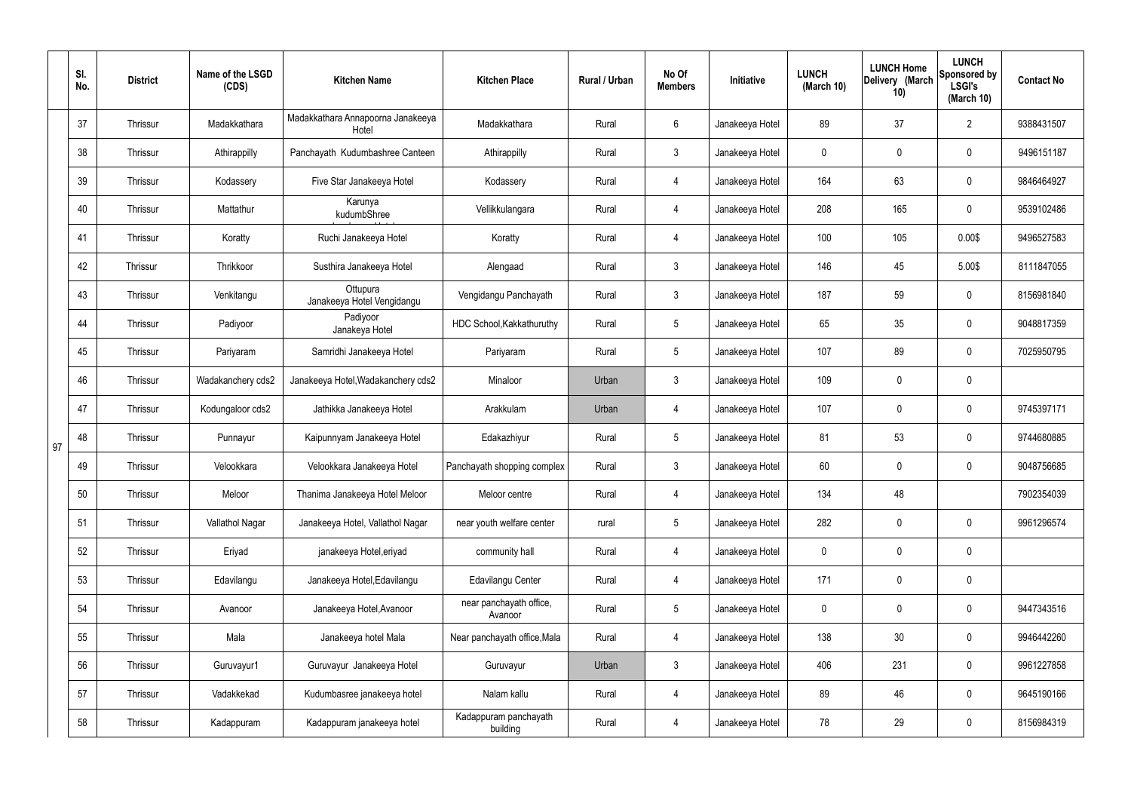|    | SI.<br>No. | <b>District</b> | Name of the LSGD<br>(CDS) | <b>Kitchen Name</b>                        | <b>Kitchen Place</b>               | Rural / Urban | No Of<br><b>Members</b> | Initiative      | <b>LUNCH</b><br>(March 10) | <b>LUNCH Home</b><br>Delivery (March<br>10) | <b>LUNCH</b><br>Sponsored by<br><b>LSGI's</b><br>(March 10) | <b>Contact No</b> |
|----|------------|-----------------|---------------------------|--------------------------------------------|------------------------------------|---------------|-------------------------|-----------------|----------------------------|---------------------------------------------|-------------------------------------------------------------|-------------------|
|    | 37         | Thrissur        | Madakkathara              | Madakkathara Annapoorna Janakeeya<br>Hotel | Madakkathara                       | Rural         | 6                       | Janakeeya Hotel | 89                         | 37                                          | $\overline{2}$                                              | 9388431507        |
|    | 38         | Thrissur        | Athirappilly              | Panchayath Kudumbashree Canteen            | Athirappilly                       | Rural         | $\mathfrak{Z}$          | Janakeeya Hotel | 0                          | $\mathbf 0$                                 | $\pmb{0}$                                                   | 9496151187        |
|    | 39         | Thrissur        | Kodassery                 | Five Star Janakeeya Hotel                  | Kodassery                          | Rural         | 4                       | Janakeeya Hotel | 164                        | 63                                          | $\pmb{0}$                                                   | 9846464927        |
|    | 40         | Thrissur        | Mattathur                 | Karunya<br>kudumbShree                     | Vellikkulangara                    | Rural         | 4                       | Janakeeya Hotel | 208                        | 165                                         | $\pmb{0}$                                                   | 9539102486        |
|    | 41         | Thrissur        | Koratty                   | Ruchi Janakeeya Hotel                      | Koratty                            | Rural         | 4                       | Janakeeya Hotel | 100                        | 105                                         | 0.00\$                                                      | 9496527583        |
|    | 42         | Thrissur        | Thrikkoor                 | Susthira Janakeeya Hotel                   | Alengaad                           | Rural         | $\mathfrak{Z}$          | Janakeeya Hotel | 146                        | 45                                          | 5.00\$                                                      | 8111847055        |
|    | 43         | Thrissur        | Venkitangu                | Ottupura<br>Janakeeya Hotel Vengidangu     | Vengidangu Panchayath              | Rural         | $\mathbf{3}$            | Janakeeya Hotel | 187                        | 59                                          | $\pmb{0}$                                                   | 8156981840        |
|    | 44         | Thrissur        | Padiyoor                  | Padiyoor<br>Janakeya Hotel                 | HDC School, Kakkathuruthy          | Rural         | 5                       | Janakeeya Hotel | 65                         | 35                                          | $\pmb{0}$                                                   | 9048817359        |
|    | 45         | Thrissur        | Pariyaram                 | Samridhi Janakeeya Hotel                   | Pariyaram                          | Rural         | 5                       | Janakeeya Hotel | 107                        | 89                                          | $\mathbf 0$                                                 | 7025950795        |
|    | 46         | Thrissur        | Wadakanchery cds2         | Janakeeya Hotel, Wadakanchery cds2         | Minaloor                           | Urban         | $\mathbf{3}$            | Janakeeya Hotel | 109                        | $\pmb{0}$                                   | $\pmb{0}$                                                   |                   |
|    | 47         | Thrissur        | Kodungaloor cds2          | Jathikka Janakeeya Hotel                   | Arakkulam                          | Urban         | 4                       | Janakeeya Hotel | 107                        | 0                                           | $\pmb{0}$                                                   | 9745397171        |
| 97 | 48         | Thrissur        | Punnayur                  | Kaipunnyam Janakeeya Hotel                 | Edakazhiyur                        | Rural         | 5                       | Janakeeya Hotel | 81                         | 53                                          | $\pmb{0}$                                                   | 9744680885        |
|    | 49         | Thrissur        | Velookkara                | Velookkara Janakeeya Hotel                 | Panchayath shopping complex        | Rural         | $\mathfrak{Z}$          | Janakeeya Hotel | 60                         | 0                                           | $\mathbf 0$                                                 | 9048756685        |
|    | 50         | Thrissur        | Meloor                    | Thanima Janakeeya Hotel Meloor             | Meloor centre                      | Rural         | 4                       | Janakeeya Hotel | 134                        | 48                                          |                                                             | 7902354039        |
|    | 51         | Thrissur        | Vallathol Nagar           | Janakeeya Hotel, Vallathol Nagar           | near youth welfare center          | rural         | 5 <sub>5</sub>          | Janakeeya Hotel | 282                        | $\mathbf 0$                                 | $\mathbf 0$                                                 | 9961296574        |
|    | 52         | Thrissur        | Eriyad                    | janakeeya Hotel, eriyad                    | community hall                     | Rural         | 4                       | Janakeeya Hotel | $\mathbf 0$                | $\mathbf 0$                                 | $\pmb{0}$                                                   |                   |
|    | 53         | Thrissur        | Edavilangu                | Janakeeya Hotel, Edavilangu                | Edavilangu Center                  | Rural         | 4                       | Janakeeya Hotel | 171                        | $\mathbf 0$                                 | $\pmb{0}$                                                   |                   |
|    | 54         | Thrissur        | Avanoor                   | Janakeeya Hotel, Avanoor                   | near panchayath office,<br>Avanoor | Rural         | $5\phantom{.0}$         | Janakeeya Hotel | $\mathbf 0$                | $\mathbf 0$                                 | $\mathbf 0$                                                 | 9447343516        |
|    | 55         | Thrissur        | Mala                      | Janakeeya hotel Mala                       | Near panchayath office, Mala       | Rural         | 4                       | Janakeeya Hotel | 138                        | 30                                          | $\mathbf 0$                                                 | 9946442260        |
|    | 56         | Thrissur        | Guruvayur1                | Guruvayur Janakeeya Hotel                  | Guruvayur                          | Urban         | 3 <sup>1</sup>          | Janakeeya Hotel | 406                        | 231                                         | $\mathbf 0$                                                 | 9961227858        |
|    | 57         | Thrissur        | Vadakkekad                | Kudumbasree janakeeya hotel                | Nalam kallu                        | Rural         | $\overline{4}$          | Janakeeya Hotel | 89                         | 46                                          | $\pmb{0}$                                                   | 9645190166        |
|    | 58         | Thrissur        | Kadappuram                | Kadappuram janakeeya hotel                 | Kadappuram panchayath<br>building  | Rural         | 4                       | Janakeeya Hotel | 78                         | 29                                          | $\pmb{0}$                                                   | 8156984319        |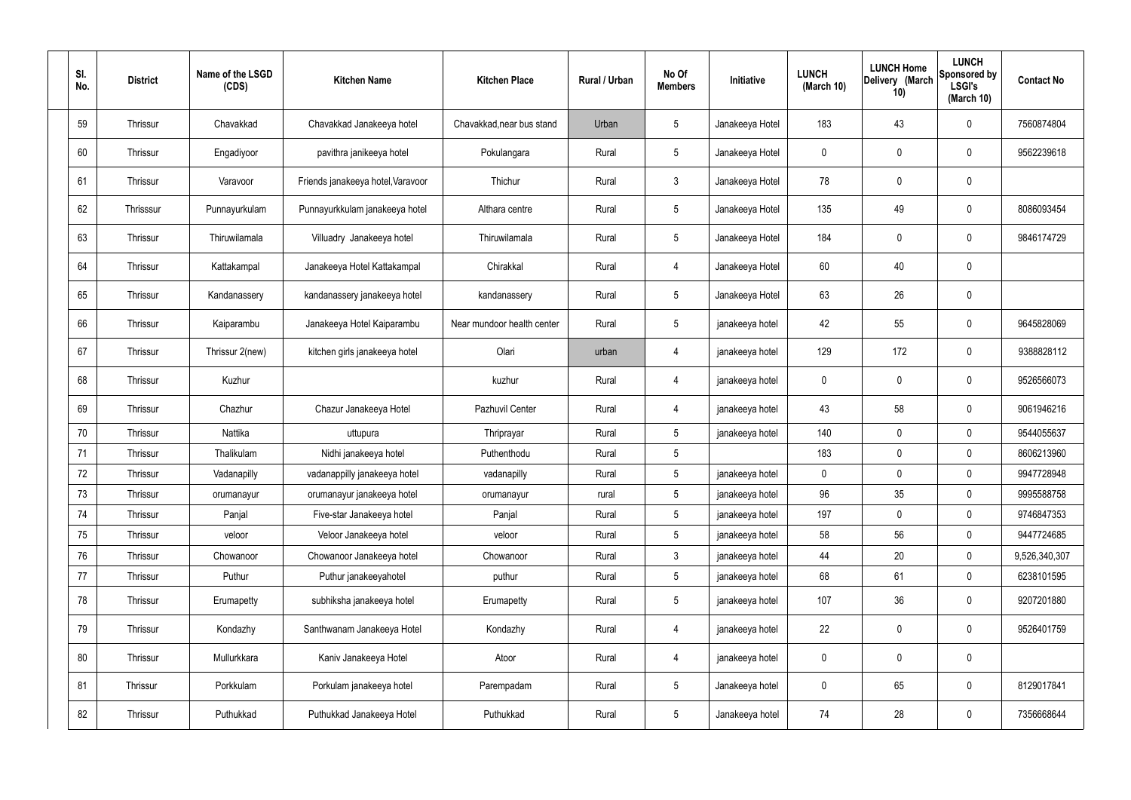| SI.<br>No. | <b>District</b> | Name of the LSGD<br>(CDS) | <b>Kitchen Name</b>               | <b>Kitchen Place</b>       | Rural / Urban | No Of<br><b>Members</b> | Initiative      | <b>LUNCH</b><br>(March 10) | <b>LUNCH Home</b><br>Delivery (March<br>10) | <b>LUNCH</b><br>Sponsored by<br><b>LSGI's</b><br>(March 10) | <b>Contact No</b> |
|------------|-----------------|---------------------------|-----------------------------------|----------------------------|---------------|-------------------------|-----------------|----------------------------|---------------------------------------------|-------------------------------------------------------------|-------------------|
| 59         | Thrissur        | Chavakkad                 | Chavakkad Janakeeya hotel         | Chavakkad, near bus stand  | Urban         | $5\overline{)}$         | Janakeeya Hotel | 183                        | 43                                          | $\mathbf 0$                                                 | 7560874804        |
| 60         | Thrissur        | Engadiyoor                | pavithra janikeeya hotel          | Pokulangara                | Rural         | $5\overline{)}$         | Janakeeya Hotel | 0                          | $\mathbf 0$                                 | $\mathbf 0$                                                 | 9562239618        |
| 61         | Thrissur        | Varavoor                  | Friends janakeeya hotel, Varavoor | Thichur                    | Rural         | $\mathbf{3}$            | Janakeeya Hotel | 78                         | $\mathbf 0$                                 | $\mathbf 0$                                                 |                   |
| 62         | Thrisssur       | Punnayurkulam             | Punnayurkkulam janakeeya hotel    | Althara centre             | Rural         | $5\overline{)}$         | Janakeeya Hotel | 135                        | 49                                          | $\mathbf 0$                                                 | 8086093454        |
| 63         | Thrissur        | Thiruwilamala             | Villuadry Janakeeya hotel         | Thiruwilamala              | Rural         | $5\overline{)}$         | Janakeeya Hotel | 184                        | $\mathbf 0$                                 | $\mathbf 0$                                                 | 9846174729        |
| 64         | Thrissur        | Kattakampal               | Janakeeya Hotel Kattakampal       | Chirakkal                  | Rural         | 4                       | Janakeeya Hotel | 60                         | 40                                          | $\mathbf 0$                                                 |                   |
| 65         | Thrissur        | Kandanassery              | kandanassery janakeeya hotel      | kandanassery               | Rural         | $5\overline{)}$         | Janakeeya Hotel | 63                         | 26                                          | $\mathbf 0$                                                 |                   |
| 66         | Thrissur        | Kaiparambu                | Janakeeya Hotel Kaiparambu        | Near mundoor health center | Rural         | $5\overline{)}$         | janakeeya hotel | 42                         | 55                                          | $\mathbf 0$                                                 | 9645828069        |
| 67         | Thrissur        | Thrissur 2(new)           | kitchen girls janakeeya hotel     | Olari                      | urban         | 4                       | janakeeya hotel | 129                        | 172                                         | $\mathbf 0$                                                 | 9388828112        |
| 68         | Thrissur        | Kuzhur                    |                                   | kuzhur                     | Rural         | $\overline{4}$          | janakeeya hotel | 0                          | $\mathbf 0$                                 | $\mathbf 0$                                                 | 9526566073        |
| 69         | Thrissur        | Chazhur                   | Chazur Janakeeya Hotel            | Pazhuvil Center            | Rural         | 4                       | janakeeya hotel | 43                         | 58                                          | $\mathbf 0$                                                 | 9061946216        |
| 70         | Thrissur        | Nattika                   | uttupura                          | Thriprayar                 | Rural         | $5\overline{)}$         | janakeeya hotel | 140                        | $\mathbf 0$                                 | $\mathbf 0$                                                 | 9544055637        |
| 71         | Thrissur        | Thalikulam                | Nidhi janakeeya hotel             | Puthenthodu                | Rural         | $5\phantom{.0}$         |                 | 183                        | 0                                           | $\mathbf 0$                                                 | 8606213960        |
| 72         | Thrissur        | Vadanapilly               | vadanappilly janakeeya hotel      | vadanapilly                | Rural         | 5                       | janakeeya hotel | $\mathbf 0$                | $\mathbf 0$                                 | 0                                                           | 9947728948        |
| 73         | Thrissur        | orumanayur                | orumanayur janakeeya hotel        | orumanayur                 | rural         | 5 <sub>5</sub>          | janakeeya hotel | 96                         | 35                                          | $\mathbf 0$                                                 | 9995588758        |
| 74         | Thrissur        | Panjal                    | Five-star Janakeeya hotel         | Panjal                     | Rural         | 5 <sub>5</sub>          | janakeeya hotel | 197                        | $\mathbf 0$                                 | $\mathbf 0$                                                 | 9746847353        |
| 75         | Thrissur        | veloor                    | Veloor Janakeeya hotel            | veloor                     | Rural         | $5\phantom{.0}$         | janakeeya hotel | 58                         | 56                                          | $\mathbf 0$                                                 | 9447724685        |
| 76         | Thrissur        | Chowanoor                 | Chowanoor Janakeeya hotel         | Chowanoor                  | Rural         | $\mathbf{3}$            | janakeeya hotel | 44                         | 20                                          | $\mathbf 0$                                                 | 9,526,340,307     |
| 77         | Thrissur        | Puthur                    | Puthur janakeeyahotel             | puthur                     | Rural         | $5\overline{)}$         | janakeeya hotel | 68                         | 61                                          | $\mathbf 0$                                                 | 6238101595        |
| 78         | Thrissur        | Erumapetty                | subhiksha janakeeya hotel         | Erumapetty                 | Rural         | $5\overline{)}$         | janakeeya hotel | 107                        | 36                                          | $\mathbf 0$                                                 | 9207201880        |
| 79         | Thrissur        | Kondazhy                  | Santhwanam Janakeeya Hotel        | Kondazhy                   | Rural         | 4                       | janakeeya hotel | 22                         | $\mathbf 0$                                 | $\mathbf 0$                                                 | 9526401759        |
| 80         | Thrissur        | Mullurkkara               | Kaniv Janakeeya Hotel             | Atoor                      | Rural         | 4                       | janakeeya hotel | 0                          | 0                                           | $\mathbf 0$                                                 |                   |
| 81         | Thrissur        | Porkkulam                 | Porkulam janakeeya hotel          | Parempadam                 | Rural         | $5\overline{)}$         | Janakeeya hotel | 0                          | 65                                          | $\mathbf 0$                                                 | 8129017841        |
| 82         | Thrissur        | Puthukkad                 | Puthukkad Janakeeya Hotel         | Puthukkad                  | Rural         | $5\overline{)}$         | Janakeeya hotel | 74                         | 28                                          | $\overline{0}$                                              | 7356668644        |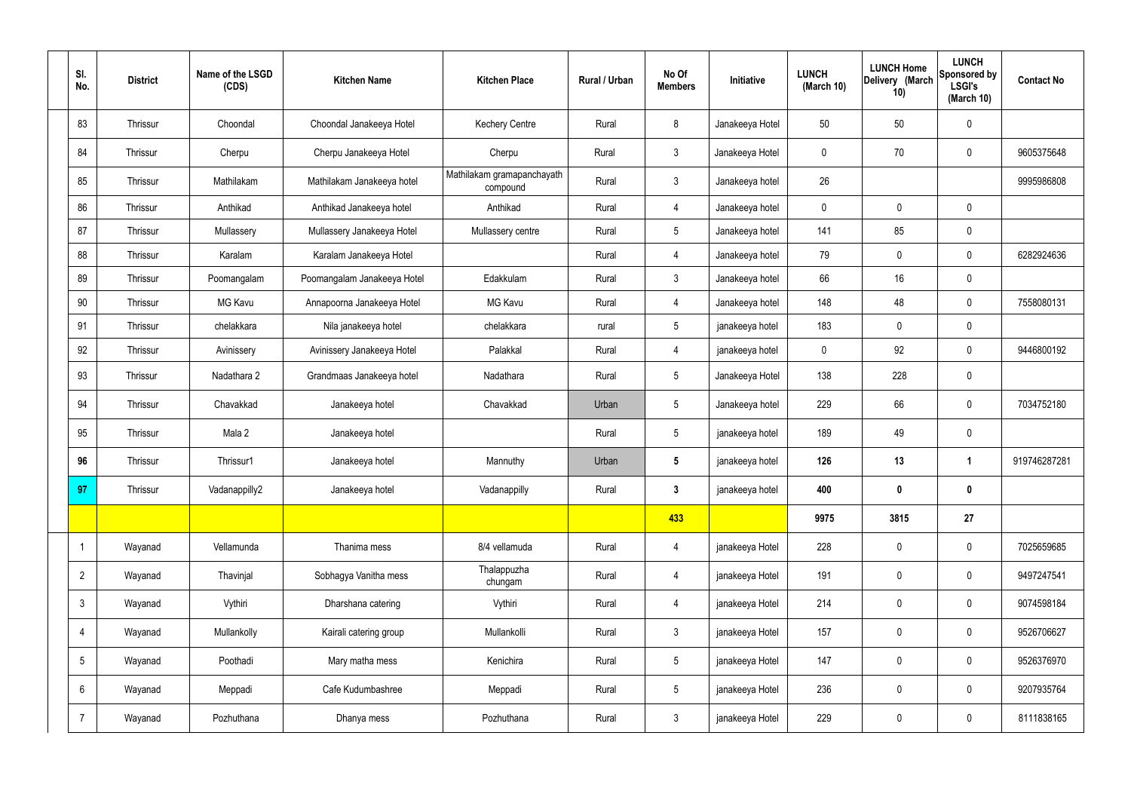| SI.<br>No.     | <b>District</b> | Name of the LSGD<br>(CDS) | <b>Kitchen Name</b>         | <b>Kitchen Place</b>                   | Rural / Urban | No Of<br><b>Members</b> | Initiative      | <b>LUNCH</b><br>(March 10) | <b>LUNCH Home</b><br>Delivery (March<br>10) | <b>LUNCH</b><br>Sponsored by<br><b>LSGI's</b><br>(March 10) | <b>Contact No</b> |
|----------------|-----------------|---------------------------|-----------------------------|----------------------------------------|---------------|-------------------------|-----------------|----------------------------|---------------------------------------------|-------------------------------------------------------------|-------------------|
| 83             | Thrissur        | Choondal                  | Choondal Janakeeya Hotel    | <b>Kechery Centre</b>                  | Rural         | 8                       | Janakeeya Hotel | 50                         | 50                                          | $\mathbf 0$                                                 |                   |
| 84             | Thrissur        | Cherpu                    | Cherpu Janakeeya Hotel      | Cherpu                                 | Rural         | $\mathbf{3}$            | Janakeeya Hotel | $\mathbf 0$                | 70                                          | $\mathbf 0$                                                 | 9605375648        |
| 85             | Thrissur        | Mathilakam                | Mathilakam Janakeeya hotel  | Mathilakam gramapanchayath<br>compound | Rural         | $\mathbf{3}$            | Janakeeya hotel | 26                         |                                             |                                                             | 9995986808        |
| 86             | Thrissur        | Anthikad                  | Anthikad Janakeeya hotel    | Anthikad                               | Rural         | $\overline{4}$          | Janakeeya hotel | $\mathbf 0$                | $\mathbf 0$                                 | $\mathbf 0$                                                 |                   |
| 87             | Thrissur        | Mullassery                | Mullassery Janakeeya Hotel  | Mullassery centre                      | Rural         | $5\overline{)}$         | Janakeeya hotel | 141                        | 85                                          | $\mathbf 0$                                                 |                   |
| 88             | Thrissur        | Karalam                   | Karalam Janakeeya Hotel     |                                        | Rural         | $\overline{4}$          | Janakeeya hotel | 79                         | $\mathbf 0$                                 | $\mathbf 0$                                                 | 6282924636        |
| 89             | Thrissur        | Poomangalam               | Poomangalam Janakeeya Hotel | Edakkulam                              | Rural         | 3 <sup>1</sup>          | Janakeeya hotel | 66                         | 16                                          | $\mathbf 0$                                                 |                   |
| 90             | Thrissur        | <b>MG Kavu</b>            | Annapoorna Janakeeya Hotel  | <b>MG Kavu</b>                         | Rural         | $\overline{4}$          | Janakeeya hotel | 148                        | 48                                          | $\mathbf 0$                                                 | 7558080131        |
| 91             | Thrissur        | chelakkara                | Nila janakeeya hotel        | chelakkara                             | rural         | $5\overline{)}$         | janakeeya hotel | 183                        | $\mathbf 0$                                 | $\mathbf 0$                                                 |                   |
| 92             | Thrissur        | Avinissery                | Avinissery Janakeeya Hotel  | Palakkal                               | Rural         | 4                       | janakeeya hotel | $\mathbf 0$                | 92                                          | $\mathbf 0$                                                 | 9446800192        |
| 93             | Thrissur        | Nadathara 2               | Grandmaas Janakeeya hotel   | Nadathara                              | Rural         | 5 <sup>5</sup>          | Janakeeya Hotel | 138                        | 228                                         | $\mathbf 0$                                                 |                   |
| 94             | Thrissur        | Chavakkad                 | Janakeeya hotel             | Chavakkad                              | Urban         | $5\overline{)}$         | Janakeeya hotel | 229                        | 66                                          | $\mathbf 0$                                                 | 7034752180        |
| 95             | Thrissur        | Mala 2                    | Janakeeya hotel             |                                        | Rural         | 5 <sup>5</sup>          | janakeeya hotel | 189                        | 49                                          | $\mathbf 0$                                                 |                   |
| 96             | Thrissur        | Thrissur1                 | Janakeeya hotel             | Mannuthy                               | Urban         | $5\overline{)}$         | janakeeya hotel | 126                        | 13                                          | $\overline{\mathbf{1}}$                                     | 919746287281      |
| 97             | Thrissur        | Vadanappilly2             | Janakeeya hotel             | Vadanappilly                           | Rural         | $\mathbf{3}$            | janakeeya hotel | 400                        | $\pmb{0}$                                   | $\bf{0}$                                                    |                   |
|                |                 |                           |                             |                                        |               | 433                     |                 | 9975                       | 3815                                        | 27                                                          |                   |
| $\mathbf 1$    | Wayanad         | Vellamunda                | Thanima mess                | 8/4 vellamuda                          | Rural         | $\overline{4}$          | janakeeya Hotel | 228                        | $\pmb{0}$                                   | $\mathbf 0$                                                 | 7025659685        |
| $\overline{2}$ | Wayanad         | Thavinjal                 | Sobhagya Vanitha mess       | Thalappuzha<br>chungam                 | Rural         | $\overline{4}$          | janakeeya Hotel | 191                        | $\pmb{0}$                                   | $\mathbf 0$                                                 | 9497247541        |
| 3              | Wayanad         | Vythiri                   | Dharshana catering          | Vythiri                                | Rural         | $\overline{4}$          | janakeeya Hotel | 214                        | $\pmb{0}$                                   | $\boldsymbol{0}$                                            | 9074598184        |
| 4              | Wayanad         | Mullankolly               | Kairali catering group      | Mullankolli                            | Rural         | $\mathbf{3}$            | janakeeya Hotel | 157                        | $\pmb{0}$                                   | $\pmb{0}$                                                   | 9526706627        |
| 5              | Wayanad         | Poothadi                  | Mary matha mess             | Kenichira                              | Rural         | 5 <sub>5</sub>          | janakeeya Hotel | 147                        | $\pmb{0}$                                   | $\pmb{0}$                                                   | 9526376970        |
| 6              | Wayanad         | Meppadi                   | Cafe Kudumbashree           | Meppadi                                | Rural         | 5 <sub>5</sub>          | janakeeya Hotel | 236                        | $\pmb{0}$                                   | $\pmb{0}$                                                   | 9207935764        |
| $\overline{7}$ | Wayanad         | Pozhuthana                | Dhanya mess                 | Pozhuthana                             | Rural         | $\mathfrak{Z}$          | janakeeya Hotel | 229                        | $\pmb{0}$                                   | $\boldsymbol{0}$                                            | 8111838165        |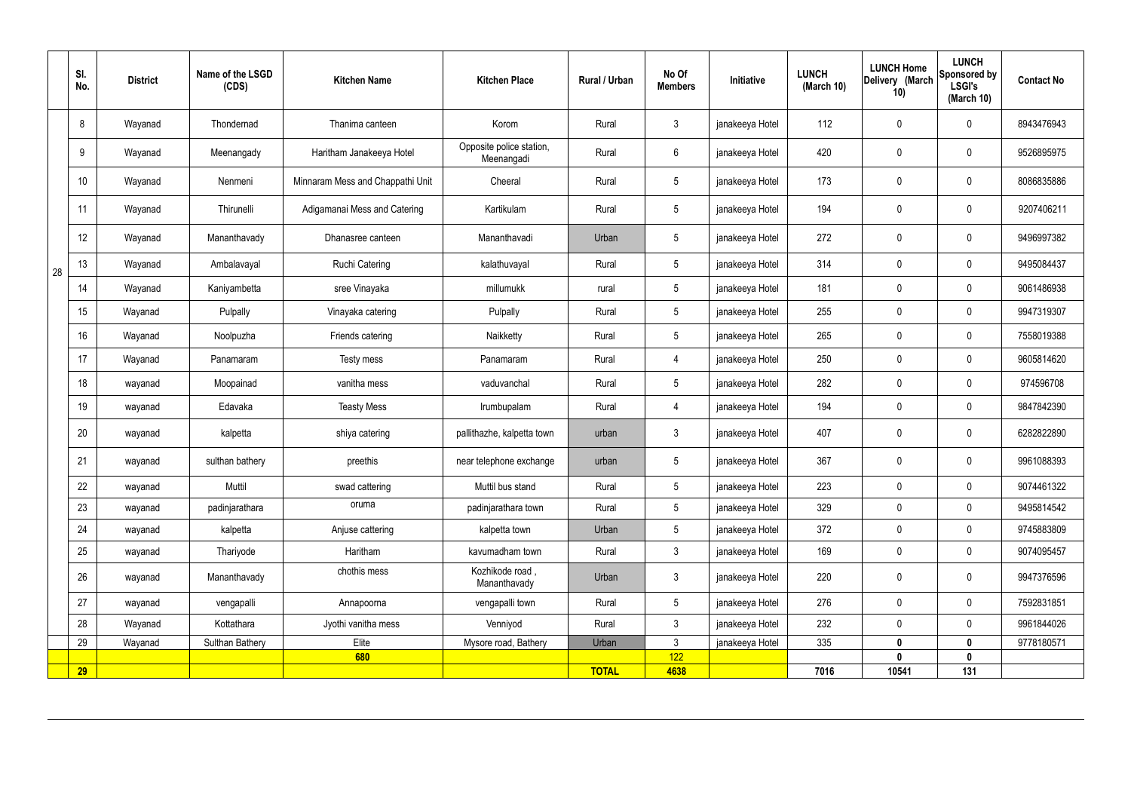|    | SI.<br>No.      | <b>District</b> | Name of the LSGD<br>(CDS) | <b>Kitchen Name</b>              | <b>Kitchen Place</b>                   | Rural / Urban | No Of<br><b>Members</b> | Initiative      | <b>LUNCH</b><br>(March 10) | <b>LUNCH Home</b><br>Delivery (March<br>10) | <b>LUNCH</b><br>Sponsored by<br><b>LSGI's</b><br>(March 10) | <b>Contact No</b> |
|----|-----------------|-----------------|---------------------------|----------------------------------|----------------------------------------|---------------|-------------------------|-----------------|----------------------------|---------------------------------------------|-------------------------------------------------------------|-------------------|
|    | 8               | Wayanad         | Thondernad                | Thanima canteen                  | Korom                                  | Rural         | $\mathbf{3}$            | janakeeya Hotel | 112                        | $\mathbf 0$                                 | $\mathbf 0$                                                 | 8943476943        |
|    | 9               | Wayanad         | Meenangady                | Haritham Janakeeya Hotel         | Opposite police station,<br>Meenangadi | Rural         | $6\phantom{.}$          | janakeeya Hotel | 420                        | $\mathbf 0$                                 | $\mathbf 0$                                                 | 9526895975        |
|    | 10 <sup>°</sup> | Wayanad         | Nenmeni                   | Minnaram Mess and Chappathi Unit | Cheeral                                | Rural         | $5\phantom{.0}$         | janakeeya Hotel | 173                        | $\mathbf 0$                                 | $\mathbf 0$                                                 | 8086835886        |
|    | 11              | Wayanad         | Thirunelli                | Adigamanai Mess and Catering     | Kartikulam                             | Rural         | $5\,$                   | janakeeya Hotel | 194                        | $\mathbf 0$                                 | $\mathbf 0$                                                 | 9207406211        |
|    | 12              | Wayanad         | Mananthavady              | Dhanasree canteen                | Mananthavadi                           | Urban         | $5\phantom{.0}$         | janakeeya Hotel | 272                        | $\mathbf 0$                                 | $\mathbf 0$                                                 | 9496997382        |
| 28 | 13              | Wayanad         | Ambalavayal               | <b>Ruchi Catering</b>            | kalathuvayal                           | Rural         | $5\overline{)}$         | janakeeya Hotel | 314                        | $\mathbf 0$                                 | $\mathbf 0$                                                 | 9495084437        |
|    | 14              | Wayanad         | Kaniyambetta              | sree Vinayaka                    | millumukk                              | rural         | $5\phantom{.0}$         | janakeeya Hotel | 181                        | $\mathbf 0$                                 | $\mathbf 0$                                                 | 9061486938        |
|    | 15              | Wayanad         | Pulpally                  | Vinayaka catering                | Pulpally                               | Rural         | $5\phantom{.0}$         | janakeeya Hotel | 255                        | $\mathbf 0$                                 | $\mathbf 0$                                                 | 9947319307        |
|    | 16              | Wayanad         | Noolpuzha                 | Friends catering                 | Naikketty                              | Rural         | $5\phantom{.0}$         | janakeeya Hotel | 265                        | $\mathbf 0$                                 | $\mathbf 0$                                                 | 7558019388        |
|    | 17              | Wayanad         | Panamaram                 | Testy mess                       | Panamaram                              | Rural         | 4                       | janakeeya Hotel | 250                        | $\mathbf 0$                                 | $\mathbf 0$                                                 | 9605814620        |
|    | 18              | wayanad         | Moopainad                 | vanitha mess                     | vaduvanchal                            | Rural         | $5\overline{)}$         | janakeeya Hotel | 282                        | $\mathbf 0$                                 | $\mathbf 0$                                                 | 974596708         |
|    | 19              | wayanad         | Edavaka                   | <b>Teasty Mess</b>               | Irumbupalam                            | Rural         | 4                       | janakeeya Hotel | 194                        | $\mathbf 0$                                 | $\mathbf 0$                                                 | 9847842390        |
|    | 20              | wayanad         | kalpetta                  | shiya catering                   | pallithazhe, kalpetta town             | urban         | $\mathbf{3}$            | janakeeya Hotel | 407                        | $\mathbf 0$                                 | $\mathbf 0$                                                 | 6282822890        |
|    | 21              | wayanad         | sulthan bathery           | preethis                         | near telephone exchange                | urban         | $5\phantom{.0}$         | janakeeya Hotel | 367                        | $\mathbf 0$                                 | $\mathbf 0$                                                 | 9961088393        |
|    | 22              | wayanad         | Muttil                    | swad cattering                   | Muttil bus stand                       | Rural         | 5 <sup>5</sup>          | janakeeya Hotel | 223                        | $\pmb{0}$                                   | $\mathbf 0$                                                 | 9074461322        |
|    | 23              | wayanad         | padinjarathara            | oruma                            | padinjarathara town                    | Rural         | $5\overline{)}$         | janakeeya Hotel | 329                        | $\mathbf 0$                                 | $\mathbf 0$                                                 | 9495814542        |
|    | 24              | wayanad         | kalpetta                  | Anjuse cattering                 | kalpetta town                          | Urban         | $5\overline{)}$         | janakeeya Hotel | 372                        | $\mathbf 0$                                 | $\mathbf 0$                                                 | 9745883809        |
|    | 25              | wayanad         | Thariyode                 | Haritham                         | kavumadham town                        | Rural         | $\mathbf{3}$            | janakeeya Hotel | 169                        | $\mathbf 0$                                 | $\mathbf 0$                                                 | 9074095457        |
|    | 26              | wayanad         | Mananthavady              | chothis mess                     | Kozhikode road,<br>Mananthavady        | Urban         | $\mathbf{3}$            | janakeeya Hotel | 220                        | $\pmb{0}$                                   | $\mathbf 0$                                                 | 9947376596        |
|    | 27              | wayanad         | vengapalli                | Annapoorna                       | vengapalli town                        | Rural         | $5\overline{)}$         | janakeeya Hotel | 276                        | $\pmb{0}$                                   | $\mathbf 0$                                                 | 7592831851        |
|    | 28              | Wayanad         | Kottathara                | Jyothi vanitha mess              | Venniyod                               | Rural         | $\mathbf{3}$            | janakeeya Hotel | 232                        | $\pmb{0}$                                   | $\mathbf 0$                                                 | 9961844026        |
|    | 29              | Wayanad         | Sulthan Bathery           | Elite                            | Mysore road, Bathery                   | Urban         | $\mathbf{3}$<br>122     | janakeeya Hotel | 335                        | $\mathbf{0}$<br>$\mathbf{0}$                | $\mathbf 0$                                                 | 9778180571        |
|    | <b>29</b>       |                 |                           | 680                              |                                        | <b>TOTAL</b>  | 4638                    |                 | 7016                       | 10541                                       | $\boldsymbol{0}$<br>131                                     |                   |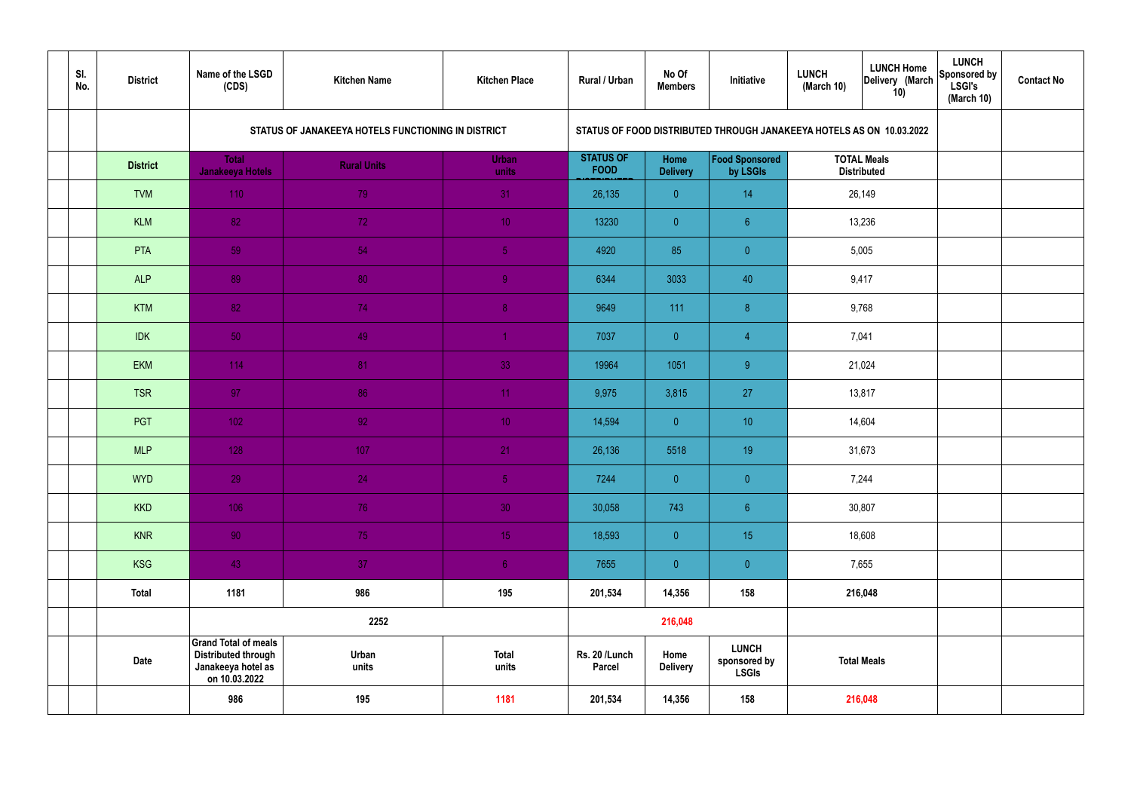| SI.<br>No. | <b>District</b> | Name of the LSGD<br>(CDS)                                                                        | <b>Kitchen Name</b>                                | <b>Kitchen Place</b>  | Rural / Urban                   | No Of<br><b>Members</b> | Initiative                                   | <b>LUNCH</b><br>(March 10) | <b>LUNCH Home</b><br>Delivery (March<br>10)                          | <b>LUNCH</b><br>Sponsored by<br><b>LSGI's</b><br>(March 10) | <b>Contact No</b> |
|------------|-----------------|--------------------------------------------------------------------------------------------------|----------------------------------------------------|-----------------------|---------------------------------|-------------------------|----------------------------------------------|----------------------------|----------------------------------------------------------------------|-------------------------------------------------------------|-------------------|
|            |                 |                                                                                                  | STATUS OF JANAKEEYA HOTELS FUNCTIONING IN DISTRICT |                       |                                 |                         |                                              |                            | STATUS OF FOOD DISTRIBUTED THROUGH JANAKEEYA HOTELS AS ON 10.03.2022 |                                                             |                   |
|            | <b>District</b> | <b>Total</b><br><b>Janakeeya Hotels</b>                                                          | <b>Rural Units</b>                                 | <b>Urban</b><br>units | <b>STATUS OF</b><br><b>FOOD</b> | Home<br><b>Delivery</b> | Food Sponsored<br>by LSGIs                   |                            | <b>TOTAL Meals</b><br><b>Distributed</b>                             |                                                             |                   |
|            | <b>TVM</b>      | 110                                                                                              | 79                                                 | 31                    | 26,135                          | $\overline{0}$          | 14                                           |                            | 26,149                                                               |                                                             |                   |
|            | <b>KLM</b>      | 82                                                                                               | 72                                                 | 10 <sup>°</sup>       | 13230                           | $\overline{0}$          | 6 <sup>°</sup>                               |                            | 13,236                                                               |                                                             |                   |
|            | PTA             | 59                                                                                               | 54                                                 | $\sqrt{5}$            | 4920                            | 85                      | $\overline{0}$                               |                            | 5,005                                                                |                                                             |                   |
|            | <b>ALP</b>      | 89                                                                                               | 80                                                 | $\overline{9}$        | 6344                            | 3033                    | 40                                           |                            | 9,417                                                                |                                                             |                   |
|            | <b>KTM</b>      | 82                                                                                               | 74                                                 | 8 <sup>°</sup>        | 9649                            | 111                     | 8                                            |                            | 9,768                                                                |                                                             |                   |
|            | <b>IDK</b>      | 50                                                                                               | 49                                                 | $\blacktriangleleft$  | 7037                            | $\overline{0}$          | $\overline{4}$                               |                            | 7,041                                                                |                                                             |                   |
|            | <b>EKM</b>      | 114                                                                                              | 81                                                 | 33                    | 19964                           | 1051                    | 9                                            |                            | 21,024                                                               |                                                             |                   |
|            | <b>TSR</b>      | 97                                                                                               | 86                                                 | 11                    | 9,975                           | 3,815                   | 27                                           |                            | 13,817                                                               |                                                             |                   |
|            | PGT             | $102$                                                                                            | 92                                                 | 10 <sup>°</sup>       | 14,594                          | $\overline{0}$          | 10 <sup>°</sup>                              |                            | 14,604                                                               |                                                             |                   |
|            | <b>MLP</b>      | 128                                                                                              | 107                                                | 21                    | 26,136                          | 5518                    | 19                                           |                            | 31,673                                                               |                                                             |                   |
|            | <b>WYD</b>      | 29                                                                                               | 24                                                 | 5 <sub>1</sub>        | 7244                            | $\mathbf{0}$            | $\overline{0}$                               |                            | 7,244                                                                |                                                             |                   |
|            | <b>KKD</b>      | 106                                                                                              | 76                                                 | 30 <sup>°</sup>       | 30,058                          | 743                     | $\sqrt{6}$                                   |                            | 30,807                                                               |                                                             |                   |
|            | <b>KNR</b>      | 90 <sub>1</sub>                                                                                  | 75                                                 | 15 <sub>1</sub>       | 18,593                          | $\overline{0}$          | 15 <sub>15</sub>                             |                            | 18,608                                                               |                                                             |                   |
|            | <b>KSG</b>      | 43                                                                                               | 37 <sub>2</sub>                                    | 6 <sup>1</sup>        | 7655                            | $\overline{0}$          | $\pmb{0}$                                    |                            | 7,655                                                                |                                                             |                   |
|            | <b>Total</b>    | 1181                                                                                             | 986                                                | 195                   | 201,534                         | 14,356                  | 158                                          |                            | 216,048                                                              |                                                             |                   |
|            |                 |                                                                                                  | 2252                                               |                       |                                 | 216,048                 |                                              |                            |                                                                      |                                                             |                   |
|            | <b>Date</b>     | <b>Grand Total of meals</b><br><b>Distributed through</b><br>Janakeeya hotel as<br>on 10.03.2022 | Urban<br>units                                     | <b>Total</b><br>units | Rs. 20 /Lunch<br><b>Parcel</b>  | Home<br><b>Delivery</b> | <b>LUNCH</b><br>sponsored by<br><b>LSGIs</b> |                            | <b>Total Meals</b>                                                   |                                                             |                   |
|            |                 | 986                                                                                              | 195                                                | 1181                  | 201,534                         | 14,356                  | 158                                          |                            | 216,048                                                              |                                                             |                   |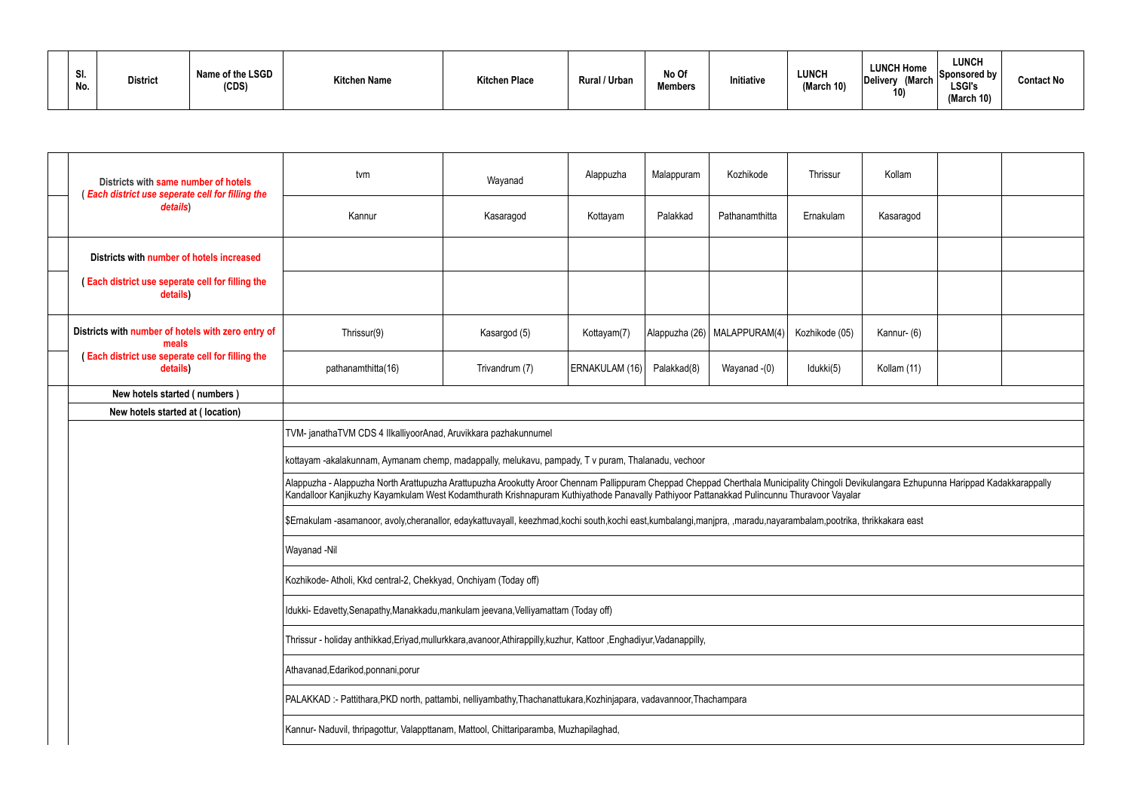| SI.<br>No. | <b>District</b> | Name of the LSGD<br>(CDS) | <b>Kitchen Name</b> | <b>Kitchen Place</b> | Rural / Urban | No Of<br><b>Members</b> | Initiative | <b>LUNCH</b><br>(March 10) | <b>LUNCH Home</b><br><b>March</b><br>Delivery<br>10<br>ιv | <b>LUNCH</b><br>$\Box$ Sponsored by $\Box$<br><b>LSGI's</b><br>(March 10) | <b>Contact No</b> |
|------------|-----------------|---------------------------|---------------------|----------------------|---------------|-------------------------|------------|----------------------------|-----------------------------------------------------------|---------------------------------------------------------------------------|-------------------|
|------------|-----------------|---------------------------|---------------------|----------------------|---------------|-------------------------|------------|----------------------------|-----------------------------------------------------------|---------------------------------------------------------------------------|-------------------|

|                                                                | Districts with same number of hotels<br>(Each district use seperate cell for filling the | tvm                                                                                                                                                                                                                                                                                                                                   | Wayanad                                                                               | Alappuzha      | Malappuram  | Kozhikode                      | Thrissur       | Kollam      |  |  |  |  |  |  |
|----------------------------------------------------------------|------------------------------------------------------------------------------------------|---------------------------------------------------------------------------------------------------------------------------------------------------------------------------------------------------------------------------------------------------------------------------------------------------------------------------------------|---------------------------------------------------------------------------------------|----------------|-------------|--------------------------------|----------------|-------------|--|--|--|--|--|--|
|                                                                | details)                                                                                 | Kannur                                                                                                                                                                                                                                                                                                                                | Kasaragod                                                                             | Kottayam       | Palakkad    | Pathanamthitta                 | Ernakulam      | Kasaragod   |  |  |  |  |  |  |
|                                                                | Districts with number of hotels increased                                                |                                                                                                                                                                                                                                                                                                                                       |                                                                                       |                |             |                                |                |             |  |  |  |  |  |  |
|                                                                | (Each district use seperate cell for filling the<br>details)                             |                                                                                                                                                                                                                                                                                                                                       |                                                                                       |                |             |                                |                |             |  |  |  |  |  |  |
|                                                                | Districts with number of hotels with zero entry of<br>meals                              | Thrissur(9)                                                                                                                                                                                                                                                                                                                           | Kasargod (5)                                                                          | Kottayam(7)    |             | Alappuzha (26)   MALAPPURAM(4) | Kozhikode (05) | Kannur- (6) |  |  |  |  |  |  |
|                                                                | (Each district use seperate cell for filling the<br>details)                             | pathanamthitta(16)                                                                                                                                                                                                                                                                                                                    | Trivandrum (7)                                                                        | ERNAKULAM (16) | Palakkad(8) | Wayanad -(0)                   | Idukki(5)      | Kollam (11) |  |  |  |  |  |  |
|                                                                | New hotels started (numbers)                                                             |                                                                                                                                                                                                                                                                                                                                       |                                                                                       |                |             |                                |                |             |  |  |  |  |  |  |
|                                                                | New hotels started at (location)                                                         |                                                                                                                                                                                                                                                                                                                                       |                                                                                       |                |             |                                |                |             |  |  |  |  |  |  |
| TVM-janathaTVM CDS 4 IlkalliyoorAnad, Aruvikkara pazhakunnumel |                                                                                          |                                                                                                                                                                                                                                                                                                                                       |                                                                                       |                |             |                                |                |             |  |  |  |  |  |  |
|                                                                |                                                                                          | kottayam -akalakunnam, Aymanam chemp, madappally, melukavu, pampady, T v puram, Thalanadu, vechoor                                                                                                                                                                                                                                    |                                                                                       |                |             |                                |                |             |  |  |  |  |  |  |
|                                                                |                                                                                          | Alappuzha - Alappuzha North Arattupuzha Arattupuzha Arookutty Aroor Chennam Pallippuram Cheppad Cheppad Cherthala Municipality Chingoli Devikulangara Ezhupunna Harippad Kadakkarappally<br>Kandalloor Kanjikuzhy Kayamkulam West Kodamthurath Krishnapuram Kuthiyathode Panavally Pathiyoor Pattanakkad Pulincunnu Thuravoor Vayalar |                                                                                       |                |             |                                |                |             |  |  |  |  |  |  |
|                                                                |                                                                                          | \$Ernakulam-asamanoor, avoly,cheranallor, edaykattuvayall, keezhmad,kochi south,kochi east,kumbalangi,manipra, ,maradu,nayarambalam,pootrika, thrikkakara east                                                                                                                                                                        |                                                                                       |                |             |                                |                |             |  |  |  |  |  |  |
|                                                                |                                                                                          | Wayanad -Nil                                                                                                                                                                                                                                                                                                                          |                                                                                       |                |             |                                |                |             |  |  |  |  |  |  |
|                                                                |                                                                                          | Kozhikode- Atholi, Kkd central-2, Chekkyad, Onchiyam (Today off)                                                                                                                                                                                                                                                                      |                                                                                       |                |             |                                |                |             |  |  |  |  |  |  |
|                                                                |                                                                                          | Idukki- Edavetty, Senapathy, Manakkadu, mankulam jeevana, Velliyamattam (Today off)                                                                                                                                                                                                                                                   |                                                                                       |                |             |                                |                |             |  |  |  |  |  |  |
|                                                                |                                                                                          | Thrissur - holiday anthikkad,Eriyad,mullurkkara,avanoor,Athirappilly,kuzhur, Kattoor ,Enghadiyur,Vadanappilly,                                                                                                                                                                                                                        |                                                                                       |                |             |                                |                |             |  |  |  |  |  |  |
|                                                                |                                                                                          | Athavanad, Edarikod, ponnani, porur                                                                                                                                                                                                                                                                                                   |                                                                                       |                |             |                                |                |             |  |  |  |  |  |  |
|                                                                |                                                                                          | PALAKKAD:- Pattithara, PKD north, pattambi, nelliyambathy, Thachanattukara, Kozhinjapara, vadavannoor, Thachampara                                                                                                                                                                                                                    |                                                                                       |                |             |                                |                |             |  |  |  |  |  |  |
|                                                                |                                                                                          |                                                                                                                                                                                                                                                                                                                                       | Kannur- Naduvil, thripagottur, Valappttanam, Mattool, Chittariparamba, Muzhapilaghad, |                |             |                                |                |             |  |  |  |  |  |  |